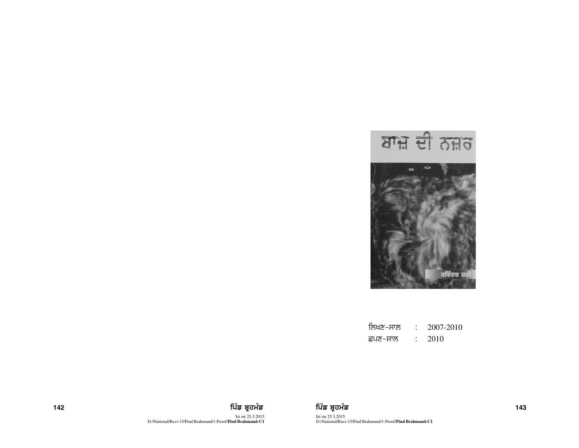

ਨਿਖਣ–ਸਾਲ : 2007-2010 ਛਪਣ–ਸਾਲ :  $2010$ 



Ist on 25.3.2015 D:/National/Ravi-15/Pind Brahmand/1-Proof/**Pind Brahmand-C1**

142 ਫ਼ਿਲ ਸ਼ਾਹ ਵਿੱਚ ਬਹੁਤ ਸਿੰਘ ਵਿੱਚ ਬਹੁਤ ਸੰਤਰ ਵਿੱਚ ਬਹੁਤ ਸਿੰਘ ਵਿੱਚ ਬਹੁਤ ਸੰਤਰ ਵਿੱਚ ਬਹੁਤ ਸੰਤਰ ਵਿੱਚ ਸੰਤਰ ਵਿੱਚ ਸੰਤਰ ਵ Ist on 25.3.2015 D:/National/Ravi-15/Pind Brahmand/1-Proof/**Pind Brahmand-C1**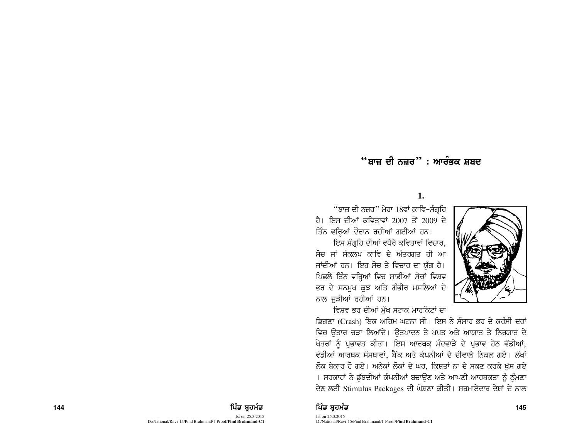## $\lq\lq$  ਬਾਜ਼ ਦੀ ਨਜ਼ਰ $\lq\lq$  : ਆਰੰਭਕ ਸ਼ਬਦ

### **1.**

"ਬਾਜ਼ ਦੀ ਨਜ਼ਰ" ਮੇਰਾ 18ਵਾਂ ਕਾਵਿ-ਸੰਗੁਹਿ ਹੈ। ਇਸ ਦੀਆਂ ਕਵਿਤਾਵਾਂ 2007 ਤੋਂ 2009 ਦੇ ਤਿੰਨ ਵਰ੍ਹਿਆਂ ਦੌਰਾਨ ਰਚੀਆਂ ਗਈਆਂ ਹਨ।

ਇਸ ਸੰਗਹਿ ਦੀਆਂ ਵਧੇਰੇ ਕਵਿਤਾਵਾਂ ਵਿਚਾਰ. ਸੋਚ ਜਾਂ ਸੰਕਲਪ ਕਾਵਿ ਦੇ ਅੰਤਰਗਤ ਹੀ ਆ ਜਾਂਦੀਆਂ ਹਨ। ਇਹ ਸੋਚ ਤੇ ਵਿਚਾਰ ਦਾ ਯੱਗ ਹੈ। ਪਿਛਲੇ ਤਿੰਨ ਵਰ੍ਹਿਆਂ ਵਿਚ ਸਾਡੀਆਂ ਸੋਚਾਂ ਵਿਸ਼ਵ ਭਰ ਦੇ ਸਨਮਖ ਕਝ ਅਤਿ ਗੰਭੀਰ ਮਸਲਿਆਂ ਦੇ ਨਾਲ ਜੁੜੀਆਂ ਰਹੀਆਂ ਹਨ।

ਵਿਸ਼ਵ ਭਰ ਦੀਆਂ ਮੁੱਖ ਸਟਾਕ ਮਾਰਕਿਟਾਂ ਦਾ



ਡਿਗਣਾ (Crash) ਇਕ ਅਹਿਮ ਘਟਨਾ ਸੀ। ਇਸ ਨੇ ਸੰਸਾਰ ਭਰ ਦੇ ਕਰੰਸੀ ਦਰਾਂ ਵਿਚ ਉਤਾਰ ਚੜਾ ਲਿਆਂਦੇ। ਉਤਪਾਦਨ ਤੇ ਖਪਤ ਅਤੇ ਆਯਾਤ ਤੇ ਨਿਰਯਾਤ ਦੇ ਖੇਤਰਾਂ ਨੂੰ ਪ੍ਰਭਾਵਤ ਕੀਤਾ। ਇਸ ਆਰਥਕ ਮੰਦਵਾੜੇ ਦੇ ਪ੍ਰਭਾਵ ਹੇਠ ਵੱਡੀਆਂ, ਵੱਡੀਆਂ ਆਰਥਕ ਸੰਸਥਾਵਾਂ. ਬੈਂਕ ਅਤੇ ਕੰਪਨੀਆਂ ਦੇ ਦੀਵਾਲੇ ਨਿਕਲ ਗਏ। ਲੱਖਾਂ ਲੋਕ ਬੇਕਾਰ ਹੋ ਗਏ। ਅਨੇਕਾਂ ਲੋਕਾਂ ਦੇ ਘਰ, ਕਿਸ਼ਤਾਂ ਨਾ ਦੇ ਸਕਣ ਕਰਕੇ ਖੁੱਸ ਗਏ । ਸਰਕਾਰਾਂ ਨੇ ਡੱਬਦੀਆਂ ਕੰਪਨੀਆਂ ਬਚਾੳਣ ਅਤੇ ਆਪਣੀ ਆਰਥਕਤਾ ਨੂੰ ਠੰਮਣਾ ਦੇਣ ਲਈ Stimulus Packages ਦੀ ਘੋਸ਼ਣਾ ਕੀਤੀ। ਸਰਮਾਏਦਾਰ ਦੇਸ਼ਾਂ ਦੇ ਨਾਲ

#### **<sup>144</sup>** fgzv pqjwzv fgzv pqjwzv **<sup>145</sup>**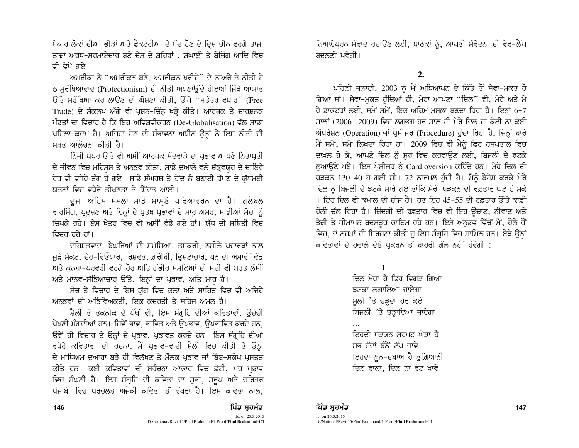ਬੇਕਾਰ ਲੋਕਾਂ ਦੀਆਂ ਭੀੜਾਂ ਅਤੇ ਫ਼ੈਕਟਰੀਆਂ ਦੇ ਬੰਦ ਹੋਣ ਦੇ ਦ੍ਰਿਸ਼ ਚੀਨ ਵਰਗੇ ਤਾਜ਼ਾ ਤਾਜ਼ਾ ਅਰਧ-ਸਰਮਾਏਦਾਰ ਬਣੇ ਦੇਸ਼ ਦੇ ਸ਼ਹਿਰਾਂ : ਸ਼ੰਘਾਈ ਤੇ ਬੇਜਿੰਗ ਆਦਿ ਵਿਚ ਵੀ ਵੇਖੇ ਗਏ।

ਅਮਰੀਕਾ ਨੇ ''ਅਮਰੀਕਨ ਬਣੋ, ਅਮਰੀਕਨ ਖਰੀਦੋ" ਦੇ ਨਾਅਰੇ ਤੇ ਨੀਤੀ ਹੇ ਠ ਸਰੱਖਿਆਵਾਦ (Protectionism) ਦੀ ਨੀਤੀ ਅਪਣਾਉਂਦੇ ਹੋਇਆਂ ਜਿੱਥੇ ਆਯਾਤ ਉੱਤੇ ਸੁਰੱਖਿਆ ਕਰ ਲਾਉਣ ਦੀ ਘੋਸ਼ਣਾ ਕੀਤੀ, ਉੱਥੇ "ਸੁਤੰਤਰ ਵਪਾਰ" (Free Trade) ਦੇ ਸੰਕਲਪ ਅੱਗੇ ਵੀ ਪ੍ਰਸ਼ਨ-ਚਿੰਨ੍ਹ ਖੜ੍ਹੇ ਕੀਤੇ। ਆਰਥਕ ਤੇ ਦਾਰਸ਼ਨਕ ਪੰਡਤਾਂ ਦਾ ਵਿਚਾਰ ਹੈ ਕਿ ਇਹ ਅਵਿਸ਼ਵੀਕਰਨ (De-Globalisation) ਵੱਲ ਸਾਡਾ ਪਹਿਲਾ ਕਦਮ ਹੈ। ਅਜਿਹਾ ਹੋਣ ਦੀ ਸੰਭਾਵਨਾ ਅਧੀਨ ਉਨ੍ਹਾਂ ਨੇ ਇਸ ਨੀਤੀ ਦੀ ਸਖ਼ਤ ਆਲੋਜਨਾ ਕੀਤੀ ਹੈ।

ਨਿੱਜੀ ਪੱਧਰ ਉੱਤੇ ਵੀ ਅਸੀਂ ਆਰਥਕ ਮੰਦਵਾੜੇ ਦਾ ਪ੍ਰਭਾਵ ਆਪਣੇ ਨਿਤਾਪ੍ਰਤੀ ਦੇ ਜੀਵਨ ਵਿਚ ਮਹਿਸੂਸ ਤੇ ਅਨੁਭਵ ਕੀਤਾ, ਸਾਡੇ ਦੁਆਲੇ ਵਲੇ ਚੱਕ੍ਰਵਯੁਹ ਦੇ ਦਾਇਰੇ ਹੋਰ ਵੀ ਵਧੇਰੇ ਤੰਗ ਹੋ ਗਏ। ਸਾਡੇ ਸੰਘਰਸ਼ ਤੇ ਹੋਂਦ ਨੂੰ ਬਣਾਈ ਰੱਖਣ ਦੇ ਯੁੱਧਮਈ ਯਤਨਾਂ ਵਿਚ ਵਧੇਰੇ ਤੀਖਣਤਾ ਤੇ ਸ਼ਿੱਦਤ ਆਈ।

ਦਜਾ ਅਹਿਮ ਮਸਲਾ ਸਾਡੇ ਸਾਮੁਣੇ ਪਰਿਆਵਰਨ ਦਾ ਹੈ। ਗਲੋਬਲ ਵਾਰਮਿੰਗ, ਪ੍ਰਦੂਸ਼ਣ ਅਤੇ ਇਨ੍ਹਾਂ ਦੇ ਪ੍ਰਤੱਖ ਪ੍ਰਭਾਵਾਂ ਦੇ ਮਾਰੂ ਅਸਰ, ਸਾਡੀਆਂ ਸੋਚਾਂ ਨੂੰ ਚਿਪਕੇ ਰਹੇ। ਏਸ ਖੇਤਰ ਵਿਚ ਵੀ ਅਸੀਂ ਵੰਡੇ ਗਏ ਹਾਂ। ਯੱਧ ਦੀ ਸਥਿਤੀ ਵਿਚ ਵਿਜ਼ਰ ਰਹੇ ਹਾਂ।

ਦਹਿਸ਼ਤਵਾਦ, ਬੇਘਰਿਆਂ ਦੀ ਸਮੱਸਿਆ, ਤਸਕਰੀ, ਨਸ਼ੀਲੇ ਪਦਾਰਥਾਂ ਨਾਲ ਜੁੜੇ ਸੰਕਟ, ਦੇਹ-ਵਿਓਪਾਰ, ਰਿਸ਼ਵਤ, ਗ਼ਰੀਬੀ, ਭ੍ਰਿਸ਼ਟਾਚਾਰ, ਧਨ ਦੀ ਅਸਾਵੀਂ ਵੰਡ ਅਤੇ ਕੁਨਬਾ-ਪਰਵਰੀ ਵਰਗੇ ਹੋਰ ਅਤਿ ਗੰਭੀਰ ਮਸਲਿਆਂ ਦੀ ਸੂਚੀ ਵੀ ਬਹੁਤ ਲੰਮੀਂ ਅਤੇ ਮਾਨਵ-ਸੱਭਿਆਚਾਰ ਉੱਤੇ, ਇਨ੍ਹਾਂ ਦਾ ਪ੍ਰਭਾਵ, ਅਤਿ ਮਾਰੂ ਹੈ।

ਸੋਚ ਤੇ ਵਿਚਾਰ ਦੇ ਇਸ ਯੱਗ ਵਿਚ ਕਲਾ ਅਤੇ ਸਾਹਿਤ ਵਿਚ ਵੀ ਅਜਿਹੇ ਅਨੁਭਵਾਂ ਦੀ ਅਭਿਵਿਅਕਤੀ, ਇਕ ਕੁਦਰਤੀ ਤੇ ਸਹਿਜ ਅਮਲ ਹੈ।

ਸ਼ੈਲੀ ਤੇ ਤਕਨੀਕ ਦੇ ਪੱਖੋਂ ਵੀ, ਇਸ ਸੰਗੁਹਿ ਦੀਆਂ ਕਵਿਤਾਵਾਂ, ੳਚੇਚੀ ਪੇਖਣੀ ਮੰਗਦੀਆਂ ਹਨ। ਜਿਵੇਂ ਭਾਵ, ਭਾਵਿਤ ਅਤੇ ਉਪਭਾਵ, ਉਪਭਾਵਿਤ ਕਰਦੇ ਹਨ, ਉਵੇਂ ਹੀ ਵਿਚਾਰ ਤੇ ਉਨ੍ਹਾਂ ਦੇ ਪ੍ਰਭਾਵ, ਪ੍ਰਭਾਵਤ ਕਰਦੇ ਹਨ। ਇਸ ਸੰਗ੍ਰਹਿ ਦੀਆਂ ਵਧੇਰੇ ਕਵਿਤਾਵਾਂ ਦੀ ਰਚਨਾ, ਮੈਂ ਪ੍ਰਭਾਵ-ਵਾਦੀ ਸ਼ੈਲੀ ਵਿਚ ਕੀਤੀ ਤੇ ਉਨ੍ਹਾਂ ਦੇ ਮਾਧਿਅਮ ਦਆਰਾ ਬੜੇ ਹੀ ਵਿਲੱਖਣ ਤੇ ਮੌਲਕ ਪ੍ਰਭਾਵ ਜਾਂ ਬਿੰਬ-ਸਕੇਪ ਪੁਸਤਤ ਕੀਤੇ ਹਨ। ਕਈ ਕਵਿਤਾਵਾਂ ਦੀ ਸਰੰਚਨਾ ਆਕਾਰ ਵਿਚ ਛੋਟੀ, ਪਰ ਪ੍ਰਭਾਵ ਵਿਚ ਸੰਘਣੀ ਹੈ। ਇਸ ਸੰਗ੍ਰਹਿ ਦੀ ਕਵਿਤਾ ਦਾ ਸੁਭਾ, ਸਰੂਪ ਅਤੇ ਚਰਿਤਰ ਪੰਜਾਬੀ ਵਿਚ ਪਰਚੱਲਤ ਅਜੋਕੀ ਕਵਿਤਾ ਤੋਂ ਵੱਖਰਾ ਹੈ। ਇਸ ਕਵਿਤਾ ਨਾਲ,

ਨਿਆਏਪੁਰਨ ਸੰਵਾਦ ਰਚਾਉਣ ਲਈ, ਪਾਠਕਾਂ ਨੂੰ, ਆਪਣੀ ਸੰਵੇਦਨਾ ਦੀ ਵੇਵ–ਲੈਂਥ ਬਦਲਣੀ ਪਵੇਗੀ।

ਪਹਿਲੀ ਜਲਾਈ, 2003 ਨੂੰ ਮੈਂ ਅਧਿਆਪਨ ਦੇ ਕਿੱਤੇ ਤੋਂ ਸੇਵਾ-ਮਕਤ ਹੋ ਗਿਆ ਸਾਂ। ਸੇਵਾ-ਮੁਕਤ ਹੁੰਦਿਆਂ ਹੀ, ਮੇਰਾ ਆਪਣਾ "ਦਿਲ" ਵੀ, ਮੇਰੇ ਅਤੇ ਮੇ ਰੇ ਡਾਕਟਰਾਂ ਲਈ, ਸਮੇਂ ਸਮੇਂ, ਇਕ ਅਹਿਮ ਮਸਲਾ ਬਣਦਾ ਰਿਹਾ ਹੈ। ਇਨ੍ਹਾਂ 6-7 ਸਾਲਾਂ (2006- 2009) ਵਿਚ ਲਗਭਗ ਹਰ ਸਾਲ ਹੀ ਮੇਰੇ ਦਿਲ ਦਾ ਕੋਈ ਨਾ ਕੋਈ ਔਪਰੇਸ਼ਨ (Operation) ਜਾਂ ਪ੍ਰੋਸੀਜਰ (Procedure) ਹੁੰਦਾ ਰਿਹਾ ਹੈ, ਜਿਨ੍ਹਾਂ ਬਾਰੇ ਮੈਂ ਸਮੇਂ, ਸਮੇਂ ਲਿਖਦਾ ਰਿਹਾ ਹਾਂ। 2009 ਵਿਚ ਵੀ ਮੈਨੂੰ ਫਿਰ ਹਸਪਤਾਲ ਵਿਚ ਦਾਖ਼ਲ ਹੋ ਕੇ, ਆਪਣੇ ਦਿਲ ਨੂੰ ਸੁਰ ਵਿਚ ਕਰਵਾਉਣ ਲਈ, ਬਿਜਲੀ ਦੇ ਝਟਕੇ ਲਆਉਣੇ ਪਏ। ਇਸ ਪ੍ਰੋਸੀਜਰ ਨੂੰ Cardioversion ਕਹਿੰਦੇ ਹਨ। ਮੇਰੇ ਦਿਲ ਦੀ ਧੜਕਨ 130-40 ਹੋ ਗਈ ਸੀ। 72 ਨਾਰਮਲ ਹੁੰਦੀ ਹੈ। ਮੈਨੂੰ ਬੇਹੋਸ਼ ਕਰਕੇ ਮੇਰੇ ਦਿਲ ਨੂੰ ਬਿਜਲੀ ਦੇ ਝਟਕੇ ਮਾਰੇ ਗਏ ਤਾਂਕਿ ਮੇਰੀ ਧੜਕਨ ਦੀ ਰਫ਼ਤਾਰ ਘਟ ਹੋ ਸਕੇ । ਇਹ ਦਿਲ ਵੀ ਕਮਾਲ ਦੀ ਚੀਜ਼ ਹੈ। ਹਣ ਇਹ 45-55 ਦੀ ਰਫ਼ਤਾਰ ਉੱਤੇ ਕਾਫ਼ੀ ਹੌਲੀ ਚੱਲ ਰਿਹਾ ਹੈ। ਜ਼ਿੰਦਗੀ ਦੀ ਰਫ਼ਤਾਰ ਵਿਚ ਵੀ ਇਹ ਉਚਾਣ, ਨੀਵਾਣ ਅਤੇ ਤੇਜ਼ੀ ਤੇ ਧੀਮਾਪਨ ਬਦਸਤੁਰ ਕਾਇਮ ਰਹੇ ਹਨ। ਇਸੇ ਅਨੁਭਵ ਵਿੱਚੋਂ ਮੈਂ, ਹੌਲੇ ਰੋਂ ਵਿਚ, ਦੋ ਨਜ਼ਮਾਂ ਦੀ ਸਿਰਜਣਾ ਕੀਤੀ ਜੁ ਇਸ ਸੰਗ੍ਰਹਿ ਵਿਚ ਸ਼ਾਮਿਲ ਹਨ। ਏਥੇ ਉਨ੍ਹਾਂ ਕਵਿਤਾਵਾਂ ਦੇ ਹਵਾਲੇ ਦੇਣੇ ਪ੍ਰਕਰਨ ਤੋਂ ਬਾਹਰੀ ਗੱਲ ਨਹੀਂ ਹੋਵੇਗੀ :

> $\mathbf{1}$ ਦਿਲ ਮੇਰਾ ਹੈ ਫਿਰ ਵਿਗਤ ਗਿਆ ਝਟਕਾ ਲਗਾਇਆ ਜਾਏਗਾ ਸੁਲੀ 'ਤੇ ਚੜ੍ਹਦਾ ਹਰ ਕੋਈ ਬਿਜਲੀ 'ਤੇ ਚੜ੍ਹਾਇਆ ਜਾਏਗਾ

ਇਹਦੀ ਧੜਕਨ ਸਰਪਟ ਘੋੜਾ ਹੈ ਸਭ ਹੱਦਾਂ ਬੰਨੇ ਟੱਪ ਜਾਵੇ ਇਹਦਾ ਖ਼ੁਨ–ਦਬਾਅ ਹੈ ਤੁਗ਼ਿਆਨੀ ਦਿਲ ਵਾਲਾ, ਦਿਲ ਨਾ ਵੱਟ ਖਾਵੇ

ਪਿੰਡ ਬਹਮੰਡ

D:/National/Ravi-15/Pind Brahmand/1-Proof/Pind Brahmand-C1

Ist on 25.3.2015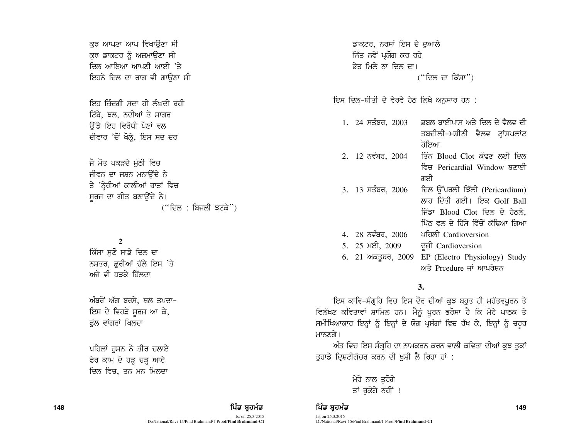ਕੁਝ ਆਪਣਾ ਆਪ ਵਿਖਾਉਣਾ ਸੀ ਕਝ ਡਾਕਟਰ ਨੂੰ ਅਜ਼ਮਾੳਣਾ ਸੀ ਜਿਲ ਆਇਆ ਆਪਣੀ ਆਈ 'ਤੇ ਇਹਨੇ ਦਿਲ ਦਾ ਰਾਗ ਵੀ ਗਾਉਣਾ ਸੀ

.<br>ਇਹ ਜ਼ਿੰਦਗੀ ਸਦਾ ਹੀ ਲੰਘਦੀ ਰਹੀ ਟਿੱਬੇ, ਥਲ, ਨਦੀਆਂ ਤੇ ਸਾਗਰ ਓੱਡੇ ਇਹ ਵਿਰੋਧੀ ਪੌਣਾਂ ਵਲ ਦੀਵਾਰ 'ਚੋਂ ਖੋਲ੍ਹੇ, ਇਸ ਸਦ ਦਰ

ਜੋ ਮੌਤ ਪਕੜਦੇ ਮੱਠੀ ਵਿਚ ਜੀਵਨ ਦਾ ਜਸ਼ਨ ਮਨਾਉਂਦੇ ਨੇ ਤੇ 'ਨੇਰੀਆਂ ਕਾਲੀਆਂ ਰਾਤਾਂ ਵਿਚ ਸਰਜ ਦਾ ਗੀਤ ਬਣਾਉਂਦੇ ਨੇ।  $($ "ਦਿਲ : ਬਿਜਲੀ ਝਟਕੇ")

### **2**

ਕਿੱਸਾ ਸਣੋ ਸਾਡੇ ਦਿਲ ਦਾ ਨਸ਼ਤਰ, ਛਰੀਆਂ ਚੱਲੇ ਇਸ 'ਤੇ ਅਜੇ ਵੀ ਧਤਕੇ ਹਿੱਲਦਾ

ਅੰਬਰੋਂ ਅੱਗ ਬਰਸੇ, ਥਲ ਤਪਦਾ-ਇਸ ਦੇ ਵਿਹੜੇ ਸੁਰਜ ਆ ਕੇ, ਫੱਲ ਵਾਂਗਰਾਂ ਖਿਲਦਾ

ਪਹਿਲਾਂ ਹਸਨ ਨੇ ਤੀਰ ਚਲਾਏ ਫੇਰ ਕਾਮ ਦੇ ਹੜ੍ਹ ਚੜ੍ਹ ਆਏ ਦਿਲ ਵਿਚ, ਤਨ ਮਨ ਮਿਲਦਾ

ਡਾਕਟਰ, ਨਰਸਾਂ ਇਸ ਦੇ ਦੁਆਲੇ ਨਿੱਤ ਨਵੇਂ ਪ੍ਰਯੋਗ ਕਰ ਰਹ<u>ੇ</u> ਭੇਤ ਮਿਲੇ ਨਾ ਦਿਲ ਦਾ।  $($ "ਦਿਲ ਦਾ ਕਿੱਸਾ")

<u>ਇਸ ਦਿਲ-ਬੀਤੀ ਦੇ ਵੇਰਵੇ ਹੇਠ ਲਿਖੇ ਅਨੁਸਾਰ ਹਨ :</u>

| $1.$ 24 ਸਤੰਬਰ, 2003 | ਡਬਲ ਬਾਈਪਾਸ ਅਤੇ ਦਿਲ ਦੇ ਵੈਲਵ ਦੀ     |
|---------------------|-----------------------------------|
|                     | ਤਬਦੀਲੀ-ਮਸ਼ੀਨੀ ਵੈਲਵ ਟ੍ਰਾਂਸਪਲਾਂਟ    |
|                     | ਹੋਇਆ                              |
| 2. 12 ਨਵੰਬਰ, 2004   | ਤਿੰਨ Blood Clot ਕੱਢਣ ਲਈ ਦਿਲ       |
|                     | ਵਿਚ Pericardial Window ਬਣਾਈ       |
|                     | ਗਈ                                |
| 3. 13 ਸਤੰਬਰ, 2006   | ਦਿਲ ਉੱਪਰਲੀ ਝਿੱਲੀ (Pericardium)    |
|                     | ਲਾਹ ਦਿੱਤੀ ਗਈ। ਇਕ Golf Ball        |
|                     | ਜਿੱਡਾ Blood Clot ਦਿਲ ਦੇ ਹੇਠਲੇ,    |
|                     | ਪਿੱਠ ਵਲ ਦੇ ਹਿੱਸੇ ਵਿੱਚੋਂ ਕੱਢਿਆ ਗਿਆ |
| 4. 28 ਨਵੰਬਰ, 2006   | ਪਹਿਲੀ Cardioversion               |
| 5. 25 ਮਈ, 2009      | ਦੂਜੀ Cardioversion                |
| 6. 21 ਅਕਤੂਬਰ, 2009  | EP (Electro Physiology) Study     |
|                     | ਅਤੇ Prcedure ਜਾਂ ਆਪਰੇਸ਼ਨ          |

### **3.**

ਇਸ ਕਾਵਿ-ਸੰਗ੍ਰਹਿ ਵਿਚ ਇਸ ਦੌਰ ਦੀਆਂ ਕੁਝ ਬਹੁਤ ਹੀ ਮਹੱਤਵਪੂਰਨ ਤੇ ਵਿਲੱਖਣ ਕਵਿਤਾਵਾਂ ਸ਼ਾਮਿਲ ਹਨ। ਮੈਨੂੰ ਪੂਰਨ ਭਰੋਸਾ ਹੈ ਕਿ ਮੇਰੇ ਪਾਠਕ ਤੇ ਸਮੀਖਿਆਕਾਰ ਇਨ੍ਹਾਂ ਨੂੰ ਇਨ੍ਹਾਂ ਦੇ ਯੋਗ ਪ੍ਰਸੰਗਾਂ ਵਿਚ ਰੱਖ ਕੇ, ਇਨ੍ਹਾਂ ਨੂੰ ਜ਼ਰੂਰ ਮਾਨਣਗੇ।

ਅੰਤ ਵਿਚ ਇਸ ਸੰਗ੍ਰਹਿ ਦਾ ਨਾਮਕਰਨ ਕਰਨ ਵਾਲੀ ਕਵਿਤਾ ਦੀਆਂ ਕੁਝ ਤੁਕਾਂ ਤੁਹਾਡੇ ਦ੍ਰਿਸ਼ਟੀਗੋਚਰ ਕਰਨ ਦੀ ਖ਼ੁਸ਼ੀ ਲੈ ਰਿਹਾ ਹਾਂ :

> ਮੇਰੇ ਨਾਲ ਤਰੋਗੇ ਤਾਂ ਰਕੋਗੇ ਨਹੀਂ !

#### 148 ਫਿਰ ਸ਼ਾਹ ਵਿੱਚ ਬਾਅਦ ਸਿੰਡ ਬ੍ਰਹਮੰਡ ਵਿੱਚ ਬ੍ਰਹਮੰਡ ਵਿੱਚ ਬ੍ਰਹਮੰਡ ਵਿੱਚ ਬ੍ਰਹਮੰਡ ਵਿੱਚ ਸ਼ਾਹ ਵਿੱਚ ਸ਼ਾਹ ਵਿੱਚ ਸ਼ਾਹ ਵਿੱਚ ਸ

Ist on 25.3.2015 D:/National/Ravi-15/Pind Brahmand/1-Proof/**Pind Brahmand-C1**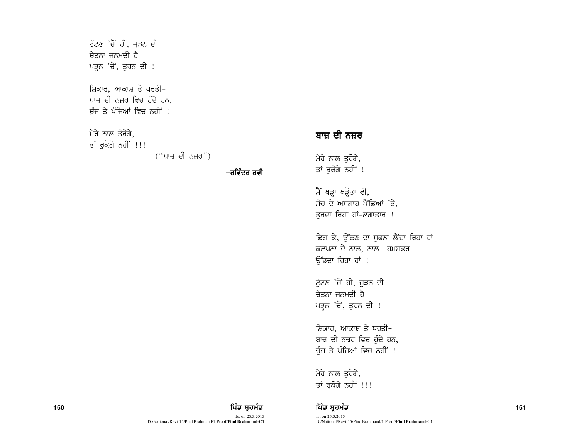ਟੁੱਟਣ 'ਚੋਂ ਹੀ, ਜੁੜਨ ਦੀ ਜੇਤਨਾ ਜਨਮਦੀ ਹੈ ਖੜ੍ਹਨ 'ਚੋਂ, ਤੁਰਨ ਦੀ !

ਸ਼ਿਕਾਰ, ਆਕਾਸ਼ ਤੇ ਧਰਤੀ-ਬਾਜ਼ ਦੀ ਨਜ਼ਰ ਵਿਚ ਹੁੰਦੇ ਹਨ, ਚੰਜ ਤੇ ਪੰਜਿਆਂ ਵਿਚ ਨਹੀਂ !

ਮੇਰੇ ਨਾਲ ਤੋਰੋਗੇ.

ਤਾਂ ਰੁਕੋਗੇ ਨਹੀਂ !!!

 $("$ ਬਾਜ਼ ਦੀ ਨਜ਼ਰ")

−ਰਵਿੰਦਰ ਰਵੀ

# ਬਾਜ਼ ਦੀ ਨਜ਼ਰ

ਮੇਰੇ ਨਾਲ ਤੁਰੋਗੇ, ਤਾਂ ਰੁਕੋਗੇ ਨਹੀਂ !

ਮੈਂ ਖੜ੍ਹਾ ਖੜ੍ਹੋਤਾ ਵੀ, ਸੋਚ ਦੇ ਅਸਗਾਹ ਪੈਂਡਿਆਂ  $\cdot$ ਤੇ, ਤਰਦਾ ਰਿਹਾ ਹਾਂ-ਲਗਾਤਾਰ !

ਡਿਗ ਕੇ, ਉੱਠਣ ਦਾ ਸਫਨਾ ਲੈਂਦਾ ਰਿਹਾ ਹਾਂ ਕਲਪਨਾ ਦੇ ਨਾਲ, ਨਾਲ  $-$ ਹਮਸਫਰ $-$ ਉੱਡਦਾ ਰਿਹਾ ਹਾਂ !

ਟੱਟਣ 'ਚੋਂ ਹੀ, ਜੜਨ ਦੀ ਚੇਤਨਾ ਜਨਮਦੀ ਹੈ ਖੜ੍ਹਨ 'ਚੋਂ, ਤੁਰਨ ਦੀ !

ਸ਼ਿਕਾਰ, ਆਕਾਸ਼ ਤੇ ਧਰਤੀ-ਬਾਜ਼ ਦੀ ਨਜ਼ਰ ਵਿਚ ਹੰਦੇ ਹਨ, ਚੰਜ ਤੇ ਪੰਜਿਆਂ ਵਿਚ ਨਹੀਂ !

ਮੇਰੇ ਨਾਲ ਤਰੋਗੇ, ਤਾਂ ਰੁਕੋਗੇ ਨਹੀਂ !!!

### **<sup>150</sup>** fgzv pqjwzv fgzv pqjwzv **<sup>151</sup>**

Ist on 25.3.2015 D:/National/Ravi-15/Pind Brahmand/1-Proof/**Pind Brahmand-C1**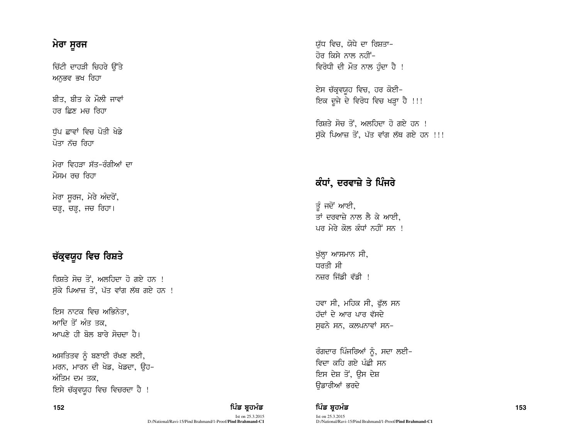# ਮੇਰਾ ਸੁਰਜ

ਚਿੱਟੀ ਦਾਹੜੀ ਚਿਹਰੇ ਉੱਤੇ ਅਨੁਭਵ ਭਖ ਰਿਹਾ

ਬੀਤ, ਬੀਤ ਕੇ ਮੌਲੀ ਜਾਵਾਂ ਹਰ ਛਿਣ ਮਚ ਰਿਹਾ

ਧੱਪ ਛਾਵਾਂ ਵਿਚ ਪੋਤੀ ਖੇਡੇ ਪੋਤਾ ਨੱਚ ਰਿਹਾ

ਮੇਰਾ ਵਿਹਤਾ ਸੱਤ–ਰੰਗੀਆਂ ਦਾ ਮੌਸਮ ਰਚ ਰਿਹਾ

ਮੇਰਾ ਸਰਜ, ਮੇਰੇ ਅੰਦਰੋਂ, ਚੜ੍ਹ, ਚੜ੍ਹ, ਜਚ ਰਿਹਾ।

# ਚੱਕ੍ਰਵਯੁਹ ਵਿਚ ਰਿਸ਼ਤੇ

ਰਿਸ਼ਤੇ ਸੋਚ ਤੋਂ, ਅਲਹਿਦਾ ਹੋ ਗਏ ਹਨ ! ਸੁੱਕੇ ਪਿਆਜ਼ ਤੋਂ, ਪੱਤ ਵਾਂਗ ਲੱਥ ਗਏ ਹਨ !

ਇਸ ਨਾਟਕ ਵਿਚ ਅਭਿਨੇਤਾ. ਆਦਿ ਤੋਂ ਅੰਤ ਤਕ. ਆਪਣੇ ਹੀ ਬੋਲ ਬਾਰੇ ਸੋਚਦਾ ਹੈ।

ਅਸਤਿਤਵ ਨੂੰ ਬਣਾਈ ਰੱਖਣ ਲਈ, ਮਰਨ, ਮਾਰਨ ਦੀ ਖੇਡ, ਖੇਡਦਾ, ੳਹ-ਅੰਤਿਮ ਦਮ ਤਕ. ਇਸੇ ਚੱਕ੍ਰਵਯੁਹ ਵਿਚ ਵਿਚਰਦਾ ਹੈ !

#### 152

ਪਿੰਡ ਬੁਹਮੰਡ Ist on 25.3.2015 D:/National/Ravi-15/Pind Brahmand/1-Proof/Pind Brahmand-C1 ਯੱਧ ਵਿਚ. ਯੋਧੇ ਦਾ ਰਿਸ਼ਤਾ– <u>ਹੋਰ ਕਿਸੇ ਨਾਲ ਨਹੀਂ-</u> ਵਿਰੋਧੀ ਦੀ ਮੌਤ ਨਾਲ ਹੰਦਾ ਹੈ !

ਏਸ ਚੱਕ੍ਰਵਯੁਹ ਵਿਚ, ਹਰ ਕੋਈ– ਇਕ ਦੂਜੇ ਦੇ ਵਿਰੋਧ ਵਿਚ ਖੜ੍ਹਾ ਹੈ !!!

ਰਿਸਤੇ ਸੋਚ ਤੋਂ, ਅਲਹਿਦਾ ਹੋ ਗਏ ਹਨ <del>।</del> ਸੱਕੇ ਪਿਆਜ਼ ਤੋਂ, ਪੱਤ ਵਾਂਗ ਲੱਥ ਗਏ ਹਨ !!!

# ਕੰਧਾਂ, ਦਰਵਾਜ਼ੇ ਤੇ ਪਿੰਜਰੇ

ਤੂੰ ਜਦੋਂ ਆਈ, ਤਾਂ ਦਰਵਾਜ਼ੇ ਨਾਲ ਲੈ ਕੇ ਆਈ. ਪਰ ਮੇਰੇ ਕੋਲ ਕੰਧਾਂ ਨਹੀਂ ਸਨ !

ਖੱਲ੍ਹਾ ਆਸਮਾਨ ਸੀ, ਧਰਤੀ ਸੀ ਨਜ਼ਰ ਜਿੱਡੀ ਵੱਡੀ !

ਹਵਾ ਸੀ, ਮਹਿਕ ਸੀ, ਫੁੱਲ ਸਨ ਹੱਦਾਂ ਦੇ ਆਰ ਪਾਰ ਵੱਸਦੇ ਸਫਨੇ ਸਨ, ਕਲਪਨਾਵਾਂ ਸਨ-

ਰੰਗਦਾਰ ਪਿੰਜਰਿਆਂ ਨੂੰ, ਸਦਾ ਲਈ– ਵਿਦਾ ਕਹਿ ਗਏ ਪੰਛੀ ਸਨ ਇਸ ਦੇਸ਼ ਤੋਂ, ਉਸ ਦੇਸ਼ ਓਡਾਰੀਆਂ ਭਰਦੇ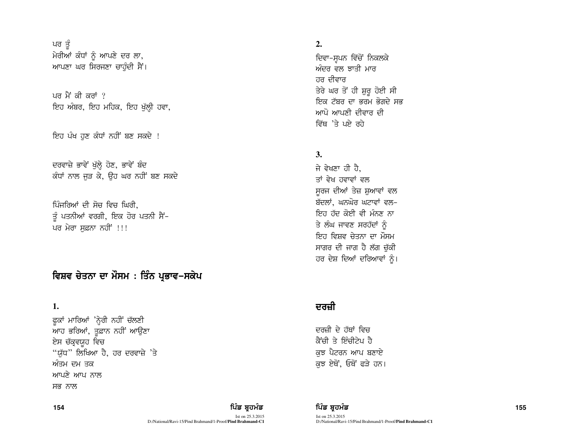ਪਰ ਤੂੰ ਮੇਰੀਆਂ ਕੰਧਾਂ ਨੂੰ ਆਪਣੇ ਦਰ ਲਾ, ਆਪਣਾ ਘਰ ਸਿਰਜਣਾ ਚਾਹੁੰਦੀ ਸੈਂ।

ਪਰ ਮੈਂ ਕੀ ਕਰਾਂ ? ਇਹ ਅੰਬਰ, ਇਹ ਮਹਿਕ, ਇਹ ਖੁੱਲ੍ਹੀ ਹਵਾ,

ਇਹ ਪੰਖ ਹਣ ਕੰਧਾਂ ਨਹੀਂ ਬਣ ਸਕਦੇ !

ਦਰਵਾਜ਼ੇ ਭਾਵੇਂ ਖੁੱਲ੍ਹੇ ਹੋਣ, ਭਾਵੇਂ ਬੰਦ ਕੰਧਾਂ ਨਾਲ ਜੜ ਕੇ, ਉਹ ਘਰ ਨਹੀਂ ਬਣ ਸਕਦੇ

ਪਿੰਜਰਿਆਂ ਦੀ ਸੋਚ ਵਿਚ ਘਿਰੀ. ਤੂੰ ਪਤਨੀਆਂ ਵਰਗੀ, ਇਕ ਹੋਰ ਪਤਨੀ ਸੈਂ-ਪਰ ਮੇਰਾ ਸਫ਼ਨਾ ਨਹੀਂ !!!

## ਵਿਸ਼ਵ ਚੇਤਨਾ ਦਾ ਮੌਸਮ ∶ ਤਿੰਨ ਪ੍ਰਭਾਵ−ਸਕੇਪ

## 1.

ਫੁਕਾਂ ਮਾਰਿਆਂ 'ਨ੍ਹੇਰੀ ਨਹੀਂ ਚੱਲਣੀ ਆਹ ਭਰਿਆਂ, ਤੁਫ਼ਾਨ ਨਹੀਂ ਆਉਣਾ ਏਸ ਚੱਕ੍ਰਵਯੁਹ ਵਿਚ "ਯੁੱਧ" ਲਿਖਿਆ ਹੈ, ਹਰ ਦਰਵਾਜ਼ੇ 'ਤੇ ਅੰਤਮ ਦਮ ਤਕ ਆਪਣੇ ਆਪ ਨਾਲ ਸਭ ਨਾਲ

## $2.$

ਦਿਵਾ-ਸੁਪਨ ਵਿੱਚੋਂ ਨਿਕਲਕੇ ਅੰਦਰ ਵਲ ਝਾਤੀ ਮਾਰ ਹਰ ਦੀਵਾਰ ਤੇਰੇ ਘਰ ਤੋਂ ਹੀ ਸ਼ੁਰੂ ਹੋਈ ਸੀ ਇਕ ਟੱਬਰ ਦਾ ਭਰਮ ਭੋਗਦੇ ਸਭ ਆਪੋ ਆਪਣੀ ਦੀਵਾਰ ਦੀ ਵਿੱਥ 'ਤੇ ਪਏ ਰਹੇ

## **3.**

ਜੇ ਵੇਖਣਾ ਹੀ ਹੈ. ਤਾਂ ਵੇਖ ਹਵਾਵਾਂ ਵਲ ਸਰਜ ਦੀਆਂ ਤੇਜ਼ ਸ਼ਆਵਾਂ ਵਲ ਬੱਦਲਾਂ, ਘਨਘੋਰ ਘਟਾਵਾਂ ਵਲ− ਇਹ ਹੱਦ ਕੋਈ ਵੀ ਮੰਨਣ ਨਾ ਤੇ ਲੰਘ ਜਾਵਣ ਸਰਹੱਦਾਂ ਨੰ ਇਹ ਵਿਸ਼ਵ ਚੇਤਨਾ ਦਾ ਮੌਸਮ ਸਾਗਰ ਦੀ ਜਾਗ ਹੈ ਲੱਗ ਚੁੱਕੀ ਹਰ ਦੇਸ਼ ਦਿਆਂ ਦਰਿਆਵਾਂ ਨੂੰ।

## ਦਰਜ਼ੀ

ਦਰਜ਼ੀ ਦੇ ਹੱਥਾਂ ਵਿਜ ਕੈਂਚੀ ਤੇ ਇੰਚੀਟੇਪ ਹੈ ਕਝ ਪੈਟਰਨ ਆਪ ਬਣਾਏ ਕਝ ਏਥੋਂ, ਓਥੋਂ ਫੜੇ ਹਨ।

154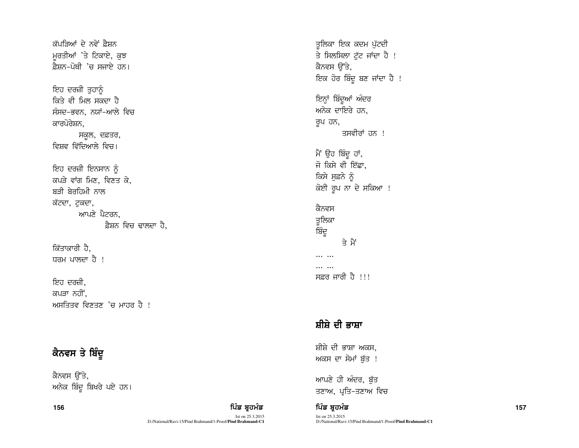ਕੱਪਤਿਆਂ ਦੇ ਨਵੇਂ ਫ਼ੈਸ਼ਨ ਮੁਰਤੀਆਂ 'ਤੇ ਟਿਕਾਏ, ਕੁਝ ਫ਼ੈਸ਼ਨ-ਪੋਥੀ 'ਚ ਸਜਾਏ ਹਨ।

ਇਹ ਦਰਜ਼ੀ ਤੁਹਾਨੂੰ ਕਿਤੇ ਵੀ ਮਿਲ ਸਕਦਾ ਹੈ ਸੰਸਦ–ਭਵਨ, ਨਯਾਂ–ਆਲੇ ਵਿਚ ਕਾਰਪੋਰੇਸ਼ਨ,

ਸਕੂਲ, ਦਫ਼ਤਰ, ਵਿਸ਼ਵ ਵਿੱਦਿਆਲੇ ਵਿਚ।

ਇਹ ਦਰਜ਼ੀ ਇਨਸਾਨ ਨੂੰ ਕਪੜੇ ਵਾਂਗ ਮਿਣ, ਵਿਣਤ ਕੇ, ਬਤੀ ਬੇਰਹਿਮੀ ਨਾਲ ਕੱਟਦਾ, ਟੁਕਦਾ, ਆਪਣੇ ਪੈਟਰਨ, ਫ਼ੈਸ਼ਨ ਵਿਚ ਢਾਲਦਾ ਹੈ.

ਕਿੱਤਾਕਾਰੀ ਹੈ, ਧਰਮ ਪਾਲਦਾ ਹੈ !

ਇਹ ਦਰਜ਼ੀ. ਕਪਤਾ ਨਹੀਂ. ਆਸਤਿਤਵ ਵਿਣਤਣ 'ਚ ਮਾਹਰ ਹੈ !

# ਕੈਨਵਸ ਤੇ ਬਿੰਦੂ

ਕੈਨਵਸ ੳੱਤੇ, ਅਨੇਕ ਬਿੰਦੂ ਬਿਖਰੇ ਪਏ ਹਨ।

156 ਫਿਰ ਸ਼ਾਹ ਵਿੱਚ ਸ਼ਾਹ ਵਿੱਚ ਬਾਹਰ ਵਿੱਚ ਬਾਹਰ ਵਿੱਚ ਬਾਹਰ ਵਿੱਚ ਬਾਹਰ ਵਿੱਚ ਬਾਹਰ ਵਿੱਚ ਸ਼ਾਹ ਵਿੱਚ ਸ਼ਾਹ ਵਿੱਚ ਸ਼ਾਹ ਵਿੱਚ ਸ਼ Ist on 25.3.2015 D:/National/Ravi-15/Pind Brahmand/1-Proof/**Pind Brahmand-C1**

ਤਲਿਕਾ ਇਕ ਕਦਮ ਪੱਟਦੀ ਤ<br>ਤੇ ਸਿਲਸਿਲਾ ਟੁੱਟ ਜਾਂਦਾ ਹੈ ! ਕੈਨਵਸ ੳੱਤੇ, ਇਕ ਹੋਰ ਬਿੰਦੂ ਬਣ ਜਾਂਦਾ ਹੈ ! ਇਨ੍ਹਾਂ ਬਿੰਦੂਆਂ ਅੰਦਰ ਅਨੇਕ ਦਾਇਰੇ ਹਨ. ਰੂਪ ਹਨ, ਤਸਵੀਰਾਂ ਹਨ ! ਮੈਂ ਉਹ ਬਿੰਦੂ ਹਾਂ,

ਜੋ ਕਿਸੇ ਵੀ ਇੱਛਾ, ਕਿਸੇ ਸੁਫ਼ਨੇ ਨੂੰ ਕੋਈ ਰੂਪ ਨਾ ਦੇ ਸਕਿਆ !

ਕੈਨਵਸ ਤੁਲਿਕਾ ਬਿੰਦੁ ਤੇ ਮੈਂ  $\mathbf{H}$ ... ... ਸਫ਼ਰ ਜਾਰੀ ਹੈ !!!

# ਸ਼ੀਸ਼ੇ ਦੀ ਭਾਸ਼ਾ

ਸ਼ੀਸ਼ੇ ਦੀ ਭਾਸ਼ਾ ਅਕਸ, ਅਕਸ ਦਾ ਸੋਮਾਂ ਬੁੱਤ !

ਆਪਣੇ ਹੀ ਅੰਦਰ, ਬੁੱਤ ਤਣਾਅ, ਪ੍ਰਤਿ-ਤਣਾਅ ਵਿਚ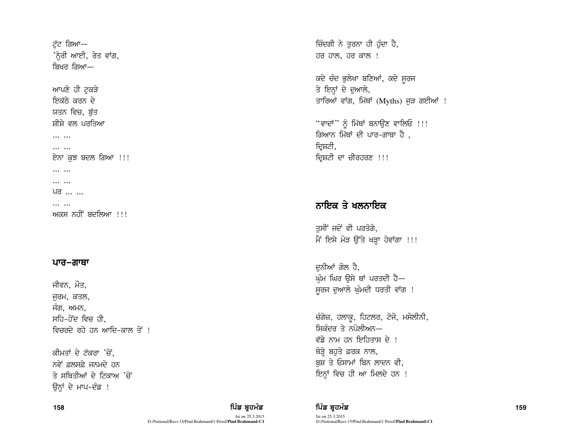ਟੱਟ ਗਿਆ— 'ਨ੍ਹੇਰੀ ਆਈ, ਰੇਤ ਵਾਂਗ, ਬਿਖਰ ਗਿਆ—

ਆਪਣੇ ਹੀ ਟੁਕੜੇ ਇਕੱਨੇ ਕਰਨ ਦੇ ਯਤਨ ਵਿਚ. ਬੱਤ ਸੀਸੇ ਵਲ ਪਰਤਿਆ

HHH HHH  $\cdots$ 

ਏਨਾ ਕਝ ਬਦਲ ਗਿਆ !!!

 $\cdots$ 

... ...

ਪਰ ... ...

... ... ਅਕਸ ਨਹੀਂ ਬਦਲਿਆ !!!

## ਪਾਰ–ਗਾਥਾ

ਜੀਵਨ, ਮੌਤ, ਜੁਰਮ, ਕਤਲ, ਜੰਗ, ਅਮਨ, ਸਹਿ-ਹੋਂਦ ਵਿਚ ਹੀ. ਵਿਚਰਦੇ ਰਹੇ ਹਨ ਆਦਿ–ਕਾਲ ਤੋਂ !

ਕੀਮਤਾਂ ਦੇ ਟੱਕਰਾ 'ਚੋਂ, ਨਵੇਂ ਫ਼ਲਸਫ਼ੇ ਜਨਮਦੇ ਹਨ ਤੇ ਸਥਿਤੀਆਂ ਦੇ ਟਿਕਾਅ 'ਚੋਂ ਉਨ੍ਹਾਂ ਦੇ ਮਾਪ-ਦੰਡ !

Ist on 25.3.2015 D:/National/Ravi-15/Pind Brahmand/1-Proof/**Pind Brahmand-C1** ਜ਼ਿੰਦਗੀ ਨੇ ਤਰਨਾ ਹੀ ਹੰਦਾ ਹੈ, ਹਰ ਹਾਲ, ਹਰ ਕਾਲ !

ਕਦੇ ਚੰਦ ਭੁਲੇਖਾ ਬਣਿਆਂ, ਕਦੇ ਸੁਰਜ ਤੇ ਇਨ੍ਹਾਂ ਦੇ ਦੁਆਲੇ, ਤਾਰਿਆਂ ਵਾਂਗ, ਮਿੱਥਾਂ (Myths) ਜੜ ਗਈਆਂ !

"ਵਾਦਾਂ" ਨੂੰ ਮਿੱਥਾਂ ਬਨਾਉਣ ਵਾਲਿਓ !!! ਗਿਆਨ ਮਿੱਥਾਂ ਦੀ ਪਾਰ-ਗਾਥਾ ਹੈ , ਦਿਸ਼ਟੀ, ਦਿਸ਼ਟੀ ਦਾ ਚੀਰਹਰਣ !!!

# ਨਾਇਕ ਤੇ ਖਲਨਾਇਕ

ਤੁਸੀਂ ਜਦੋਂ ਵੀ ਪਰਤੋਗੇ, ਮੈਂ ਇਸੇ ਮੋੜ ਉੱਤੇ ਖੜ੍ਹਾ ਹੋਵਾਂਗਾ !!!

ਦਨੀਆਂ ਗੋਲ ਹੈ. ਘੰਮ ਘਿਰ ੳਸੇ ਥਾਂ ਪਰਤਦੀ ਹੈ— ਸੁਰਜ ਦੁਆਲੇ ਘੁੰਮਦੀ ਧਰਤੀ ਵਾਂਗ !

ਚੰਗੇਜ਼, ਹਲਾਕੁ, ਹਿਟਲਰ, ਟੋਜੋ, ਮਸੋਲੀਨੀ, ਸਿਕੰਦਰ ਤੇ ਨਪੋਲੀਅਨ— ਵੱਡੇ ਨਾਮ ਹਨ ਇਹਿਤਾਸ ਦੇ ! ਥੋੜ੍ਹੇ ਬਹੁਤੇ ਫ਼ਰਕ ਨਾਲ, ਬਸ਼ ਤੇ ਓਸਾਮਾਂ ਬਿਨ ਲਾਦਨ ਵੀ, ਇਨ੍ਹਾਂ ਵਿਚ ਹੀ ਆ ਮਿਲਦੇ ਹਨ !

158 ਫਿਰ ਸ਼ਾਹ ਵਿੱਚ ਸ਼ਾਹ ਵਿੱਚ ਬਾਹਰ ਵਿੱਚ ਬਾਹਰ ਵਿੱਚ ਬਾਹਰ ਵਿੱਚ ਬਾਹਰ ਵਿੱਚ ਬਾਹਰ ਵਿੱਚ ਸ਼ਾਹ ਵਿੱਚ ਸ਼ਾਹ ਵਿੱਚ ਸ਼ਾਹ ਵਿੱਚ ਸ਼ Ist on 25.3.2015 D:/National/Ravi-15/Pind Brahmand/1-Proof/**Pind Brahmand-C1**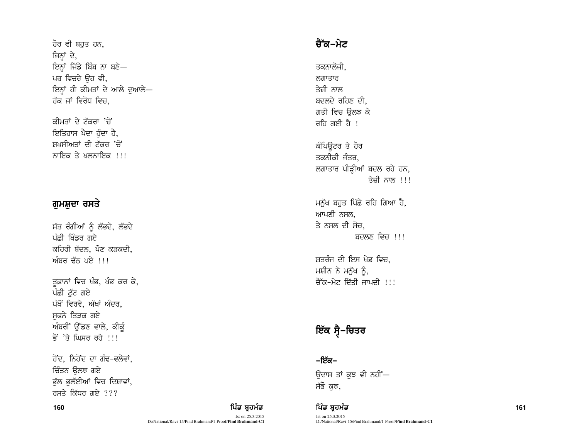ਹੋਰ ਵੀ ਬਹਤ ਹਨ, ਜਿਨ੍ਹਾਂ ਦੇ, ਇਨ੍ਹਾਂ ਜਿੱਡੇ ਬਿੰਬ ਨਾ ਬਣੇ-ਪਰ ਵਿਚਰੇ ਉਹ ਵੀ, ਇਨ੍ਹਾਂ ਹੀ ਕੀਮਤਾਂ ਦੇ ਆਲੇ ਦੁਆਲੇ-ਹੱਕ ਜਾਂ ਵਿਰੋਧ ਵਿਚ,

ਕੀਮਤਾਂ ਦੇ ਟੱਕਰਾ 'ਚੋਂ ਇਤਿਹਾਸ ਪੈਦਾ ਹੰਦਾ ਹੈ, ਸਖਸੀਅਤਾਂ ਦੀ ਟੱਕਰ 'ਚੋਂ ਨਾਇਕ ਤੇ ਖਲਨਾਇਕ  $\overline{11}$ 

## ਗੁਮਸ਼ੁਦਾ ਰਸਤੇ

ਸੱਤ ਰੰਗੀਆਂ ਨੂੰ ਲੱਭਦੇ, ਲੱਭਦੇ ਪੰਛੀ ਖਿੰਡਰ ਗਏ ਕਹਿਰੀ ਬੱਦਲ, ਪੌਣ ਕੜਕਦੀ, ਅੰਬਰ ਢੱਨ ਪਏ !!!

ਤੁਫ਼ਾਨਾਂ ਵਿਚ ਖੰਭ, ਖੰਭ ਕਰ ਕੇ, ਪੰਛੀ ਟੱਟ ਗਏ ਪੰਖੋਂ ਵਿਰਵੇ, ਅੱਖਾਂ ਅੰਦਰ, ਸਫਨੇ ਤਿੜਕ ਗਏ ਅੰਬਰੀ ਉੱਡਣ ਵਾਲੇ, ਕੀਕੰ ਕੋਂ 'ਤੇ ਘਿਸਰ ਰਹੇ ।।।

ਹੋਂਦ, ਨਿਹੋਂਦ ਦਾ ਗੰਢ-ਵਲੇਵਾਂ, ਚਿੰਤਨ ਉਲਝ ਗਏ ਭੁੱਲ ਭੁਲੱਈਆਂ ਵਿਚ ਦਿਸ਼ਾਵਾਂ, ਰਸਤੇ ਕਿੱਧਰ ਗਏ  $22$ 

#### Ist on 25.3.2015 D:/National/Ravi-15/Pind Brahmand/1-Proof/**Pind Brahmand-C1**

## ਚੈੱਕ−ਮੇਟ

ਤਕਨਾਲੋਜੀ. ਲਗਾਤਾਰ ਤੇਜ਼ੀ ਨਾਲ ਬਦਲਦੇ ਰਹਿਣ ਦੀ. ਗਤੀ ਵਿਚ ੳਲਝ ਕੇ ਰਹਿ ਗਈ ਹੈ।

ਕੰਪਿੳਟਰ ਤੇ ਹੋਰ ਤਕਨੀਕੀ ਜੰਤਰ, ਲਗਾਤਾਰ ਪੀੜ੍ਹੀਆਂ ਬਦਲ ਰਹੇ ਹਨ, ਤੇਜ਼ੀ ਨਾਲ  $\,$ !!!

ਮਨੁੱਖ ਬਹੁਤ ਪਿੱਛੇ ਰਹਿ ਗਿਆ ਹੈ, ਆਪਣੀ ਨਸਲ. ਤੇ ਨਸਲ ਦੀ ਸੋਚ. ਬਦਲਣ ਵਿਚ  $\frac{1}{2}$ !

ਸ਼ਤਰੰਜ ਦੀ ਇਸ ਖੇਡ ਵਿਚ. ਮਸ਼ੀਨ ਨੇ ਮਨੱਖ ਨੰ, ਰੈੱਕ-ਮੇਟ ਦਿੱਤੀ ਜਾਪਦੀ !!!

# ਇੱਕ ਸ੍ਵੈ−ਚਿਤਰ

−ਇੱਕ− ਓਦਾਸ ਤਾਂ ਕੁਝ ਵੀ ਨਹੀਂ— ਸੱਭੋ ਕਝ,

160 fg power for the set of the set of the set of the set of the set of the set of the set of the set of the set of the set of the set of the set of the set of the set of the set of the set of the set of the set of the se Ist on 25.3.2015 D:/National/Ravi-15/Pind Brahmand/1-Proof/**Pind Brahmand-C1**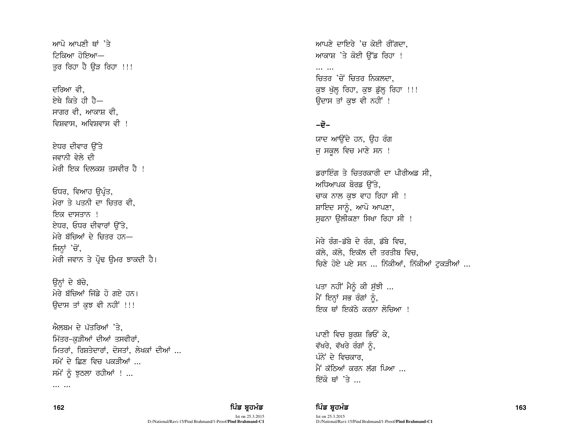ਆਪੋ ਆਪਣੀ ਥਾਂ 'ਤੇ —ਾਲਾਵੀਨੋਂ ਾਲਕੀਵੀ ਤਰ ਰਿਹਾ ਹੈ ਉੜ ਰਿਹਾ !!!

ਦਰਿਆ ਵੀ ਏਥੇ ਕਿਤੇ ਹੀ ਹੈ— ਸਾਗਰ ਵੀ, ਆਕਾਸ਼ ਵੀ, ਵਿਸ਼ਵਾਸ, ਅਵਿਸ਼ਵਾਸ ਵੀ !

ਏਧਰ ਦੀਵਾਰ ਉੱਤੇ ਜਵਾਨੀ ਵੇਲੇ ਦੀ ਮੇਰੀ ਇਕ ਦਿਲਕਸ਼ ਤਸਵੀਰ ਹੈ !

ਓਧਰ, ਵਿਆਹ ੳਪੰਤ, ਮੇਰਾ ਤੇ ਪਤਨੀ ਦਾ ਚਿਤਰ ਵੀ. ਇਕ ਦਾਸਤਾਨ ! ਏਧਰ, ਓਧਰ ਦੀਵਾਰਾਂ ਉੱਤੇ, ਮੇਰੇ ਬੱਚਿਆਂ ਦੇ ਚਿਤਰ ਹਨ— ਜਿਨਾਂ 'ਚੋਂ, ਮੇਰੀ ਜਵਾਨ ਤੇ ਪੌਢ ਉਮਰ ਝਾਕਦੀ ਹੈ।

ਉਨ੍ਹਾਂ ਦੇ ਬੱਚੇ. ਮੇਰੇ ਬੱਚਿਆਂ ਜਿੱਡੇ ਹੋ ਗਏ ਹਨ। ਓਦਾਸ ਤਾਂ ਕਝ ਵੀ ਨਹੀਂ !!!

ਐਲਬਮ ਦੇ ਪੱਤਰਿਆਂ 'ਤੇ. ਮਿੱਤਰ-ਕੜੀਆਂ ਦੀਆਂ ਤਸਵੀਰਾਂ, ਮਿਤਰਾਂ, ਰਿਸ਼ਤੇਦਾਰਾਂ, ਦੋਸਤਾਂ, ਲੇਖਕਾਂ ਦੀਆਂ ... ਸਮੇਂ ਦੇ ਫ਼ਿਣ ਵਿਚ ਪਕਤੀਆਂ ... ਸਮੇਂ ਨੂੰ ਝਠਲਾ ਰਹੀਆਂ ! ...

 $\cdots$   $\cdots$ 

ਆਪਣੇ ਦਾਇਰੇ 'ਚ ਕੋਈ ਰੀਂਗਦਾ, ਆਕਾਸ਼ 'ਤੇ ਕੋਈ ਉੱਡ ਰਿਹਾ !

 $\cdots$   $\cdots$ ਚਿਤਰ 'ਚੋਂ ਚਿਤਰ ਨਿਕਲਦਾ. ਕੁਝ ਖੁੱਲ੍ਹ ਰਿਹਾ, ਕੁਝ ਡੁੱਲ੍ਹ ਰਿਹਾ !!! ਉਦਾਸ ਤਾਂ ਕੁਝ ਵੀ ਨਹੀਂ !

## –ਦੋ–

ਯਾਦ ਆਉਂਦੇ ਹਨ, ਉਹ ਰੰਗ ਜੁ ਸਕੂਲ ਵਿਚ ਮਾਣੇ ਸਨ !

ਡਰਾਇੰਗ ਤੇ ਚਿਤਰਕਾਰੀ ਦਾ ਪੀਰੀਅਡ ਸੀ. ਅਧਿਆਪਕ ਬੋਰਡ ੳੱਤੇ, ਚਾਕ ਨਾਲ ਕਝ ਵਾਹ ਰਿਹਾ ਸੀ ! ਸ਼ਾਇਦ ਸਾਨੰ, ਆਪੋ ਆਪਣਾ, ਸਫ਼ਨਾ ਉਲੀਕਣਾ ਸਿਖਾ ਰਿਹਾ ਸੀ !

ਮੇਰੇ ਰੰਗ-ਡੱਬੇ ਦੇ ਰੰਗ, ਡੱਬੇ ਵਿਚ, ਕੱਲੇ, ਕੱਲੇ, ਇਕੱਲ ਦੀ ਤਰਤੀਬ ਵਿਚ, ਚਿਣੇ ਹੋਏ ਪਏ ਸਨ ... ਨਿੱਕੀਆਂ, ਨਿੱਕੀਆਂ ਟਕੜੀਆਂ ...

ਪਤਾ ਨਹੀਂ ਮੈਨੂੰ ਕੀ ਸੁੱਝੀ ... ਮੈਂ ਇਨ੍ਹਾਂ ਸਭ ਰੰਗਾਂ ਨੂੰ, ਇਕ ਥਾਂ ਇਕੱਨੇ ਕਰਨਾ ਲ<mark>ੋ</mark>ਚਿਆ !

ਪਾਣੀ ਵਿਚ ਬਰਸ਼ ਭਿਓਂ ਕੇ, ਵੱਖਰੇ, ਵੱਖਰੇ ਰੰਗਾਂ ਨੂੰ, ਪੰਨੇ ਦੇ ਵਿਜ਼ਕਾਰ ਮੈਂ ਕੱਨਿਆਂ ਕਰਨ ਲੱਗ ਪਿਆ ... ਇੱਕੋ ਥਾਂ 'ਤੇ ...

162

ਪਿੰਡ ਬਹਮੰਡ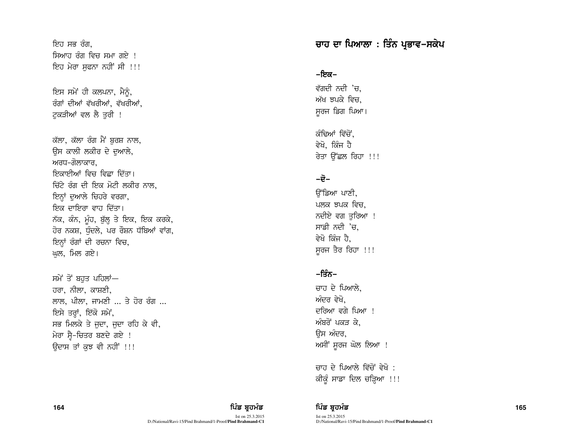ਇਹ ਸਭ ਰੰਗ. ਸਿਆਹ ਰੰਗ ਵਿਚ ਸਮਾ ਗਏ <u>।</u> ਇਹ ਮੇਰਾ ਸਫਨਾ ਨਹੀਂ ਸੀ !!!

ਇਸ ਸਮੇਂ ਹੀ ਕਲਪਨਾ, ਮੈਨੰ, ਰੰਗਾਂ ਦੀਆਂ ਵੱਖਰੀਆਂ, ਵੱਖਰੀਆਂ, ਟਕੜੀਆਂ ਵਲ ਲੈ ਤਰੀ !

ਕੱਲਾ, ਕੱਲਾ ਰੰਗ ਮੈਂ ਬਰਸ਼ ਨਾਲ, ਉਸ ਕਾਲੀ ਲਕੀਰ ਦੇ ਦੁਆਲੇ, ਅਰਧ–ਗੋਲਾਕਾਰ. ਇਕਾਈਆਂ ਵਿਚ ਵਿਛਾ ਦਿੱਤਾ। ਚਿੱਟੇ ਰੰਗ ਦੀ ਇਕ ਮੋਟੀ ਲਕੀਰ ਨਾਲ, ਇਨ੍ਹਾਂ ਦੁਆਲੇ ਚਿਹਰੇ ਵਰਗਾ, ਇਕ ਦਾਇਰਾ ਵਾਹ ਦਿੱਤਾ। ਨੱਕ, ਕੰਨ, ਮੂੰਹ, ਬੁੱਲ੍ਹ ਤੇ ਇਕ, ਇਕ ਕਰਕੇ, ਹੋਰ ਨਕਸ਼, ਧੰਦਲੇ, ਪਰ ਰੌਸ਼ਨ ਧੱਬਿਆਂ ਵਾਂਗ, ਇਨਾਂ ਰੰਗਾਂ ਦੀ ਰਚਨਾ ਵਿਚ, ਘਲ, ਮਿਲ ਗਏ।

ਸਮੇਂ ਤੋਂ ਬਹਤ ਪਹਿਲਾਂ— ਹਰਾ, ਨੀਲਾ, ਕਾਸ਼ਣੀ, ਲਾਲ, ਪੀਲਾ, ਜਾਮਣੀ  $\ldots$  ਤੇ ਹੋਰ ਰੰਗ  $\ldots$ ਇਸੇ ਤਰ੍ਹਾਂ, ਇੱਕੋ ਸਮੇਂ, ਸਭ ਮਿਲਕੇ ਤੇ ਜਦਾ, ਜਦਾ ਰਹਿ ਕੇ ਵੀ, ਮੇਰਾ ਸ੍ਰੈ-ਚਿਤਰ ਬਣਦੇ ਗਏ ! ਓਦਾਸ ਤਾਂ ਕਝ ਵੀ ਨਹੀਂ !!!

# ਚਾਹ ਦਾ ਪਿਆਲਾ : ਤਿੰਨ ਪ੍ਰਭਾਵ–ਸਕੇਪ

–ਇਕ–

ਵੱਗਦੀ ਨਦੀ 'ਚ, ਅੱਖ ਝਪਕੇ ਵਿਚ. ਸੁਰਜ ਡਿਗ ਪਿਆ।

ਕੰਢਿਆਂ ਵਿੱਚੋਂ. ਵੇਖੋ. ਕਿੰਜ ਹੈ ਰੇਤਾ ਉੱਛਲ ਰਿਹਾ !!!

## –ਦੋ–

ਉੱਡਿਆ ਪਾਣੀ, ਪਲਕ ਝਪਕ ਵਿਚ. ਨਦੀਏ ਵਗ ਤਰਿਆ ! ਸਾਡੀ ਨਦੀ  $'$ ਚ, ਵੇਖੋ ਕਿੰਜ ਹੈ. ਸੁਰਜ ਤੈਰ ਰਿਹਾ !!!

## $-f\ddot{x}$ ਨ $-$

ਚਾਹ ਦੇ ਪਿਆਲੇ, ਅੰਦਰ ਵੇਖੋ. ਦਰਿਆ ਵਗੇ ਪਿਆ <u>!</u> ਅੰਬਰੋਂ ਪਕਤ ਕੇ. ਓਸ ਅੰਦਰ, ਅਸੀਂ ਸੁਰਜ ਘੋਲ ਲਿਆ !

ਚਾਹ ਦੇ ਪਿਆਲੇ ਵਿੱਚੋਂ ਵੇਖੋ : ਕੀਕੁੰ ਸਾਡਾ ਦਿਲ ਚੜ੍ਹਿਆ !!!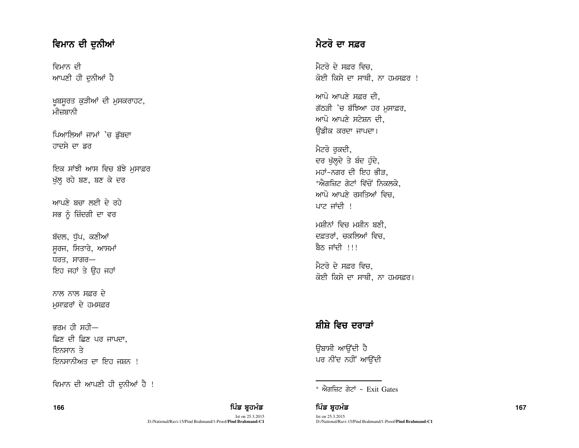# ਵਿਮਾਨ ਦੀ ਦੁਨੀਆਂ

ਵਿਮਾਨ ਦੀ ਆਪਣੀ ਹੀ ਦੁਨੀਆਂ ਹੈ

ਖ਼ੂਬਸੂਰਤ ਕੁੜੀਆਂ ਦੀ ਮੁਸਕਰਾਹਟ, ਮੀਜ਼ਬਾਨੀ

ਪਿਆਲਿਆਂ ਜਾਮਾਂ 'ਚ ਡੁੱਬਦਾ ਹਾਦਸੇ ਦਾ ਡਰ

ਇਕ ਸਾਂਝੀ ਆਸ ਵਿਚ ਬੱਝੇ ਮਸਾਫ਼ਰ ਮੁੱਲ੍ਹ ਰਹੇ ਬਣ, ਬਣ ਕੇ ਦਰ

ਆਪਣੇ ਬਚਾ ਲਈ ਦੇ ਰਹੇ ਸਭ ਨੂੰ ਜ਼ਿੰਦਗੀ ਦਾ ਵਰ

ਬੱਦਲ, ਧੱਪ, ਕਣੀਆਂ ਸੁਰਜ, ਸਿਤਾਰੇ, ਆਸਮਾਂ  $\overline{u}$ ਰਤ, ਸਾਗਰ $-$ ਇਹ ਜਹਾਂ ਤੇ ਉਹ ਜਹਾਂ

ਨਾਲ ਨਾਲ ਸਫ਼ਰ ਦੇ ਮਸਾਫ਼ਰਾਂ ਦੇ ਹਮਸਫ਼ਰ

ਕਰਮ ਹੀ ਸਹੀ $-$ ਛਿਣ ਦੀ ਛਿਣ ਪਰ ਜਾਪਦਾ, ਇਨਸਾਨ ਤੇ ਇਨਸਾਨੀਅਤ ਦਾ ਇਹ ਜਸਨ**ਾ** 

ਵਿਮਾਨ ਦੀ ਆਪਣੀ ਹੀ ਦੁਨੀਆਂ ਹੈ !

Ist on 25.3.2015 D:/National/Ravi-15/Pind Brahmand/1-Proof/**Pind Brahmand-C1**

# ਮੈਟਰੋ ਦਾ ਸਫ਼ਰ

ਮੈਟਰੋ ਦੇ ਸਫ਼ਰ ਵਿਚ. ਕੋਈ ਕਿਸੇ ਦਾ ਸਾਥੀ, ਨਾ ਹਮਸਫ਼ਰ !

ਆਪੋ ਆਪਣੇ ਸਫ਼ਰ ਦੀ, ਗੱਠੜੀ 'ਚ ਬੱਝਿਆ ਹਰ ਮਸਾਫ਼ਰ, ਆਪੋ ਆਪਣੇ ਸਟੇਸ਼ਨ ਦੀ, ਉਡੀਕ ਕਰਦਾ ਜਾਪਦਾ।

ਮੈਟਰੋ ਰੁਕਦੀ, ਦਰ ਖੱਲਦੇ ਤੇ ਬੰਦ ਹੰਦੇ, ਮਹਾਂ-ਨਗਰ ਦੀ ਇਹ ਭੀੜ, \*ਐਗਜ਼ਿਟ ਗੇਟਾਂ ਵਿੱਚੋਂ ਨਿਕਲਕੇ, ਆਪੋ ਆਪਣੇ ਰਸਤਿਆਂ ਵਿਚ. ਪਾਟ ਜਾਂਦੀ  $\pm$ 

ਮਸ਼ੀਨਾਂ ਵਿਚ ਮਸ਼ੀਨ ਬਣੀ. ਦਫ਼ਤਰਾਂ, ਚਕਲਿਆਂ ਵਿਚ, ਸੈਨ ਜਾਂਦੀ ।।।

ਮੈਟਰੋ ਦੇ ਸਫ਼ਰ ਵਿਚ. ਕੋਈ ਕਿਸੇ ਦਾ ਸਾਥੀ, ਨਾ ਹਮਸਫ਼ਰ।

# ਸ਼ੀਸ਼ੇ ਵਿਚ ਦਰਾੜਾਂ

ਓਬਾਸੀ ਆਉਂਦੀ ਹ<u>ੈ</u> ਪਰ ਨੀਂਦ ਨਹੀਂ ਆਉਂਦੀ

166 ਫਿਲਮ ਸ਼ਾਹਿ ਵਿੱਚ ਬਾਹਰ ਵਿੱਚ ਬਾਹਰ ਵਿੱਚ ਬਾਹਰ ਵਿੱਚ ਬਾਹਰ ਵਿੱਚ ਬਾਹਰ ਵਿੱਚ ਬਾਹਰ ਵਿੱਚ ਸ਼ਹਿਰ ਵਿੱਚ ਸ਼ਹਿਰ ਵਿੱਚ ਸ਼ਹਿਰ ਵਿੱ Ist on 25.3.2015 D:/National/Ravi-15/Pind Brahmand/1-Proof/**Pind Brahmand-C1**

 $*$  ਐਗਜ਼ਿਟ ਗੇਟਾਂ – Exit Gates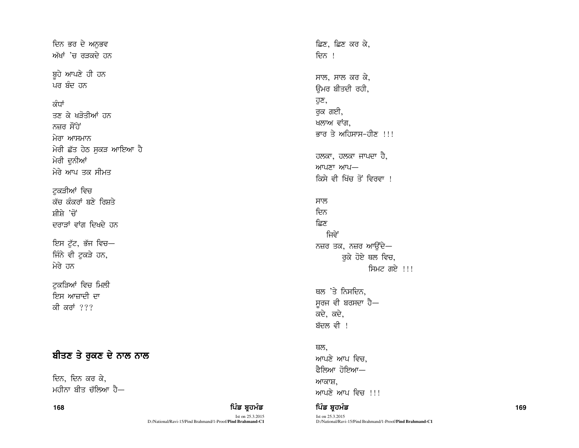ਦਿਨ ਭਰ ਦੇ ਅਨਭਵ ਅੱਖਾਂ 'ਚ ਰੜਕਦੇ ਹਨ

ਬੂਹੇ ਆਪਣੇ ਹੀ ਹਨ ਪਰ ਬੰਦ ਹਨ

## ਕੰਧਾਂ

ਤਣ ਕੇ ਖੜੋਤੀਆਂ ਹਨ ਨਜ਼ਰ ਸੌਂਹੇ ਮੇਰਾ ਆਸਮਾਨ ਮੇਰੀ ਛੱਤ ਹੇਠ ਸਕੜ ਆਇਆ ਹੈ ਮੇਰੀ ਦਨੀਆਂ ਮੇਰੇ ਆਪ ਤਕ ਸੀਮਤ

ਟਕੜੀਆਂ ਵਿਚ ਕੱਚ ਕੰਕਰਾਂ ਬਣੇ ਰਿਸ਼ਤੇ ਸ਼ੀਸੇ 'ਚੋਂ ਦਰਾਤਾਂ ਵਾਂਗ ਦਿਖਦੇ ਹਨ

ਇਸ ਟੁੱਟ, ਭੱਜ ਵਿਚ— ਜਿੰਨੇ ਵੀ ਟੁਕੜੇ ਹਨ, ਮੇਰੇ ਹਨ

ਟਕੜਿਆਂ ਵਿਚ ਮਿਲੀ ਇਸ ਆਜ਼ਾਦੀ ਦਾ ਕੀ ਕਰਾਂ ???

# ਬੀਤਣ ਤੇ ਰੁਕਣ ਦੇ ਨਾਲ ਨਾਲ

ਦਿਨ, ਦਿਨ ਕਰ ਕੇ, ਮਹੀਨਾ ਬੀਤ ਚੱਲਿਆ ਹੈ—

168

## ਪਿੰਡ ਬਹਮੰਡ

Ist on 25.3.2015 D:/National/Ravi-15/Pind Brahmand/1-Proof/Pind Brahmand-C1 ਛਿਣ, ਛਿਣ ਕਰ ਕੇ, ਦਿਨ । ਸਾਲ, ਸਾਲ ਕਰ ਕੇ, ੳਮਰ ਬੀਤਦੀ ਰਹੀ, ਹੁਣ, ਰਕ ਗਈ, ਖਲਾਅ ਵਾਂਗ, ਭਾਰ ਤੇ ਅਹਿਸਾਸ-ਹੀਣ !!! ਹਲਕਾ, ਹਲਕਾ ਜਾਪਦਾ ਹੈ, ਆਪਣਾ ਆਪ– ਕਿਸੇ ਵੀ ਖਿੱਚ ਤੋਂ ਵਿਰਵਾ ! ਸਾਲ ਦਿਨ ਛਿਣ ਜਿਵੇਂ ਨਜ਼ਰ ਤਕ, ਨਜ਼ਰ ਆਉਂਦੇ— ਰਕੇ ਹੋਏ ਥਲ ਵਿਚ, ਸਿਮਟ ਗਏ !!!

ਥਲ 'ਤੇ ਨਿਸਦਿਨ. ਸੁਰਜ ਵੀ ਬਰਸਦਾ ਹੈ— ਕਦੇ, ਕਦੇ, ਬੱਦਲ ਵੀ ।

ਥਲ. ਆਪਣੇ ਆਪ ਵਿਚ. ਫੈਲਿਆ ਹੋਇਆ— ਆਕਾਸ਼. ਆਪਣੇ ਆਪ ਵਿਚ !!!

ਪਿੰਡ ਬਹਮੰਡ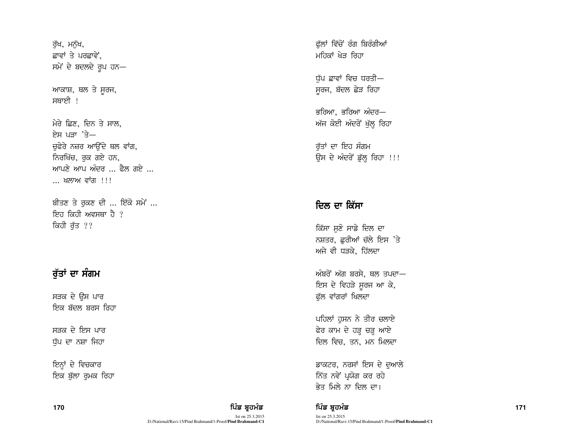ਰੱਖ, ਮਨੱਖ, ਛਾਵਾਂ ਤੇ ਪਰਛਾਵੇਂ. ਸਮੇਂ ਦੇ ਬਦਲਦੇ ਰੂਪ ਹਨ-

ਆਕਾਸ਼, ਥਲ ਤੇ ਸੂਰਜ, ਸਥਾਈ !

ਮੇਰੇ ਛਿਣ, ਦਿਨ ਤੇ ਸਾਲ, ਏਸ ਪਤਾ 'ਤੇ— ਚਫੇਰੇ ਨਜ਼ਰ ਆਉਂਦੇ ਥਲ ਵਾਂਗ, ਨਿਰਖਿੱਚ, ਰੁਕ ਗਏ ਹਨ, ਆਪਣੇ ਆਪ ਅੰਦਰ ... ਫ਼ੈਲ ਗਏ ... ... ਖਲਾਅ ਵਾਂਗ !!!

ਬੀਤਣ ਤੇ ਰਕਣ ਦੀ ... ਇੱਕੋ ਸਮੇਂ ... ਇਹ ਕਿਹੀ ਅਵਸਥਾ ਹੈ ? ਕਿਹੀ ਰੁੱਤ ??

# ਰੱਤਾਂ ਦਾ ਸੰਗਮ

ਸੜਕ ਦੇ ਉਸ ਪਾਰ <u>ਇਕ ਬੱਦਲ ਬਰਸ ਰਿਹਾ</u>

ਸੜਕ ਦੇ ਇਸ ਪਾਰ ਧੱਪ ਦਾ ਨਸ਼ਾ ਜਿਹਾ

ਇਨ੍ਹਾਂ ਦੇ ਵਿਚਕਾਰ ਇਕ ਬੁੱਲਾ ਰੁਮਕ ਰਿਹਾ ਫੱਲਾਂ ਵਿੱਚੋਂ ਰੰਗ ਬਿਰੰਗੀਆਂ ਮਹਿਕਾਂ ਖੇਤ ਰਿਹਾ

ਧੱਪ ਛਾਵਾਂ ਵਿਚ ਧਰਤੀ— ਸੁਰਜ, ਬੱਦਲ ਛੇੜ ਰਿਹਾ

ਭਰਿਆ, ਭਰਿਆ ਅੰਦਰ— ਅੱਜ ਕੋਈ ਅੰਦਰੋਂ ਖੁੱਲ੍ਹ ਰਿਹਾ

ਰੱਤਾਂ ਦਾ ਇਹ ਸੰਗਮ ਉਸ ਦੇ ਅੰਦਰੋਂ ਡੁੱਲ੍ਹ ਰਿਹਾ !!!

# ਦਿਲ ਦਾ ਕਿੱਸਾ

ਕਿੱਸਾ ਸੁਣੋ ਸਾਡੇ ਦਿਲ ਦਾ ਨਸ਼ਤਰ, ਛੁਰੀਆਂ ਚੱਲੇ ਇਸ 'ਤੇ ਅਜੇ ਵੀ ਧੜਕੇ, ਹਿੱਲਦਾ

ਅੰਬਰੋਂ ਅੱਗ ਬਰਸੇ, ਥਲ ਤਪਦਾ— ਇਸ ਦੇ ਵਿਹੜੇ ਸੂਰਜ ਆ ਕੇ, ਫੁੱਲ ਵਾਂਗਰਾਂ ਖਿਲਦਾ

ਪਹਿਲਾਂ ਹਸਨ ਨੇ ਤੀਰ ਚਲਾਏ ਫੇਰ ਕਾਮ ਦੇ ਹੜ੍ਹ ਚੜ੍ਹ ਆਏ ਦਿਲ ਵਿਚ, ਤਨ, ਮਨ ਮਿਲਦਾ

ਡਾਕਟਰ, ਨਰਸਾਂ ਇਸ ਦੇ ਦੁਆਲੇ ਨਿੱਤ ਨਵੇਂ ਪ੍ਰਯੋਗ ਕਰ ਰਹੇ ਭੇਤ ਮਿਲੇ ਨਾ ਦਿਲ ਦਾ।

ਪਿੰਡ ਬਹਮੰਡ

ਪਿੰਡ ਬਹਮੰਡ

D:/National/Ravi-15/Pind Brahmand/1-Proof/Pind Brahmand-C1

Ist on 25.3.2015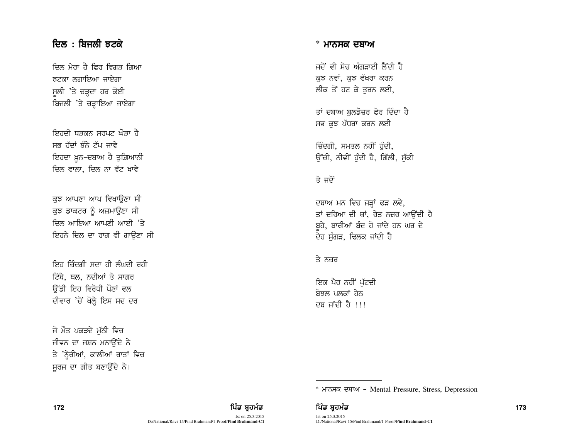# <u>ਦਿਲ: ਬਿਜਲੀ ਝਟਕੇ</u>

ਦਿਲ ਮੇਰਾ ਹੈ ਫਿਰ ਵਿਗਤ ਗਿਆ ਲਟਕਾ ਲਗਾਇਆ ਜਾਏਗਾ ਸੁਲੀ 'ਤੇ ਚੜ੍ਹਦਾ ਹਰ ਕੋਈ ਬਿਜਲੀ 'ਤੇ ਚੜ੍ਹਾਇਆ ਜਾਏਗਾ

ਇਰਦੀ ਧਤਕਨ ਸਰਪਟ ਘੋਤਾ ਹ<u>ੈ</u> ਸਭ ਹੱਦਾਂ ਬੰਨੇ ਟੱਪ ਜਾਵੇ ਇਹਦਾ ਖ਼ੁਨ-ਦਬਾਅ ਹੈ ਤੁਗ਼ਿਆਨੀ ਦਿਲ ਵਾਲਾ, ਦਿਲ ਨਾ ਵੱਟ ਖਾਵੇ

ਕਝ ਆਪਣਾ ਆਪ ਵਿਖਾੳਣਾ ਸੀ ਕਝ ਡਾਕਟਰ ਨੂੰ ਅਜ਼ਮਾੳਣਾ ਸੀ <u>ਦਿਲ ਆਇਆ ਆਪਣੀ ਆਈ 'ਤੇ</u> ਇਹਨੇ ਦਿਲ ਦਾ ਰਾਗ ਵੀ ਗਾਉਣਾ ਸੀ

ਇਹ ਜ਼ਿੰਦਗੀ ਸਦਾ ਹੀ ਲੰਘਦੀ ਰਹ<u>ੀ</u> ਟਿੱਬੇ, ਥਲ, ਨਦੀਆਂ ਤੇ ਸਾਗਰ ਓੱਡੀ ਇਹ ਵਿਰੋਧੀ ਪੌਣਾਂ ਵਲ ਦੀਵਾਰ 'ਚੋਂ ਖੋਲ੍ਹੇ ਇਸ ਸਦ ਦਰ

ਜੋ ਮੌਤ ਪਕੜਦੇ ਮੱਠੀ ਵਿਚ ਜੀਵਨ ਦਾ ਜਸ਼ਨ ਮਨਾਉਂਦੇ ਨੇ ਤੇ 'ਨ੍ਹੇਰੀਆਂ, ਕਾਲੀਆਂ ਰਾਤਾਂ ਵਿਚ ਸਰਜ ਦਾ ਗੀਤ ਬਣਾਉਂਦੇ ਨੇ।

#### \* ਮਾਨਸਕ ਦਬਾਅ

ਜਦੋਂ ਵੀ ਸੋਜ਼ ਅੰਗਤਾਈ ਲੈਂਦੀ ਹੈ ਕਝ ਨਵਾਂ, ਕਝ ਵੱਖਰਾ ਕਰਨ ਲੀਕ ਤੋਂ ਹਟ ਕੇ ਤੁਰਨ ਲਈ,

ਤਾਂ ਦਬਾਅ ਬੁਲਡੋਜ਼ਰ ਫੇਰ ਦਿੰਦਾ ਹੈ ਸਭ ਕਝ ਪੱਧਰਾ ਕਰਨ ਲਈ

ਜ਼ਿੰਦਗੀ, ਸਮਤਲ ਨਹੀਂ ਹੁੰਦੀ, ਓੱਚੀ, ਨੀਵੀ<sup>:</sup> ਹੰਦੀ ਹੈ, ਗਿੱਲੀ, ਸੱਕੀ

### ਤੇ ਜਦੋਂ

ਦਬਾਅ ਮਨ ਵਿਚ ਜੜ੍ਹਾਂ ਫੜ ਲਵੇ, ਤਾਂ ਦਰਿਆ ਦੀ ਥਾਂ, ਰੇਤ ਨਜ਼ਰ ਆਉਂਦੀ ਹੈ ਬਹੇ, ਬਾਰੀਆਂ ਬੰਦ ਹੋ ਜਾਂਦੇ ਹਨ ਘਰ ਦੇ ਦੇਹ ਸੰਗੜ, ਢਿਲਕ ਜਾਂਦੀ ਹੈ

#### ਤੇ ਨਜ਼ਰ

ਇਕ ਪੈਰ ਨਹੀਂ ਪੁੱਟਦੀ ਸ਼ੋਝਲ ਪਲਕਾਂ ਹੇਨ ਦਬ ਜਾਂਦੀ ਹੈ !!!

\* ਮਾਨਸਕ ਦਬਾਅ - Mental Pressure, Stress, Depression

172 ਫ਼ਿਲ ਸ਼ਾਹ ਵਿੱਚ ਬਹੁਤ ਸਿੰਡ ਬ੍ਰਹਮੰਡ ਵਿੱਚ ਬ੍ਰਹਮੰਡ ਵਿੱਚ ਬ੍ਰਹਮੰਡ ਵਿੱਚ ਬ੍ਰਹਮੰਡ ਵਿੱਚ ਬ੍ਰਹਮੰਡ ਵਿੱਚ ਸ਼ਾਹ ਵਿੱਚ ਸ਼ਾਹ ਵਿੱ Ist on 25.3.2015 D:/National/Ravi-15/Pind Brahmand/1-Proof/**Pind Brahmand-C1**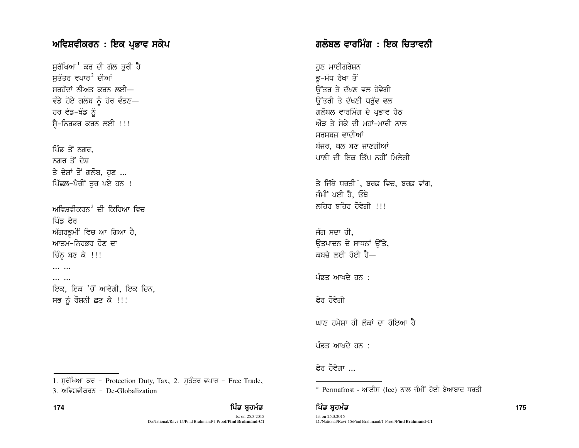## ਅਵਿਸ਼ਵੀਕਰਨ : ਇਕ ਪ੍ਰਭਾਵ ਸਕੇਪ

ਸੁਰੱਖਿਆ<sup>।</sup> ਕਰ ਦੀ ਗੱਲ ਤੁਰੀ ਹੈ ਸਤੰਤਰ ਵਪਾਰ $^2$  ਦੀਆਂ ਸਰਹੱਦਾਂ ਨੀਅਤ ਕਰਨ ਲਈ— ਵੰਡੇ ਹੋਏ ਗਲੋਬ ਨੂੰ ਹੋਰ ਵੰਡਣ-ਹਰ ਵੰਡ-ਖੰਡ ਨੂੰ ਸ੍ਰੈ-ਨਿਰਭਰ ਕਰਨ ਲਈ !!!

ਪਿੰਡ ਤੋਂ ਨਗਰ, ਨਗਰ ਤੋਂ ਦੇਸ਼ ਤੇ ਦੇਸ਼ਾਂ ਤੋਂ ਗਲੋਬ, ਹਣ ... ਪਿੱਛਲ-ਪੈਰੀਂ ਤੁਰ ਪਏ ਹਨ !

ਅਵਿਸ਼ਵੀਕਰਨ $^3$  ਦੀ ਕਿਰਿਆ ਵਿਚ ਪਿੰਡ ਫੇਰ ਅੱਗਰਭਮੀਂ ਵਿਚ ਆ ਗਿਆ ਹੈ, ਆਤਮ-ਨਿਰਭਰ ਹੋਣ ਦਾ ਚਿੰਨ੍ਹ ਬਣ ਕੇ !!!

 $\cdots$   $\cdots$ 

174

... ... ਇਕ, ਇਕ 'ਚੋਂ ਆਵੇਗੀ, ਇਕ ਦਿਨ, ਸਭ ਨੂੰ ਰੌਸ਼ਨੀ ਛਣ ਕੇ !!!

# ਗਲੋਬਲ ਵਾਰਮਿੰਗ : ਇਕ ਚਿਤਾਵਨੀ

ਹਣ ਮਾਈਗਰੇਸ਼ਨ ਭ-ਮੱਧ ਰੇਖਾ ਤੋਂ ਓੱਤਰ ਤੇ ਦੱਖਣ ਵਲ ਹੋਵੇਗੀ ਉੱਤਰੀ ਤੇ ਦੱਖਣੀ ਧਰੁੱਵ ਵਲ ਗਲੋਬਲ ਵਾਰਮਿੰਗ ਦੇ ਪ੍ਰਭਾਵ ਹੇਠ ਔਤ ਤੇ ਸੋਕੇ ਦੀ ਮਹਾਂ-ਮਾਰੀ ਨਾਲ ਸਰਸਬਜ਼ ਵਾਦੀਆਂ ਬੰਜਰ, ਥਲ ਬਣ ਜਾਣਗੀਆਂ ਪਾਣੀ ਦੀ ਇਕ ਤਿੱਪ ਨਹੀਂ ਮਿਲੇਗੀ

ਤੇ ਜਿੱਥੇ ਧਰਤੀ\*, ਬਰਫ਼ ਵਿਚ, ਬਰਫ਼ ਵਾਂਗ, ਜੰਮੀਂ ਪਈ ਹੈ. ਓਥੇ ਲਹਿਰ ਬਹਿਰ ਹੋਵੇਗੀ !!!

ਜੰਗ ਸਦਾ ਹੀ. ਓਤਪਾਦਨ ਦੇ ਸਾਧਨਾਂ ਉੱਤੇ. ਕਬਜ਼ੇ ਲਈ ਹੋਈ ਹੈ—

ਪੰਡਤ ਆਖਦੇ ਹਨ :

ਫ਼ੇਰ ਹੋਵੇਗੀ

ਘਾਣ ਹਮੇਸ਼ਾ ਹੀ ਲੋਕਾਂ ਦਾ ਹੋਇਆ ਹੈ

ਪੰਡਤ ਆਖਦੇ ਹਨ :

ਫ਼ੇਰ ਹੋਵੇਗਾ

\* Permafrost - ਆਈਸ (Ice) ਨਾਲ ਜੰਮੀਂ ਹੋਈ ਬੇਆਬਾਦ ਧਰਤੀ

### ਪਿੰਡ ਬਹਮੰਡ

<sup>1.</sup> ਸੁਰੱਖਿਆ ਕਰ - Protection Duty, Tax, 2. ਸੁਤੰਤਰ ਵਪਾਰ - Free Trade, 3. ਅਵਿਸ਼ਵੀਕਰਨ - De-Globalization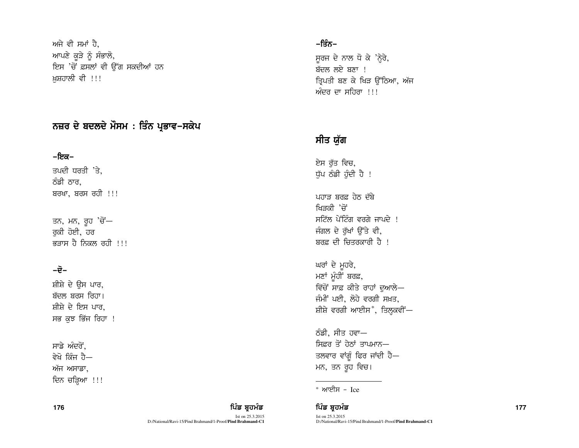ਅਜੇ ਵੀ ਸਮਾਂ ਹੈ, ਆਪਣੇ ਕੂੜੇ ਨੂੰ ਸੰਭਾਲੋ, ਇਸ 'ਚੋਂ ਫ਼ਸਲਾਂ ਵੀ ਉੱਗ ਸਕਦੀਆਂ ਹਨ ਖ਼ਸ਼ਹਾਲੀ ਵੀ !!!

# ਨਜ਼ਰ ਦੇ ਬਦਲਦੇ ਮੌਸਮ : ਤਿੰਨ ਪ੍ਰਭਾਵ–ਸਕੇਪ

### –ਇਕ–

ਤਪਦੀ ਧਰਤੀ  $\overline{3}$ . ਠੰਡੀ ਠਾਰ.  $a$ ਬਰਖਾ, ਬਰਸ ਰਹੀ !!!

ਤਨ, ਮਨ, ਰੂਹ 'ਚੋਂ— ਰਕੀ ਹੋਈ, ਹਰ ਭਤਾਸ ਹੈ ਨਿਕਲ ਰਹੀ  $\,$ !!!

## $-\vec{e}$ -

ਸ਼ੀਸ਼ੇ ਦੇ ਉਸ ਪਾਰ. ਬੱਦਲ ਬਰਸ ਰਿਹਾ। ਸ਼ੀਸ਼ੇ ਦੇ ਇਸ ਪਾਰ. ਸਭ ਕੁਝ ਭਿੱਜ ਰਿਹਾ !

ਸਾਡੇ ਅੰਦਰੋਂ. ਵੇਖੋ ਕਿੰਜ ਹੈ— ਅੱਜ ਅਸਾਡਾ, ਦਿਨ ਚੜਿਆ !!!

Ist on 25.3.2015 D:/National/Ravi-15/Pind Brahmand/1-Proof/**Pind Brahmand-C1**

## −ਤਿੰਨ−

ਸਰਜ ਦੇ ਨਾਲ ਧੋ ਕੇ 'ਨੇਰੇ, ਬੱਦਲ ਲਏ ਬਣਾ ! ਤਿਪਤੀ ਬਣ ਕੇ ਖਿੜ ਉੱਠਿਆ, ਅੱਜ ਅੰਦਰ ਦਾ ਸਹਿਰਾ  $\frac{1}{2}$ !

# ਸੀਤ ਯੱਗ

ਏਸ ਰੱਤ ਵਿਚ, ਧੁੱਪ ਠੰਡੀ ਹੁੰਦੀ ਹੈ !

ਪਹਾਤ ਬਰਫ਼ ਹੇਨ ਦੱਬੇ ਖਿਤਕੀ 'ਜੋਂ  $H\rightarrow$ ਸਟਿੱਲ ਪੇਂਟਿੰਗ ਵਰਗੇ ਜਾਪਦੇ । ਜੰਗਲ ਦੇ ਰੱਖਾਂ ਉੱਤੇ ਵੀ, ਬਰਫ਼ ਦੀ ਚਿਤਰਕਾਰੀ ਹੈ !

ਘਰਾਂ ਦੇ ਮੁਹਰੇ, ਮਣਾਂ ਮੁੰਹੀਂ ਬਰਫ਼, <u>ਵਿੱਚੋਂ ਸਾਫ਼ ਕੀਤੇ ਰਾਹਾਂ ਦੁ</u>ਆਲੇ— ਜੰਮੀ<sup>:</sup> ਪਈ, ਲੋਹੇ ਵਰਗੀ ਸਖ਼ਤ, ਸ਼ੀਸ਼ੇ ਵਰਗੀ ਆਈਸ\*, ਤਿਲ੍ਹਕਵੀਂ—

ਠੰਡੀ, ਸੀਤ ਹਵਾ— ਸ਼ਿਫ਼ਰ ਤੋਂ ਹੇਨਾਂ ਤਾਪਮਾਨ— ਤਲਵਾਰ ਵਾਂਗੁੰ ਫਿਰ ਜਾਂਦੀ ਹੈ— ਮਨ, ਤਨ ਰੂਹ ਵਿਚ।

**<sup>176</sup>** fgzv pqjwzv fgzv pqjwzv **<sup>177</sup>** Ist on 25.3.2015 D:/National/Ravi-15/Pind Brahmand/1-Proof/**Pind Brahmand-C1**

<sup>\*</sup> ਆਈਸ – Ice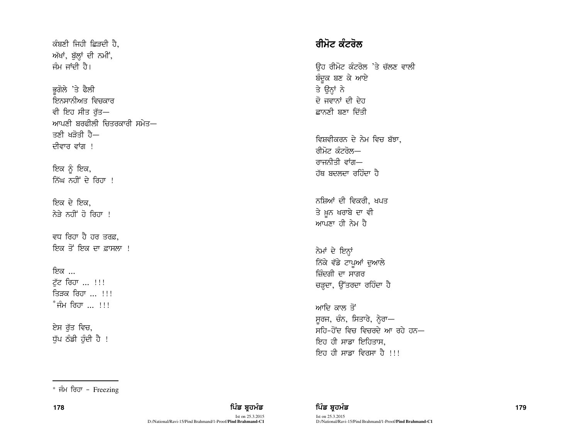$\alpha$ ਬਣੀ ਜਿਹੀ ਛਿੜਦੀ ਹੈ. ਅੱਖਾਂ, ਬੁੱਲ੍ਹਾਂ ਦੀ ਨਮੀਂ, ਜੰਮ ਜਾਂਦੀ ਹੈ।

ਭਗੋਲੇ 'ਤੇ ਫੈਲੀ ਇਨਸਾਨੀਅਤ ਵਿਚਕਾਰ ਵੀ ਇਹ ਸੀਤ ਰੱਤ— ਆਪਣੀ ਬਰਫ਼ੀਲੀ ਚਿਤਰਕਾਰੀ ਸਮੇਤ $-$ ਤਣੀ ਖਤੋਤੀ ਹੈ— ਦੀਵਾਰ ਵਾਂਗ !

ਇਕ ਨੂੰ ਇਕ, ਨਿੱਘ ਨਹੀਂ ਦੇ ਰਿਹਾ !

ਇਕ ਦੇ ਇਕ, ਨੇੜੇ ਨਹੀਂ ਹੋ ਰਿਹਾ !

ਵਧ ਰਿਹਾ ਹੈ ਹਰ ਤਰਫ਼. ਇਕ ਤੋਂ ਇਕ ਦਾ ਫ਼ਾਸਲਾ !

<u>ਇਕ ...</u> ਟੱਟ ਰਿਹਾ ... !!! ਤਿਕ ਰਿਹਾ <sub>ਦ</sub>ਾ <u>ਸ</u>ਾ  $^*$ ਜੰਮ ਰਿਹਾ ... !!!

ਏਸ ਰੁੱਤ ਵਿਚ,  $\overline{u}$ ਪ ਠੰਡੀ ਹੰਦੀ ਹੈ!

# <u>ਰੀਮੋਟ ਕੰਟਰੋਲ</u>

ਓਹ ਰੀਮੋਟ ਕੰਟਰੋਲ 'ਤੇ ਚੱਲਣ ਵਾਲੀ ਬੰਦੁਕ ਬਣ ਕੇ ਆਏ ਤੇ ਉਨ੍ਹਾਂ ਨੇ ਦੋ ਜਵਾਨਾਂ ਦੀ ਦੇਹ ਛਾਨਣੀ ਬਣਾ ਦਿੱਤੀ

ਵਿਸ਼ਵੀਕਰਨ ਦੇ ਨੇਮ ਵਿਚ ਬੱਝਾ, ਰੀਮੋਟ *ਕੰਟ*ਰੋਲ— ਰਾਜਨੀਤੀ ਵਾਂਗ— ਹੱਥ ਬਦਲਦਾ ਰਹਿੰਦਾ ਹ<del>ੈ</del>

ਨਸ਼ਿਆਂ ਦੀ ਵਿਕਰੀ, ਖਪਤ ਤੇ ਖ਼ਨ ਖਰਾਬੇ ਦਾ ਵੀ ਆਪਣਾ ਹੀ ਨੇਮ ਹੈ

ਨੇਮਾਂ ਦੇ ਇਨ੍ਹਾਂ ਨਿੱਕੇ ਵੱਡੇ ਟਾਪੂਆਂ ਦੁਆਲੇ ਜ਼ਿੰਦਗੀ ਦਾ ਸਾਗਰ ਚੜ੍ਹਦਾ, ਉੱਤਰਦਾ ਰਹਿੰਦਾ ਹੈ

ਆਦਿ ਕਾਲ ਤੋਂ  $H$ ਰਜ, ਚੰਨ, ਸਿਤਾਰੇ, ਨ੍ਹੇਰਾ— ਸਹਿ-ਹੋਂਦ ਵਿਚ ਵਿਚਰਦੇ ਆ ਰਹੇ ਹਨ $-$ ਇਹ ਹੀ ਸਾਡਾ ਇਹਿਤਾਸ, ਇਹ ਹੀ ਸਾਡਾ ਵਿਰਸਾ ਹੈ !!!

 $*$  ਜੰਮ ਰਿਹਾ - Freezing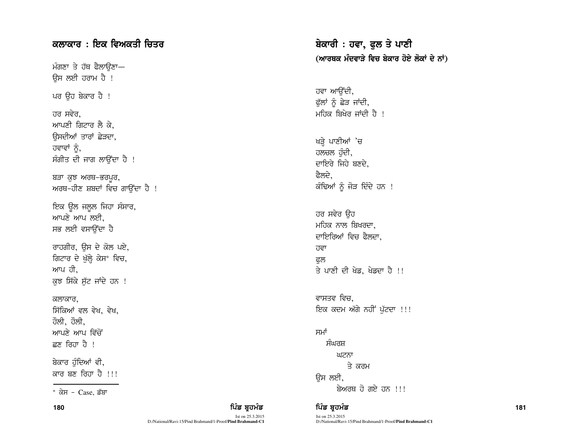# ਕਲਾਕਾਰ : ਇਕ ਵਿਅਕਤੀ ਚਿਤਰ

ਮੰਗਣਾ ਤੇ ਹੱਥ ਫੈਲਾੳਣਾ— ਓਸ ਲਈ ਹਰਾਮ ਹੈ ! ਪਰ ਉਹ ਬੇਕਾਰ ਹੈ ! ਹਰ ਸਵੇਰ. ਆਪਣੀ ਗਿਟਾਰ ਲੈ ਕੇ, ਓਸਦੀਆਂ ਤਾਰਾਂ ਛੇੜਦਾ, ਹਵਾਵਾਂ ਨੂੰ, ਸੰਗੀਤ ਦੀ ਜਾਗ ਲਾਉਂਦਾ ਹੈ ! ਬੜਾ ਕੁਝ ਅਰਥ-ਭਰਪੁਰ, ਅਰਥ-ਹੀਣ ਸ਼ਬਦਾਂ ਵਿਚ ਗਾਉਂਦਾ ਹੈ ! ਇਕ ਉਲ ਜਲੂਲ ਜਿਹਾ ਸੰਸਾਰ,  $m$ ਪਣੇ ਆਪ ਲਈ. ਸਭ ਲਈ ਵਸਾੳਂਦਾ ਹੈ ਰਾਹਗੀਰ, ਉਸ ਦੇ ਕੋਲ ਪਏ, ਗਿਟਾਰ ਦੇ ਖੁੱਲ੍ਹੇ ਕੇਸ\* ਵਿਚ, ਆਪ ਹੀ, ਕੁਝ ਸਿੱਕੇ ਸੁੱਟ ਜਾਂਦੇ ਹਨ ! ਕਲਾਕਾਰ. ਸਿੱਕਿਆਂ ਵਲ ਵੇਖ, ਵੇਖ, ਹੌਲੀ, ਹੌਲੀ, ਆਪਣੇ ਆਪ ਵਿੱਚੋਂ ਛਣ ਰਿਹਾ ਹੈ ! ਬੇਕਾਰ ਹੁੰਦਿਆਂ ਵੀ, ਕਾਰ ਬਣ ਰਿਹਾ ਹੈ !!!

ਬੇਕਾਰੀ : ਹਵਾ, ਫੁਲ ਤੇ ਪਾਣੀ (ਆਰਥਕ ਮੰਦਵਾੜੇ ਵਿਚ ਬੇਕਾਰ ਹੋਏ ਲੋਕਾਂ ਦੇ ਨਾਂ)

ਹਵਾ ਆਉਂਦੀ, ਫੁੱਲਾਂ ਨੂੰ ਛੇੜ ਜਾਂਦੀ, ਮਹਿਕ ਬਿਖੇਰ ਜਾਂਦੀ ਹੈ !

ਖੜ੍ਹੇ ਪਾਣੀਆਂ 'ਚ ਹਲਚਲ ਹੁੰਦੀ, ਦਾਇਰੇ ਜਿਹੇ ਬਣਦੇ. ਫੈਲਦੇ. ਕੰਢਿਆਂ ਨੂੰ ਜੋੜ ਦਿੰਦੇ ਹਨ !

ਹਰ ਸਵੇਰ ਉਹ ਮਹਿਕ ਨਾਲ ਬਿਖਰਦਾ. ਦਾਇਰਿਆਂ ਵਿਚ ਫੈਲਦਾ, ਹਵਾ ਫਲ ਤੇ ਪਾਣੀ ਦੀ ਖੇਡ, ਖੇਡਦਾ ਹੈ !!

ਵਾਸਤਵ ਵਿਚ. ਇਕ ਕਦਮ ਅੱਗੇ ਨਹੀਂ ਪੁੱਟਦਾ !!!

## ਸਮਾਂ ਸੰਘਰਸ਼ ਘਟਨਾ ਤੇ ਕਰਮ ਓਸ ਲਈ, p/noE j' rJ/ jB ``` ! e/; ^ Case, v~pk

## 180 ਫ਼ਿਲ ਸ਼ਾਹਿ ਵਿੱਚ ਬਹੁਤ ਸ਼ਾਹਿਬ ਸ਼ਾਹਿਬ ਸ਼ਹਿਰ ਵਿੱਚ ਬਹੁਤ ਸਿੰਘ ਵਿੱਚ ਬਹੁਤ ਸੰਭਾਵਿਤ ਸ਼ਹਿਰ ਵਿੱਚ ਸ਼ਹਿਰ ਵਿੱਚ ਸ਼ਹਿਰ ਵਿੱਚ

Ist on 25.3.2015

D:/National/Ravi-15/Pind Brahmand/1-Proof/**Pind Brahmand-C1**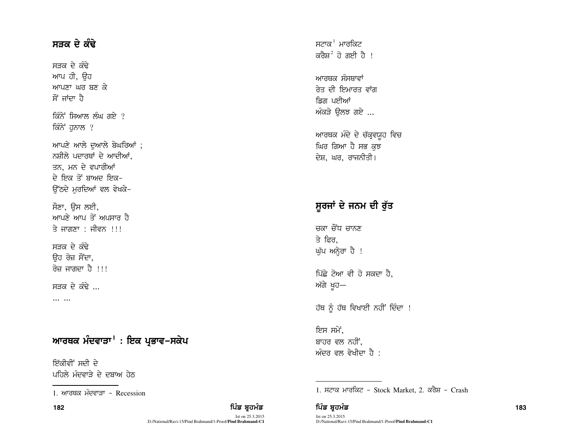## ਸੜਕ ਦੇ ਕੰਢੇ

ਸੜਕ ਦੇ ਕੰਢੇ ਆਪ ਹੀ, ਉਹ ਆਪਣਾ ਘਰ ਬਣ ਕੇ ਸੌਂ ਜਾਂਦਾ ਹੈ ਕਿੰਨੇ ਸਿਆਲ ਲੰਘ ਗਏ ? ਕਿੰਨੇ ਹਨਾਲ ? ਆਪਣੇ ਆਲੇ ਦੁਆਲੇ ਬੇਘਰਿਆਂ; ਨਸ਼ੀਲੇ ਪਦਾਰਥਾਂ ਦੇ ਆਦੀਆਂ. ਤਨ, ਮਨ ਦੇ ਵਪਾਰੀਆਂ ਦੇ ਇਕ ਤੋਂ ਬਾਅਦ ਇਕ-ਓੱਠਦੇ ਮਰਦਿਆਂ ਵਲ ਵੇਖਕੇ-ਸੌਣਾ, ਉਸ ਲਈ, ਆਪਣੇ ਆਪ ਤੋਂ ਅਪਸਾਰ ਹੈ

ਤੇ ਜਾਗਣਾ : ਜੀਵਨ !!!

ਸਤਕ ਦੇ ਕੰਢੇ ੳਹ ਰੋਜ਼ ਸੌਂਦਾ, ਰੋਜ਼ ਜਾਗਦਾ ਹੈ !!!

ਸੜਕ ਦੇ ਕੰਢੇ .

 $\overline{111}$ 

# ਆਰਥਕ ਮੰਦਵਾੜਾ<sup>1</sup> : ਇਕ ਪ੍ਰਭਾਵ–ਸਕੇਪ

ਇੱਕੀਵੀਂ ਸਦੀ ਦੇ ਪਹਿਲੇ ਮੰਦਵਾਤੇ ਦੇ ਦੁਬਾਅ ਹੇਨ ਸਟਾਕ $^1$  ਮਾਰਕਿਟ ਕਰੈਸ਼<sup>2</sup> ਹੋ ਗਈ ਹੈ ।

ਆਰਥਕ ਸੰਸਥਾਵਾਂ ਰੇਤ ਦੀ ਇਮਾਰਤ ਵਾਂਗ ਡਿਗ ਪਈਆਂ ਅੰਕੜੇ ਓਲਝ ਗਏ ...

ਆਰਥਕ ਮੰਦੇ ਦੇ ਚੱਕ੍ਰਵਯੁਹ ਵਿਚ ਘਿਰ ਗਿਆ ਹੈ ਸਭ ਕਝ ਦੇਸ਼, ਘਰ, ਰਾਜਨੀਤੀ।

# ਸੁਰਜਾਂ ਦੇ ਜਨਮ ਦੀ ਰੱਤ

ਜਕਾ ਜੌਂਧ ਜਾਨਣ ਤੇ ਫਿਰ. ਘੁੱਪ ਅਨ੍ਹੇਰਾ ਹੈ !

ਪਿੱਛੇ ਟੋਆ ਵੀ ਹੋ ਸਕਦਾ ਹੈ. ਅੱਗੇ ਖੁਹ—

ਹੱਥ ਨੂੰ ਹੱਥ ਵਿਖਾਈ ਨਹੀਂ ਦਿੰਦਾ !

ਇਸ ਸਮੇਂ, ਬਾਹਰ ਵਲ ਨਹੀਂ. ਅੰਦਰ ਵਲ ਵੇਖੀਦਾ ਹੈ :

1. ਸਟਾਕ ਮਾਰਕਿਟ - Stock Market, 2. ਕਰੈਸ਼ - Crash

Ist on 25.3.2015 D:/National/Ravi-15/Pind Brahmand/1-Proof/**Pind Brahmand-C1** 

ਪਿੰਡ ਬਹਮੰਡ

<sup>1</sup> ਆਰਥਕ ਮੰਦਵਾੜਾ - Recession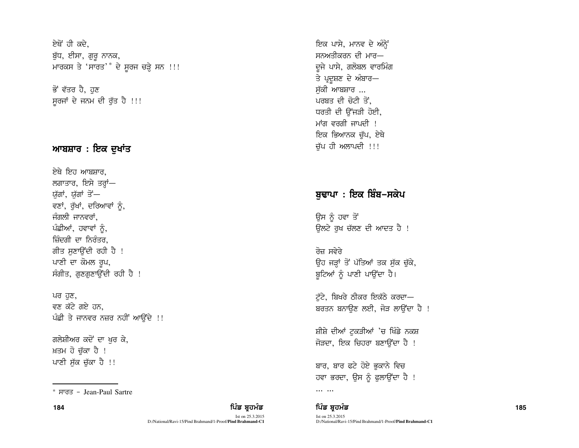ਏਥੋਂ ਹੀ ਕਦੇ. ਬੁੱਧ, ਈਸਾ, ਗੁਰੂ ਨਾਨਕ, ਮਾਰਕਸ ਤੇ 'ਸਾਰਤ'\* ਦੇ ਸੁਰਜ ਚੜ੍ਹੇ ਸਨ !!!

ਭੋਂ ਵੱਤਰ ਹੈ, ਹਣ ਸੁਰਜਾਂ ਦੇ ਜਨਮ ਦੀ ਰੁੱਤ ਹੈ !!!

## ਆਬਸ਼ਾਰ : ਇਕ ਦਖਾਂਤ

ਏਥੇ ਇਹ ਆਬਸ਼ਾਰ. ਲਗਾਤਾਰ, ਇਸੇ ਤਰ੍ਹਾਂ— ਯੁੱਗਾਂ, ਯੁੱਗਾਂ ਤੋ<del>ਂ</del>— ਵਣਾਂ, ਰੁੱਖਾਂ, ਦਰਿਆਵਾਂ ਨੂੰ, ਜੰਗਲੀ ਜਾਨਵਰਾਂ. ਪੰਛੀਆਂ, ਹਵਾਵਾਂ ਨੂੰ, ਜ਼ਿੰਦਗੀ ਦਾ ਨਿਰੰਤਰ. ਗੀਤ ਸਣਾਉਂਦੀ ਰਹੀ ਹੈ ! ਪਾਣੀ ਦਾ ਕੋਮਲ ਰੁਪ,  $r$ ਸੰਗੀਤ, ਗਣਗਣਾਉਂਦੀ ਰਹੀ ਹੈ !

ਪਰ ਹੁਣ, ਵਣ ਕੱਟੇ ਗਏ ਹਨ. ਪੰਛੀ ਤੇ ਜਾਨਵਰ ਨਜ਼ਰ ਨਹੀਂ ਆਉਂਦੇ !!

ਗਲੇਸ਼ੀਅਰ ਕਦੋਂ ਦਾ ਖਰ ਕੇ, ਖ਼ਤਮ ਹੋ ਚੱਕਾ ਹੈ ! ਪਾਣੀ ਸੁੱਕ ਚੁੱਕਾ ਹੈ !!

ਇਕ ਪਾਸੇ, ਮਾਨਵ ਦੇ ਅੰਨ੍ਹੇਂ ਸਨਅਤੀਕਰਨ ਦੀ ਮਾਰ— ਦਜੇ ਪਾਸੇ, ਗਲੋਬਲ ਵਾਰਮਿੰਗ ਤੇ ਪ੍ਰਦੂਸ਼ਣ ਦੇ ਅੰਬਾਰ— ਸੱਕੀ ਆਬਸ਼ਾਰ ... ਪਰਬਤ ਦੀ ਚੋਟੀ ਤੋਂ. ਧਰਤੀ ਦੀ ਉੱਜੜੀ ਹੋਈ. ਮਾਂਗ ਵਰਗੀ ਜਾਪਦੀ  $\pm$ ਇਕ ਭਿਆਨਕ ਚੱਪ, ਏਥੇ ਚੱਪ ਹੀ ਅਲਾਪਦੀ !!!

# ਬਢਾਪਾ : ਇਕ ਬਿੰਬ–ਸਕੇਪ

ਉਸ ਨੂੰ ਹਵਾ ਤੋਂ ਉਲਟੇ ਰੁਖ ਚੱਲਣ ਦੀ ਆਦਤ ਹੈ !

ਰੋਜ਼ ਸਵੇਰੇ ਉਹ ਜੜ੍ਹਾਂ ਤੋਂ ਪੱਤਿਆਂ ਤਕ ਸੁੱਕ ਚੁੱਕੇ, ਬੁਟਿਆਂ ਨੂੰ ਪਾਣੀ ਪਾਉਂਦਾ ਹੈ।

ਟੱਟੇ, ਬਿਖਰੇ ਠੀਕਰ ਇਕੱਠੇ ਕਰਦਾ— ਬਰਤਨ ਬਨਾਉਣ ਲਈ, ਜੋੜ ਲਾਉਂਦਾ ਹੈ !

ਸ਼ੀਸ਼ੇ ਦੀਆਂ ਟੁਕੜੀਆਂ 'ਚ ਖਿੰਡੇ ਨਕਸ਼ ਜੋੜਦਾ, ਇਕ ਚਿਹਰਾ ਬਣਾਉਂਦਾ ਹੈ !

ਬਾਰ, ਬਾਰ ਫਟੇ ਹੋਏ ਭਕਾਨੇ ਵਿਚ ਹਵਾ ਭਰਦਾ, ਉਸ ਨੂੰ ਫਲਾਉਂਦਾ ਹੈ !

**<sup>184</sup>** fgzv pqjwzv fgzv pqjwzv **<sup>185</sup>**

 $*$  ਸਾਰਤ – Jean-Paul Sartre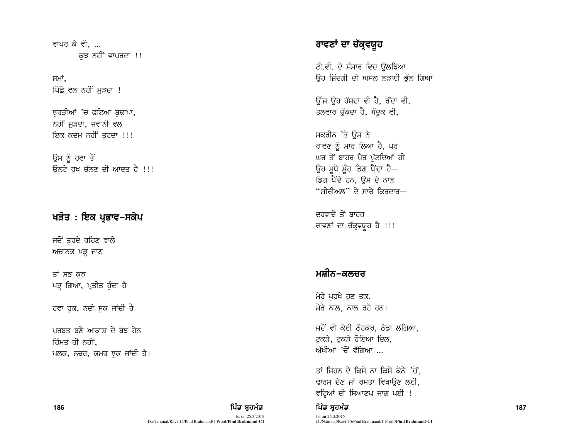ਵਾਪਰ ਕੇ ਵੀ. ... ਕਝ ਨਹੀਂ ਵਾਪਰਦਾ !!

ਸਮਾਂ. ਪਿੱਛੇ ਵਲ ਨਹੀਂ ਮੁੜਦਾ !

ਝੁਰੜੀਆਂ 'ਚ ਫਟਿਆ ਬੁਢਾਪਾ, ਨਹੀਂ ਜੜਦਾ, ਜਵਾਨੀ ਵਲ ਇਕ ਕਦਮ ਨਹੀਂ ਤਰਦਾ !!!

ਉਸ ਨੂੰ ਹਵਾ ਤੋਂ ਓਲਟੇ ਰਖ ਚੱਲਣ ਦੀ ਆਦਤ ਹੈ !!!

## ਖੜੋਤ : ਇਕ ਪ੍ਰਭਾਵ−ਸਕੇਪ

ਜਦੋਂ ਤੁਰਦੇ ਰਹਿਣ ਵਾਲੇ ਅਚਾਨਕ ਖੜ੍ਹ ਜਾਣ

ਤਾਂ ਸਭ ਕਝ ਖੜ੍ਹ ਗਿਆ, ਪ੍ਰਤੀਤ ਹੁੰਦਾ ਹੈ

ਹਵਾ ਰੁਕ, ਨਦੀ ਸੁਕ ਜਾਂਦੀ ਹੈ

186

ਪਰਬਤ ਬਣੇ ਆਕਾਸ਼ ਦੇ ਬੋਝ ਹੇਨ ਹਿੰਮਤ ਹੀ ਨਹੀਂ. ਪਲਕ, ਨਜ਼ਰ, ਕਮਰ ਝੁਕ ਜਾਂਦੀ ਹੈ।

#### ਪਿੰਡ ਬਹਮੰਡ Ist on 25.3.2015 D:/National/Ravi-15/Pind Brahmand/1-Proof/Pind Brahmand-C1

# ਰਾਵਣਾਂ ਦਾ ਚੱਕ੍ਰਵਯੁਹ

ਟੀ.ਵੀ. ਦੇ ਸੰਸਾਰ ਵਿਚ ੳਲਝਿਆ ਉਹ ਜ਼ਿੰਦਗੀ ਦੀ ਅਸਲ ਲੜਾਈ ਭੁੱਲ ਗਿਆ

ਉੰਜ ਉਹ ਹੱਸਦਾ ਵੀ ਹੈ, ਰੋਂਦਾ ਵੀ, ਤਲਵਾਰ ਚੁੱਕਦਾ ਹੈ, ਬੰਦੁਕ ਵੀ,

ਸਕਰੀਨ 'ਤੇ ਉਸ ਨੇ ਰਾਵਣ ਨੂੰ ਮਾਰ ਲਿਆ ਹੈ, ਪਰ ਘਰ ਤੋਂ ਬਾਹਰ ਪੈਰ ਪੁੱਟਦਿਆਂ ਹੀ ਉਹ ਮੁਧੇ ਮੂੰਹ ਡਿਗ ਪੈਂਦਾ ਹੈ— ਡਿਗ ਪੈਂਦੇ ਹਨ, ਉਸ ਦੇ ਨਾਲ "ਸੀਰੀਅਲ" ਦੇ ਸਾਰੇ ਕਿਰਦਾਰ—

ਦਰਵਾਜ਼ੇ ਤੋਂ ਬਾਹਰ ਰਾਵਣਾਂ ਦਾ ਚੱਕ੍ਰਵਯੁਹ ਹੈ !!!

## ਮਸ਼ੀਨ–ਕਲਚਰ

ਮੇਰੇ ਪਰਖੇ ਹਣ ਤਕ, ਮੇਰੇ ਨਾਲ, ਨਾਲ ਰਹੇ ਹਨ।

ਜਦੋਂ ਵੀ ਕੋਈ ਠੋਹਕਰ, ਠੇਡਾ ਲੱਗਿਆ, ਟਕੜੇ, ਟਕੜੇ ਹੋਇਆ ਦਿਲ, ਅੱਖੀਆਂ 'ਚੋਂ ਵੱਗਿਆ <sub>…</sub>

ਤਾਂ ਜ਼ਿਹਨ ਦੇ ਕਿਸੇ ਨਾ ਕਿਸੇ ਕੋਨੇ 'ਚੋਂ. ਢਾਰਸ ਦੇਣ ਜਾਂ ਰਸਤਾ ਵਿਖਾੳਣ ਲਈ, ਵਰ੍ਹਿਆਂ ਦੀ ਸਿਆਣਪ ਜਾਗ ਪਈ !

### ਪਿੰਡ ਬਹਮੰਡ

Ist on 25.3.2015 D:/National/Ravi-15/Pind Brahmand/1-Proof/Pind Brahmand-C1 187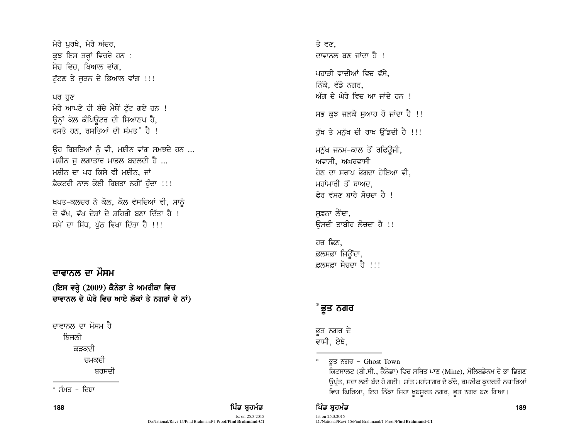ਮੇਰੇ ਪਰਖੇ, ਮੇਰੇ ਅੰਦਰ, ਕੁਝ ਇਸ ਤਰ੍ਹਾਂ ਵਿਚਰੇ ਹਨ : ਸੋਚ ਵਿਚ, ਖਿਆਲ ਵਾਂਗ, ਟੱਟਣ ਤੇ ਜੜਨ ਦੇ ਭਿਆਲ ਵਾਂਗ !!!

#### ਪਰ ਹਣ

ਮੇਰੇ ਆਪਣੇ ਹੀ ਬੱਚੇ ਮੈਥੋਂ ਟੁੱਟ ਗਏ ਹਨ ! ਉਨ੍ਹਾਂ ਕੋਲ ਕੰਪਿਊਟਰ ਦੀ ਸਿਆਣਪ ਹੈ, ਰਸਤੇ ਹਨ, ਰਸਤਿਆਂ ਦੀ ਸੰਮਤ $^*$  ਹੈ !

ਉਹ ਰਿਸ਼ਤਿਆਂ ਨੂੰ ਵੀ, ਮਸ਼ੀਨ ਵਾਂਗ ਸਮਝਦੇ ਹਨ ... ਮਸ਼ੀਨ ਜ ਲਗਾਤਾਰ ਮਾਡਲ ਬਦਲਦੀ ਹੈ ... ਮਸ਼ੀਨ ਦਾ ਪਰ ਕਿਸੇ ਵੀ ਮਸ਼ੀਨ, ਜਾਂ ਫ਼ੈਕਟਰੀ ਨਾਲ ਕੋਈ ਰਿਸ਼ਤਾ ਨਹੀਂ ਹੰਦਾ !!!

ਖਪਤ-ਕਲਚਰ ਨੇ ਕੋਲ, ਕੋਲ ਵੱਸਦਿਆਂ ਵੀ, ਸਾਨੂੰ ਦੋ ਵੱਖ, ਵੱਖ ਦੇਸ਼ਾਂ ਦੇ ਸ਼ਹਿਰੀ ਬਣਾ ਦਿੱਤਾ ਹੈ ! ਸਮੇਂ ਦਾ ਸਿੱਧ, ਪੱਠ ਵਿਖਾ ਦਿੱਤਾ ਹੈ !!!

## ਦਾਵਾਨਲ ਦਾ ਮੌਸਮ

(ਇਸ ਵਰ੍ਹੇ (2009) ਕੈਨੇਡਾ ਤੇ ਅਮਰੀਕਾ ਵਿਚ ਦਾਵਾਨਲ ਦੇ ਘੇਰੇ ਵਿਚ ਆਏ ਲੋਕਾਂ ਤੇ ਨਗਰਾਂ ਦੇ ਨਾਂ)

ਦਾਵਾਨਲ ਦਾ ਮੌਸਮ ਹੈ ਸ਼ਿਜਲੀ ਕਤਕਦੀ ਜਮਕਦੀ ਬਰਸਦੀ

 $*$  ਸੰਮਤ – ਦਿਸ਼ਾ

188 ਫਿਰ ਸ਼ਾਹ ਦੀ ਸ਼ਾਹ ਵਿੱਚ ਬਾਹਰ ਵਿੱਚ ਬਾਹਰ ਵਿੱਚ ਬਾਹਰ ਵਿੱਚ ਬਾਹਰ ਵਿੱਚ ਬਾਹਰ ਵਿੱਚ ਬਾਹਰ ਵਿੱਚ ਸ਼ਾਹ ਵਿੱਚ ਸ਼ਾਹ ਵਿੱਚ ਸ਼ਾਹ ਵ

Ist on 25.3.2015 D:/National/Ravi-15/Pind Brahmand/1-Proof/**Pind Brahmand-C1** ਤੇ ਵਣ, ਜ਼ਾਵਾਨਲ ਬਣ ਜਾਂਦਾ ਹੈ ! ਪਹਾੜੀ ਵਾਦੀਆਂ ਵਿਚ ਵੱਸੇ. ਨਿੱਕੇ, ਵੱਡੇ ਨਗਰ, ਅੱਗ ਦੇ ਘੇਰੇ ਵਿਚ ਆ ਜਾਂਦੇ ਹਨ । ਸਭ ਕਝ ਜਲਕੇ ਸਆਹ ਹੋ ਜਾਂਦਾ ਹੈ !! ਰੱਖ ਤੇ ਮਨੱਖ ਦੀ ਰਾਖ ੳੱਡਦੀ ਹੈ !!! ਮਨੁੱਖ ਜਨਮ–ਕਾਲ ਤੋਂ ਰਫਿਉਜੀ, ਅਵਾਸੀ, ਅਘਰਵਾਸੀ <u>ਹੋਣ ਦਾ ਸਰਾਪ ਭੋਗਦਾ ਹੋਇਆ ਵੀ.</u> ਮਹਾਂਮਾਰੀ ਤੋਂ ਬਾਅਦ ਫ਼ੇਰ ਵੱਸਣ ਸਾਰੇ ਸੋਚਦਾ ਹੈ ।

ਸਫ਼ਨਾ ਲੈਂਦਾ. ਓਸਦੀ ਤਾਬੀਰ ਲ<del>ੋ</del>ਚਦਾ ਹੈ !!

ਹਰ ਛਿਣ. ਫ਼ਲਸਫ਼ਾ ਜਿੳਂਦਾ, ਫ਼ਲਸਫ਼ਾ ਸੋਚਦਾ ਹੈ ।।।

## \*ਭੁਤ ਨਗਰ

ਭਤ ਨਗਰ ਦੇ ਵਾਸੀ, ਏਥੇ,

\* ਭਤ ਨਗਰ - Ghost Town

> fਕਟਸਾਲਟ (ਬੀ.ਸੀ., ਕੈਨੇਡਾ) ਵਿਚ ਸਥਿਤ ਖਾਣ (Mine), ਮੋਲਿਬਡੇਨਮ ਦੇ ਭਾ ਡਿਗਣ ਉਪ੍ਰੰਤ, ਸਦਾ ਲਈ ਬੰਦ ਹੋ ਗਈ। ਸ਼ਾਂਤ ਮਹਾਂਸਾਗਰ ਦੇ ਕੰਢੇ, ਰਮਣੀਕ ਕੁਦਰਤੀ ਨਜ਼ਾਰਿਆਂ ਵਿਚ ਘਿਰਿਆ, ਇਹ ਨਿੱਕਾ ਜਿਹਾ ਖ਼ਬਸੂਰਤ ਨਗਰ, ਭੂਤ ਨਗਰ ਬਣ ਗਿਆ।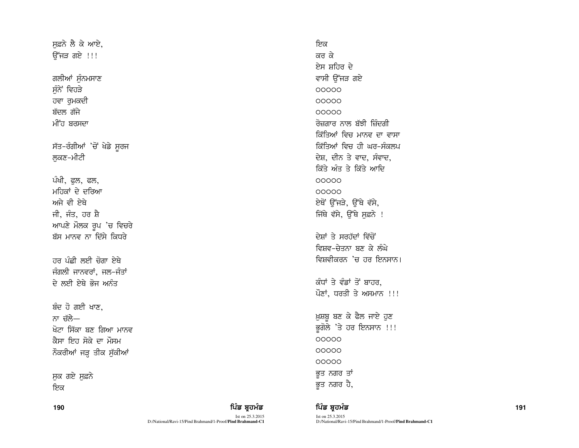ਸਫ਼ਨੇ ਲੈ ਕੇ ਆਏ,  $\overline{\mathcal{C}}$ ਜੜ ਗਏ !!!

ਗਲੀਆਂ ਸੁੰਨਮਸਾਣ ਸੁੰਨੇ ਵਿਹੜੇ ਹਵਾ ਰੁਮਕਦੀ ਬੱਦਲ ਗੱਜੇ ਮੀਂਹ ਬਰਸਦਾ

ਸੱਤ-ਰੰਗੀਆਂ 'ਚੋਂ ਖੇਡੇ ਸੂਰਜ ਲਕਣ-ਮੀਟੀ

ਪੰਖੀ, ਫੁਲ, ਫਲ, ਮਹਿਕਾਂ ਦੇ ਦਰਿਆ ਅਜੇ ਵੀ ਏਥੇ ਜੀ, ਜੰਤ, ਹਰ ਸ਼ੈ ਆਪਣੇ ਮੌਲਕ ਰੂਪ 'ਚ ਵਿਚਰੇ ਬੱਸ ਮਾਨਵ ਨਾ ਦਿੱਸੇ ਕਿਧਰੇ

ਹਰ ਪੰਛੀ ਲਈ ਚੋਗਾ ਏਥੇ ਜੰਗਲੀ ਜਾਨਵਰਾਂ, ਜਲ-ਜੰਤਾਂ ਦੇ ਲਈ ਏਥੇ ਭੋਜ ਅਨੰਤ

ਬੰਦ ਹੋ ਗਈ ਖਾਣ. ਨਾ ਚੱਲੇ— ਖੋਟਾ ਸਿੱਕਾ ਬਣ ਗਿਆ ਮਾਨਵ ਕੈਸਾ ਇਹ ਸੋਕੇ ਦਾ ਮੌਸਮ ਨੌਕਰੀਆਂ ਜੜ੍ਹ ਤੀਕ ਸੁੱਕੀਆਂ

ਸੁਕ ਗਏ ਸੁਫ਼ਨੇ ਇਕ

| ਵਾਸੀ ਉੱਜੜ ਗਏ              |
|---------------------------|
| 00000                     |
| 00000                     |
| 00000                     |
| ਰੋਜ਼ਗਾਰ ਨਾਲ ਬੱਝੀ ਜ਼ਿੰਦਗੀ  |
| ਕਿੱਤਿਆਂ ਵਿਚ ਮਾਨਵ ਦਾ ਵਾਸਾ  |
| ਕਿੱਤਿਆਂ ਵਿਚ ਹੀ ਘਰ–ਸੰਕਲਪ   |
| ਦੇਸ਼, ਦੀਨ ਤੇ ਵਾਦ, ਸੰਵਾਦ,  |
| ਕਿੱਤੇ ਅੰਤ ਤੇ ਕਿੱਤੇ ਆਦਿ    |
| 00000                     |
| 00000                     |
| ਏਥੋਂ ਉੱਜੜੇ, ਉੱਥੇ ਵੱਸੇ,    |
| ਜਿੱਥੇ ਵੱਸੇ, ਉੱਥੇ ਸਫ਼ਨੇ !  |
|                           |
| ਦੇਸ਼ਾਂ ਤੇ ਸਰਹੱਦਾਂ ਵਿੱਚੋਂ  |
| ਵਿਸ਼ਵ-ਚੇਤਨਾ ਬਣ ਕੇ ਲੰਘੇ    |
| ਵਿਸ਼ਵੀਕਰਨ 'ਚ ਹਰ ਇਨਸਾਨ।    |
|                           |
| ਕੰਧਾਂ ਤੇ ਵੰਡਾਂ ਤੋਂ ਬਾਹਰ,  |
| ਪੌਣਾਂ, ਧਰਤੀ ਤੇ ਅਸਮਾਨ !!!  |
|                           |
| ਖ਼ੁਸ਼ਬੁ ਬਣ ਕੇ ਫੈਲ ਜਾਏ ਹੁਣ |
| ਭੂਗੋਲੇ 'ਤੇ ਹਰ ਇਨਸਾਨ !!!   |
| 00000                     |
| 00000                     |
| 00000                     |
| ਭੂਤ ਨਗਰ ਤਾਂ               |
| ਭੁਤ ਨਗਰ ਹੈ,               |

ਇਕ ਕਰ ਕੇ ਏਸ ਸ਼ਹਿਰ ਦੇ

190 ਫ਼ਿਲ ਸ਼ਾਹਿ ਵਿੱਚ ਬਹੁਤ ਸ਼ਾਹਿਬ ਸ਼ਾਹਿਬ ਸ਼ਹਿਰ ਵਿੱਚ ਬਹੁਤ ਸੰਭਾਵਨ ਵਿੱਚ ਬਹੁਤ ਸੰਭਾਵਨ ਸ਼ਹਿਰ ਵਿੱਚ ਸ਼ਹਿਰ ਵਿੱਚ ਸ਼ਹਿਰ ਵਿੱਚ

Ist on 25.3.2015 D:/National/Ravi-15/Pind Brahmand/1-Proof/**Pind Brahmand-C1**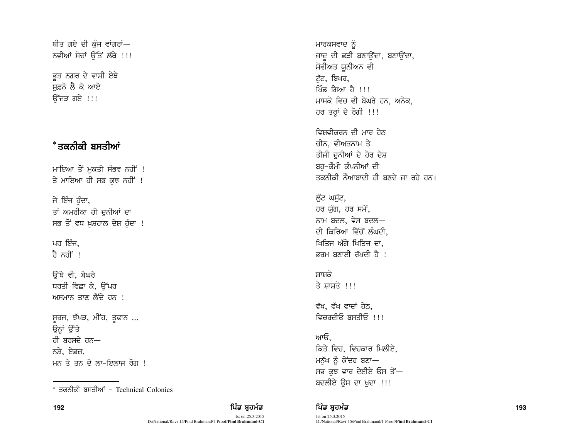ਬੀਤ ਗਏ ਦੀ ਕੰਜ ਵਾਂਗਰਾਂ— ਨਵੀਆਂ ਸੋਚਾਂ ਉੱਤੋਂ ਲੱਥੇ !!!

ਭਤ ਨਗਰ ਦੇ ਵਾਸੀ ਏਥੇ ਸਫ਼ਨੇ ਲੈ ਕੇ ਆਏ ਓੱਜੜ ਗਏ !!!

# \*ਤਕਨੀਕੀ ਬਸਤੀਆਂ

ਮਾਇਆ ਤੋਂ ਮੁਕਤੀ ਸੰਭਵ ਨਹੀਂ ! ਤੇ ਮਾਇਆ ਹੀ ਸਭ ਕਝ ਨਹੀਂ !

ਜੇ ਇੰਜ ਹੰਦਾ, ਤਾਂ ਅਮਰੀਕਾ ਹੀ ਦੁਨੀਆਂ ਦਾ ਸਭ ਤੋਂ ਵਧ ਖ਼ੁਸ਼ਹਾਲ ਦੇਸ਼ ਹੁੰਦਾ !

ਪਰ ਇੰਜ. ਹੈ ਨਹੀਂ !

ਓੱਥੇ ਵੀ, ਬੇਘਰੇ ਧਰਤੀ ਵਿਛਾ ਕੇ, ਉੱਪਰ ਅਸਮਾਨ ਤਾਣ ਲੈਂਦੇ ਹਨ !

ਸੁਰਜ, ਝੱਖੜ, ਮੀਂਹ, ਤੁਫਾਨ ... ਉਨ੍ਹਾਂ ਉੱਤੇ ਹੀ ਬਰਸਦੇ ਹਨ— ਨਸ਼ੇ, ਏਡਜ਼, ਮਨ ਤੇ ਤਨ ਦੇ ਲਾ-ਇਲਾਜ ਰੋਗ !

\* ਤਕਨੀਕੀ ਬਸਤੀਆਂ - Technical Colonies

ਮਾਰਕਸਵਾਦ ਨੂੰ ਜਾਦੂ ਦੀ ਛੜੀ ਬਣਾਉਂਦਾ, ਬਣਾਉਂਦਾ, ਸੋਵੀਅਤ ਯੂਨੀਅਨ ਵੀ ਟੱਟ, ਬਿਖਰ, ਖਿੰਡ ਗਿਆ ਹੈ ।।। ਮਾਸਕੋ ਵਿਚ ਵੀ ਬੇਘਰੇ ਹਨ, ਅਨੇਕ, ਹਰ ਤਰ੍ਹਾਂ ਦੇ ਰੋਗੀ !!!

ਵਿਸ਼ਵੀਕਰਨ ਦੀ ਮਾਰ ਹੇਨ ਚੀਨ, ਵੀਅਤਨਾਮ ਤੇ ਤੀਜੀ ਦਨੀਆਂ ਦੇ ਹੋਰ ਦੇਸ਼ ਬਹ–ਕੌਮੀ ਕੰਪਨੀਆਂ ਦੀ ਤਕਨੀਕੀ ਨੌਆਬਾਦੀ ਹੀ ਬਣਦੇ ਜਾ ਰਹੇ ਹਨ।

ਲੱਟ ਘਸੱਟ, ਹਰ ਯੱਗ, ਹਰ ਸਮੇਂ, ਨਾਮ ਬਦਲ, ਵੇਸ ਬਦਲ– ਦੀ ਕਿਰਿਆ ਵਿੱਚੋਂ ਲੰਘਦੀ. ਖਿਤਿਜ ਅੱਗੇ ਖਿਤਿਜ ਦਾ. ਭਰਮ ਬਣਾਈ ਰੱਖਦੀ ਹੈ !

ਸ਼ਾਸ਼ਕੋ ਤੇ ਸ਼ਾਸਤੋ ।।।

ਵੱਖ, ਵੱਖ ਵਾਦਾਂ ਹੇਠ, ਵਿਚਰਦੀਓ ਬਸਤੀਓ !!!

ਆਓ. ਕਿਤੇ ਵਿਚ, ਵਿਚਕਾਰ ਮਿਲੀਏ, ਮਨੱਖ ਨੂੰ ਕੇਂਦਰ ਬਣਾ-ਸਭ ਕੁਝ ਵਾਰ ਦੇਈਏ ਓਸ ਤੋਂ— ਬਦਲੀਏ ਉਸ ਦਾ ਖਦਾ !!!

ਪਿੰਡ ਬਹਮੰਡ

Ist on 25.3.2015 D:/National/Ravi-15/Pind Brahmand/1-Proof/Pind Brahmand-C1 193

ਪਿੰਡ ਬਹਮੰਡ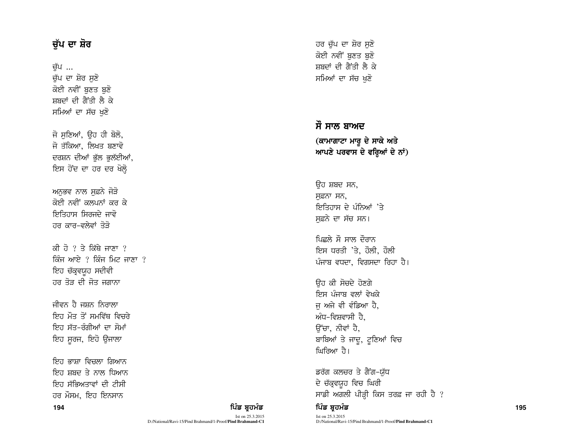# ਚੁੱਪ ਦਾ ਸ਼ੋਰ

ਚੱਪ ... ਚੁੱਪ ਦਾ ਸ਼ੋਰ ਸੁਣੋ ਕੋਈ ਨਵੀਂ ਬੁਣਤ ਬੁਣੋ ਸ਼ਬਦਾਂ ਦੀ ਗੈਂਤੀ ਲੈ ਕੇ ਸਮਿਆਂ ਦਾ ਸੱਚ ਖੁਣੋ

ਜੋ ਸਣਿਆਂ, ਉਹ ਹੀ ਬੋਲੋ, ਜੋ ਤੱਕਿਆ, ਲਿਖਤ ਬਣਾਵੋ ਦਰਸ਼ਨ ਦੀਆਂ ਭੱਲ ਭਲੱਈਆਂ, ਇਸ ਹੋਂਦ ਦਾ ਹਰ ਦਰ ਖੋਲ੍ਹੇ

ਅਨਭਵ ਨਾਲ ਸਫ਼ਨੇ ਜੋੜੋ ਕੋਈ ਨਵੀਂ ਕਲਪਨਾਂ ਕਰ ਕੇ ਇਤਿਹਾਸ ਸਿਰਜਦੇ ਜਾਵੋ ਹਰ ਕਾਰ–ਵਲੇਵਾਂ ਤੋਤੋ

ਕੀ ਹੋ ? ਤੇ ਕਿੱਥੇ ਜਾਣਾ ? ਕਿੰਜ ਆਏ  $\frac{1}{2}$  ਕਿੰਜ ਮਿਟ ਜਾਣਾ  $\frac{1}{2}$ ਇਹ ਚੱਕ੍ਰਵਯੁਹ ਸਦੀਵੀ ਹਰ ਤੋੜ ਦੀ ਜੋਤ ਜਗਾਨਾ

ਜੀਵਨ ਹੈ ਜਸ਼ਨ ਨਿਰਾਲਾ ਇਹ ਮੌਤ ਤੋਂ ਸਮਵਿੱਥ ਵਿਚਰੇ <u>ਇਹ ਸੱਤ-ਰੰਗੀਆਂ ਦਾ ਸੋਮਾਂ</u> ਇਹ ਸੁਰਜ, ਇਹੋ ਉਜਾਲਾ

**<sup>194</sup>** fgzv pqjwzv fgzv pqjwzv **<sup>195</sup>** ਇਹ ਭਾਸ਼ਾ ਵਿਚਲਾ ਗਿਆਨ ਇਹ ਸ਼ਬਦ ਤੇ ਨਾਲ ਧਿਆਨ ਇਹ ਸੱਭਿਅਤਾਵਾਂ ਦੀ ਟੀਸੀ ਹਰ ਮੌਸਮ, ਇਹ ਇਨਸਾਨ

ਹਰ ਚੱਪ ਦਾ ਸ਼ੋਰ ਸਣੋ ਕੋਈ ਨਵੀਂ ਬਣਤ ਬਣੋ ਸ਼ਬਦਾਂ ਦੀ ਗੈਂਤੀ ਲੈ ਕੇ ਸਮਿਆਂ ਦਾ ਸੱਚ ਖਣੋ

# ਸੌ ਸਾਲ ਬਾਅਦ (ਕਾਮਾਗਾਟਾ ਮਾਰੂ ਦੇ ਸਾਕੇ ਅਤੇ ਆਪਣੇ ਪਰਵਾਸ ਦੇ ਵਰ੍ਹਿਆਂ ਦੇ ਨਾਂ)

ਉਹ ਸ਼ਬਦ ਸਨ, ਸਫ਼ਨਾ ਸਨ, ਇਤਿਹਾਸ ਦੇ ਪੰਨਿਆਂ 'ਤੇ ਸਫ਼ਨੇ ਦਾ ਸੱਚ ਸਨ।

ਪਿਛਲੇ ਸੌ ਸਾਲ ਦੌਰਾਨ ਇਸ ਧਰਤੀ 'ਤੇ, ਹੌਲੀ, ਹੌਲੀ ਪੰਜਾਬ ਵਧਦਾ, ਵਿਗਸਦਾ ਰਿਹਾ ਹੈ।

ਓਹ ਕੀ ਸੋਚਦੇ ਹੋਣਗੇ ਇਸ ਪੰਜਾਬ ਵਲਾਂ ਵੇਖਕੇ ਜ ਅਜੇ ਵੀ ਵੰਡਿਆ ਹੈ, ਅੰਧ–ਵਿਸ਼ਵਾਸੀ ਹੈ. ਉੱਚਾ, ਨੀਵਾਂ ਹੈ, ਬਾਬਿਆਂ ਤੇ ਜਾਦੂ, ਟੂਣਿਆਂ ਵਿਚ ਘਿਰਿਆ ਹੈ।

ਡਰੱਗ ਕਲਚਰ ਤੇ ਗੈਂਗ-ਯੱਧ ਦੇ ਚੱਕ੍ਰਵਯੁਹ ਵਿਚ ਘਿਰੀ ਸਾਡੀ ਅਗਲੀ ਪੀੜ੍ਹੀ ਕਿਸ ਤਰਫ਼ ਜਾ ਰਹੀ ਹੈ ?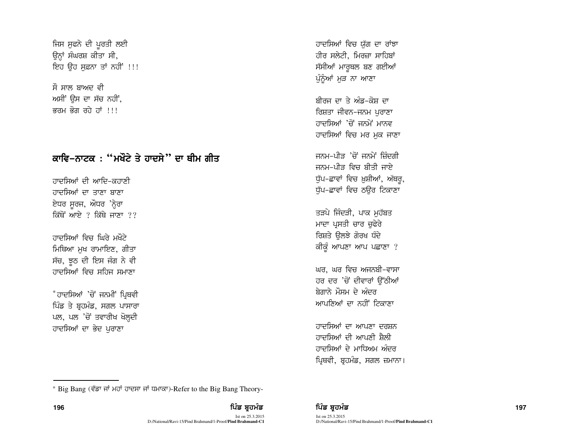ਜਿਸ ਸੁਫਨੇ ਦੀ ਪੁਰਤੀ ਲਈ ਉਨ੍ਹਾਂ ਸੰਘਰਸ਼ ਕੀਤਾ ਸੀ, ਇਹ ਉਹ ਸਫ਼ਨਾ ਤਾਂ ਨਹੀਂ !!!

ਸੌ ਸਾਲ ਸਾਅਦ ਵੀ ਅਸੀਂ ਉਸ ਦਾ ਸੱਚ ਨਹੀਂ, बतभ बेता तते तां ।।।

# ਕਾਵਿ–ਨਾਟਕ : "ਮਖੌਟੇ ਤੇ ਹਾਦਸੇ" ਦਾ ਥੀਮ ਗੀਤ

ਹਾਦਸਿਆਂ ਦੀ ਆਦਿ-ਕਹਾਣੀ ਹਾਦਸਿਆਂ ਦਾ ਤਾਣਾ ਸਾਣਾ ਏਧਰ ਸੁਰਜ, ਔਧਰ 'ਨ੍ਹੇਰਾ ਕਿੱਥੋਂ ਆਏ ? ਕਿੱਥੇ ਜਾਣਾ ??

ਹਾਦਸਿਆਂ ਵਿਚ ਘਿਰੇ ਮੁਖੌਟੇ ਮਿਥਿਆ ਮੁਖ ਰਾਮਾਇਣ, ਗੀਤਾ ਸੱਚ, ਝੂਠ ਦੀ ਇਸ ਜੰਗ ਨੇ ਵੀ ਹਾਦਸਿਆਂ ਵਿਚ ਸਹਿਜ ਸਮਾਣਾ

\*ਹਾਦਸਿਆਂ 'ਚੋਂ ਜਨਮੀਂ ਪ੍ਰਿਥਵੀ ਪਿੰਡ ਤੇ ਬ੍ਰਹਮੰਡ, ਸਗਲ ਪਾਸਾਰਾ ਪਲ, ਪਲ 'ਚੋਂ ਤਵਾਰੀਖ ਖੋਲ੍ਹਦੀ ਹਾਦਸਿਆਂ ਦਾ ਭੇਦ ਪਰਾਣਾ

ਹਾਦਸਿਆਂ ਵਿਚ ਯੱਗ ਦਾ ਰਾਂਝਾ ਹੀਰ ਸਲੇਟੀ. ਮਿਰਜ਼ਾ ਸਾਹਿਬਾਂ ਸੱਸੀਆਂ ਮਾਰੂਥਲ ਬਣ ਗਈਆਂ ਪੁੰਨੂੰਆਂ ਮੁੜ ਨਾ ਆਣਾ

ਸ਼ੀਰਜ ਦਾ ਤੇ ਅੰਡ-ਕੋਸ ਦਾ ਰਿਸ਼ਤਾ ਜੀਵਨ-ਜਨਮ ਪਰਾਣਾ ਹਾਦਸਿਆਂਂ 'ਚੋਂ ਜਨਮੇਂ ਮਾਨਵ ਹਾਦਸਿਆਂ ਵਿਚ ਮਰ ਮਕ ਜਾਣਾ

ਜਨਮ–ਪੀਤ 'ਚੋਂ ਜਨਮੇਂ ਜ਼ਿੰਦਗੀ ਜਨਮ–ਪੀਤ ਵਿਚ ਬੀਤੀ ਜਾਏ ਧੁੱਪ–ਛਾਵਾਂ ਵਿਚ ਖ਼ੁਸ਼ੀਆਂ, ਅੱਥਰੂ, ਧੱਪ-ਛਾਵਾਂ ਵਿਚ ਠੳਰ ਟਿਕਾਣਾ

ਤੜਪੇ ਜਿੰਦੜੀ, ਪਾਕ ਮਹੱਬਤ ਮਾਦਾ ਪੁਸਤੀ ਚਾਰ ਚਫੇਰੇ ਰਿਸ਼ਤੇ ੳਲਝੇ ਗੋਰਖ ਧੰਦੇ ਕੀਕੁੰ ਆਪਣਾ ਆਪ ਪਛਾਣਾ ?

ਘਰ, ਘਰ ਵਿਚ ਅਜਨਬੀ-ਵਾਸਾ ਹਰ ਦਰ 'ਚੋਂ ਦੀਵਾਰਾਂ ਉੱਠੀਆਂ ਬੇਗਾਨੇ ਮੌਸਮ ਦੇ ਅੰਦਰ ਆਪਣਿਆਂ ਦਾ ਨਹੀਂ ਟਿਕਾਣਾ

ਹਾਦਸਿਆਂ ਦਾ ਆਪਣਾ ਦਰਸ਼ਨ ਹਾਦਸਿਆਂ ਦੀ ਆਪਣੀ ਸੈਲੀ ਹਾਦਸਿਆਂ ਦੇ ਮਾਧਿਅਮ ਅੰਦਰ ਪ੍ਰਿਥਵੀ, ਬੁਹਮੰਡ, ਸਗਲ ਜ਼ਮਾਨਾ।

D:/National/Ravi-15/Pind Brahmand/1-Proof/Pind Brahmand-C1

<sup>\*</sup> Big Bang (ਵੱਡਾ ਜਾਂ ਮਹਾਂ ਹਾਦਸਾ ਜਾਂ ਧਮਾਕਾ)-Refer to the Big Bang Theory-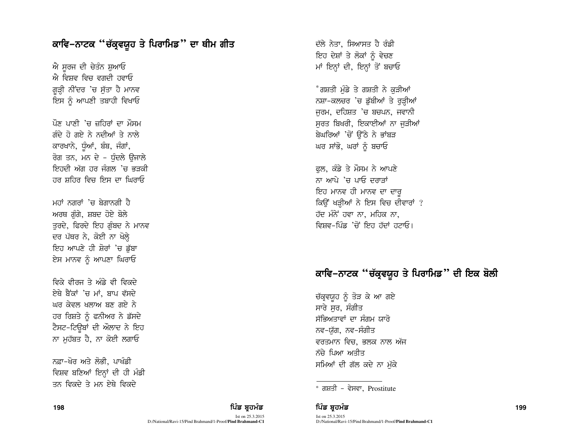## ਕਾਵਿ–ਨਾਟਕ ''ਚੱਕ੍ਰਵਯੁਹ ਤੇ ਪਿਰਾਮਿਡ'' ਦਾ ਥੀਮ ਗੀਤ

ਐ ਸਰਜ ਦੀ ਚੇਤੰਨ ਸ਼ਆਓ ਐ ਵਿਸ਼ਵ ਵਿਚ ਵਗਦੀ ਹਵਾਓ ਗੜੀ ਨੀਂਦਰ 'ਚ ਸੱਤਾ ਹੈ ਮਾਨਵ ਇਸ ਨੂੰ ਆਪਣੀ ਤਬਾਹੀ ਵਿਖਾਓ

ਪੌਣ ਪਾਣੀ 'ਚ ਜ਼ਹਿਰਾਂ ਦਾ ਮੌਸਮ ਗੰਦੇ ਹੋ ਗਏ ਨੇ ਨਦੀਆਂ ਤੇ ਨਾਲੇ ਕਾਰਖਾਨੇ, ਧੁੰਆਂ, ਬੰਬ, ਜੰਗਾਂ, ਰੋਗ ਤਨ, ਮਨ ਦੇ – ਧੰਦਲੇ ਓਜਾਲੇ ਇਹਦੀ ਅੱਗ ਹਰ ਜੰਗਲ 'ਚ ਭੜਕੀ ਹਰ ਸ਼ਹਿਰ ਵਿਚ ਇਸ ਦਾ ਘਿਰਾਓ

ਮਹਾਂ ਨਗਰਾਂ 'ਚ ਬੇਗਾਨਗੀ ਹੈ ਅਰਥ ਗੁੰਗੇ, ਸ਼ਬਦ ਹੋਏ ਬੋਲੇ ਤੁਰਦੇ, ਫਿਰਦੇ ਇਹ ਗੁੰਬਦ ਨੇ ਮਾਨਵ ਦਰ ਪੱਥਰ ਨੇ, ਕੋਈ ਨਾ ਖੋਲ੍ਹੇ ਇਹ ਆਪਣੇ ਹੀ ਸ਼ੋਰਾਂ 'ਚ ਡੱਬਾ ਏਸ ਮਾਨਵ ਨੂੰ ਆਪਣਾ ਘਿਰਾਓ

*ਵਿਕੇ ਵੀ*ਰਜ ਤੇ ਅੰਡੇ ਵੀ ਵਿਕਦੇ ਏਥੇ ਬੈਂਕਾਂ 'ਚ ਮਾਂ. ਬਾਪ ਵੱਸਦੇ ਘਰ ਕੇਵਲ ਖਲਾਅ ਬਣ ਗਏ ਨੇ ਹਰ ਰਿਸ਼ਤੇ ਨੂੰ ਫਨੀਅਰ ਨੇ ਡੱਸਦੇ ਟੈਸਟ-ਟਿਊਬਾਂ ਦੀ ਔਲਾਦ ਨੇ ਇਹ ਨਾ ਮਹੱਬਤ ਹੈ, ਨਾ ਕੋਈ ਲਗਾਓ

ਨਫ਼ਾ-ਖੋਰ ਅਤੇ ਲੋਭੀ. ਪਾਖੰਡੀ ਵਿਸ਼ਵ ਬਣਿਆਂ ਇਨ੍ਹਾਂ ਦੀ ਹੀ ਮੰਡੀ ਤਨ ਵਿਕਦੇ ਤੇ ਮਨ ਏਥੇ ਵਿਕਦੇ

ਦੱਲੇ ਨੇਤਾ. ਸਿਆਸਤ ਹੈ ਰੰਡੀ ਇਹ ਦੇਸ਼ਾਂ ਤੇ ਲੋਕਾਂ ਨੰ ਵੇਚਣ ਮਾਂ ਇਨ੍ਹਾਂ ਦੀ, ਇਨ੍ਹਾਂ ਤੋਂ ਬਚਾਓ

<sup>\*</sup>ਗਸ਼ਤੀ ਮੰਡੇ ਤੇ ਗਸ਼ਤੀ ਨੇ ਕੜੀਆਂ ਨਸ਼ਾ-ਕਲਚਰ 'ਚ ਡੱਬੀਆਂ ਤੇ ਰੜ੍ਹੀਆਂ ਜਰਮ, ਦਹਿਸ਼ਤ 'ਚ ਬਚਪਨ, ਜਵਾਨੀ ਸਰਤ ਬਿਖਰੀ, ਇਕਾਈਆਂ ਨਾ ਜੜੀਆਂ ਬੇਘਰਿਆਂ 'ਚੋਂ ਉੱਠੇ ਨੇ ਭਾਂਬੜ ਘਰ ਸਾਂਭੋ, ਘਰਾਂ ਨੂੰ ਬਚਾਓ

ਫਲ, ਕੰਡੇ ਤੇ ਮੌਸਮ ਨੇ ਆਪਣੇ ਨਾ ਆਪੇ 'ਚ ਪਾਓ ਦਰਾਤਾਂ ਇਹ ਮਾਨਵ ਹੀ ਮਾਨਵ ਦਾ ਦਾਰ ਕਿਉਂ ਖੜ੍ਹੀਆਂ ਨੇ ਇਸ ਵਿਚ ਦੀਵਾਰਾਂ ? ਹੱਦ ਮੰਨੇ ਹਵਾ ਨਾ. ਮਹਿਕ ਨਾ. ਵਿਸ਼ਵ–ਮਿੰਡ<sup>ਾ</sup>ਜੋਂ ਇਹ ਹੱਦਾਂ ਹਟਾਓ।

## ਕਾਵਿ–ਨਾਟਕ "ਚੱਕ੍ਰਵਯੁਹ ਤੇ ਪਿਰਾਮਿਡ" ਦੀ ਇਕ ਬੋਲੀ

ਚੱਕ੍ਰਵਯੁਹ ਨੂੰ ਤੋੜ ਕੇ ਆ ਗਏ ਸਾਰੇ ਸਰ. ਸੰਗੀਤ ਸੱਭਿਅਤਾਵਾਂ ਦਾ ਸੰਗਮ ਯਾਰੋ ਨਵ−ਯੱਗ, ਨਵ−ਸੰਗੀਤ ਵਰਤਮਾਨ ਵਿਚ, ਭਲਕ ਨਾਲ ਅੱਜ ਨੱਚੇ ਪਿਆ ਅਤੀਤ ਸਮਿਆਂ ਦੀ ਗੱਲ ਕਦੇ ਨਾ ਮੁੱਕੇ

\* ਗਸ਼ਤੀ - ਵੇਸਵਾ, Prostitute

ਪਿੰਡ ਬਹਮੰਡ Ist on 25.3.2015 D:/National/Ravi-15/Pind Brahmand/1-Proof/Pind Brahmand-C1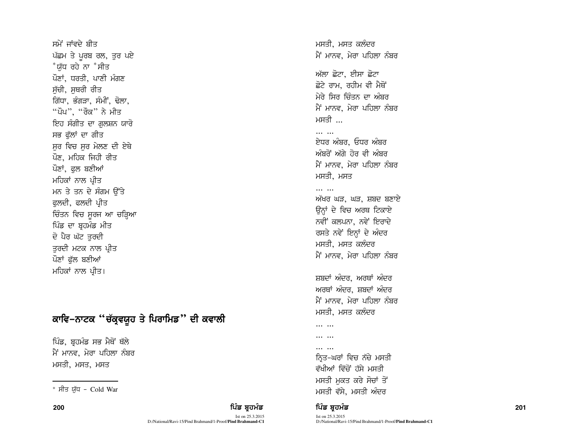ਸਮੇਂ ਜਾਂਵਦੇ ਬੀਤ ਪੱਛਮ ਤੇ ਪੂਰਬ ਰਲ, ਤੁਰ ਪਏ \*ਯੱਧ ਰਹੇ ਨਾ \*ਸੀਤ ਪੌਣਾਂ, ਧਰਤੀ, ਪਾਣੀ ਮੰਗਣ ਸੱਚੀ, ਸਥਰੀ ਰੀਤ ਗਿੱਧਾ, ਭੰਗੜਾ, ਸੰਮੀਂ, ਢੋਲਾ, "ਪੌਪ", "ਰੌਕ" ਨੇ ਮੀਤ ਇਹ ਸੰਗੀਤ ਦਾ ਗਲਸ਼ਨ ਯਾਰੋ ਸਭ ਫੱਲਾਂ ਦਾ ਗੀਤ ਸਰ ਵਿਚ ਸਰ ਮੇਲਣ ਦੀ ਏਥੇ ਪੌਣ. ਮਹਿਕ ਜਿਹੀ ਰੀਤ ਪੌਣਾਂ, ਫਲ ਬਣੀਆਂ ਮਹਿਕਾਂ ਨਾਲ ਪ੍ਰੀਤ ਮਨ ਤੇ ਤਨ ਦੇ ਸੰਗਮ ਉੱਤੇ ਫਲਦੀ, ਫਲਦੀ ਪ੍ਰੀਤ ਚਿੰਤਨ ਵਿਚ ਸੁਰਜ ਆ ਚੜ੍ਹਿਆ ਪਿੰਡ ਦਾ ਬ੍ਰਹਮੰਡ ਮੀਤ ਦੋ ਪੈਰ ਘੱਟ ਤਰਦੀ ਤਰਦੀ ਮਟਕ ਨਾਲ ਪ੍ਰੀਤ ਪੌਣਾਂ ਫੱਲ ਬਣੀਆਂ ਮਹਿਕਾਂ ਨਾਲ ਪ੍ਰੀਤ।

# ਕਾਵਿ-ਨਾਟਕ "ਚੱਕ੍ਰਵਯੁਹ ਤੇ ਪਿਰਾਮਿਡ" ਦੀ ਕਵਾਲੀ

ਪਿੰਡ, ਬੁਹਮੰਡ ਸਭ ਮੈਥੋਂ ਥੱਲੇ ਮੈਂ ਮਾਨਵ, ਮੇਰਾ ਪਹਿਲਾ ਨੰਬਰ ਮਸਤੀ, ਮਸਤ, ਮਸਤ

## ਪਿੰਡ ਬਹਮੰਡ

Ist on 25.3.2015 D:/National/Ravi-15/Pind Brahmand/1-Proof/Pind Brahmand-C1 ਮਸਤੀ, ਮਸਤ ਕਲੰਦਰ ਮੈਂ ਮਾਨਵ, ਮੇਰਾ ਪਹਿਲਾ ਨੰਬਰ

ਅੱਲਾ ਛੋਟਾ, ਈਸਾ ਛੋਟਾ ਛੋਟੇ ਰਾਮ. ਰਹੀਮ ਵੀ ਮੈਥੋਂ ਮੇਰੇ ਸਿਰ ਚਿੰਤਨ ਦਾ ਅੰਬਰ ਮੈਂ ਮਾਨਵ. ਮੇਰਾ ਪਹਿਲਾ ਨੰਬਰ ਮਸਤੀ ...

 $\cdots$   $\cdots$ <u>ਏਧਰ ਅੰਬਰ, ਓਧਰ ਅੰਬਰ</u> ਅੰਬਰੋਂ ਅੱਗੇ ਹੋਰ ਵੀ ਅੰਬਰ ਮੈਂ ਮਾਨਵ, ਮੇਰਾ ਪਹਿਲਾ ਨੰਬਰ ਮਸਤੀ, ਮਸਤ

## ਅੱਖਰ ਘੜ, ਘੜ, ਸ਼ਬਦ ਬਣਾਏ ਉਨਾਂ ਦੇ ਵਿਚ ਅਰਥ ਟਿਕਾਏ ਨਵੀਂ ਕਲਪਨਾ, ਨਵੇਂ ਇਰਾਦੇ ਰਸਤੇ ਨਵੇਂ ਇਨ੍ਹਾਂ ਦੇ ਅੰਦਰ ਮਸਤੀ. ਮਸਤ ਕਲੰਦਰ ਮੈਂ ਮਾਨਵ, ਮੇਰਾ ਪਹਿਲਾ ਨੰਬਰ

ਸ਼ਬਦਾਂ ਅੰਦਰ. ਅਰਥਾਂ ਅੰਦਰ ਅਰਥਾਂ ਅੰਦਰ, ਸ਼ਬਦਾਂ ਅੰਦਰ ਮੈਂ ਮਾਨਵ, ਮੇਰਾ ਪਹਿਲਾ ਨੰਬਰ ਮਸਤੀ, ਮਸਤ ਕਲੰਦਰ

... ...

 $\cdots$   $\cdots$ 

#### . . . . . . . ... ...

ਨ੍ਰਿਤ-ਘਰਾਂ ਵਿਚ ਨੱਚੇ ਮਸਤੀ ਵੱਖੀਆਂ ਵਿੱਚੋਂ ਹੱਸੇ ਮਸਤੀ ਮਸਤੀ ਮਕਤ ਕਰੇ ਸੋਚਾਂ ਤੋਂ ਮਸਤੀ ਵੱਸੇ, ਮਸਤੀ ਅੰਦਰ

## ਪਿੰਡ ਬਹਮੰਡ

<sup>\*</sup> ਸੀਤ ਯੱਧ - Cold War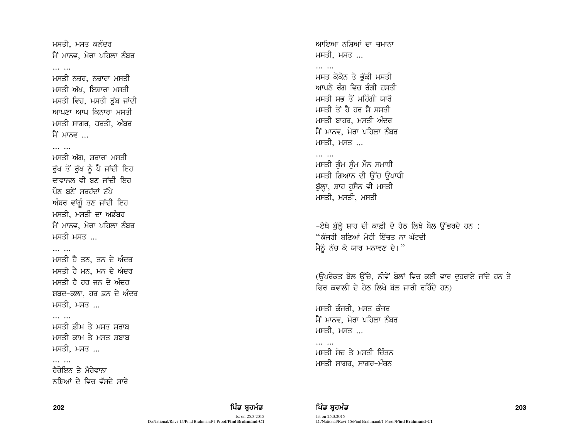ਮਸਤੀ, ਮਸਤ ਕਲੰਦਰ ਮੈਂ ਮਾਨਵ, ਮੇਰਾ ਪਹਿਲਾ ਨੰਬਰ

#### $\cdots$

ਮਸਤੀ ਨਜ਼ਰ, ਨਜ਼ਾਰਾ ਮਸਤੀ ਮਸਤੀ ਅੱਖ, ਇਸ਼ਾਰਾ ਮਸਤੀ ਮਸਤੀ ਵਿਚ, ਮਸਤੀ ਡੱਬ ਜਾਂਦੀ ਆਪਣਾ ਆਪ ਕਿਨਾਰਾ ਮਸਤੀ ਮਸਤੀ ਸਾਗਰ, ਧਰਤੀ, ਅੰਬਰ ਮੈਂ ਮਾਨਵ ...

#### $\cdots$

ਮਸਤੀ ਅੱਗ, ਸ਼ਰਾਰਾ ਮਸਤੀ ਰੱਖ ਤੋਂ ਰੱਖ ਨੂੰ ਪੈ ਜਾਂਦੀ ਇਹ ਦਾਵਾਨਲ ਵੀ ਬਣ ਜਾਂਦੀ ਇਹ ਪੌਣ ਬਣੇ ਸਰਹੱਦਾਂ ਟੱਪੇ ਅੰਬਰ ਵਾਂਗੰ ਤਣ ਜਾਂਦੀ ਇਹ ਮਸਤੀ, ਮਸਤੀ ਦਾ ਅਡੰਬਰ ਮੈਂ ਮਾਨਵ, ਮੇਰਾ ਪਹਿਲਾ ਨੰਬਰ ਮਸਤੋ ...

#### $\cdots$

ਮਸਤੀ ਹੈ ਤਨ. ਤਨ ਦੇ ਅੰਦਰ ਮਸਤੀ ਹੈ ਮਨ, ਮਨ ਦੇ ਅੰਦਰ ਮਸਤੀ ਹੈ ਹਰ ਜਨ ਦੇ ਅੰਦਰ ਸ਼ਬਦ-ਕਲਾ. ਹਰ ਫ਼ਨ ਦੇ ਅੰਦਰ ਮਸਤੀ, ਮਸਤ ..*.* 

### $\cdots$

ਮਸਤੀ ਫ਼ੀਮ ਤੇ ਮਸਤ ਸ਼ਰਾਬ ਮਸਤੀ ਕਾਮ ਤੇ ਮਸਤ ਸ਼ਬਾਬ ਮਸਤੀ, ਮਸਤ ...

### $\cdots$

ਹੈਰੋਇਨ ਤੇ ਮੈਰੇਵਾਨਾ ਨਸ਼ਿਆਂ ਦੇ ਵਿਚ ਵੱਸਦੇ ਸਾਰੇ ਆਇਆ ਨਸ਼ਿਆਂ ਦਾ ਜਮਾਨਾ ਮਸਤੀ, ਮਸਤ

## $\cdots$ ਮਸਤ ਕੋਕੇਨ ਤੇ ਭੱਕੀ ਮਸਤੀ ਆਪਣੇ ਰੰਗ ਵਿਚ ਰੰਗੀ ਹਸਤੀ ਮਸਤੀ ਸਭ ਤੋਂ ਮਹਿੰਗੀ ਯਾਰੋ ਮਸਤੀ ਤੋਂ ਹੈ ਹਰ ਸੈ ਸਸਤੀ ਮਸਤੀ ਬਾਹਰ, ਮਸਤੀ ਅੰਦਰ ਮੈਂ ਮਾਨਵ, ਮੇਰਾ ਪਹਿਲਾ ਨੰਬਰ ਮਸਤੀ, ਮਸਤ ...

## $\cdots$

ਮਸਤੀ ਗੰਮ ਸੰਮ ਮੌਨ ਸਮਾਧੀ ਮਸਤੀ ਗਿਆਨ ਦੀ ਉੱਚ ਉਪਾਧੀ ਬੱਲਾ, ਸ਼ਾਹ ਹਸੈਨ ਵੀ ਮਸਤੀ ਮਸਤੀ, ਮਸਤੀ, ਮਸਤੀ

-ਏਥੇ ਬੁੱਲ੍ਹੇ ਸ਼ਾਹ ਦੀ ਕਾਫ਼ੀ ਦੇ ਹੇਠ ਲਿਖੇ ਬੋਲ ਉੱਭਰਦੇ ਹਨ :  $\cdot$ ੰਕੰਜਰੀ ਬਣਿਆਂ ਮੇਰੀ ਇੱਜਤ ਨਾ ਘੱਟਦੀ ਮੈਨੰ ਨੱਚ ਕੇ ਯਾਰ ਮਨਾਵਣ ਦੇ।"

(ਉਪਰੋਕਤ ਬੋਲ ਉੱਚੇ, ਨੀਵੇਂ ਬੋਲਾਂ ਵਿਚ ਕਈ ਵਾਰ ਦਹਰਾਏ ਜਾਂਦੇ ਹਨ ਤੇ ਫਿਰ ਕਵਾਲੀ ਦੇ ਹੇਨ ਲਿਖੇ ਬੋਲ ਜਾਰੀ ਰਹਿੰਦੇ ਹਨ)

ਮਸਤੀ ਕੰਜਰੀ, ਮਸਤ ਕੰਜਰ ਮੈਂ ਮਾਨਵ, ਮੇਰਾ ਪਹਿਲਾ ਨੰਬਰ <u>ਮਸਤੀ, ਮਸਤ ...</u>

 $\cdots$ ਮਸਤੀ ਸੋਚ ਤੇ ਮਸਤੀ ਚਿੰਤਨ ਮਸਤੀ ਸਾਗਰ, ਸਾਗਰ-ਮੰਥਨ

Ist on 25.3.2015 D:/National/Ravi-15/Pind Brahmand/1-Proof/**Pind Brahmand-C1**

202 ਫ਼ਿਲ **ਵਿੱਚ ਬਹੁਤ ਸ਼ਹਿਰ ਦੀ ਇੱਕ ਬ੍ਰਹਮੰਡ ਵਿੱਚ ਬ੍ਰਹਮੰਡ ਨਾਲ ਇੱਕ ਬ੍ਰਹਮੰਡ ਵਿੱਚ ਬ੍ਰਹਮੰਡ ਨਾਲ ਵਿੱਚ ਬ੍ਰਹਮੰਡ ਨਾਲ ਵਿੱਚ ਸ** Ist on 25.3.2015 D:/National/Ravi-15/Pind Brahmand/1-Proof/**Pind Brahmand-C1**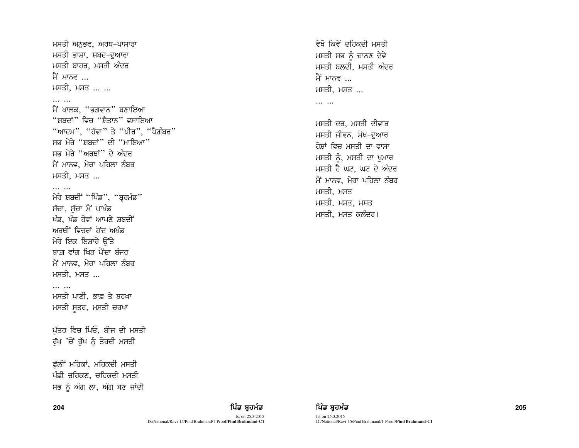ਮਸਤੀ ਅਨਭਵ, ਅਰਥ-ਪਾਸਾਰਾ ਮਸਤੀ ਭਾਸ਼ਾ, ਸ਼ਬਦ-ਦਆਰਾ ਮਸਤੀ ਬਾਹਰ, ਮਸਤੀ ਅੰਦਰ ਮੈਂ ਮਾਨਵ ਮਸਤੀ ਮਸਤ

#### $\cdots$

ਮੈਂ ਖਾਲਕ, "ਭਗਵਾਨ" ਬਣਾਇਆ "ਸਬਦਾਂ" ਵਿਚ "ਸੈਤਾਨ" ਵਸਾਇਆ "ਆਦਮ", "ਹੱਵਾ" ਤੇ "ਪੀਰ", "ਪੈਗ਼ੰਬਰ" ਸਭ ਮੇਰੇ "ਸ਼ਬਦਾਂ" ਦੀ "ਮਾਇਆ" ਸਕ ਮੇਰੇ "ਅਰਥਾਂ" ਦੇ ਅੰਦਰ ਮੈਂ ਮਾਨਵ, ਮੇਰਾ ਪਹਿਲਾ ਨੰਬਰ ਮਸਤੀ, ਮਸਤ ...

 $\cdots$   $\cdots$ 

ਮੇਰੇ ਸ਼ਬਦੀ "ਪਿੰਡ", "ਬਹਮੰਡ" ਸੱਚਾ, ਸੱਚਾ ਮੈਂ ਪਾਖੰਡ ਖੰਡ, ਖੰਡ ਹੋਵਾਂ ਆਪਣੇ ਸ਼ਬਦੀ ਅਰਥੀਂ ਵਿਚਰਾਂ ਹੋਂਦ ਅਖੰਡ ਮੇਰੇ ਇਕ ਇਸ਼ਾਰੇ ਉੱਤੇ ਬਾਗ ਵਾਂਗ ਖਿਤ ਪੈਂਦਾ ਬੰਜਰ ਮੈਂ ਮਾਨਵ, ਮੇਰਾ ਪਹਿਲਾ ਨੰਬਰ ਮਸਤੀ, ਮਸਤ ...

#### $\overline{a}$

ਮਸਤੀ ਪਾਣੀ, ਭਾਫ਼ ਤੇ ਬਰਖਾ ਮਸਤੀ ਸੁਤਰ, ਮਸਤੀ ਚਰਖਾ

ਪੱਤਰ ਵਿਚ ਪਿਓ. ਬੀਜ ਦੀ ਮਸਤੀ ਰੁੱਖ 'ਚੋਂ ਰੁੱਖ ਨੂੰ ਤੋਰਦੀ ਮਸਤੀ

ਫੱਲੀਂ ਮਹਿਕਾਂ, ਮਹਿਕਦੀ ਮਸਤੀ ਪੰਛੀ ਚਹਿਕਣ, ਚਹਿਕਦੀ ਮਸਤੀ ਸਭ ਨੂੰ ਅੰਗ ਲਾ, ਅੱਗ ਬਣ ਜਾਂਦੀ ਵੇਖੋ ਕਿਵੇਂ ਦਹਿਕਦੀ ਮਸਤੀ ਮਸਤੀ ਸਭ ਨੂੰ ਚਾਨਣ ਦੇਵੇ ਮਸਤੀ ਬਲਦੀ, ਮਸਤੀ ਅੰਦਰ ਮੈਂ ਮਾਨਵ ... ਮਸਤੀ ਮਸਤ

 $\cdots$   $\cdots$ 

ਮਸਤੀ ਦਰ. ਮਸਤੀ ਦੀਵਾਰ ਮਸਤੀ ਜੀਵਨ, ਮੋਖ-ਦਆਰ ਹੋਸ਼ਾਂ ਵਿਚ ਮਸਤੀ ਦਾ ਵਾਸਾ ਮਸਤੀ ਨੰ, ਮਸਤੀ ਦਾ ਖਮਾਰ ਮਸਤੀ ਹੈ ਘਟ, ਘਟ ਦੇ ਅੰਦਰ ਮੈਂ ਮਾਨਵ, ਮੇਰਾ ਪਹਿਲਾ ਨੰਬਰ ਮਸਤੀ, ਮਸਤ ਮਸਤੀ, ਮਸਤ, ਮਸਤ ਮਸਤੀ, ਮਸਤ ਕਲੰਦਰ।

204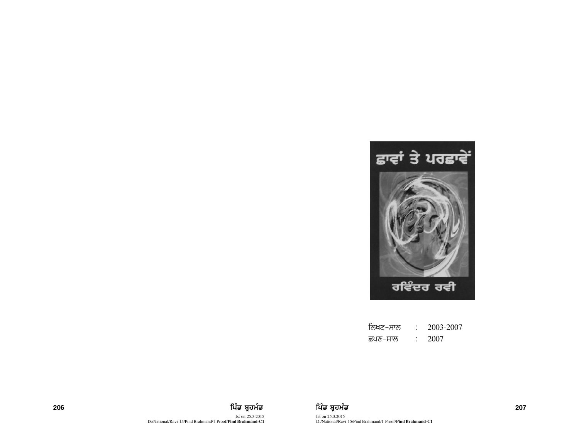

| ਲਿਖਣ–ਸਾਲ | 2003-2007 |
|----------|-----------|
| ੜਪਣ–ਸਾਲ  | 2007      |



Ist on 25.3.2015 D:/National/Ravi-15/Pind Brahmand/1-Proof/**Pind Brahmand-C1**

206 ਵਿੱਚ **ਸ਼ਹਿਰ ਦੀ ਇੱਕ ਬ੍ਰਹਮੰਡ ਵਿੱਚ ਬ੍ਰਹਮੰਡ ਨਾਲ ਇੰ**ਡ ਬ੍ਰਹਮੰਡ ਵਿੱਚ ਬ੍ਰਹਮੰਡ ਵਿੱਚ ਸ਼ਹਿਰ ਦੀ ਸ਼ਹਿਰ ਦੀ ਸ਼ਹਿਰ ਵਿੱਚ 107 Ist on 25.3.2015 D:/National/Ravi-15/Pind Brahmand/1-Proof/**Pind Brahmand-C1**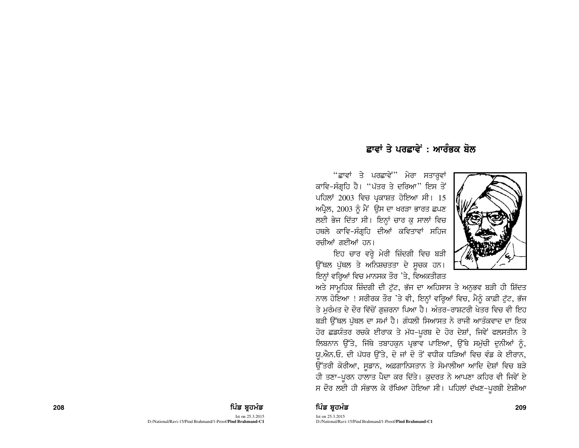## ਫ਼ਾਵਾਂ ਤੇ ਪਰਫ਼ਾਵੇਂ : ਆਰੰਕਕ ਸ਼ੋਲ

"ਛਾਵਾਂ ਤੇ ਪਰਛਾਵੇਂ" ਮੇਰਾ ਸਤਾਰੁਵਾਂ ਕਾਵਿ-ਸੰਗਹਿ ਹੈ। "ਪੱਤਰ ਤੇ ਦਰਿਆ" ਇਸ ਤੋਂ ਪਹਿਲਾਂ 2003 ਵਿਚ ਪ੍ਰਕਾਸ਼ਤ ਹੋਇਆ ਸੀ। 15  $m$ ਪ੍ਰੈਲ, 2003 ਨੂੰ ਮੈਂ ਉਸ ਦਾ ਖਰੜਾ ਭਾਰਤ ਛਪਣ ਲਈ ਭੇਜ ਦਿੱਤਾ ਸੀ। ਇਨ੍ਹਾਂ ਚਾਰ ਕੁ ਸਾਲਾਂ ਵਿਚ ਹਥਲੇ ਕਾਵਿ-ਸੰਗਹਿ ਦੀਆਂ ਕਵਿਤਾਵਾਂ ਸਹਿਜ ਰਚੀਆਂ ਗਈਆਂ ਹਨ।

ਇਹ ਚਾਰ ਵਰ੍ਹੇ ਮੇਰੀ ਜ਼ਿੰਦਗੀ ਵਿਚ ਬੜੀ ਉੱਥਲ ਪੁੱਥਲ ਤੇ ਅਨਿਸ਼ਚਤਤਾ ਦੇ ਸੂਚਕ ਹਨ। ਇਨਾਂ ਵਰ੍ਹਿਆਂ ਵਿਚ ਮਾਨਸਕ ਤੌਰ 'ਤੇ, ਵਿਅਕਤੀਗਤ



ਅਤੇ ਸਾਮੁਹਿਕ ਜ਼ਿੰਦਗੀ ਦੀ ਟੁੱਟ, ਭੱਜ ਦਾ ਅਹਿਸਾਸ ਤੇ ਅਨੁਭਵ ਬੜੀ ਹੀ ਸ਼ਿੱਦਤ ਨਾਲ ਹੋਇਆ ! ਸਰੀਰਕ ਤੌਰ 'ਤੇ ਵੀ, ਇਨ੍ਹਾਂ ਵਰ੍ਹਿਆਂ ਵਿਚ, ਮੈਨੂੰ ਕਾਫ਼ੀ ਟੁੱਟ, ਭੱਜ ਤੇ ਮਰੰਮਤ ਦੇ ਦੌਰ ਵਿੱਚੋਂ ਗਜ਼ਰਨਾ ਪਿਆ ਹੈ। ਅੰਤਰ-ਰਾਸ਼ਟਰੀ ਖੇਤਰ ਵਿਚ ਵੀ ਇਹ ਬੜੀ ਉੱਥਲ ਪੱਥਲ ਦਾ ਸਮਾਂ ਹੈ। ਗੰਧਲੀ ਸਿਆਸਤ ਨੇ ਰਾਜੀ ਆਤੰਕਵਾਦ ਦਾ ਇਕ ਹੋਰ ਛਡਯੰਤਰ ਰਚਕੇ ਈਰਾਕ ਤੇ ਮੱਧ-ਪੂਰਬ ਦੇ ਹੋਰ ਦੇਸ਼ਾਂ, ਜਿਵੇਂ ਫਲਸਤੀਨ ਤੇ <u>ਲਿਬਨਾਨ ਉੱਤੇ, ਜਿੱਥੇ ਤਬਾਹਕਨ ਪ੍ਰਭਾਵ ਪਾਇਆ, ਉੱਥੇ ਸਮੱਚੀ ਦਨੀਆਂ ਨੂੰ</u> ਯ.ਐਨ.ਓ. ਦੀ ਪੱਧਰ ਉੱਤੇ, ਦੋ ਜਾਂ ਦੋ ਤੋਂ ਵਧੀਕ ਧੜਿਆਂ ਵਿਚ ਵੰਡ ਕੇ ਈਰਾਨ, ਉੱਤਰੀ ਕੋਰੀਆ, ਸੁਡਾਨ, ਅਫ਼ਗਾਨਿਸਤਾਨ ਤੇ ਸੋਮਾਲੀਆ ਆਦਿ ਦੇਸ਼ਾਂ ਵਿਚ ਬੜੇ ਹੀ ਤਣਾ-ਪੂਰਨ ਹਾਲਾਤ ਪੈਦਾ ਕਰ ਦਿੱਤੇ। ਕੁਦਰਤ ਨੇ ਆਪਣਾ ਕਹਿਰ ਵੀ ਜਿਵੇਂ ਏ ਸ ਦੌਰ ਲਈ ਹੀ ਸੰਭਾਲ ਕੇ ਰੱਖਿਆ ਹੋਇਆ ਸੀ। ਪਹਿਲਾਂ ਦੱਖਣ-ਪੂਰਬੀ ਏਸ਼ੀਆ

#### 208 ਫ਼ਿਲ **ਦੀ ਮਹਿੰਡ ਬ੍ਰਹਮੰਡ ਵਿੱਚ ਬ੍ਰਹਮੰਡ ਨਾਲ ਇੱਕ ਬ੍ਰਹਮੰਡ ਨਾਲ ਵਿੱਚ ਬ੍ਰਹਮੰਡ ਨਾਲ ਵਿੱਚ ਬ੍ਰਹਮੰਡ ਨਾਲ ਵਿੱਚ ਸ਼ਰੀਦ ਵਿੱਚ ਸ**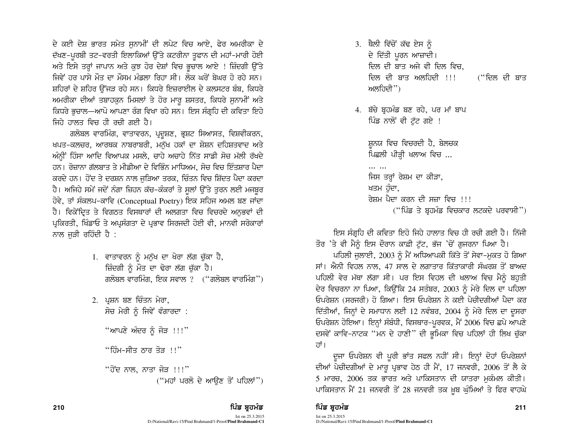ਦੇ ਕਈ ਦੇਸ਼ ਭਾਰਤ ਸਮੇਤ ਸੁਨਾਮੀਂ ਦੀ ਲਪੇਟ ਵਿਚ ਆਏ, ਫੇਰ ਅਮਰੀਕਾ ਦੇ ਦੱਖਣ-ਪੂਰਬੀ ਤਟ-ਵਰਤੀ ਇਲਾਕਿਆਂ ਉੱਤੇ ਕਟਰੀਨਾ ਤੂਫਾਨ ਦੀ ਮਹਾਂ-ਮਾਰੀ ਹੋਈ ਅਤੇ ਇਸੇ ਤਰ੍ਹਾਂ ਜਾਪਾਨ ਅਤੇ ਕੁਝ ਹੋਰ ਦੇਸ਼ਾਂ ਵਿਚ ਭੁਚਾਲ ਆਏ ! ਜ਼ਿੰਦਗੀ ਉੱਤੇ ਜਿਵੇਂ ਹਰ ਪਾਸੇ ਮੌਤ ਦਾ ਮੌਸਮ ਮੰਡਲਾ ਰਿਹਾ ਸੀ। ਲੋਕ ਘਰੋਂ ਬੇਘਰ ਹੋ ਰਹੇ ਸਨ। ਸ਼ਹਿਰਾਂ ਦੇ ਸ਼ਹਿਰ ਉੱਜੜ ਰਹੇ ਸਨ। ਕਿਧਰੇ ਇਜ਼ਰਾਈਲ ਦੇ ਕਲਸਟਰ ਬੰਬ, ਕਿਧਰੇ ਅਮਰੀਕਾ ਦੀਆਂ ਤਬਾਹਕੁਨ ਮਿਸਲਾਂ ਤੇ ਹੋਰ ਮਾਰੁ ਸ਼ਸਤਰ, ਕਿਧਰੇ ਸੁਨਾਮੀਂ ਅਤੇ ਕਿਧਰੇ ਭਚਾਲ—ਆਪੋ ਆਪਣਾ ਰੰਗ ਵਿਖਾ ਰਹੇ ਸਨ। ਇਸ ਸੰਗ੍ਰਹਿ ਦੀ ਕਵਿਤਾ ਇਹੋ ਜਿਹੇ ਹਾਲਤ ਵਿਚ ਹੀ ਰਚੀ ਗਈ ਹੈ।

ਗਲੋਬਲ ਵਾਰਮਿੰਗ, ਵਾਤਾਵਰਨ, ਪ੍ਰਦੁਸ਼ਣ, ਭ੍ਰਸ਼ਟ ਸਿਆਸਤ, ਵਿਸ਼ਵੀਕਰਨ, ਖਪਤ-ਕਲਚਰ, ਆਰਥਕ ਨਾਬਰਾਬਰੀ, ਮਨੱਖ ਹਕਾਂ ਦਾ ਸ਼ੋਸ਼ਨ ਦਹਿਸ਼ਤਵਾਦ ਅਤੇ ਅੰਨ੍ਹੀਂ ਹਿੰਸਾ ਆਦਿ ਵਿਆਪਕ ਮਸਲੇ, ਚਾਹੇ ਅਚਾਹੇ ਨਿੱਤ ਸਾਡੀ ਸੋਚ ਮੱਲੀ ਰੱਖਦੇ ਹਨ। ਰੋਜ਼ਾਨਾ ਗੱਲਬਾਤ ਤੇ ਮੀਡੀਆ ਦੇ ਵਿਭਿੰਨ ਮਾਧਿਅਮ. ਸੋਚ ਵਿਚ ਇੰਤਸ਼ਾਰ ਪੈਦਾ ਕਰਦੇ ਹਨ। ਹੋਂਦ ਤੇ ਦਰਸ਼ਨ ਨਾਲ ਜੜਿਆ ਤਰਕ, ਚਿੰਤਨ ਵਿਚ ਸ਼ਿੱਦਤ ਪੈਦਾ ਕਰਦਾ ਹੈ। ਅਜਿਹੇ ਸਮੇਂ ਜਦੋਂ ਨੰਗਾ ਜ਼ਿਹਨ ਕੱਚ-ਕੰਕਰਾਂ ਤੇ ਸਲਾਂ ਉੱਤੇ ਤਰਨ ਲਈ ਮਜਬਰ ਹੋਵੇ, ਤਾਂ ਸੰਕਲਪ-ਕਾਵਿ (Conceptual Poetry) ਇਕ ਸਹਿਜ ਅਮਲ ਬਣ ਜਾਂਦਾ ਹੈ। ਵਿਕੇਂਦ੍ਰਿਤ ਤੇ ਵਿਗਠਤ ਵਿਸਥਾਰਾਂ ਦੀ ਅਲਗਤਾ ਵਿਚ ਵਿਚਰਦੇ ਅਨੁਭਵਾਂ ਦੀ ਪ੍ਰਕਿਰਤੀ, ਖਿੰਡਾਓ ਤੇ ਅਪ੍ਰਸੰਗਤਾ ਦੇ ਪ੍ਰਭਾਵ ਸਿਰਜਦੀ ਹੋਈ ਵੀ, ਮਾਨਵੀ ਸਰੋਕਾਰਾਂ ਨਾਲ ਜੜੀ ਰਹਿੰਦੀ ਹੈ :

- 1. ਵਾਤਾਵਰਨ ਨੂੰ ਮਨੁੱਖ ਦਾ ਖੋਰਾ ਲੱਗ ਚੱਕਾ ਹੈ, ਜ਼ਿੰਦਗੀ ਨੂੰ ਮੌਤ ਦਾ ਢੋਰਾ ਲੱਗ ਚੁੱਕਾ ਹੈ। ਗਲੋਬਲ ਵਾਰਮਿੰਗ, ਇਕ ਸਵਾਲ ? ("ਗਲੋਬਲ ਵਾਰਮਿੰਗ")
- 2. ਪ੍ਰਸ਼ਨ ਬਣ ਚਿੰਤਨ ਮੇਰਾ, ਸੋਚ ਮੇਰੀ ਨੰ ਜਿਵੇਂ ਵੰਗਾਰਦਾ :

"ਆਪਣੇ ਅੰਦਰ ਨੂੰ ਜੋੜ  $\,$ !!''

 $"$ ਹਿੰਮ-ਸੀਤ ਠਾਰ ਤੋੜ !! $"$ 

"ਹੋਂਦ ਨਾਲ, ਨਾਤਾ ਜੋੜ !!!"  $($ "ਮਹਾਂ ਪਰਲੋ ਦੇ ਆਉਣ ਤੋਂ ਪਹਿਲਾਂ")

210 ਫ਼ਿਲ **ਸ਼ਹਿਰ ਦੀ ਵਿੱਚ ਬਹੁੰਦੀ ਹੈ। ਇਹ ਸ਼ਹਿਰ ਵਿੱਚ ਬਹੁੰਦੀ ਹੈ ਕਿ ਬਹੁੰਦੀ ਹੈ ਕਿ ਬਹੁੰਦੀ ਹੈ ਕਿ ਬਹੁੰਦੀ ਹੈ ਕਿ ਬਹੁੰਦੀ ਹੈ ਕ** 

- 3. ਥੈਲੀ ਵਿੱਚੋਂ ਕੱਢ ਏਸ ਨੂੰ ਦੇ ਦਿੱਤੀ ਪੂਰਨ ਆਜ਼ਾਦੀ। ਦਿਲ ਦੀ ਬਾਤ ਅਜੇ ਵੀ ਦਿਲ ਵਿਚ. ਦਿਲ ਦੀ ਬਾਤ ਅਲਹਿਦੀ !!! ("ਦਿਲ ਦੀ ਬਾਤ ਅਲਹਿਦੀ")
- 4. ਬੱਚੇ ਬਹਮੰਡ ਬਣ ਰਹੇ, ਪਰ ਮਾਂ ਬਾਪ ਪਿੰਡ ਨਾਲੋਂ ਵੀ ਟੱਟ ਗਏ !

ਸ਼ਨਯ ਵਿਚ ਵਿਚਰਦੀ ਹੈ, ਬੇਲਚਕ ਪਿਛਲੀ ਪੀੜ੍ਹੀ ਖਲਾਅ ਵਿਚ ...  $\cdots$ ਜਿਸ ਤਰ੍ਹਾਂ ਰੇਸ਼ਮ ਦਾ ਕੀੜਾ, ਖਤਮ ਹੰਦਾ, ਰੇਸਮ ਪੈਦਾ ਕਰਨ ਦੀ ਸਜ਼ਾ ਵਿਚ ।।।

 $($ "ਪਿੰਡ ਤੇ ਬੁਹਮੰਡ ਵਿਚਕਾਰ ਲਟਕਦੇ ਪਰਵਾਸੀ")

ਇਸ ਸੰਗੁਹਿ ਦੀ ਕਵਿਤਾ ਇਹੋ ਜਿਹੇ ਹਾਲਾਤ ਵਿਚ ਹੀ ਰਚੀ ਗਈ ਹੈ। ਨਿੱਜੀ

ਤੌਰ 'ਤੇ ਵੀ ਮੈਨੂੰ ਇਸ ਦੌਰਾਨ ਕਾਫ਼ੀ ਟੁੱਟ, ਭੱਜ 'ਚੋਂ ਗੁਜਰਨਾ ਪਿਆ ਹੈ। ਪਹਿਲੀ ਜੁਲਾਈ, 2003 ਨੂੰ ਮੈਂ ਅਧਿਆਪਕੀ ਕਿੱਤੇ ਤੋਂ ਸੇਵਾ-ਮੁਕਤ ਹੋ ਗਿਆ ਸਾਂ। ਐਨੀ ਵਿਹਲ ਨਾਲ, 47 ਸਾਲ ਦੇ ਲਗਾਤਾਰ ਕਿੱਤਾਕਾਰੀ ਸੰਘਰਸ਼ ਤੋਂ ਬਾਅਦ ਪਹਿਲੀ ਵੇਰ ਮੱਥਾ ਲੱਗਾ ਸੀ। ਪਰ ਇਸ ਵਿਹਲ ਦੀ ਖਲਾਅ ਵਿਚ ਮੈਨੂੰ ਬਹੁਤੀ ਦੇਰ ਵਿਚਰਨਾ ਨਾ ਪਿਆ, ਕਿਉਂਕਿ 24 ਸਤੰਬਰ, 2003 ਨੂੰ ਮੇਰੇ ਦਿਲ ਦਾ ਪਹਿਲਾ ਓਪਰੇਸ਼ਨ (ਸਰਜਰੀ) ਹੋ ਗਿਆ। ਇਸ ਓਪਰੇਸ਼ਨ ਨੇ ਕਈ ਪੇਚੀਦਗੀਆਂ ਪੈਦਾ ਕਰ ਦਿੱਤੀਆਂ, ਜਿਨ੍ਹਾਂ ਦੇ ਸਮਾਧਾਨ ਲਈ 12 ਨਵੰਬਰ, 2004 ਨੂੰ ਮੇਰੇ ਦਿਲ ਦਾ ਦੂਸਰਾ ਓਪਰੇਸ਼ਨ ਹੋਇਆ। ਇਨ੍ਹਾਂ ਸੰਬੰਧੀ, ਵਿਸਥਾਰ-ਪੂਰਵਕ, ਮੈਂ 2006 ਵਿਚ ਛਪੇ ਆਪਣੇ ਦਸਵੇਂ ਕਾਵਿ-ਨਾਟਕ "ਮਨ ਦੇ ਹਾਣੀ" ਦੀ ਭੂਮਿਕਾ ਵਿਚ ਪਹਿਲਾਂ ਹੀ ਲਿਖ ਚੁੱਕਾ तां ।

ਦੂਜਾ ਓਪਰੇਸ਼ਨ ਵੀ ਪੂਰੀ ਭਾਂਤ ਸਫਲ ਨਹੀਂ ਸੀ। ਇਨ੍ਹਾਂ ਦੋਹਾਂ ਓਪਰੇਸ਼ਨਾਂ ਦੀਆਂ ਪੇਚੀਦਗੀਆਂ ਦੇ ਮਾਰੂ ਪ੍ਰਭਾਵ ਹੇਠ ਹੀ ਮੈਂ, 17 ਜਨਵਰੀ, 2006 ਤੋਂ ਲੈ ਕੇ 5 ਮਾਰਚ, 2006 ਤਕ ਭਾਰਤ ਅਤੇ ਪਾਕਿਸਤਾਨ ਦੀ ਯਾਤਰਾ ਮਕੰਮਲ ਕੀਤੀ। ਪਾਕਿਸਤਾਨ ਮੈਂ 21 ਜਨਵਰੀ ਤੋਂ 28 ਜਨਵਰੀ ਤਕ ਖ਼ੁਬ ਘੁੰਮਿਆਂ ਤੇ ਫਿਰ ਵਾਹਘੇ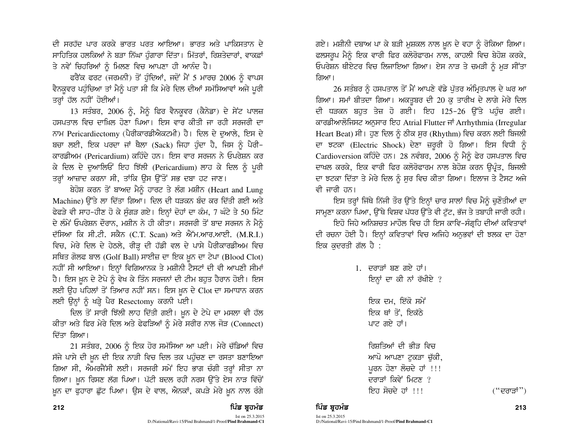ਦੀ ਸਰਹੱਦ ਪਾਰ ਕਰਕੇ ਭਾਰਤ ਪਰਤ ਆਇਆ। ਭਾਰਤ ਅਤੇ ਪਾਕਿਸਤਾਨ ਦੇ ਸਾਹਿਤਿਕ ਹਲਕਿਆਂ ਨੇ ਬੜਾ ਨਿੱਘਾ ਹੁੰਗਾਰਾ ਦਿੱਤਾ। ਮਿੱਤਰਾਂ, ਰਿਸ਼ਤੇਦਾਰਾਂ, ਵਾਕਫ਼ਾਂ ਤੇ ਨਵੇਂ ਚਿਹਰਿਆਂ ਨੂੰ ਮਿਲਣ ਵਿਚ ਆਪਣਾ ਹੀ ਆਨੰਦ ਹੈ।

ਫਰੈਂਕ ਫਰਟ (ਜਰਮਨੀ) ਤੋਂ ਹੁੰਦਿਆਂ, ਜਦੋਂ ਮੈਂ 5 ਮਾਰਚ 2006 ਨੂੰ ਵਾਪਸ ਵੈਨਕੁਵਰ ਪਹੁੰਚਿਆ ਤਾਂ ਮੈਨੂੰ ਪਤਾ ਸੀ ਕਿ ਮੇਰੇ ਦਿਲ ਦੀਆਂ ਸਮੱਸਿਆਵਾਂ ਅਜੇ ਪੁਰੀ ਤਰ੍ਹਾਂ ਹੱਲ ਨਹੀਂ ਹੋਈਆਂ।

 $13$  ਸਤੰਬਰ, 2006 ਨੂੰ, ਮੈਨੂੰ ਫਿਰ ਵੈਨਕੂਵਰ (ਕੈਨੇਡਾ) ਦੇ ਸੇਂਟ ਪਾਲਜ਼ ਹਸਪਤਾਲ ਵਿਚ ਦਾਖਿਲ ਹੋਣਾ ਪਿਆ। ਇਸ ਵਾਰ ਕੀਤੀ ਜਾ ਰਹੀ ਸਰਜਰੀ ਦਾ ਨਾਮ Pericardiectomy (ਪੈਰੀਕਾਰਡੀਐਕਟਮੀ) ਹੈ। ਦਿਲ ਦੇ ਦਆਲੇ, ਇਸ ਦੇ ਬਚਾ ਲਈ, ਇਕ ਪਰਦਾ ਜਾਂ ਥੈਲਾ (Sack) ਜਿਹਾ ਹੁੰਦਾ ਹੈ, ਜਿਸ ਨੂੰ ਪੈਰੀ-ਕਾਰਡੀਅਮ (Pericardium) ਕਹਿੰਦੇ ਹਨ। ਇਸ ਵਾਰ ਸਰਜਨ ਨੇ ਓਪਰੇਸ਼ਨ ਕਰ ਕੇ ਦਿਲ ਦੇ ਦੁਆਲਿਓਂ ਇਹ ਝਿੱਲੀ (Pericardium) ਲਾਹ ਕੇ ਦਿਲ ਨੂੰ ਪੂਰੀ ਤਰ੍ਹਾਂ ਆਜ਼ਾਦ ਕਰਨਾ ਸੀ, ਤਾਂਕਿ ਉਸ ਉੱਤੋਂ ਸਭ ਦਬਾ ਹਟ ਜਾਣ।

ਬੇਹੋਸ਼ ਕਰਨ ਤੋਂ ਬਾਅਦ ਮੈਨੰ ਹਾਰਟ ਤੇ ਲੰਗ ਮਸ਼ੀਨ (Heart and Lung  $M$ achine) ਉੱਤੇ ਲਾ ਦਿੱਤਾ ਗਿਆ। ਦਿਲ ਦੀ ਧੜਕਨ ਬੰਦ ਕਰ ਦਿੱਤੀ ਗਈ ਅਤੇ ਫੇਫੜੇ ਵੀ ਸਾਹ-ਹੀਣ ਹੋ ਕੇ ਸੁੰਗੜ ਗਏ। ਇਨ੍ਹਾਂ ਦੋਹਾਂ ਦਾ ਕੰਮ, 7 ਘੰਟੇ ਤੇ 50 ਮਿੰਟ ਦੇ ਲੰਮੇਂ ਓਪਰੇਸ਼ਨ ਦੌਰਾਨ, ਮਸ਼ੀਨ ਨੇ ਹੀ ਕੀਤਾ। ਸਰਜਰੀ ਤੋਂ ਬਾਦ ਸਰਜਨ ਨੇ ਮੈਨੰ ਦੱਸਿਆ ਕਿ ਸੀ.ਟੀ. ਸਕੈਨ (C.T. Scan) ਅਤੇ ਐੱਮ.ਆਰ.ਆਈ. (M.R.I.) ਵਿਚ, ਮੇਰੇ ਦਿਲ ਦੇ ਹੇਠਲੇ, ਰੀੜ੍ਹ ਦੀ ਹੱਡੀ ਵਲ ਦੇ ਪਾਸੇ ਪੈਰੀਕਾਰਡੀਅਮ ਵਿਚ ਸਥਿਤ ਗੋਲਫ ਬਾਲ (Golf Ball) ਸਾਈਜ਼ ਦਾ ਇਕ ਖ਼ੁਨ ਦਾ ਟੇਪਾ (Blood Clot) ਨਹੀਂ ਸੀ ਆਇਆ। ਇਨ੍ਹਾਂ ਵਿਗਿਆਨਕ ਤੇ ਮਸ਼ੀਨੀ ਟੈਸਟਾਂ ਦੀ ਵੀ ਆਪਣੀ ਸੀਮਾਂ ਹੈ। ਇਸ ਖ਼ੁਨ ਦੇ ਟੇਪੇ ਨੂੰ ਵੇਖ ਕੇ ਤਿੰਨ ਸਰਜਨਾਂ ਦੀ ਟੀਮ ਬਹੁਤ ਹੈਰਾਨ ਹੋਈ। ਇਸ ਲਈ ਉਹ ਪਹਿਲਾਂ ਤੋਂ ਤਿਆਰ ਨਹੀਂ ਸਨ। ਇਸ ਖ਼ੂਨ ਦੇ Clot ਦਾ ਸਮਾਧਾਨ ਕਰਨ ਲਈ ਉਨ੍ਹਾਂ ਨੂੰ ਖੜ੍ਹੇ ਪੈਰ Resectomy ਕਰਨੀ ਪਈ।

ਦਿਲ ਤੋਂ ਸਾਰੀ ਝਿੱਲੀ ਲਾਹ ਦਿੱਤੀ ਗਈ। ਖ਼ੂਨ ਦੇ ਟੇਪੇ ਦਾ ਮਸਲਾ ਵੀ ਹੱਲ ਕੀਤਾ ਅਤੇ ਫਿਰ ਮੇਰੇ ਦਿਲ ਅਤੇ ਫੇਫੜਿਆਂ ਨੂੰ ਮੇਰੇ ਸਰੀਰ ਨਾਲ ਜੋੜ (Connect) ਦਿੱਤਾ ਗਿਆ।

 $21$  ਸਤੰਬਰ, 2006 ਨੂੰ ਇਕ ਹੋਰ ਸਮੱਸਿਆ ਆ ਪਈ। ਮੇਰੇ ਚੱਡਿਆਂ ਵਿਚ ਸੱਜੇ ਪਾਸੇ ਦੀ ਖ਼ਨ ਦੀ ਇਕ ਨਾੜੀ ਵਿਚ ਦਿਲ ਤਕ ਪਹੰਚਣ ਦਾ ਰਸਤਾ ਬਣਾਇਆ ਗਿਆ ਸੀ, ਐਮਰਜੈਂਸੀ ਲਈ। ਸਰਜਰੀ ਸਮੇਂ ਇਹ ਭਾਗ ਚੰਗੀ ਤਰ੍ਹਾਂ ਸੀਤਾ ਨਾ ਗਿਆ। ਖ਼ੁਨ ਰਿਸਣ ਲੱਗ ਪਿਆ। ਪੱਟੀ ਬਦਲ ਰਹੀ ਨਰਸ ਉੱਤੇ ਏਸ ਨਾੜ ਵਿੱਚੋਂ ਖ਼ੁਨ ਦਾ ਫੁਹਾਰਾ ਛੁੱਟ ਪਿਆ। ਉਸ ਦੇ ਵਾਲ, ਐਨਕਾਂ, ਕਪੜੇ ਮੇਰੇ ਖ਼ੁਨ ਨਾਲ ਰੰਗੇ

ਗਏ। ਮਸ਼ੀਨੀ ਦਬਾਅ ਪਾ ਕੇ ਬੜੀ ਮੁਸ਼ਕਲ ਨਾਲ ਖ਼ੁਨ ਦੇ ਵਹਾ ਨੂੰ ਰੋਕਿਆ ਗਿਆ। ਫਲਸਰੂਪ ਮੈਨੂੰ ਇਕ ਵਾਰੀ ਫਿਰ ਕਲੋਰੋਫਾਰਮ ਨਾਲ, ਕਾਹਲੀ ਵਿਚ ਬੇਹੋਸ਼ ਕਰਕੇ, ਓਪਰੇਸ਼ਨ ਥੀਏਟਰ ਵਿਚ ਲਿਜਾਇਆ ਗਿਆ। ਏਸ ਨਾੜ ਤੇ ਚਮੜੀ ਨੂੰ ਮੁੜ ਸੀਂਤਾ ਗਿਆ।

26 ਸਤੰਬਰ ਨੂੰ ਹਸਪਤਾਲ ਤੋਂ ਮੈਂ ਆਪਣੇ ਵੱਡੇ ਪੱਤਰ ਅੰਮ੍ਰਿਤਪਾਲ ਦੇ ਘਰ ਆ ਗਿਆ। ਸਮਾਂ ਬੀਤਦਾ ਗਿਆ। ਅਕਤੂਬਰ ਦੀ 20 ਕੁ ਤਾਰੀਖ ਦੇ ਲਾਗੇ ਮੇਰੇ ਦਿਲ ਦੀ ਧੜਕਨ ਬਹੁਤ ਤੇਜ਼ ਹੋ ਗਈ। ਇਹ 125-26 ਉੱਤੇ ਪਹੁੰਚ ਗਈ। ਕਾਰਡੀਆਲੋਜਿਸਟ ਅਨੁਸਾਰ ਇਹ Atrial Flutter ਜਾਂ Arrhythmia (Irregular Heart Beat) ਸੀ। ਹਣ ਦਿਲ ਨੂੰ ਠੀਕ ਸਰ (Rhythm) ਵਿਚ ਕਰਨ ਲਈ ਬਿਜਲੀ ਦਾ ਝਟਕਾ (Electric Shock) ਦੇਣਾ ਜ਼ਰੂਰੀ ਹੋ ਗਿਆ। ਇਸ ਵਿਧੀ ਨੂੰ Cardioversion ਕਹਿੰਦੇ ਹਨ। 28 ਨਵੰਬਰ, 2006 ਨੂੰ ਮੈਨੂੰ ਫੇਰ ਹਸਪਤਾਲ ਵਿਚ ਦਾਖਲ ਕਰਕੇ, ਇਕ ਵਾਰੀ ਫਿਰ ਕਲੋਰੋਫਾਰਮ ਨਾਲ ਬੇਹੋਸ਼ ਕਰਨ ਉਪ੍ਰੰਤ, ਬਿਜਲੀ ਦਾ ਝਟਕਾ ਦਿੱਤਾ ਤੇ ਮੇਰੇ ਦਿਲ ਨੂੰ ਸੁਰ ਵਿਚ ਕੀਤਾ ਗਿਆ। ਇਲਾਜ ਤੇ ਟੈਸਟ ਅਜੇ ਵੀ ਜਾਰੀ ਹਨ।

<u>ਇਸ ਤਰ੍ਹਾਂ ਜਿੱਥੇ ਨਿੱਜੀ ਤੌਰ ਉੱਤੇ ਇਨ੍ਹਾਂ ਚਾਰ ਸਾਲਾਂ ਵਿਚ ਮੈਨੂੰ ਚੁਣੌਤੀਆਂ ਦਾ</u> ਸਾਮੂਣਾ ਕਰਨਾ ਪਿਆ, ਉੱਥੇ ਵਿਸ਼ਵ ਪੱਧਰ ਉੱਤੇ ਵੀ ਟੁੱਟ, ਭੱਜ ਤੇ ਤਬਾਹੀ ਜਾਰੀ ਰਹੀ।

fੲਹੋ ਜਿਹੇ ਅਨਿਸ਼ਚਤ ਮਾਹੌਲ ਵਿਚ ਹੀ ਇਸ ਕਾਵਿ-ਸੰਗਹਿ ਦੀਆਂ ਕਵਿਤਾਵਾਂ ਦੀ ਰਚਨਾ ਹੋਈ ਹੈ। ਇਨਾਂ ਕਵਿਤਾਵਾਂ ਵਿਚ ਅਜਿਹੇ ਅਨਭਵਾਂ ਦੀ ਝਲਕ ਦਾ ਹੋਣਾ ਇਕ ਕਦਰਤੀ ਗੱਲ ਹੈ :

| 1. ਦਰਾੜਾਂ ਬਣ ਗਏ ਹਾਂ।<br>ਇਨ੍ਹਾਂ ਦਾ ਕੀ ਨਾਂ ਰੱਖੀਏ ?                                                                        |
|-------------------------------------------------------------------------------------------------------------------------|
| ਇਕ ਦਮ, ਇੱਕੋ ਸਮੇਂ<br>ਇਕ ਥਾਂ ਤੋਂ, ਇਕੱਠੇ<br>ਪਾਟ ਗਏ ਹਾਂ।                                                                    |
| ਜਿਸਤਿਆਂ ਦੀ ਭੀਤ ਵਿ <b>ਚ</b><br>ਆਪੋ ਆਪਣਾ ਟਕੜਾ ਚੱਕੀ,<br>ਪੂਰਨ ਹੋਣਾ ਲੋਚਦੇ ਹਾਂ !!!<br>ਦਰਾਤਾਂ ਕਿਵੇਂ ਮਿਟਣ ?<br>ਇਹ ਸੋਚਦੇ ਹਾਂ ।।। |

212 ਵਿੱਚ **ਸੰਸਾਰ ਵਿੱਚ ਸ਼ਹਿਰ ਸ਼ਹਿਰ ਸ਼ਹਿਰ ਹੈ ਕਿ ਸ਼ਹਿਰ ਸ਼ਹਿਰ ਸ਼ਹਿਰ ਸ਼ਹਿਰ ਸ਼ਹਿਰ ਸ਼ਹਿਰ ਸ਼ਹਿਰ ਸ਼ਹਿਰ ਸ਼ਹਿਰ ਸ਼ਹਿਰ ਸ਼ਹਿਰ ਸ** 

("ਦਰਾੜਾਂ")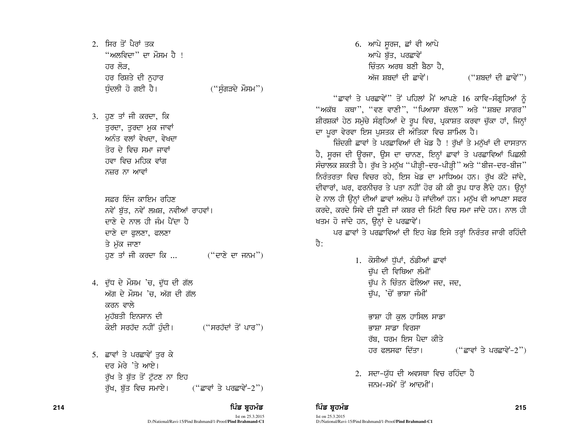2. ਸਿਰ ਤੋਂ ਪੈਰਾਂ ਤਕ  $\lq$ ਅਲਵਿਦਾ $\lq$ ੋ ਦਾ ਮੌਸਮ ਹੈ ! ਹਰ ਲੋੜ. ਹਰ ਰਿਸ਼ਤੇ ਦੀ ਨਹਾਰ ਧੰਦਲੀ ਹੋ ਗਈ ਹੈ।  $($ "ਸੰਗੜਦੇ ਮੌਸਮ" $)$ 

3. ਹਣ ਤਾਂ ਜੀ ਕਰਦਾ, ਕਿ ਤੁਰਦਾ, ਤੁਰਦਾ ਮੁਕ ਜਾਵਾਂ ਅਨੰਤ ਵਲਾਂ ਵੇਖਦਾ, ਵੇਖਦਾ ਤੋਰ ਦੇ ਵਿਚ ਸਮਾ ਜਾਵਾਂ ਹਵਾ ਵਿਚ ਮਹਿਕ ਵਾਂਗ ਨਜ਼ਰ ਨਾ ਆਵਾਂ

> ਸਫ਼ਰ ਇੰਜ ਕਾਇਮ ਰਹਿਣ ਨਵੇਂ ਬੱਤ, ਨਵੇਂ ਲਖ਼ਸ਼, ਨਵੀਆਂ ਰਾਹਵਾਂ। ਦਾਣੇ ਦੇ ਨਾਲ ਹੀ ਜੰਮ ਪੈਂਦਾ ਹੈ ਦਾਣੇ ਦਾ ਫਲਣਾ, ਫਲਣਾ ਤੇ ਮੱਕ ਜਾਣਾ  $\vec{v}$  ਹੁਣ ਤਾਂ ਜੀ ਕਰਦਾ ਕਿ ... ("ਦਾਣੇ ਦਾ ਜਨਮ")

- 4. ਦੱਧ ਦੇ ਮੌਸਮ 'ਚ, ਦੱਧ ਦੀ ਗੱਲ ਅੱਗ ਦੇ ਮੌਸਮ 'ਚ, ਅੱਗ ਦੀ ਗੱਲ ਕਰਨ ਵਾਲੇ ਮਹੱਬਤੀ ਇਨਸਾਨ ਦੀ ਕੋਈ ਸਰਹੱਦ ਨਹੀਂ ਹੰਦੀ।  $($ "ਸਰਹੱਦਾਂ ਤੋਂ ਪਾਰ")
- 5. ਛਾਵਾਂ ਤੇ ਪਰਛਾਵੇਂ ਤੁਰ ਕੇ ਦਰ ਮੇਰੇ 'ਤੇ ਆਏ। ਰੱਖ ਤੇ ਬੱਤ ਤੋਂ ਟੱਟਣ ਨਾ ਇਹ ਰੱਖ, ਬੱਤ ਵਿਚ ਸਮਾਏ। (''ਛਾਵਾਂ ਤੇ ਪਰਛਾਵੇਂ-2'')
	-

Ist on 25.3.2015 D:/National/Ravi-15/Pind Brahmand/1-Proof/**Pind Brahmand-C1**  $6.$  ਆਪੇ ਸੂਰਜ, ਛਾਂ ਵੀ ਆਪੇ ਆਪੇ ਬੱਤ, ਪਰਛਾਵੇਂ ਜ਼ਿੰਤਨ ਅਰਥ ਬਣੀ ਬੈਨਾ ਹੈ. ਅੱਜ ਸ਼ਬਦਾਂ ਦੀ ਛਾਵੇਂ। ("ਸ਼ਬਦਾਂ ਦੀ ਛਾਵੇਂ")

"ਛਾਵਾਂ ਤੇ ਪਰਛਾਵੇਂ" ਤੋਂ ਪਹਿਲਾਂ ਮੈਂ ਆਪਣੇ 16 ਕਾਵਿ-ਸੰਗਹਿਆਂ ਨੂੰ "ਅਕੱਥ ਕਥਾ", "ਵਣ ਵਾਣੀ", "ਪਿਆਸਾ ਬੱਦਲ" ਅਤੇ "ਸ਼ਬਦ ਸਾਗਰ" ਸ਼ੀਰਸ਼ਕਾਂ ਹੇਠ ਸਮੁੱਚੇ ਸੰਗੁਹਿਆਂ ਦੇ ਰੂਪ ਵਿਚ, ਪ੍ਰਕਾਸ਼ਤ ਕਰਵਾ ਚੁੱਕਾ ਹਾਂ, ਜਿਨ੍ਹਾਂ ਦਾ ਪੁਰਾ ਵੇਰਵਾ ਇਸ ਪੁਸਤਕ ਦੀ ਅੰਤਿਕਾ ਵਿਚ ਸ਼ਾਮਿਲ ਹੈ।

ਜ਼ਿੰਦਗੀ ਛਾਵਾਂ ਤੇ ਪਰਛਾਵਿਆਂ ਦੀ ਖੇਡ ਹੈ ! ਰੱਖਾਂ ਤੇ ਮਨੱਖਾਂ ਦੀ ਦਾਸਤਾਨ ਹੈ, ਸੁਰਜ ਦੀ ਉਰਜਾ, ਉਸ ਦਾ ਚਾਨਣ, ਇਨ੍ਹਾਂ ਛਾਵਾਂ ਤੇ ਪਰਛਾਵਿਆਂ ਪਿਛਲੀ ਸੰਚਾਲਕ ਸ਼ਕਤੀ ਹੈ। ਰੱਖ ਤੇ ਮਨੱਖ "ਪੀੜ੍ਹੀ-ਦਰ-ਪੀੜ੍ਹੀ" ਅਤੇ "ਬੀਜ-ਦਰ-ਬੀਜ" ਨਿਰੰਤਰਤਾ ਵਿਚ ਵਿਚਰ ਰਹੇ, ਇਸ ਖੇਡ ਦਾ ਮਾਧਿਅਮ ਹਨ। ਰੱਖ ਕੱਟੇ ਜਾਂਦੇ, ਦੀਵਾਰਾਂ, ਘਰ, ਫਰਨੀਚਰ ਤੇ ਪਤਾ ਨਹੀਂ ਹੋਰ ਕੀ ਕੀ ਰੂਪ ਧਾਰ ਲੈਂਦੇ ਹਨ। ਉਨ੍ਹਾਂ ਦੇ ਨਾਲ ਹੀ ਉਨ੍ਹਾਂ ਦੀਆਂ ਛਾਵਾਂ ਅਲੋਪ ਹੋ ਜਾਂਦੀਆਂ ਹਨ। ਮਨੱਖ ਵੀ ਆਪਣਾ ਸਫਰ ਕਰਦੇ, ਕਰਦੇ ਸਿਵੇ ਦੀ ਧੁਣੀ ਜਾਂ ਕਬਰ ਦੀ ਮਿੱਟੀ ਵਿਚ ਸਮਾ ਜਾਂਦੇ ਹਨ। ਨਾਲ ਹੀ ਖਤਮ ਹੋ ਜਾਂਦੇ ਹਨ, ਉਨ੍ਹਾਂ ਦੇ ਪਰਛਾਵੇਂ।

ਪਰ ਛਾਵਾਂ ਤੇ ਪਰਛਾਵਿਆਂ ਦੀ ਇਹ ਖੇਡ ਇਸੇ ਤਰ੍ਹਾਂ ਨਿਰੰਤਰ ਜਾਰੀ ਰਹਿੰਦੀ तै:

> 1. ਕੋਸੀਆਂ ਧੁੱਪਾਂ, ਠੰਡੀਆਂ ਛਾਵਾਂ ਚੱਪ ਦੀ ਵਿਥਿਆ ਲੰਮੀਂ ਚੱਪ ਨੇ ਚਿੰਤਨ ਫੋਲਿਆ ਜਦ, ਜਦ, ਚੁੱਪ, 'ਚੋਂ ਭਾਸ਼ਾ ਜੰਮੀਂ

> > ਭਾਸ਼ਾ ਹੀ ਕੁਲ ਹਾਸਿਲ ਸਾਡਾ ਭਾਸ਼ਾ ਸਾਡਾ ਵਿਰਸਾ ਰੱਬ, ਧਰਮ ਇਸ ਪੈਦਾ ਕੀਤੇ ਹਰ ਫਲਸਫਾ ਦਿੱਤਾ। (''ਛਾਵਾਂ ਤੇ ਪਰਛਾਵੇਂ-2'')

2. ਸਦਾ-ਯੱਧ ਦੀ ਅਵਸਥਾ ਵਿਚ ਰਹਿੰਦਾ ਹੈ ਜਨਮ-ਸਮੇਂ ਤੋਂ ਆਦਮੀ<u>ਂ</u>।

### 214 ਵਿੱਚ **ਸੰਸਾਰ ਵਿੱਚ ਬਹੁਤ ਸੰਸਾਰ ਵਿੱਚ ਬਹੁਤ ਸੰਸਾਰ ਵਿੱਚ ਬਹੁਤ ਸੰਸਾਰ ਵਿੱਚ ਬਹੁਤ ਸੰਸਾਰ ਵਿੱਚ ਬਹੁਤ ਸੰਸਾਰ ਵਿੱਚ ਸੰਸਾਰ ਵਿੱਚ**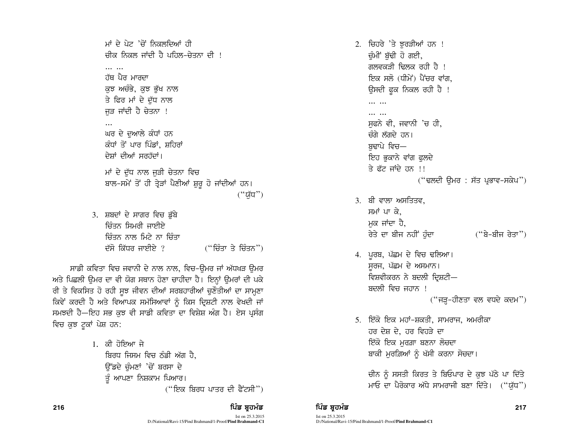ਮਾਂ ਦੇ ਪੇਟ 'ਚੋਂ ਨਿਕਲਦਿਆਂ ਹੀ ਚੀਕ ਨਿਕਲ ਜਾਂਦੀ ਹੈ ਪਹਿਲ–ਚੇਤਨਾ ਦੀ ! and the ਹੱਥ ਪੈਰ ਮਾਰਦਾ ਕਝ ਅਚੰਭੇ, ਕਝ ਭੱਖ ਨਾਲ ਤੇ ਫਿਰ ਮਾਂ ਦੇ ਦੁੱਧ ਨਾਲ ਜੜ ਜਾਂਦੀ ਹੈ ਚੇਤਨਾ ! ਘਰ ਦੇ ਦੁਆਲੇ ਕੰਧਾਂ ਹਨ ਕੰਧਾਂ ਤੋਂ ਪਾਰ ਪਿੰਡਾਂ, ਸ਼ਹਿਰਾਂ ਦੇਸ਼ਾਂ ਦੀਆਂ ਸਰਹੱਦਾਂ। ਮਾਂ ਦੇ ਦੁੱਧ ਨਾਲ ਜੁੜੀ ਚੇਤਨਾ ਵਿਚ ਬਾਲ-ਸਮੇਂ ਤੋਂ ਹੀ ਤ੍ਰੇੜਾਂ ਪੈਣੀਆਂ ਸ਼ੁਰੂ ਹੋ ਜਾਂਦੀਆਂ ਹਨ। ("ਯੱਧ") 3. ਸ਼ਬਦਾਂ ਦੇ ਸਾਗਰ ਵਿਚ ਡੁੱਬੇ ਚਿੰਤਨ ਸਿਮਰੀ ਜਾਈਏ ਜ਼ਿੰਤਨ ਨਾਲ ਮਿਟੇ ਨਾ ਜ਼ਿੰਤਾ ਦੱਸੋ ਕਿੱਧਰ ਜਾਈਏ ? ("ਚਿੰਤਾ ਤੇ ਚਿੰਤਨ")

ਸਾਡੀ ਕਵਿਤਾ ਵਿਚ ਜਵਾਨੀ ਦੇ ਨਾਲ ਨਾਲ, ਵਿਚ-ਉਮਰ ਜਾਂ ਅੱਧਖੜ ਉਮਰ ਅਤੇ ਪਿਛਲੀ ਉਮਰ ਦਾ ਵੀ ਯੋਗ ਸਥਾਨ ਹੋਣਾ ਚਾਹੀਦਾ ਹੈ। ਇਨ੍ਹਾਂ ਉਮਰਾਂ ਦੀ ਪਕੇ ਰੀ ਤੇ ਵਿਕਸਿਤ ਹੋ ਰਹੀ ਸੁਝ ਜੀਵਨ ਦੀਆਂ ਸਰਬਹਾਰੀਆਂ ਚੁਣੌਤੀਆਂ ਦਾ ਸਾਮ੍ਹਣਾ ਕਿਵੇਂ ਕਰਦੀ ਹੈ ਅਤੇ ਵਿਆਪਕ ਸਮੱਸਿਆਵਾਂ ਨੂੰ ਕਿਸ ਦ੍ਰਿਸ਼ਟੀ ਨਾਲ ਵੇਖਦੀ ਜਾਂ ਸਮਝਦੀ ਹੈ-ਇਹ ਸਭ ਕੁਝ ਵੀ ਸਾਡੀ ਕਵਿਤਾ ਦਾ ਵਿਸ਼ੇਸ਼ ਅੰਗ ਹੈ। ਏਸ ਪ੍ਰਸੰਗ ਵਿਚ ਕੁਝ ਟੁਕਾਂ ਪੇਸ਼ ਹਨ:

> 1. ਕੀ ਹੋਇਆ ਜੇ ਬਿਰਧ ਜਿਸਮ ਵਿਚ ਠੰਡੀ ਅੱਗ ਹੈ. ਓੱਡਦੇ ਚੰਮਣਾਂ 'ਚੋਂ ਬਰਸਾ ਦੇ ਤੂੰ ਆਪਣਾ ਨਿਸ਼ਕਾਮ ਪਿਆਰ।  $("$ ਇਕ ਬਿਰਧ ਪਾਤਰ ਦੀ ਫੈਂਟਸੀ")

2. ਚਿਹਰੇ 'ਤੇ ਝਰੜੀਆਂ ਹਨ ! ਚੁੰਮੀਂ ਬੁੱਢੀ ਹੋ ਗਈ, ਗਲਵਕਤੀ ਢਿਲਕ ਰਹੀ ਹੈ ! ਇਕ ਸਲੋ (ਧੀਮੇਂ) ਪੈਂਚਰ ਵਾਂਗ. ਉਸਦੀ ਫੁਕ ਨਿਕਲ ਰਹੀ ਹੈ ! . . . . . . .  $\cdots$ ਸਫਨੇ ਵੀ, ਜਵਾਨੀ 'ਚ ਹੀ, ਚੰਗੇ ਲੱਗਦੇ ਹਨ। ਬਢਾਪੇ ਵਿਚ— ਇਹ ਭਕਾਨੇ ਵਾਂਗ ਫਲਦੇ ਤੇ ਫੱਟ ਜਾਂਦੇ ਹਨ !!  $("$ ਢਲਦੀ ਉਮਰ : ਸੱਤ ਪ੍ਰਭਾਵ-ਸਕੇਪ") 3. ਬੀ ਵਾਲਾ ਅਸਤਿਤਵ. ਸਮਾਂ ਪਾ ਕੇ. ਮਕ ਜਾਂਦਾ ਹੈ. ਰੇਤੇ ਦਾ ਬੀਜ ਨਹੀਂ ਹੁੰਦਾ ("ਬੇ-ਬੀਜ ਰੇਤਾ")

- 4. ਪੁਰਬ, ਪੱਛਮ ਦੇ ਵਿਚ ਢਲਿਆ। ਸਰਜ, ਪੱਛਮ ਦੇ ਅਸਮਾਨ। ਵਿਸ਼ਵੀਕਰਨ ਨੇ ਬਦਲੀ ਦਿਸ਼ਟੀ— ਬਦਲੀ ਵਿਚ ਜਹਾਨ ! ("ਜੜ੍ਹ-ਹੀਣਤਾ ਵਲ ਵਧਦੇ ਕਦਮ")
- 5. ਇੱਕੋ ਇਕ ਮਹਾਂ-ਸ਼ਕਤੀ, ਸਾਮਰਾਜ, ਅਮਰੀਕਾ ਹਰ ਦੇਸ਼ ਦੇ, ਹਰ ਵਿਹੜੇ ਦਾ ਇੱਕੋ ਇਕ ਮਰਗ਼ਾ ਬਣਨਾ ਲੋਚਦਾ ਬਾਕੀ ਮੁਰਗ਼ਿਆਂ ਨੂੰ ਖੱਸੀ ਕਰਨਾ ਸੋਚਦਾ।

ਚੀਨ ਨੂੰ ਸਸਤੀ ਕਿਰਤ ਤੇ ਬਿਓਪਾਰ ਦੇ ਕੁਝ ਪੱਠੇ ਪਾ ਦਿੱਤੇ ਮਾਓ ਦਾ ਪੈਰੋਕਾਰ ਅੱਧੇ ਸਾਮਰਾਜੀ ਬਣਾ ਦਿੱਤੇ। ("ਯੱਧ")

## ਪਿੰਡ ਬਹਮੰਡ

Ist on 25.3.2015 D:/National/Ravi-15/Pind Brahmand/1-Proof/Pind Brahmand-C1

ਪਿੰਡ ਬਹਮੰਡ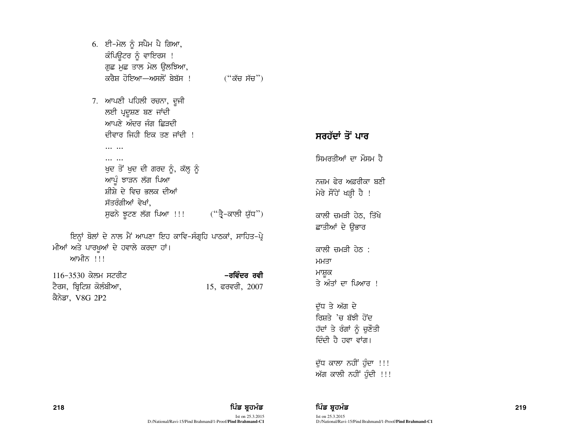6. ਈ-ਮੇਲ ਨੂੰ ਸਪੈਮ ਪੈ ਗਿਆ, ਕੰਪਿਊਟਰ ਨੂੰ ਵਾਇਰਸ ! ਗੁਛ ਮੁਛ ਤਾਲ ਮੇਲ ਉਲਝਿਆ, ਕਰੈਸ਼ ਹੋਇਆ—ਅਸਲੋਂ ਬੇਬੱਸ ! (''ਕੱਚ ਸੱਚ'')

7. ਆਪਣੀ ਪਹਿਲੀ ਰਚਨਾ, ਦੂਜੀ ਲਈ ਪ੍ਰਦੂਸ਼ਣ ਬਣ ਜਾਂਦੀ ਆਪਣੇ ਅੰਦਰ ਜੰਗ ਛਿਤਦੀ ਦੀਵਾਰ ਜਿਹੀ ਇਕ ਤਣ ਜਾਂਦੀ !  $\cdots$   $\cdots$ 

 $\cdots$ 

ਖੁਦ ਤੋਂ ਖੁਦ ਦੀ ਗਰਦ ਨੂੰ, ਕੱਲ੍ਹ ਨੂੰ ਆਪ੍ਰੰ ਝਾੜਨ ਲੱਗ ਪਿਆ ਸੀਸ਼ੇ ਦੇ ਵਿਚ ਭਲਕ ਦੀਆਂ ਸੱਤਰੰਗੀਆਂ ਵੇਖਾਂ. ਸੁਫਨੇ ਝੂਟਣ ਲੱਗ ਪਿਆ !!! ("ਤ੍ਰੈ-ਕਾਲੀ ਯੁੱਧ")

ਇਨਾਂ ਬੋਲਾਂ ਦੇ ਨਾਲ ਮੈਂ ਆਪਣਾ ਇਹ ਕਾਵਿ-ਸੰਗ੍ਰਹਿ ਪਾਠਕਾਂ, ਸਾਹਿਤ-ਪ੍ਰੇ ਮੀਆਂ ਅਤੇ ਪਾਰਖੁਆਂ ਦੇ ਹਵਾਲੇ ਕਰਦਾ ਹਾਂ। ਆਮੀਨ !!!

116-3530 ਕੇਲਮ ਸਟਰੀਟ ਟੈਰਸ, ਬ੍ਰਿਟਿਸ਼ ਕੋਲੰਬੀਆ,

–ਰਵਿੰਦਰ ਰਵੀ 15, ਫਰਵਰੀ, 2007

ਸਰਹੱਦਾਂ ਤੋਂ ਪਾਰ ਸਿਮਰਤੀਆਂ ਦਾ ਮੌਸਮ ਹੈ ਨਜ਼ਮ ਫ਼ੇਰ ਅਫ਼ਰੀਕਾ ਬਣੀ ਮੇਰੇ ਸੌਂਹੇ ਖੜ੍ਹੀ ਹੈ ! ਕਾਲੀ ਚਮੜੀ ਹੇਠ, ਤਿੱਖੇ ਛਾਤੀਆਂ ਦੇ ਉਭਾਰ ਕਾਲੀ ਜਮਤੀ ਹੇਨ : ਮਮਤਾ ਮਾਸ਼ੁਕ ਤੇ ਅੰਤਾਂ ਦਾ ਪਿਆਰ !

ਦੁੱਧ ਤੇ ਅੱਗ ਦੇ ਰਿਸ਼ਤੇ 'ਚ ਬੱਝੀ ਹੋਂਦ ਹੱਦਾਂ ਤੇ ਰੰਗਾਂ ਨੂੰ ਚੁਣੌਤੀ ਦਿੰਦੀ ਹੈ ਹਵਾ ਵਾਂਗ।

ਦੁੱਧ ਕਾਲਾ ਨਹੀਂ ਹੁੰਦਾ !!! ਅੱਗ ਕਾਲੀ ਨਹੀਂ ਹੁੰਦੀ !!!

ਪਿੰਡ ਬਹਮੰਡ

ਪਿੰਡ ਬ੍ਰਹਮੰਡ Ist on 25.3.2015 D:/National/Ravi-15/Pind Brahmand/1-Proof/Pind Brahmand-C1

ਕੈਨੇਡਾ, V8G 2P2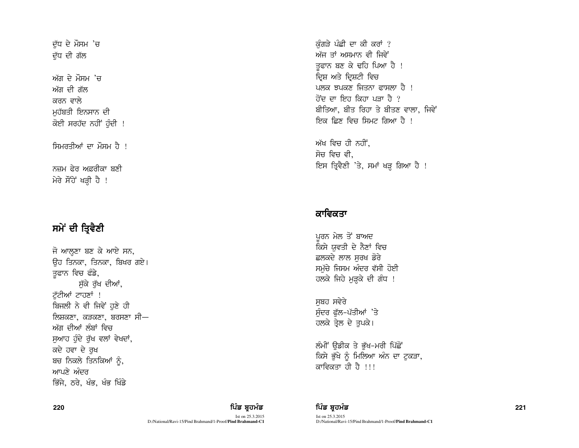ਦੱਧ ਦੇ ਮੌਸਮ 'ਚ ਦੱਧ ਦੀ ਗੱਲ

ਅੱਗ ਦੇ ਮੌਸਮ  $\overline{a}$ ਅੱਗ ਦੀ ਗੱਲ ਕਰਨ ਵਾਲੇ ਮਹੱਬਤੀ ਇਨਸਾਨ ਦੀ ਕੋਈ ਸਰਹੱਦ ਨਹੀਂ ਹੰਦੀ !

ਸਿਮਰਤੀਆਂ ਦਾ ਮੌਸਮ ਹੈ ।

ਨਜ਼ਮ ਫੇਰ ਅਫ਼ਰੀਕਾ ਬਣੀ ਮੇਰੇ ਸੌਂਹੇ ਖੜ੍ਹੀ ਹੈ !

# ਸਮੇਂ ਦੀ ਤ੍ਰਿਵੈਣੀ

ਜੋ ਆਲ੍ਹਣਾ ਬਣ ਕੇ ਆਏ ਸਨ, ਓਹ ਤਿਨਕਾ, ਤਿਨਕਾ, ਬਿਖਰ ਗਏ। ਤੁਫਾਨ ਵਿਚ ਫੰਡੇ, ਸੱਕੇ ਰੱਖ ਦੀਆਂ, ਟੱਟੀਆਂ ਟਾਹਣਾਂ ! ਬਿਜਲੀ ਨੇ ਵੀ ਜਿਵੇਂ ਹਣੇ ਹੀ ਲਿਸ਼ਕਣਾ, ਕੜਕਣਾ, ਬਰਸਣਾ ਸੀ— ਅੱਗ ਦੀਆਂ ਲੰਬਾਂ ਵਿਚ ਸੁਆਹ ਹੁੰਦੇ ਰੁੱਖ ਵਲਾਂ ਵੇਖਦਾਂ, ਕਦੇ ਹਵਾ ਦੇ ਰਖ ਬਚ ਨਿਕਲੇ ਤਿਨਕਿਆਂ ਨੰ, ਆਪਣੇ ਅੰਦਰ ਭਿੱਜੇ, ਠਰੇ, ਖੰਭ, ਖੰਭ ਖਿੰਡੇ

ਕੰਗੜੇ ਪੰਛੀ ਦਾ ਕੀ ਕਰਾਂ ? ਅੱਜ ਤਾਂ ਅਸਮਾਨ ਵੀ ਜਿਵੇਂ ਤਫਾਨ ਬਣ ਕੇ ਢਹਿ ਪਿਆ ਹੈ ! ਦਿਸ਼ ਅਤੇ ਦਿਸ਼ਟੀ ਵਿਚ  $\frac{1}{8}$ ਲਿਕ ਬਪੂਕਣ ਜਿਤਨਾ ਫ਼ਾਸਲਾ ਹੈ । <u>ਹੋਂਦ ਦਾ ਇਹ ਕਿਹਾ ਪਤਾ ਹੈ ?</u> ਬੀਤਿਆ, ਬੀਤ ਰਿਹਾ ਤੇ ਬੀਤਣ ਵਾਲਾ, ਜਿਵੇਂ ਇਕ ਛਿਣ ਵਿਚ ਸਿਮਟ ਗਿਆ ਹੈ <u>!</u>

ਅੱਖ ਵਿਚ ਹੀ ਨਹੀਂ, ਸੋਚ ਵਿਚ ਵੀ. ਇਸ ਤ੍ਰਿਵੈਣੀ 'ਤੇ, ਸਮਾਂ ਖੜ੍ਹ ਗਿਆ ਹੈ !

## ਕਾਵਿਕਤਾ

ਪਰਨ ਮੇਲ ਤੋਂ ਬਾਅਦ ਕਿਸੇ ਯਵਤੀ ਦੇ ਨੈਣਾਂ ਵਿਚ ਛਲਕਦੇ ਲਾਲ ਸੂਰਖ ਡੋਰੇ ਸਮੁੱਚੇ ਜਿਸਮ ਅੰਦਰ ਵੱਸੀ ਹੋਈ ਹਲਕੇ ਜਿਹੇ ਮੁੜ੍ਹਕੇ ਦੀ ਗੰਧ !

ਸਬਹ ਸਵੇਰੇ ਸੁੰਦਰ ਫੁੱਲ-ਪੱਤੀਆਂ 'ਤੇ ਹਲਕੇ ਤੇਲ ਦੇ ਤਪਕੇ।

ਲੰਮੀਂ ਉਡੀਕ ਤੇ ਭੁੱਖ-ਮਰੀ ਪਿੱਛੋਂ ਕਿਸੇ ਭੁੱਖੇ ਨੂੰ ਮਿਲਿਆ ਅੰਨ ਦਾ ਟੁਕੜਾ, ਕਾਵਿਕਤਾ ਹੀ ਹੈ !!!

# 220 ਵਿੱਚ **ਇੱਕ ਸ਼ਹੂਰ ਵਿੱਚ ਬਹੁਤ ਸਿੰਡ ਬ੍ਰਹਮੰਡ ਵਿੱਚ ਬ੍ਰਹਮੰਡ ਨਾਲ ਇੱਕ ਬ੍ਰਹਮੰਡ ਵਿੱਚ ਬਹੁਤ ਸਿੰਘ ਸੀ ਦਾ ਸੰਭਾਵਿਤ ਵਿੱਚ ਸ਼ਹੂਰ ਵ**

Ist on 25.3.2015 D:/National/Ravi-15/Pind Brahmand/1-Proof/**Pind Brahmand-C1**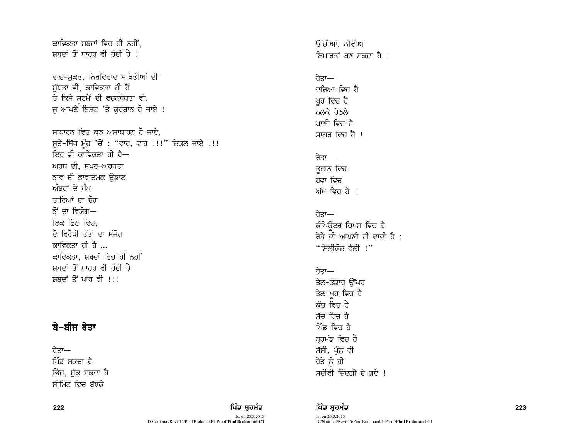# ਕਾਵਿਕਤਾ ਸ਼ਬਦਾਂ ਵਿਚ ਹੀ ਨਹੀਂ. ਸ਼ਬਦਾਂ ਤੋਂ ਬਾਹਰ ਵੀ ਹੰਦੀ ਹੈ ! ਵਾਦ-ਮੁਕਤ, ਨਿਰਵਿਵਾਦ ਸਥਿਤੀਆਂ ਦੀ ਸ਼ੱਧਤਾ ਵੀ, ਕਾਵਿਕਤਾ ਹੀ ਹੈ ਤੇ ਕਿਸੇ ਸੁਰਮੇਂ ਦੀ ਵਚਨਬੱਧਤਾ ਵੀ, ਜੂ ਆਪਣੇ ਇਸ਼ਟ 'ਤੇ ਕੁਰਬਾਨ ਹੋ ਜਾਏ ! ਸਾਧਾਰਨ ਵਿਚ ਕਝ ਅਸਾਧਾਰਨ ਹੋ ਜਾਏ, ਸੁਤੇ–ਸਿੱਧ ਮੁੰਹ 'ਚੋਂ : "ਵਾਹ, ਵਾਹ !!!" ਨਿਕਲ ਜਾਏ !!! ਇਹ ਵੀ ਕਾਵਿਕਤਾ ਹੀ ਹੈ— ਅਰਥ ਦੀ, ਸੁਪਰ-ਅਰਥਤਾ ਭਾਵ ਦੀ ਭਾਵਾਤਮਕ ੳਡਾਣ ਅੰਬਰਾਂ ਦੇ ਪੰਖ ਤਾਰਿਆਂ ਦਾ ਚੋਗ  $\vec{\sigma}$  ਦਾ ਵਿਸ਼ੋਗ— ਇਕ ਛਿਣ ਵਿਚ, ਦੋ ਵਿਰੋਧੀ ਤੱਤਾਂ ਦਾ ਸੰਜੋਗ ਕਾਵਿਕਤਾ ਹੀ ਹੈ ਕਾਵਿਕਤਾ, ਸ਼ਬਦਾਂ ਵਿਚ ਹੀ ਨਹੀਂ ਸ਼ਬਦਾਂ ਤੋਂ ਬਾਹਰ ਵੀ ਹੰਦੀ ਹੈ ਸਬਦਾਂ ਤੋਂ ਪਾਰ ਵੀ ।।।

# ਬੇ−ਬੀਜ ਰੇਤਾ

ਰੇਤਾ— ਖਿੰਡ ਸਕਦਾ ਹੈ ਭਿੱਜ, ਸੱਕ ਸਕਦਾ ਹ<del>ੈ</del> ਸੀਮਿੰਟ ਵਿਚ ਬੱਝਕੇ

ਰੇਤੇ ਨੂੰ ਹੀ ਸਦੀਵੀ ਜ਼ਿੰਦਗੀ ਦੇ ਗਏ !

ਓੱਚੀਆਂ, ਨੀਵੀਆਂ

ਦਰਿਆ ਵਿਚ ਹੈ ਖ਼ਹ ਵਿਚ ਹੈ ਨਲਕੇ ਹੇਨਲੇ ਪਾਣੀ ਵਿਜ ਹੈ ਸਾਗਰ ਵਿਚ ਹੈ !

ਰੇਤਾ—

<u>ਰੇਤਾ—</u> ਤੁਫਾਨ ਵਿਚ ਹਵਾ ਵਿਚ ਅੱਖ ਵਿਜ ਹੈ ।

ਰੇਤਾ—

ਰੇਤਾ $-$ 

ਕੰਪਿੳਟਰ ਚਿਪਸ ਵਿਚ ਹੈ ਰੇਤੇ ਦੀ ਆਪਣੀ ਹੀ ਵਾਦੀ ਹੈ :

 $\lq$ ''ਸਿਲੀਕੋਨ ਵੈਲੀ !''

ਤੇਲ-ਭੰਡਾਰ ਉੱਪਰ ਤੇਲ-ਖ਼ੁਹ ਵਿਚ ਹੈ ਕੱਚ ਵਿਚ ਹੈ ਸੱਚ ਵਿਚ ਹੈ ਪਿੰਡ ਵਿਜ ਹੈ ਬੁਹਮੰਡ ਵਿਚ ਹੈ ਸੱਸੀ, ਪੁੰਨੂੰ ਵੀ

ਇਮਾਰਤਾਂ ਬਣ ਸਕਦਾ ਹੈ ।

222 ਵਿੱਚ **ਸੰਸਾਰ ਵਿੱਚ ਬਹੁਤ ਸੰਸਾਰ ਵਿੱਚ ਬਹੁਤ ਸੰਸਾਰ ਵਿੱਚ ਬਹੁਤ ਸੰਸਾਰ ਵਿੱਚ ਬਹੁਤ ਸੰਸਾਰ ਵਿੱਚ ਬਹੁਤ ਸੰਸਾਰ ਵਿੱਚ ਸੰਸਾਰ ਵਿੱਚ** 

Ist on 25.3.2015 D:/National/Ravi-15/Pind Brahmand/1-Proof/**Pind Brahmand-C1**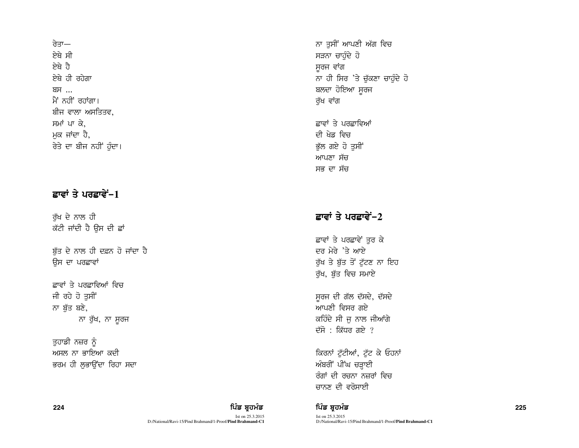ਰੇਤਾ— ਸੇਸੇ ਸੀ ਸੇਸ਼ੇ ਹੈ से ती ततेता ਸ਼ਸ ਮੈਂ ਨਹੀਂ ਰਹਾਂਗਾ। ਬੀਜ ਵਾਲਾ ਅਸਤਿਤਵ. ਸਮਾਂ ਪਾ ਕੇ. ਮਕ ਜਾਂਦਾ ਹੈ, ਰੇਤੇ ਦਾ ਬੀਜ ਨਹੀਂ ਹੁੰਦਾ।

# ਛਾਵਾਂ ਤੇ ਪਰਛਾਵੇਂ-1

ਰੱਖ ਦੇ ਨਾਲ ਹੀ ਕੱਟੀ ਜਾਂਦੀ ਹੈ ਉਸ ਦੀ ਛਾਂ

ਬੱਤ ਦੇ ਨਾਲ ਹੀ ਦਫ਼ਨ ਹੋ ਜਾਂਦਾ ਹੈ ਉਸ ਦਾ ਪਰਛਾਵਾਂ

ਛਾਵਾਂ ਤੇ ਪਰਛਾਵਿਆਂ ਵਿਚ ਜੀ ਰਹੇ ਹੋ ਤੁਸੀਂ ਨਾ ਬੱਤ ਬਣੇ, ਨਾ ਰੁੱਖ, ਨਾ ਸੂਰਜ

ਤੁਹਾਡੀ ਨਜ਼ਰ ਨੂੰ ਅਸਲ ਨਾ ਭਾਇਆ ਕਦੀ ਭਰਮ ਹੀ ਲੁਭਾਉਂਦਾ ਰਿਹਾ ਸਦਾ

## ਪਿੰਡ ਬਹਮੰਡ

Ist on 25.3.2015 D:/National/Ravi-15/Pind Brahmand/1-Proof/Pind Brahmand-C1 ਨਾ ਤਸੀਂ ਆਪਣੀ ਅੱਗ ਵਿਚ ਸੜਨਾ ਚਾਹੁੰਦੇ ਹੋ ਸਰਜ ਵਾਂਗ ਨਾ ਹੀ ਸਿਰ 'ਤੇ ਚੁੱਕਣਾ ਚਾਹੁੰਦੇ ਹੋ ਬਲਦਾ ਹੋਇਆ ਸੂਰਜ ਰੁੱਖ ਵਾਂਗ ਛਾਵਾਂ ਤੇ ਪਰਛਾਵਿਆਂ

ਦੀ ਖੇਡ ਵਿਚ ਭੁੱਲ ਗਏ ਹੋ ਤੁਸੀਂ ਆਪਣਾ ਸੱਜ ਸਭ ਦਾ ਸੱਚ

# ਛਾਵਾਂ ਤੇ ਪਰਛਾਵੇਂ- $2$

ਛਾਵਾਂ ਤੇ ਪਰਛਾਵੇਂ ਤੁਰ ਕੇ ਦਰ ਮੇਰੇ 'ਤੇ ਆਏ ਰੁੱਖ ਤੇ ਬੁੱਤ ਤੋਂ ਟੁੱਟਣ ਨਾ ਇਹ ਰੱਖ, ਬੱਤ ਵਿਚ ਸਮਾਏ

ਸੁਰਜ ਦੀ ਗੱਲ ਦੱਸਦੇ, ਦੱਸਦੇ ਆਪਣੀ ਵਿਸਰ ਗਏ ਕਹਿੰਦੇ ਸੀ ਜ ਨਾਲ ਜੀਆਂਗੇ ਦੱਸੋ : ਕਿੱਧਰ ਗਏ  $?$ 

ਕਿਰਨਾਂ ਟੱਟੀਆਂ, ਟੱਟ ਕੇ ਓਹਨਾਂ ਅੰਬਰੀਂ ਪੀਂਘ ਚੜ੍ਹਾਈ ਰੰਗਾਂ ਦੀ ਰਚਨਾ ਨਜ਼ਰਾਂ ਵਿਚ ਚਾਨਣ ਦੀ ਵਰੋਸਾਈ

ਪਿੰਡ ਬ੍ਰਹਮੰਡ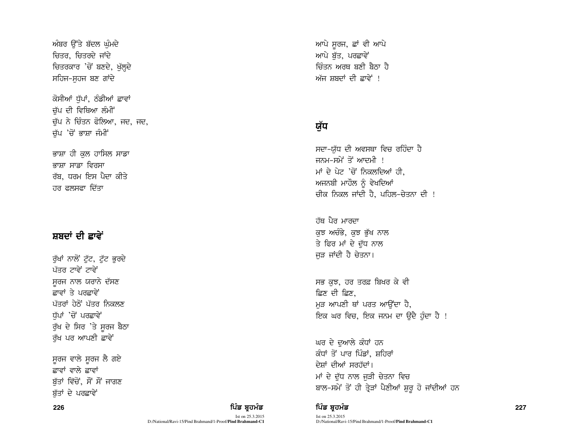ਅੰਬਰ ਉੱਤੇ ਬੱਦਲ ਘੰਮਦੇ ਚਿਤਰ, ਚਿਤਰਦੇ ਜਾਂਦੇ ਚਿਤਰਕਾਰ 'ਚੋਂ ਬਣਦੇ, ਖੁੱਲ੍ਹਦੇ ਸਹਿਜ-ਸਹਜ ਬਣ ਗਾਂਦੇ

ਕੋਸੀਆਂ ਧੱਪਾਂ, ਠੰਡੀਆਂ ਛਾਵਾਂ ਚੱਪ ਦੀ ਵਿਥਿਆ ਲੰਮੀਂ ਚੁੱਪ ਨੇ ਚਿੰਤਨ ਫੋਲਿਆ, ਜਦ, ਜਦ, ਚੱਪ 'ਚੋਂ ਭਾਸ਼ਾ ਜੰਮੀਂ

ਭਾਸ਼ਾ ਹੀ ਕੁਲ ਹਾਸਿਲ ਸਾਡਾ ਕਾਸਾ ਸਾਡ਼ਾ ਵਿਰਸਾ ਰੱਬ, ਧਰਮ ਇਸ ਪੈਦਾ ਕੀਤੇ ਹਰ ਫਲਸਫਾ ਦਿੱਤਾ

## ਸ਼ਬਦਾਂ ਦੀ ਛਾਵੇਂ

ਰੱਖਾਂ ਨਾਲੋਂ ਟੱਟ, ਟੱਟ ਭਰਦੇ ਪੱਤਰ ਟਾਵੇਂ ਟਾਵੇਂ ਸਰਜ ਨਾਲ ਯਰਾਨੇ ਦੱਸਣ ਫ਼ਾਵਾਂ ਤੇ ਪਰਫ਼ਾਵੇਂ ਪੱਤਰਾਂ ਹੇਠੋਂ ਪੱਤਰ ਨਿਕਲਣ ਧੱਪਾਂ 'ਚੋਂ ਪਰਛਾਵੇਂ ਰੁੱਖ ਦੇ ਸਿਰ 'ਤੇ ਸੁਰਜ ਬੈਠਾ ਰੱਖ ਪਰ ਆਪਣੀ ਛਾਵੇਂ

ਸੂਰਜ ਵਾਲੇ ਸੂਰਜ ਲੈ ਗਏ ਫ਼ਾਵਾਂ ਵਾਲੇ ਫ਼ਾਵਾਂ ਬੱਤਾਂ ਵਿੱਚੋਂ, ਸੌਂ ਸੌਂ ਜਾਗਣ ਬੱਤਾਂ ਦੇ ਪਰਛਾਵੇਂ

226 ਵਿੱਚ **ਸੰਸਾਰ ਵਿੱਚ ਬਹੁਤ ਸੰਸਾਰ ਵਿੱਚ ਬਹੁਤ ਸੰਸਾਰ ਵਿੱਚ ਬਹੁਤ ਸੰਸਾਰ ਵਿੱਚ ਬਹੁਤ ਸੰਸਾਰ ਵਿੱਚ ਬਹੁਤ ਸੰਸਾਰ ਵਿੱਚ ਸੰਸਾਰ ਵਿੱਚ** 

Ist on 25.3.2015 D:/National/Ravi-15/Pind Brahmand/1-Proof/**Pind Brahmand-C1** ਆਪੇ ਸਰਜ, ਛਾਂ ਵੀ ਆਪੇ ਆਪੇ ਬੱਤ, ਪਰਛਾਵੇਂ ਜ਼ਿੰਤਨ ਅਰਥ ਬਣੀ ਬੈਨਾ ਹੈ ਅੱਜ ਸ਼ਬਦਾਂ ਦੀ ਛਾਵੇਂ !

# ਯੱਧ

ਸਦਾ-ਯੱਧ ਦੀ ਅਵਸਥਾ ਵਿਚ ਰਹਿੰਦਾ ਹੈ ਜਨਮ-ਸਮੇਂ $\vec{B}$  ਆਦਮੀ ! ਮਾਂ ਦੇ ਪੇਟ 'ਚੋਂ ਨਿਕਲਦਿਆਂ ਹੀ, ਅਜਨਬੀ ਮਾਹੌਲ ਨੂੰ ਵੇਖਦਿਆਂ ਚੀਕ ਨਿਕਲ ਜਾਂਦੀ ਹੈ, ਪਹਿਲ-ਚੇਤਨਾ ਦੀ !

<u>ਹੱਥ ਪੈਰ ਮਾਰਦਾ</u> ਕੁਝ ਅਚੰਭੇ, ਕੁਝ ਭੁੱਖ ਨਾਲ ਤੇ ਫਿਰ ਮਾਂ ਦੇ ਦੁੱਧ ਨਾਲ ਜੜ ਜਾਂਦੀ ਹੈ ਚੇਤਨਾ।

ਸਭ ਕਝ, ਹਰ ਤਰਫ਼ ਬਿਖਰ ਕੇ ਵੀ ਛਿਣ ਦੀ ਛਿਣ, ਮੜ ਆਪਣੀ ਥਾਂ ਪਰਤ ਆਉਂਦਾ ਹੈ, ਇਕ ਘਰ ਵਿਚ, ਇਕ ਜਨਮ ਦਾ ੳਦੈ ਹੰਦਾ ਹੈ !

ਘਰ ਦੇ ਦੁਆਲੇ ਕੰਧਾਂ ਹਨ ਕੰਧਾਂ ਤੋਂ ਪਾਰ ਪਿੰਡਾਂ, ਸ਼ਹਿਰਾਂ ਦੇਸ਼ਾਂ ਦੀਆਂ ਸਰਹੱਦਾਂ। ਮਾਂ ਦੇ ਦੁੱਧ ਨਾਲ ਜੁੜੀ ਚੇਤਨਾ ਵਿਚ ਬਾਲ-ਸਮੇਂ ਤੋਂ ਹੀ ਤ੍ਰੇੜਾਂ ਪੈਣੀਆਂ ਸ਼ੁਰੂ ਹੋ ਜਾਂਦੀਆਂ ਹਨ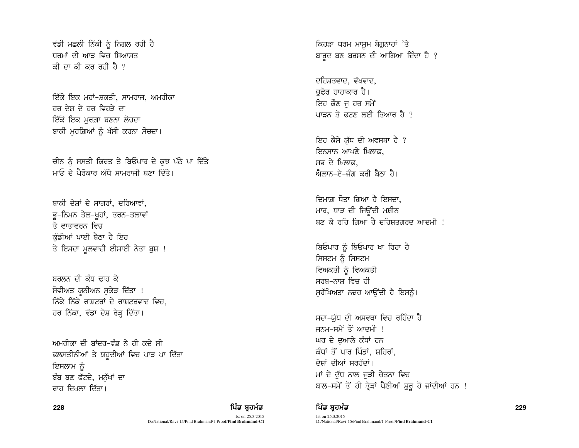ਵੱਡੀ ਮਛਲੀ ਨਿੱਕੀ ਨੂੰ ਨਿਗਲ ਰਹੀ ਹ<u>ੈ</u> ਧਰਮਾਂ ਦੀ ਆੜ ਵਿਚ ਸਿਆਸਤ ਕੀ ਦਾ ਕੀ ਕਰ ਰਹੀ ਹੈ  $\ell$ 

ਇੱਕੋ ਇਕ ਮਹਾਂ-ਸ਼ਕਤੀ, ਸਾਮਰਾਜ, ਅਮਰੀਕਾ ਹਰ ਦੇਸ਼ ਦੇ ਹਰ ਵਿਹਤੇ ਦਾ ਇੱਕੋ ਇਕ ਮਰਗ਼ਾ ਬਣਨਾ ਲ<del>ੋ</del>ਚਦਾ ਬਾਕੀ ਮੁਰਗ਼ਿਆਂ ਨੂੰ ਖੱਸੀ ਕਰਨਾ ਸੋਚਦਾ।

ਚੀਨ ਨੂੰ ਸਸਤੀ ਕਿਰਤ ਤੇ ਬਿਓਪਾਰ ਦੇ ਕੁਝ ਪੱਠੇ ਪਾ ਦਿੱਤੇ ਮਾਓ ਦੇ ਪੈਰੋਕਾਰ ਅੱਧੇ ਸਾਮਰਾਜੀ ਸਨਾ ਦਿੱਤੇ।

ਬਾਕੀ ਦੇਸ਼ਾਂ ਦੇ ਸਾਗਰਾਂ, ਦਰਿਆਵਾਂ, ਭੂ-ਨਿਮਨ ਤੇਲ-ਖੁਹਾਂ, ਤਰਨ-ਤਲਾਵਾਂ ਤੇ ਵਾਤਾਵਰਨ ਵਿਚ ਕੰਡੀਆਂ ਪਾਈ ਬੈਠਾ ਹੈ ਇਹ ਤੇ ਇਸਦਾ ਮੁਲਵਾਦੀ ਈਸਾਈ ਨੇਤਾ ਬੁਸ਼ !

ਬਰਲਨ ਦੀ ਕੰਧ ਢਾਹ ਕੇ ਸੋਵੀਅਤ ਯਨੀਅਨ ਸਕੇੜ ਦਿੱਤਾ ! ਨਿੱਕੇ ਨਿੱਕੇ ਰਾਸ਼ਟਰਾਂ ਦੇ ਰਾਸ਼ਟਰਵਾਦ ਵਿਚ. ਹਰ ਨਿੱਕਾ, ਵੱਡਾ ਦੇਸ਼ ਰੇੜ੍ਹ ਦਿੱਤਾ।

ਅਮਰੀਕਾ ਦੀ ਸ਼ਾਂਦਰ–ਵੰਡ ਨੇ ਹੀ ਕਦੇ ਸੀ ਫਲਸਤੀਨੀਆਂ ਤੇ ਯਹੂਦੀਆਂ ਵਿਚ ਪਾੜ ਪਾ ਦਿੱਤਾ ਇਸਲਾਮ ਨੰ ਬੰਬ ਬਣ ਫੱਟਦੇ, ਮਨੱਖਾਂ ਦਾ ਰਾਹ ਦਿਖਲਾ ਦਿੱਤਾ।

Ist on 25.3.2015 D:/National/Ravi-15/Pind Brahmand/1-Proof/**Pind Brahmand-C1** ਕਿਹੜਾ ਧਰਮ ਮਾਸਮ ਬੇਗਨਾਹਾਂ 'ਤੇ ਬਾਰਦ ਬਣ ਬਰਸਨ ਦੀ ਆਗਿਆ ਦਿੰਦਾ ਹੈ ?

ਦਹਿਸ਼ਤਵਾਦ, ਵੱਖਵਾਦ, ਚਫੇਰ ਹਾਹਾਕਾਰ ਹੈ। ਇਹ ਕੌਣ ਜ ਹਰ ਸਮੇਂ ਪਾਤਨ ਤੇ ਫਟਣ ਲਈ ਤਿਆਰ ਹੈ  $\ell$ 

ਇਹ ਕੈਸੇ ਯੱਧ ਦੀ ਅਵਸਥਾ ਹੈ ? ਇਨਸਾਨ ਆਪਣੇ ਖ਼ਿਲਾਫ਼, ਸਭ ਦੇ ਖ਼ਿਲਾਫ਼.  $\hat{\mathcal{B}}$ ਲਾਨ–ਏ–ਜੰਗ ਕਰੀ ਸੈਨਾ ਹੈ।

ਦਿਮਾਗ਼ ਧੋਤਾ ਗਿਆ ਹੈ ਇਸਦਾ. ਮਾਰ, ਧਾੜ ਦੀ ਜਿਉਂਦੀ ਮਸ਼ੀਨ <u>ਬਣ ਕੇ ਰਹਿ ਗਿਆ ਹੈ ਦਹਿਸ਼ਤਗਰਦ ਆਦਮੀ !</u>

ਬਿਓਪਾਰ ਨੰ ਬਿਓਪਾਰ ਖਾ ਰਿਹਾ ਹੈ ਸਿਸਟਮ ਨੂੰ ਸਿਸਟਮ ਵਿਅਕਤੀ ਨੂੰ ਵਿਅਕਤੀ ਸਰਬ-ਨਾਸ਼ ਵਿਚ ਹੀ ਸਰੱਖਿਅਤਾ ਨਜ਼ਰ ਆਉਂਦੀ ਹੈ ਇਸਨੰ।

ਸਦਾ–ਯੱਧ ਦੀ ਅਸਵਥਾ ਵਿਚ ਰਹਿੰਦਾ ਹੈ ਜਨਮ-ਸਮੇਂ ਤੋਂ ਆਦਮੀ ! ਘਰ ਦੇ ਦੁਆਲੇ ਕੰਧਾਂ ਹਨ ਕੰਧਾਂ ਤੋਂ ਪਾਰ ਪਿੰਡਾਂ, ਸ਼ਹਿਰਾਂ, ਦੇਸ਼ਾਂ ਦੀਆਂ ਸਰਹੱਦਾਂ। ਮਾਂ ਦੇ ਦੱਧ ਨਾਲ ਜੜੀ ਚੇਤਨਾ ਵਿਚ ਬਾਲ-ਸਮੇਂ ਤੋਂ ਹੀ ਤ੍ਰੇੜਾਂ ਪੈਣੀਆਂ ਸ਼ੁਰੂ ਹੋ ਜਾਂਦੀਆਂ ਹਨ !

### 228 ਵਿੱਚ **ਸ਼ਹਿਰ ਦੀ ਸ਼ਹਿਰ ਦੀ ਇੱਕ ਬ੍ਰਹਮੰਡ ਦਾ ਸ਼ਹਿਰ ਦੀ ਸ਼ਹਿਰ ਦੀ ਸ਼ਹਿਰ ਦੀ ਸ਼ਹਿਰ ਦੀ ਸ਼ਹਿਰ ਦੀ ਸ਼ਹਿਰ ਦੀ ਸ਼ਹਿਰ ਦੀ ਸ਼ਹਿਰ**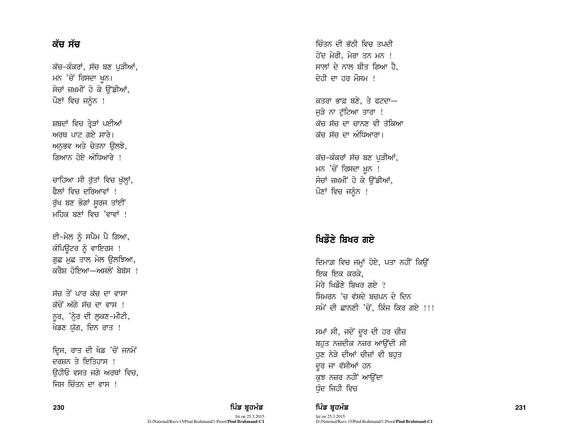## ਕੱਚ ਸੱਚ

ਕੱਚ-ਕੰਕਰਾਂ, ਸੱਚ ਬਣ ਪੁੜੀਆਂ, ਮਨ 'ਚੋਂ ਰਿਸਦਾ ਖੁਨ। ਸੋਚਾਂ ਜ਼ਖ਼ਮੀਂ ਹੋ ਕੇ ਉੱਡੀਆਂ, ਪੌਣਾਂ ਵਿਚ ਜਨੂੰਨ !

ਸ਼ਬਦਾਂ ਵਿਚ ਤੇੜਾਂ ਪਈਆਂ ਅਰਥ ਪਾਟ ਗਏ ਸਾਰੇ। ਅਨੁਭਵ ਅਤੇ ਚੇਤਨਾ ਉਲਝੇ, ਗਿਆਨ ਹੋਏ ਅੰਧਿਆਰੇ ।

ਚਾਹਿਆ ਸੀ ਰੁੱਤਾਂ ਵਿਚ ਖੁੱਲ੍ਹਾਂ, ਫ਼ੈਲਾਂ ਵਿਜ ਦੂਰਿਆਵਾਂ । ਰੁੱਖ ਬਣ ਭੋਗਾਂ ਸੁਰਜ ਤਾਂਈਂ ਮਹਿਕ ਬਣਾਂ ਵਿਚ 'ਵਾਵਾਂ !

ਈ-ਮੇਲ ਨੂੰ ਸਪੈਮ ਪੈ ਗਿਆ, ਕੰਪਿਉਟਰ ਨੂੰ ਵਾਇਰਸ ! ਗਛ ਮਛ ਤਾਲ ਮੇਲ ੳਲਝਿਆ, ਕਰੈਸ਼ ਹੋਇਆ—ਅਸਲੋਂ ਬੇਬੱਸ !

ਸੱਚ ਤੋਂ ਪਾਰ ਕੱਚ ਦਾ ਵਾਸਾ ਕੱਚੋਂ ਅੱਗੇ ਸੱਚ ਦਾ ਵਾਸ ! ਨੁਰ, 'ਨ੍ਹੇਰ ਦੀ ਲੁਕਣ-ਮੀਟੀ, ਖੇਡਣ ਯੱਗ, ਦਿਨ ਰਾਤ !

ਦ੍ਰਿਸ, ਰਾਤ ਦੀ ਖੇਡ 'ਚੋਂ ਜਨਮੇਂ ਦਰਸ਼ਨ ਤੇ ਇਤਿਹਾਸ <del>।</del> ੳਹੀਓ ਵਸਤ ਜਗੇ ਅਰਥਾਂ ਵਿਚ, ਜਿਸ ਚਿੰਤਨ ਦਾ ਵਾਸ !

ਚਿੰਤਨ ਦੀ ਭੱਨੀ ਵਿਚ ਤਪਦੀ ਹੋਂਦ ਮੇਰੀ. ਮੇਰਾ ਤਨ ਮਨ ! ਸਾਲਾਂ ਦੇ ਨਾਲ ਬੀਤ ਗਿਆ ਹੈ. ਦੇਹੀ ਦਾ ਹਰ ਮੌਸਮ !

ਕਤਰਾ ਭਾਫ਼ ਬਣੇ. ਤੇ ਫਟਦਾ-ਜੜੇ ਨਾ ਟੱਟਿਆ ਤਾਰਾ ! ਕੱਚ ਸੱਚ ਦਾ ਚਾਨਣ ਵੀ ਤੱਕਿਆ ਕੱਚ ਸੱਚ ਦਾ ਅੰਧਿਆਰਾ।

ਕੱਚ-ਕੰਕਰਾਂ ਸੱਚ ਬਣ ਪੜੀਆਂ, ਮਨ 'ਚੋਂ ਰਿਸਦਾ ਖ਼ੁਨ ! ਸੋਚਾਂ ਜ਼ਖ਼ਮੀਂ ਹੋ ਕੇ ਉੱਡੀਆਂ, ਪੌਣਾਂ ਵਿਚ ਜਨੰਨ !

## ਖਿਡੌਣੇ ਬਿਖਰ ਗਏ

ਦਿਮਾਗ਼ ਵਿਚ ਜਮ੍ਹਾਂ ਹੋਏ, ਪਤਾ ਨਹੀਂ ਕਿਉਂ ਇਕ ਇਕ ਕਰਕੇ. ਮੇਰੇ ਖਿਡੌਣੇ ਬਿਖਰ ਗਏ ? ਸਿਮਰਨ 'ਚ ਵੱਸਦੇ ਬਚਪਨ ਦੇ ਦਿਨ ਸਮੇਂ ਦੀ ਛਾਨਣੀ 'ਚੋਂ, ਕਿੰਜ ਕਿਰ ਗਏ !!!

ਸਮਾਂ ਸੀ, ਜਦੋਂ ਦੂਰ ਦੀ ਹਰ ਚੀਜ਼ ਬਹਤ ਨਜ਼ਦੀਕ ਨਜ਼ਰ ਆੳਂਦੀ ਸੀ ਹੁਣ ਨੇੜੇ ਦੀਆਂ ਚੀਜ਼ਾਂ ਵੀ ਬਹੁਤ ਦੂਰ ਜਾ ਵੱਸੀਆਂ ਹਨ ਕਝ ਨਜ਼ਰ ਨਹੀਂ ਆਉਂਦਾ ਧੁੰਦ ਜਿਹੀ ਵਿਚ

## ਪਿੰਡ ਬਹਮੰਡ

ਪਿੰਡ ਬਹਮੰਡ

D:/National/Ravi-15/Pind Brahmand/1-Proof/Pind Brahmand-C1

Ist on 25.3.2015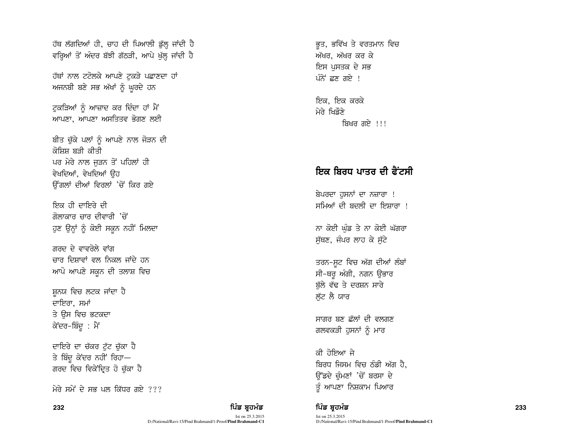ਹੱਥ ਲੱਗਦਿਆਂ ਹੀ, ਚਾਹ ਦੀ ਪਿਆਲੀ ਡੁੱਲ੍ਹ ਜਾਂਦੀ ਹੈ ਵਰ੍ਹਿਆਂ ਤੋਂ ਅੰਦਰ ਬੱਝੀ ਗੱਠੜੀ, ਆਪੇ ਖੁੱਲ੍ਹ ਜਾਂਦੀ ਹੈ

ਹੱਥਾਂ ਨਾਲ ਟਟੋਲਕੇ ਆਪਣੇ ਟਕੜੇ ਪਛਾਣਦਾ ਹਾਂ ਅਜਨਬੀ ਬਣੇ ਸਭ ਅੱਖਾਂ ਨੂੰ ਘਰਦੇ ਹਨ

ਟਕੜਿਆਂ ਨੂੰ ਆਜ਼ਾਦ ਕਰ ਦਿੰਦਾ ਹਾਂ ਮੈਂ ਆਪਣਾ, ਆਪਣਾ ਅਸਤਿਤਵ ਭੋਗਣ ਲਈ

ਬੀਤ ਚੁੱਕੇ ਪਲਾਂ ਨੂੰ ਆਪਣੇ ਨਾਲ ਜੋੜਨ ਦੀ ਨੋਸਿਸ ਸੂਤੀ ਕੀਤੀ ਪਰ ਮੇਰੇ ਨਾਲ ਜੜਨ ਤੋਂ ਪਹਿਲਾਂ ਹੀ ਵੇਖਦਿਆਂ, ਵੇਖਦਿਆਂ ੳਹ ਉੰਗਲਾਂ ਦੀਆਂ ਵਿਰਲਾਂ 'ਚੋਂ ਕਿਰ ਗਏ

ਇਕ ਹੀ ਦਾਇਰੇ ਦੀ ਗੋਲਾਕਾਰ ਚਾਰ ਦੀਵਾਰੀ *'*ਚੋਂ ਹੁਣ ਉਨ੍ਹਾਂ ਨੂੰ ਕੋਈ ਸਕੂਨ ਨਹੀਂ ਮਿਲਦਾ

ਗਰਦ ਦੇ ਵਾਵਰੋਲੇ ਵਾਂਗ ਚਾਰ ਦਿਸ਼ਾਵਾਂ ਵਲ ਨਿਕਲ ਜਾਂਦੇ ਹਨ ਆਪੋ ਆਪਣੇ ਸਕੂਨ ਦੀ ਤਲਾਸ਼ ਵਿਚ

ਸ਼ਨਯ ਵਿਚ ਲਟਕ ਜਾਂਦਾ ਹੈ ਦਾਇਰਾ, ਸਮਾਂ ਤੇ ਉਸ ਵਿਚ ਭਟਕਦਾ ਕੇਂਦਰ-ਬਿੰਦੂ : ਮੈਂ

ਦਾਇਰੇ ਦਾ ਚੱਕਰ ਟੱਟ ਚੱਕਾ ਹੈ ਤੇ ਬਿੰਦੂ ਕੇਂਦਰ ਨਹੀਂ ਰਿਹਾ— ਗਰਦ ਵਿਚ ਵਿਕੇਂਦ੍ਰਿਤ ਹੋ ਚੁੱਕਾ ਹੈ

ਮੇਰੇ ਸਮੇਂ ਦੇ ਸਭ ਪਲ ਕਿੱਧਰ ਗਏ ???

232 ਵਿੱਚ **ਸੰਸਾਰ ਵਿੱਚ ਬਹੁਤ ਸਿੰਘ ਸ਼ਹਿਰ ਦੀ ਸੰਸਾਰ ਵਿੱਚ ਬਹੁਤ ਸੰਸਾਰ ਵਿੱਚ ਬਹੁਤ ਸੰਸਾਰ ਵਿੱਚ ਬਹੁਤ ਸੰਸਾਰ ਵਿੱਚ ਸੰਸਾਰ ਵਿੱਚ 1233 ਵ** Ist on 25.3.2015 D:/National/Ravi-15/Pind Brahmand/1-Proof/**Pind Brahmand-C1**

ਭਤ, ਭਵਿੱਖ ਤੇ ਵਰਤਮਾਨ ਵਿਚ ਅੱਖਰ, ਅੱਖਰ ਕਰ ਕੇ ਇਸ ਪਸਤਕ ਦੇ ਸਭ  $\hat{u}$ ਨੇ ਛਣ ਗਏ !

ਇਕ, ਇਕ ਕਰਕੇ ਮੇਰੇ ਖਿਡੌਣੇ ਸ਼ਿਖਰ ਗਏ $\vert$ !!

# <u>ਇਕ ਬਿਰਧ ਪਾਤਰ ਦੀ ਫੈੱਟਸੀ</u>

ਬੇਪਰਦਾ ਹੁਸਨਾਂ ਦਾ ਨਜ਼ਾਰਾ ! ਸਮਿਆਂ ਦੀ ਬਦਲੀ ਦਾ ਇਸ਼ਾਰਾ !

ਨਾ ਕੋਈ ਘੁੰਡ ਤੇ ਨਾ ਕੋਈ ਘੱਗਰਾ ਸੱਥਣ, ਜੰਪਰ ਲਾਹ ਕੇ ਸੱਟੇ

ਤਰਨ-ਸੁਟ ਵਿਚ ਅੱਗ ਦੀਆਂ ਲੰਬਾਂ ਸੀ-ਥਰੂ ਅੰਗੀ, ਨਗਨ ਉਭਾਰ ਬੱਲੇ ਵੱਢ ਤੇ ਦਰਸ਼ਨ ਸਾਰੇ ਲੁੱਟ ਲੈ ਯਾਰ

<u>ਸਾਗਰ ਬਣ ਛੱਲਾਂ ਦੀ ਵਲਗਣ</u> ਗਲਵਕੜੀ ਹੁਸਨਾਂ ਨੂੰ ਮਾਰ

ਕੀ ਹੋਇਆ ਜੇ ਬਿਰਧ ਜਿਸਮ ਵਿਚ ਠੰਡੀ ਅੱਗ ਹੈ, ਓੱਡਦੇ ਚੰਮਣਾਂ 'ਚੋਂ ਬਰਸਾ ਦੇ ਤੂੰ ਆਪਣਾ ਨਿਸ਼ਕਾਮ ਪਿਆਰ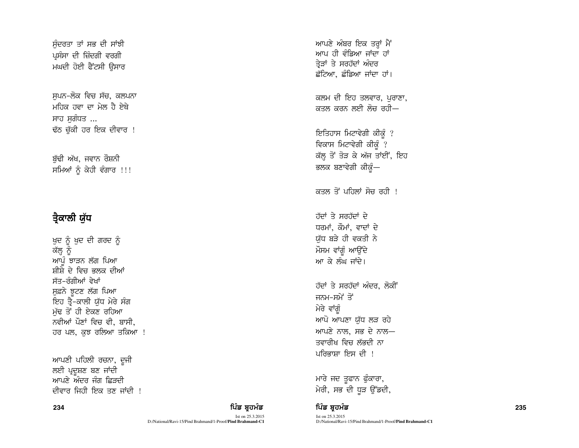ਸੰਦਰਤਾ ਤਾਂ ਸਭ ਦੀ ਸਾਂਝੀ ਪਸੰਸਾ ਦੀ ਜ਼ਿੰਦਗੀ ਵਰਗੀ ਮਘਦੀ ਹੋਈ ਫੈਂਟਸੀ ਉਸਾਰ

ਸਪਨ-ਲੋਕ ਵਿਚ ਸੱਚ, ਕਲਪਨਾ ਮਹਿਕ ਹਵਾ ਦਾ ਮੇਲ ਹੈ ਏਥੇ ਸਾਹ ਸਗੰਧਤ ... ਢੱਠ ਚੁੱਕੀ ਹਰ ਇਕ ਦੀਵਾਰ !

ਬੱਢੀ ਅੱਖ, ਜਵਾਨ ਰੌਸ਼ਨ<u>ੀ</u> ਸਮਿਆਂ ਨੂੰ ਕੇਹੀ ਵੰਗਾਰ !!!

# ਤੈਕਾਲੀ ਯੱਧ

ਖੁਦ ਨੂੰ ਖੁਦ ਦੀ ਗਰਦ ਨੂੰ ਕੱਲ੍ਹ ਨੂੰ ਆਪੂੰ ਝਾੜਨ ਲੱਗ ਪਿਆ ਸ਼ੀਸ਼ੇ ਦੇ ਵਿਚ ਭਲਕ ਦੀਆਂ ਸੱਤ–ਰੰਗੀਆਂ ਵੇਖਾਂ ਸਫ਼ਨੇ ਝਟਣ ਲੱਗ ਪਿਆ ਇਹ ਤ੍ਰੈ-ਕਾਲੀ ਯੱਧ ਮੇਰੇ ਸੰਗ ਮੁੱਢ ਤੋਂ ਹੀ ਏਕਣ ਰਹਿਆ ਨਵੀਆਂ ਪੌਣਾਂ ਵਿਚ ਵੀ, ਬਾਸੀ, ਹਰ ਪਲ, ਕਝ ਰਲਿਆ ਤਕਿਆ !

ਆਪਣੀ ਪਹਿਲੀ ਰਚਨਾ, ਦੂਜੀ ਲਈ ਪ੍ਰਦੂਸ਼ਣ ਬਣ ਜਾਂਦੀ ਆਪਣੇ ਅੰਦਰ ਜੰਗ ਛਿਤਦੀ ਦੀਵਾਰ ਜਿਹੀ ਇਕ ਤਣ ਜਾਂਦੀ  $!$  ਆਪਣੇ ਅੰਬਰ ਇਕ ਤਰ੍ਹਾਂ ਮੈਂ ਆਪ ਹੀ ਵੰਡਿਆ ਜਾਂਦਾ ਹਾਂ ਤੇੜਾਂ ਤੇ ਸਰਹੱਦਾਂ ਅੰਦਰ ਛੱਟਿਆ, ਛੰਡਿਆ ਜਾਂਦਾ ਹਾਂ।

ਕਲਮ ਦੀ ਇਹ ਤਲਵਾਰ, ਪਰਾਣਾ, ਕਤਲ ਕਰਨ ਲਈ ਲੋਚ ਰਹੀ $-$ 

ਇਤਿਹਾਸ ਮਿਟਾਵੇਗੀ ਕੀਕੁੰ ? ਵਿਕਾਸ ਮਿਟਾਵੇਗੀ ਕੀਕ<u>ੰ</u> ? ਕੱਲ੍ਹ ਤੋਂ ਤੋੜ ਕੇ ਅੱਜ ਤਾਂਈਂ, ਇਹ ਭਲਕ ਬਣਾਵੇਗੀ ਕੀਕੁੰ—

ਕਤਲ ਤੋਂ ਪਹਿਲਾਂ ਸੋਚ ਰਹੀ ।

ਹੱਦਾਂ ਤੇ ਸਰਹੱਦਾਂ ਦੇ ਧਰਮਾਂ, ਕੌਮਾਂ, ਵਾਦਾਂ ਦੇ ਯੱਧ ਬੜੇ ਹੀ ਵਕਤੀ ਨੇ ਮੌਸਮ ਵਾਂਗੂੰ ਆਉਂਦੇ ਆ ਕੇ ਲੰਘ ਜਾਂਦੇ।

ਹੱਦਾਂ ਤੇ ਸਰਹੱਦਾਂ ਅੰਦਰ, ਲੋਕੀ<sup>:</sup> ਜਨਮ-ਸਮੇਂ ਤੋਂ ਮੇਰੇ ਵਾਂਗੰ ਆਪੋ ਆਪਣਾ ਯੱਧ ਲੜ ਰਹੇ ਆਪਣੇ ਨਾਲ, ਸਭ ਦੇ ਨਾਲ $-$ ਤਵਾਰੀਖ ਵਿਚ ਲੱਭਦੀ ਨਾ ਪਰਿਕਾਸ਼ਾ ਇਸ ਦੀ ।

ਮਾਰੇ ਜਦ ਤੁਫਾਨ ਫੁੰਕਾਰਾ, ਮੇਰੀ, ਸਭ ਦੀ ਧੁੜ ਉੱਡਦੀ,

## 234 ਵਿੱਚ **ਸ਼ਹਿਰ ਦੀ ਸ਼ਹਿਰ ਦੀ ਇੱਕ ਬ੍ਰਹਮੰਡ ਦਾ ਸ਼ਹਿਰ ਦੀ ਸ਼ਹਿਰ ਦੀ ਸ਼ਹਿਰ ਦੀ ਸ਼ਹਿਰ ਦੀ ਸ਼ਹਿਰ ਦੀ ਸ਼ਹਿਰ ਦੀ ਸ਼ਹਿਰ ਦੀ ਸ਼ਹਿਰ**

Ist on 25.3.2015

D:/National/Ravi-15/Pind Brahmand/1-Proof/**Pind Brahmand-C1**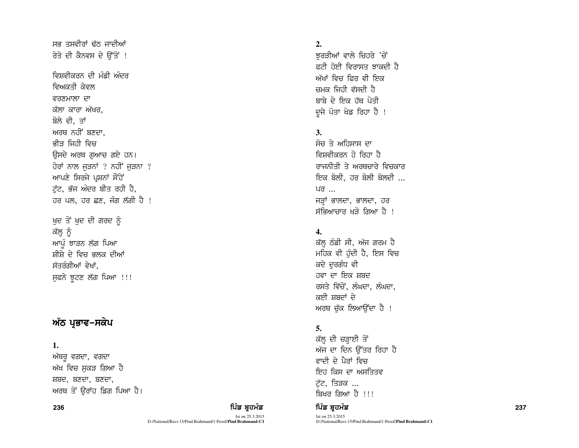ਰੇਤੇ ਦੀ ਕੈਨਵਸ ਦੇ ਉੱਤੋਂ ! ਵਿਸ਼ਵੀਕਰਨ ਦੀ ਮੰਡੀ ਅੰਦਰ ਵਿਅਕਤੀ ਕੇਵਲ ਵਰਣਮਾਲਾ ਦਾ ਕੱਲਾ ਕਾਰਾ ਅੱਖਰ. ਬੋਲੇ ਵੀ, ਤਾਂ ਅਰਥ ਨਹੀਂ ਬਣਦਾ. ਭੀਤ ਜਿਹੀ ਵਿਚ ਉਸਦੇ ਅਰਥ ਗਆਚ ਗਏ ਹਨ। ਹੋਰਾਂ ਨਾਲ ਜੁੜਨਾਂ ? ਨਹੀਂ ਜੁੜਨਾ ? ਆਪਣੇ ਸਿਰਜੇ ਪੁਸ਼ਨਾਂ ਸੌਂਹੇ ਟੱਟ, ਭੱਜ ਅੰਦਰ ਬੀਤ ਰਹੀ ਹੈ, ਹਰ ਪਲ, ਹਰ ਛਣ, ਜੰਗ ਲੱਗੀ ਹੈ !

ਸਭ ਤਸਵੀਰਾਂ ਢੱਨ ਜਾਦੀਆਂ

ਖੁਦ ਤੋਂ ਖੁਦ ਦੀ ਗਰਦ ਨੂੰ ਕੱਲ੍ਹ ਨੂੰ ਆਪੰ ਝਾੜਨ ਲੱਗ ਪਿਆ ਸ਼ੀਸ਼ੇ ਦੇ ਵਿਚ ਭਲਕ ਦੀਆਂ ਸੱਤਰੰਗੀਆਂ ਵੇਖਾਂ. ਸੁਫਨੇ ਝੁਟਣ ਲੱਗ ਪਿਆ !!!

# ਅੱਠ ਪਭਾਵ−ਸਕੇਪ

### 1.

ਅੱਥਰ ਵਗਦਾ, ਵਗਦਾ ਅੱਖ ਵਿਚ ਸਕੜ ਗਿਆ ਹੈ ਸ਼ਬਦ, ਬਣਦਾ, ਬਣਦਾ, ਅਰਥ ਤੋਂ ਉਰਾਂਹ ਡਿਗ ਪਿਆ ਹੈ।

#### 236

## ਪਿੰਡ ਬ੍ਰਹਮੰਡ

Ist on 25.3.2015 D:/National/Ravi-15/Pind Brahmand/1-Proof/Pind Brahmand-C1

### $2.$

ਝਰੜੀਆਂ ਵਾਲੇ ਚਿਹਰੇ 'ਚੋਂ ਫਟੀ ਹੋਈ ਵਿਰਾਸਤ ਝਾਕਦੀ ਹ<u>ੈ</u> ਅੱਖਾਂ ਵਿਚ ਫਿਰ ਵੀ ਇਕ ਜਮਕ ਜਿਹੀ ਵੱਸਦੀ ਹੈ ਬਾਬੇ ਦੇ ਇਕ ਹੱਥ ਪੋਤੀ ਦੂਜੇ ਪੋਤਾ ਖੇਡ ਰਿਹਾ ਹੈ !

## $3.$

ਸੋਜ਼ ਤੇ ਅਹਿਸਾਸ ਦਾ ਵਿਸਵੀਕਰਨ ਹੋ ਰਿਹਾ ਹੈ ਰਾਜਨੀਤੀ ਤੇ ਅਰਥਚਾਰੇ ਵਿਚਕਾਰ ਇਕ ਬੋਲੀ, ਹਰ ਬੋਲੀ ਬੋਲਦੀ ... ਪਰ ... ਜੜਾਂ ਭਾਲਦਾ, ਭਾਲਦਾ, ਹਰ ਸੱਭਿਆਚਾਰ ਖਤੋ ਗਿਆ ਹੈ !

## $\overline{4}$ .

ਕੱਲ ਠੰਡੀ ਸੀ, ਅੱਜ ਗਰਮ ਹੈ ਮਹਿਕ ਵੀ ਹੰਦੀ ਹੈ, ਇਸ ਵਿਚ ਕਦੇ ਦਰਗੰਧ ਵੀ ਹਵਾ ਦਾ ਇਕ ਸ਼ਬਦ ਰਸਤੇ ਵਿੱਚੋਂ, ਲੰਘਦਾ, ਲੰਘਦਾ, ਕਈ ਸਬਦਾਂ ਦੇ ਅਰਥ ਚੁੱਕ ਲਿਆਉਂਦਾ ਹੈ !

### $5.$

ਕੱਲ ਦੀ ਚੜਾਈ ਤੋਂ ਅੱਜ ਦਾ ਦਿਨ ਉੱਤਰ ਰਿਹਾ ਹੈ ਵਾਦੀ ਦੇ ਪੈਰਾਂ ਵਿਜ ਇਹ ਕਿਸ ਦਾ ਅਸਤਿਤਵ ਟੱਟ, ਤਿੜਕ ... ਬਿਖਰ ਗਿਆ ਹੈ ।।।

### ਪਿੰਡ ਬਹਮੰਡ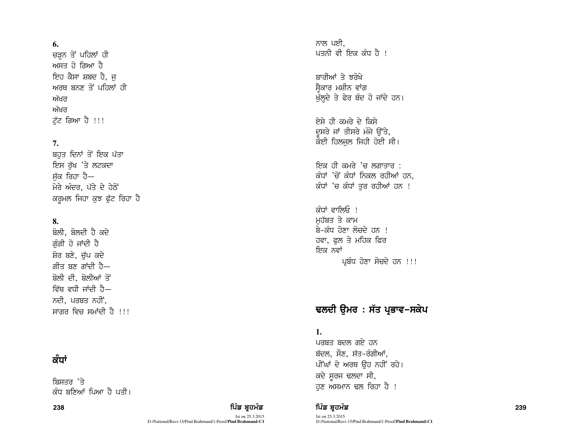#### **6.**

ਚੜਨ ਤੋਂ ਪਹਿਲਾਂ ਹੀ ਅਸਤ ਹੋ ਗਿਆ ਹੈ ਇਹ ਕੈਸਾ ਸ਼ਬਦ ਹੈ, ਜ ਅਰਥ ਬਨਣ ਤੋਂ ਪਹਿਲਾਂ ਹੀ ਅੱਖਰ ਅੱਖਰ ਟੱਟ ਗਿਆ ਹੈ !!!

## **7.**

ਬਹੁਤ ਦਿਨਾਂ ਤੋਂ ਇਕ ਪੱਤਾ ਇਸ ਰੁੱਖ 'ਤੇ ਲਟਕਦਾ ਸੱਕ ਰਿਹਾ ਹੈ— ਮੇਰੇ ਅੰਦਰ, ਪੱਤੇ ਦੇ ਹੇਠੋਂ ਕਰੂਮਲ ਜਿਹਾ ਕੁਝ ਫੁੱਟ ਰਿਹਾ ਹੈ

## **8.**

ਬੋਲੀ, ਬੋਲਦੀ ਹੈ ਕਦੇ ਗੰਗੀ ਹੋ ਜਾਂਦੀ ਹੈ ਸ਼ੋਰ ਬਣੇ, ਚੱਪ ਕਦੇ ਗੀਤ ਬਣ ਗਾਂਦੀ ਹੈ $-$ ਬੋਲੀ ਦੀ, ਬੋਲੀਆਂ ਤੋਂ ਵਿੱਥ ਵਧੀ ਜਾਂਦੀ ਹੈ $-$ ਨਦੀ, ਪਰਬਤ ਨਹੀਂ,  $\overline{r}$ ਸਾਗਰ ਵਿਚ ਸਮਾਂਦੀ ਹੈ !!!

## ਕੰਧਾਂ

ਬਿਸਤਰ 'ਤੇ ਕੰਧ ਬਣਿਆਂ ਪਿਆ ਹੈ ਪਤੀ।

238 ਵਿੱਚ **ਸ਼ਹਿਰ ਦੀ ਸ਼ਹਿਰ ਦੀ ਇੱਕ ਬ੍ਰਹਮੰਡ ਦਾ ਸ਼ਹਿਰ ਦੀ ਸ਼ਹਿਰ ਦੀ ਸ਼ਹਿਰ ਦੀ ਸ਼ਹਿਰ ਦੀ ਸ਼ਹਿਰ ਦੀ ਸ਼ਹਿਰ ਦੀ ਸ਼ਹਿਰ ਦੀ ਸ਼ਹਿਰ** 

Ist on 25.3.2015 D:/National/Ravi-15/Pind Brahmand/1-Proof/**Pind Brahmand-C1** ਨਾਲ ਪਈ. ਪਤਨੀ ਵੀ ਇਕ ਕੰਧ ਹੈ !

ਸ਼ਾਰੀਆਂ ਤੇ ਝਰੋਖੇ ਸ੍ਵੈਕਾਰ ਮਸ਼ੀਨ ਵਾਂਗ<br>ਖੱਲਦੇ ਤੇ ਫੇਰ ਬੰਦ ਹੋ ਜਾਂਦੇ ਹਨ।

ਏਸੇ ਹੀ ਕਮਰੇ ਦੇ ਕਿਸੇ ਦਸਰੇ ਜਾਂ ਤੀਸਰੇ ਮੰਜੇ ਉੱਤੇ, ਕੋਈ ਹਿਲਜੁਲ ਜਿਹੀ ਹੋਈ ਸੀ।

ਇਕ ਹੀ ਕਮਰੇ 'ਚ ਲਗਾਤਾਰ : ਕੰਧਾਂ 'ਚੋਂ ਕੰਧਾਂ ਨਿਕਲ ਰਹੀਆਂ ਹਨ. ਕੰਧਾਂ 'ਚ ਕੰਧਾਂ ਤਰ ਰਹੀਆਂ ਹਨ !

ਕੰਧਾਂ ਵਾਲਿਓ । ਮਹੱਬਤ ਤੇ ਕਾਮ <u>ਬੇ-ਕੰਧ ਹੋਣਾ ਲੋਚਦੇ ਹਨ !</u> ਹਵਾ, ਫਲ ਤੇ ਮਹਿਕ ਫਿਰ ਇਕ ਨਵਾਂ ਪ੍ਰਬੰਧ ਹੋਣਾ ਸੋਚਦੇ ਹਨ !!!

# ਢਲਦੀ ਉਮਰ : ਸੱਤ ਪ੍ਰਭਾਵ–ਸਕੇਪ

## **1.**

ਪਰਬਤ ਬਦਲ ਗਏ ਹਨ ਬੱਦਲ, ਸੌਣ, ਸੱਤ-ਰੰਗੀਆਂ, ਪੀਂਘਾਂ ਦੇ ਅਰਥ ਉਹ ਨਹੀਂ ਰਹੇ। ਕਦੇ ਸੁਰਜ ਢਲਦਾ ਸੀ, ਹਣ ਅਸਮਾਨ ਢਲ ਰਿਹਾ ਹੈ !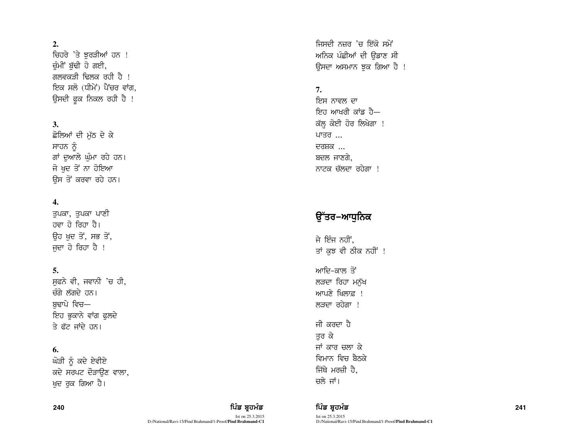### $2.$

ਚਿਹਰੇ 'ਤੇ ਝਰੜੀਆਂ ਹਨ ! ਚੰਮੀਂ ਬੱਢੀ ਹੋ ਗਈ, ਗਲਵਕਤੀ ਢਿਲਕ ਰਹੀ ਹੈ । ਇਕ ਸਲੋ (ਧੀਮੇਂ) ਪੈਂਚਰ ਵਾਂਗ. ਉਸਦੀ ਫਕ ਨਿਕਲ ਰਹੀ ਹੈ !

### $3.$

ਛੋਲਿਆਂ ਦੀ ਮੱਠ ਦੇ ਕੇ ਸਾਹਨ ਨੂੰ ਗਾਂ ਦੁਆਲੇ ਘੰਮਾ ਰਹੇ ਹਨ। ਜੋ ਖਦ ਤੋਂ ਨਾ ਹੋਇਆ ਉਸ ਤੋਂ ਕਰਵਾ ਰਹੇ ਹਨ।

### $\overline{4}$ .

ਤਪਕਾ, ਤਪਕਾ ਪਾਣੀ ਹਵਾ ਹੋ ਰਿਹਾ ਹੈ। ਉਹ ਖਦ ਤੋਂ, ਸਭ ਤੋਂ, ਜਦਾ ਹੋ ਰਿਹਾ ਹੈ !

### 5.

ਸਫਨੇ ਵੀ, ਜਵਾਨੀ 'ਚ ਹੀ, ਚੰਗੇ ਲੱਗਦੇ ਹਨ। ਬਢਾਪੇ ਵਿਚ— ਇਹ ਭੁਕਾਨੇ ਵਾਂਗ ਫਲਦੇ ਤੇ ਫੱਟ ਜਾਂਦੇ ਹਨ।

#### 6.

ਘੋੜੀ ਨੂੰ ਕਦੇ ਏਵੀਏ ਕਦੇ ਸਰਪਟ ਦੌੜਾਉਣ ਵਾਲਾ, ਖਦ ਰਕ ਗਿਆ ਹੈ।

### ਪਿੰਡ ਬਹਮੰਡ

Ist on 25.3.2015 D:/National/Ravi-15/Pind Brahmand/1-Proof/Pind Brahmand-C1 ਜਿਸਦੀ ਨਜ਼ਰ 'ਚ ਇੱਕੋ ਸਮੇਂ ਅਨਿਕ ਪੰਛੀਆਂ ਦੀ ਉਡਾਣ ਸੀ ਉਸਦਾ ਅਸਮਾਨ ਝੁਕ ਗਿਆ ਹੈ !

## $7<sub>1</sub>$

ਇਸ ਨਾਵਲ ਦਾ ਇਹ ਆਖਰੀ ਕਾਂਡ ਹੈ— ਕੱਲ੍ਹ ਕੋਈ ਹੋਰ ਲਿਖੇਗਾ ! ਪਾਤਰ ... ਦਰਸ਼ਕ ... ਬਦਲ ਜਾਣਗੇ. ਨਾਟਕ ਚੱਲਦਾ ਰਹੇਗਾ !

# ੳੱਤਰ−ਆਧਨਿਕ

ਜੇ ਇੰਜ ਨਹੀਂ. ਤਾਂ ਕੁਝ ਵੀ ਠੀਕ ਨਹੀਂ !

ਆਦਿ-ਕਾਲ ਤੋਂ ਲੜਦਾ ਰਿਹਾ ਮਨੱਖ ਆਪਣੇ ਖਿਲਾਫ਼ ! ਲੜਦਾ ਰਹੇਗਾ !

ਜੀ ਕਰਦਾ ਹੈ ਤਰ ਕੇ ਜਾਂ ਕਾਰ ਚਲਾ ਕੇ ਵਿਮਾਨ ਵਿਚ ਬੈਨਕੇ ਜਿੱਥੇ ਮਰਜ਼ੀ ਹੈ, ਚਲੇ ਜਾਂ।

ਪਿੰਡ ਬ੍ਰਹਮੰਡ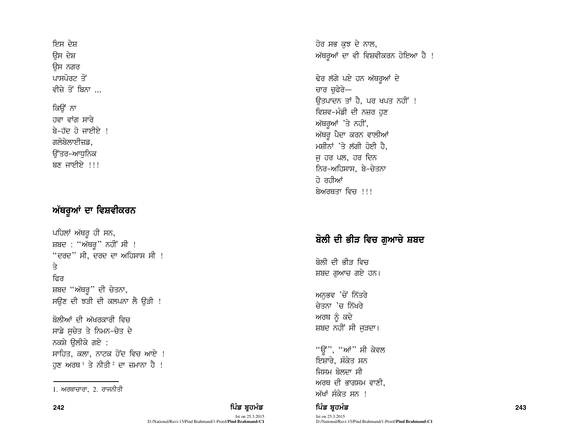ਇਸ ਦੇਸ਼ ਉਸ ਦੇਸ਼ ਓਸ ਨਗਰ ਪਾਸਪੋਰਟ ਤੋਂ ਵੀਜੇ ਤੋਂ ਬਿਨਾ <sub>ਮ</sub> ਕਿੳਂ ਨਾ ਹਵਾ ਵਾਂਗ ਸਾਰੇ  $\overline{a}$ –ਹੱਦ ਹੋ ਜਾਈਏ! ਗਲੋਬੇਲਾਈਜ਼ਡ.

ੳੱਤਰ-ਆਧਨਿਕ ਬਣ ਜਾਈਏ  $\,$ !!!

# ਅੱਥਰੂਆਂ ਦਾ ਵਿਸ਼ਵੀਕਰਨ

ਪਹਿਲਾਂ ਅੱਥਰੂ ਹੀ ਸਨ, ਸ਼ਬਦ : "ਅੱਥਰੁ" ਨਹੀਂ ਸੀ !  $``$ ਦਰਦ $"$  ਸੀ, ਦਰਦ ਦਾ ਅਹਿਸਾਸ ਸੀ !  $\Rightarrow$ ਫਿਰ ਸ਼ਬਦ "ਅੱਥਰ" ਦੀ ਚੇਤਨਾ, ਸਉਣ ਦੀ ਝੜੀ ਦੀ ਕਲਪਨਾ ਲੈ ਉੜੀ !

ਬੋਲੀਆਂ ਦੀ ਅੱਖਰਕਾਰੀ ਵਿਚ ਸਾਡੇ ਸਚੇਤ ਤੇ ਨਿਮਨ-ਚੇਤ ਦੇ ਨਕਸ਼ੇ ੳਲੀਕੇ ਗਏ $\,$  : ਸਾਹਿਤ, ਕਲਾ, ਨਾਟਕ ਹੋਂਦ ਵਿਚ ਆਏ ! ਹੁਣ ਅਰਥ $^1$  ਤੇ ਨੀਤੀ  $^2$  ਦਾ ਜ਼ਮਾਨਾ ਹੈ !

242 ਵਿੱਚ **ਇੱਕ ਸ਼ਹੂਰ ਸੰਗਤ ਦਾ ਸੰਗਤ ਵਿੱਚ ਸ਼ਹੂਰ ਹੈ ਕਿ ਸ਼ਹੂਰ ਸੰਗਤ ਵਿੱਚ ਸ਼ਹੂਰ ਸੰਗਤ ਵਿੱਚ ਸ਼ਹੂਰ ਸੰਗਤ ਵਿੱਚ ਸ਼ਹੂਰ ਸੰਗਤ ਵਿੱ** Ist on 25.3.2015

D:/National/Ravi-15/Pind Brahmand/1-Proof/**Pind Brahmand-C1**

ਹੋਰ ਸਭ ਕਝ ਦੇ ਨਾਲ, ਅੱਥਰੂਆਂ ਦਾ ਵੀ ਵਿਸ਼ਵੀਕਰਨ ਹੋਇਆ ਹੈ !

ਢੇਰ ਲੱਗੇ ਪਏ ਹਨ ਅੱਥਰੂਆਂ ਦੇ ਚਾਰ ਚਫੇਰੇ— ਓਤਪਾਦਨ ਤਾਂ ਹੈ, ਪਰ ਖਪਤ ਨਹੀਂ ! ਵਿਸ਼ਵ-ਮੰਡੀ ਦੀ ਨਜ਼ਰ ਹਣ ਅੱਥਰੂਆਂ 'ਤੇ ਨਹੀਂ, ਅੱਥਰੁ ਪੈਦਾ ਕਰਨ ਵਾਲੀਆਂ ਮਸ਼ੀਨਾਂ 'ਤੇ ਲੱਗੀ ਹੋਈ ਹੈ, ਜ ਹਰ ਪਲ, ਹਰ ਦਿਨ fਨਰ-ਅਹਿਸਾਸ, ਬੇ-ਚੇਤਨ<u>ਾ</u> ਹੋ ਰਹੀਆਂ ਬੇਅਰਥਤਾ ਵਿਜ਼ ।।।

# ਬੋਲੀ ਦੀ ਭੀੜ ਵਿਚ ਗਆਚੇ ਸ਼ਬਦ

ਬੋਲੀ ਦੀ ਭੀਤ ਵਿਚ ਸ਼ਬਦ ਗੁਆਚ ਗਏ ਹਨ।

ਅਨਭਵ 'ਚੋਂ ਨਿੱਤਰੇ ਚੇਤਨਾ 'ਚ ਨਿੱਖਰੇ ਅਰਥ ਨੂੰ ਕਦੇ ਸ਼ਬਦ ਨਹੀਂ ਸੀ ਜੁੜਦਾ।

"ਉਂ", "ਆਂ" ਸੀ ਕੇਵਲ ਇਸ਼ਾਰੇ, ਸੰਕੇਤ ਸਨ ਜਿਸਮ ਬੋਲਦਾ ਸੀ ਅਰਥ ਦੀ ਭਾਗਸਮ ਵਾਣੀ. 1. ਅਰਥਾਚਾਰਾ, 2. ਰਾਜਨੀਤੀ $\widetilde{B}$  ,  $\widetilde{B}$  ,  $\widetilde{B}$  ,  $\widetilde{B}$  ,  $\widetilde{B}$  ,  $\widetilde{B}$  ,  $\widetilde{B}$  ,  $\widetilde{B}$  ,  $\widetilde{B}$  ,  $\widetilde{B}$  ,  $\widetilde{B}$  ,  $\widetilde{B}$  ,  $\widetilde{B}$  ,  $\widetilde{B}$  ,  $\widetilde{B}$  ,  $\widetilde{B}$  ,  $\widet$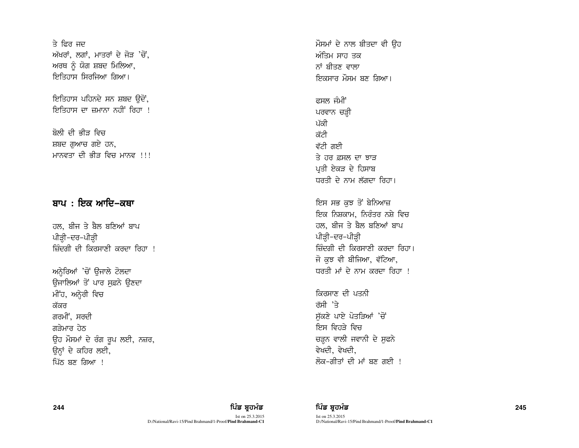ਤੇ ਫਿਰ ਜਦ ਅੱਖਰਾਂ, ਲਗਾਂ, ਮਾਤਰਾਂ ਦੇ ਜੋੜ 'ਚੋਂ, ਅਰਥ ਨੰ ਯੋਗ ਸ਼ਬਦ ਮਿਲਿਆ, ਇਤਿਹਾਸ ਸਿਰਜਿਆ ਗਿਆ।

ਇਤਿਹਾਸ ਪਹਿਨਦੇ ਸਨ ਸ਼ਬਦ ਉਦੋਂ, ਇਤਿਹਾਸ ਦਾ ਜ਼ਮਾਨਾ ਨਹੀਂ ਰਿਹਾ <u>।</u>

ਬੋਲੀ ਦੀ ਭੀਤ ਵਿਚ ਸ਼ਬਦ ਗਆਚ ਗਏ ਹਨ, ਮਾਨਵਤਾ ਦੀ ਕੀਤ ਵਿਚ ਮਾਨਵ ।।।

## ਬਾਪ : ਇਕ ਆਦਿ–ਕਥਾ

ਹਲ, ਬੀਜ ਤੇ ਬੈਲ ਬਣਿਆਂ ਬਾਪ ਪੀੜ੍ਹੀ-ਦਰ-ਪੀੜ੍ਹੀ ਜ਼ਿੰਦਗੀ ਦੀ ਕਿਰਸਾਣੀ ਕਰਦਾ ਰਿਹਾ !

ਅਨੇਰਿਆਂ 'ਚੋਂ ਉਜਾਲੇ ਟੋਲਦਾ ਓਜਾਲਿਆਂ ਤੋਂ ਪਾਰ ਸਫ਼ਨੇ ਉਣਦਾ ਮੀਂਹ, ਅਨ੍ਹੇਰੀ ਵਿਚ ਕੱਕਰ ਗਰਮੀਂ, ਸਰਦੀ ਗੜੇਮਾਰ ਹੇਠ ਉਹ ਮੌਸਮਾਂ ਦੇ ਰੰਗ ਰੂਪ ਲਈ, ਨਜ਼ਰ, ਉਨ੍ਹਾਂ ਦੇ ਕਹਿਰ ਲਈ, ਪਿੱਠ ਬਣ ਗਿਆ !

ਮੌਸਮਾਂ ਦੇ ਨਾਲ ਬੀਤਦਾ ਵੀ ਉਹ ਅੰਤਿਮ ਸਾਹ ਤਕ ਨਾਂ ਸੀਤਣ ਵਾਲਾ ਇਕਸਾਰ ਮੌਸਮ ਬਣ ਗਿਆ।

ਫਸਲ ਜੰਮੀਂ ਪਰਵਾਨ ਚੜ੍ਹੀ ਪੱਕੀ ਕੱਟੀ ਵੱਟੀ ਗਈ ਤੇ ਹਰ ਫਸਲ ਦਾ ਝਾਤ ਪ੍ਰਤੀ ਏਕੜ ਦੇ ਹਿਸਾਬ ਧਰਤੀ ਦੇ ਨਾਮ ਲੱਗਦਾ ਰਿਹਾ।

ਇਸ ਸਭ ਕੁਝ ਤੋਂ ਬੇਨਿਆਜ਼ ਇਕ ਨਿਸ਼ਕਾਮ, ਨਿਰੰਤਰ ਨਸ਼ੇ ਵਿਚ ਹਲ, ਬੀਜ ਤੇ ਬੈਲ ਬਣਿਆਂ ਬਾਪ ਪੀੜ੍ਹੀ–ਦਰ–ਪੀੜ੍ਹੀ ਜ਼ਿੰਦਗੀ ਦੀ ਕਿਰਸਾਣੀ ਕਰਦਾ ਰਿਹਾ। ਜੋ ਕਝ ਵੀ ਬੀਜਿਆ, ਵੱਟਿਆ, ਧਰਤੀ ਮਾਂ ਦੇ ਨਾਮ ਕਰਦਾ ਰਿਹਾ !

ਕਿਰਸਾਣ ਦੀ ਪਤਨੀ ਰੱਸੀ 'ਤੇ ਸੱਕਣੇ ਪਾਏ ਪੋਤੜਿਆਂ 'ਚੋਂ ਇਸ ਵਿਹਤੇ ਵਿਚ ਚੜ੍ਹਨ ਵਾਲੀ ਜਵਾਨੀ ਦੇ ਸਫਨੇ ਵੇਖਦੀ, ਵੇਖਦੀ, ਲੋਕ-ਗੀਤਾਂ ਦੀ ਮਾਂ ਬਣ ਗਈ ।

244

## ਪਿੰਡ ਬਹਮੰਡ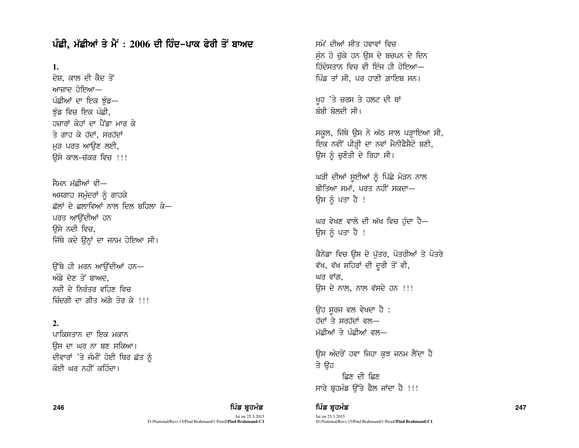ਪੰਛੀ, ਮੱਛੀਆਂ ਤੇ ਮੈਂ : 2006 ਦੀ ਹਿੰਦ–ਪਾਕ ਫੇਰੀ ਤੋਂ ਬਾਅਦ

**1.**

ਦੇਸ਼, ਕਾਲ ਦੀ ਕੈਦ ਤੋਂ ਆਜਾਦ ਹੋਇਆ— ਪੰਛੀਆਂ ਦਾ ਇਕ ਝੰਡ— ਝੰਡ ਵਿਚ ਇਕ ਪੰਛੀ, ਹਜ਼ਾਰਾਂ ਕੋਹਾਂ ਦਾ ਪੈਂਡਾ ਮਾਰ ਕੇ ਤੇ ਗਾਹ ਕੇ ਹੱਦਾਂ. ਸਰਹੱਦਾਂ ਮੁੜ ਪਰਤ ਆਉਣ ਲਈ, ਓੇਸੇ ਕਾਲ-ਚੱਕਰ ਵਿਚ !!!

ਸੈਮਨ ਮੱਛੀਆਂ ਵੀ— ਅਸਗਾਹ ਸਮੰਦਰਾਂ ਨੂੰ ਗਾਹਕੇ  $\vec{x}$ ਲਾਂ ਦੇ ਫ਼ਲਾਵਿਆਂ ਨਾਲ ਦਿਲ ਬਹਿਲਾ ਕੇ $-$ ਪਰਤ ਆਉਂਦੀਆਂ ਹਨ ਉਸੇ ਨਦੀ ਵਿਚ, ਜਿੱਥੇ ਕਦੇ ਉਨ੍ਹਾਂ ਦਾ ਜਨਮ ਹੋਇਆ ਸੀ।

ਓੱਥੇ ਹੀ ਮਰਨ ਆਉਂਦੀਆਂ ਹਨ— ਅੰਡੇ ਦੇਣ ਤੋਂ ਬਾਅਦ, ਨਦੀ ਦੇ ਨਿਰੰਤਰ ਵਹਿਣ ਵਿਚ ਜ਼ਿੰਦਗੀ ਦਾ ਗੀਤ ਅੱਗੇ ਤੋਰ ਕੇ !!!

#### **2.**

ਪਾਕਿਸਤਾਨ ਦਾ ਇਕ ਮਕਾਨ ਉਸ ਦਾ ਘਰ ਨਾ ਬਣ ਸਕਿਆ। ਦੀਵਾਰਾਂ 'ਤੇ ਜੰਮੀਂ ਹੋਈ ਥਿਰ ਛੱਤ ਨੂੰ ਕੋਈ ਘਰ ਨਹੀਂ ਕਹਿੰਦਾ।

ਸਮੇਂ ਦੀਆਂ ਸੀਤ ਹਵਾਵਾਂ ਵਿਚ ਸੰਨ ਹੋ ਚੱਕੇ ਹਨ ਉਸ ਦੇ ਬਚਪਨ ਦੇ ਦਿਨ ਹਿੰਦੋਸਤਾਨ ਵਿਚ ਵੀ ਇੰਜ ਹੀ ਹੋਇਆ— ਪਿੰਡ ਤਾਂ ਸੀ, ਪਰ ਹਾਣੀ ਗ਼ਾਇਬ ਸਨ।

ਖੁਹ 'ਤੇ ਚਰਸ ਤੇ ਹਲਟ ਦੀ ਥਾਂ ਸੰਸੀ ਸੋਲਦੀ ਸੀ।

ਸਕੂਲ, ਜਿੱਥੇ ਉਸ ਨੇ ਅੱਠ ਸਾਲ ਪੜ੍ਹਾਇਆ ਸੀ, ਇਕ ਨਵੀਂ ਪੀੜ੍ਹੀ ਦਾ ਨਵਾਂ ਮੈਨੀਫੈਸੈਟੋ ਬਣੀ, ਉਸ ਨੂੰ ਚਣੌਤੀ ਦੇ ਰਿਹਾ ਸੀ।

ਘੜੀ ਦੀਆਂ ਸੁਈਆਂ ਨੂੰ ਪਿੱਛੇ ਮੋੜਨ ਨਾਲ ਬੀਤਿਆ ਸਮਾਂ. ਪਰਤ ਨਹੀਂ ਸਕਦਾ— ਓਸ ਨੂੰ ਪਤਾ ਹੈ !

ਘਰ ਵੇਖਣ ਵਾਲੇ ਦੀ ਅੱਖ ਵਿਚ ਹੰਦਾ ਹੈ— ਉਸ ਨੂੰ ਪਤਾ ਹੈ !

ਕੈਨੇਡਾ ਵਿਚ ਉਸ ਦੇ ਪੱਤਰ, ਪੋਤਰੀਆਂ ਤੇ ਪੋਤਰੇ ਵੱਖ, ਵੱਖ ਸ਼ਹਿਰਾਂ ਦੀ ਦੂਰੀ ਤੋਂ ਵੀ, ਘਰ ਵਾਂਗ. ਓਸ ਦੇ ਨਾਲ, ਨਾਲ ਵੱਸਦੇ ਹਨ !!!

ਉਹ ਸੂਰਜ ਵਲ ਵੇਖਦਾ ਹੈ :  $\overline{d}$   $\overline{d}$   $\overline{d}$   $\overline{d}$   $\overline{d}$   $\overline{d}$   $\overline{d}$   $\overline{d}$   $\overline{d}$   $\overline{d}$   $\overline{d}$   $\overline{d}$   $\overline{d}$   $\overline{d}$   $\overline{d}$   $\overline{d}$   $\overline{d}$   $\overline{d}$   $\overline{d}$   $\overline{d}$   $\overline{d}$   $\overline{d}$   $\overline{d}$   $\overline{d}$   $\overline{$ ਮੱਛੀਆਂ ਤੇ ਪੰਛੀਆਂ ਵਲ—

ਉਸ ਅੰਦਰੋਂ ਹਵਾ ਜਿਹਾ ਕੁਝ ਜਨਮ ਲੈਂਦਾ ਹੈ ਤੇ ਉਹ ਫ਼ਿਣ ਦੀ ਫ਼ਿਣ ਸਾਰੇ ਬੁਹਮੰਡ ਉੱਤੇ ਫੈਲ ਜਾਂਦਾ ਹੈ !!!

### 246 ਵਿੱਚ **ਇੱਕ ਸ਼ਹੂਰ ਸੰਗਤ ਦਾ ਸੰਗਤ ਵਿੱਚ ਸ਼ਹੂਰ ਹੈ ਕਿ ਸ਼ਹੂਰ ਸੰਗਤ ਵਿੱਚ ਸ਼ਹੂਰ ਸੰਗਤ ਵਿੱਚ ਸ਼ਹੂਰ ਸੰਗਤ ਵਿੱਚ ਸ਼ਹੂਰ ਸੰਗਤ ਵਿੱ**

Ist on 25.3.2015 D:/National/Ravi-15/Pind Brahmand/1-Proof/**Pind Brahmand-C1**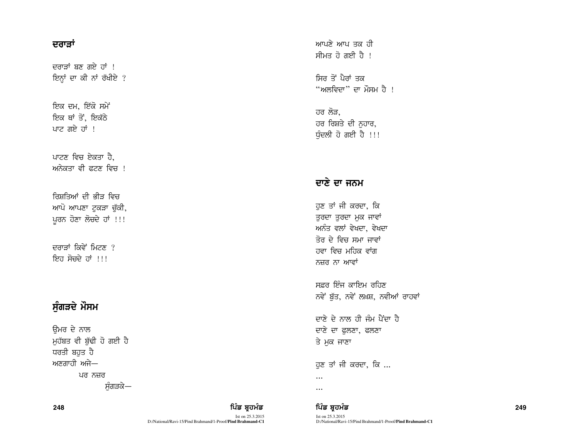## ਦਰਾੜਾਂ

ਦਰਾਤਾਂ ਬਣ ਗਏ ਹਾਂ ! ਇਨ੍ਹਾਂ ਦਾ ਕੀ ਨਾਂ ਰੱਖੀਏ ?

ਇਕ ਦਮ, ਇੱਕੋ ਸਮੇਂ ਇਕ ਥਾਂ ਤੋਂ, ਇਕੱਠੇ ਪਾਟ ਗਏ ਹਾਂ !

ਪਾਟਣ ਵਿਚ ਏਕਤਾ ਹੈ, ਅਨੇਕਤਾ ਵੀ ਫਟਣ ਵਿਚ <u>।</u>

ਰਿਸ਼ਤਿਆਂ ਦੀ ਭੀੜ ਵਿਚ ਆਪੋ ਆਪਣਾ ਟਕੜਾ ਚੱਕੀ, ਪੂਰਨ ਹੋਣਾ ਲੋਚਦੇ ਹਾਂ !!!

ਦਰਾਤਾਂ ਕਿਵੇਂ ਮਿਟਣ*ੀ* ਇਹ ਸੋਚਦੇ ਹਾਂ !!!

# ਸੁੰਗੜਦੇ ਮੌਸਮ

ਉਮਰ ਦੇ ਨਾਲ ਮੁਹੱਬਤ ਵੀ ਬੁੱਢੀ ਹੋ ਗਈ ਹੈ ਧਰਤੀ ਬਹਤ ਹੈ ਅਣਗਾਹੀ ਅਜੇ— ਪਰ ਨਜ਼ਰ ਸੰਗੜਕੇ— ਆਪਣੇ ਆਪ ਤਕ ਹੀ ਸੀਮਤ ਹੋ ਗਈ ਹੈ ।

ਸਿਰ ਤੋਂ ਪੈਰਾਂ ਤਕ "ਅਲਵਿਦਾ" ਦਾ ਮੌਸਮ ਹੈ ।

ਹਰ ਲੋੜ. ਹਰ ਰਿਸ਼ਤੇ ਦੀ ਨਹਾਰ, ਧੰਦਲੀ ਹੋ ਗਈ ਹੈ !!!

# ਦਾਣੇ ਦਾ ਜਨਮ

ਹੁਣ ਤਾਂ ਜੀ ਕਰਦਾ, ਕਿ ਤੁਰਦਾ ਤੁਰਦਾ ਮੁਕ ਜਾਵਾਂ ਅਨੰਤ ਵਲਾਂ ਵੇਖਦਾ, ਵੇਖਦਾ ਤੋਰ ਦੇ ਵਿਚ ਸਮਾ ਜਾਵਾਂ ਹਵਾ ਵਿਚ ਮਹਿਕ ਵਾਂਗ ਨਜ਼ਰ ਨਾ ਆਵਾਂ

ਸਫ਼ਰ ਇੰਜ ਕਾਇਮ ਰਹਿਣ ਨਵੇਂ ਬੁੱਤ, ਨਵੇਂ ਲਖ਼ਸ਼, ਨਵੀਆਂ ਰਾਹਵਾਂ

ਦਾਣੇ ਦੇ ਨਾਲ ਹੀ ਜੰਮ ਪੈਂਦਾ ਹੈ ਦਾਣੇ ਦਾ ਫੁਲਣਾ, ਫਲਣਾ ਤੇ ਮੁਕ ਜਾਣਾ

ਹੁਣ ਤਾਂ ਜੀ ਕਰਦਾ, ਕਿ ...  $\dddotsc$ 

 $\cdots$ 

ਪਿੰਡ ਬਹਮੰਡ Ist on 25.3.2015 D:/National/Ravi-15/Pind Brahmand/1-Proof/**Pind Brahmand-C1** 

249

ਪਿੰਡ ਬਹਮੰਡ

Ist on 25.3.2015 D:/National/Ravi-15/Pind Brahmand/1-Proof/**Pind Brahmand-C1**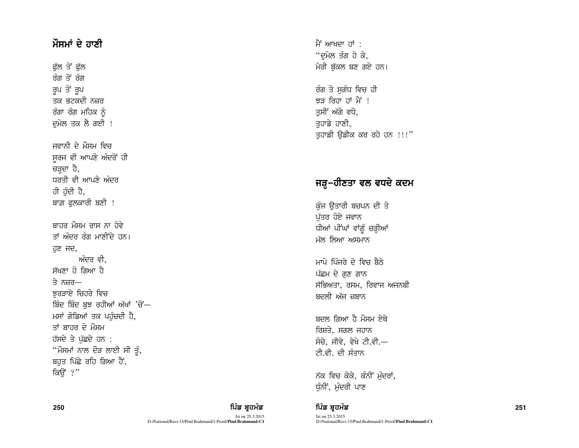# ਮੌਸਮਾਂ ਦੇ ਹਾਣੀ

ਫੁੱਲ ਤੋਂ ਫੁੱਲ ਰੰਗ ਤੋਂ ਰੰਗ ਰੂਪ ਤੋਂ ਰੂਪ ਤਕ ਭਟਕਦੀ ਨਜ਼ਰ ਰੰਗਾ ਰੰਗ ਮਹਿਕ ਨੰ ਦਮੇਲ ਤਕ ਲੈ ਗਈ !

ਜਵਾਨੀ ਦੇ ਮੌਸਮ ਵਿਚ ਸਰਜ ਵੀ ਆਪਣੇ ਅੰਦਰੋਂ ਹੀ ਚੜ੍ਹਦਾ ਹੈ, ਧਰਤੀ ਵੀ ਆਪਣੇ ਅੰਦਰ ਹੀ ਹੰਦੀ ਹੈ, ਬਾਗ਼ ਫਲਕਾਰੀ ਬਣੀ !

ਸਾਹਰ ਮੌਸਮ ਰਾਸ ਨਾ ਹੋਵੇ ਤਾਂ ਅੰਦਰ ਰੰਗ ਮਾਣੀਂਦੇ ਹਨ। ਹੁਣ ਜਦ, ਅੰਦਰ ਵੀ. ਸੱਖਣਾ ਹੋ ਗਿਆ ਹੈ ਤੇ ਨਜ਼ਰ $-$ ਝਰੜਾਏ ਚਿਹਰੇ ਵਿਚ ਬਿੰਦ ਬਿੰਦ ਬਝ ਰਹੀਆਂ ਅੱਖਾਂ 'ਚੋਂ— ਮਸਾਂ ਗੋਡਿਆਂ ਤਕ ਪਹੁੰਚਦੀ ਹੈ, ਤਾਂ ਬਾਹਰ ਦੇ ਮੌਸਮ ਹੱਸਦੇ ਤੇ ਪੱਛਦੇ ਹਨ : "ਮੌਸਮਾਂ ਨਾਲ ਦੋੜ ਲਾਈ ਸੀ ਤੂੰ, ਬਹਤ ਪਿੱਛੇ ਰਹਿ ਗਿਆ ਹੈਂ, ਕਿਓਂ ?"

250

## ਪਿੰਡ ਬਹਮੰਡ

Ist on 25.3.2015 D:/National/Ravi-15/Pind Brahmand/1-Proof/Pind Brahmand-C1 ਮੈਂ ਆਖਦਾ ਹਾਂ : "ਦਮੇਲ ਤੰਗ ਹੋ ਕੇ. ਮੇਰੀ ਬੁੱਕਲ ਬਣ ਗਏ ਹਨ।

ਰੰਗ ਤੇ ਸਗੰਧ ਵਿਚ ਹੀ ਝਤ ਰਿਹਾ ਹਾਂ ਮੈਂ ! ਤਸੀਂ ਅੱਗੇ ਵਧੋ. ਤਹਾਡੇ ਹਾਣੀ, ਤੁਹਾਡੀ ਉਡੀਕ ਕਰ ਰਹੇ ਹਨ !!!"

# ਜੜ੍ਹ–ਹੀਣਤਾ ਵਲ ਵਧਦੇ ਕਦਮ

ਕੰਜ ਉਤਾਰੀ ਬਚਪਨ ਦੀ ਤੇ ਪੱਤਰ ਹੋਏ ਜਵਾਨ ਧੀਆਂ ਪੀਂਘਾਂ ਵਾਂਗੂੰ ਚੜ੍ਹੀਆਂ ਮੱਲ ਲਿਆ ਅਸਮਾਨ

ਮਾਪੇ ਪਿੰਜਰੇ ਦੇ ਵਿਚ ਬੈਨੇ ਪੱਛਮ ਦੇ ਗਣ ਗਾਨ ਸੱਭਿਅਤਾ, ਰਸਮ, ਰਿਵਾਜ ਅਜਨਬੀ ਬਦਲੀ ਅੱਜ ਜ਼ਬਾਨ

ਬਦਲ ਗਿਆ ਹੈ ਮੌਸਮ ਏਥੇ ਰਿਸ਼ਤੇ, ਸਗਲ ਜਹਾਨ ਸੋਚੇ, ਜੀਵੇ, ਵੇਖੇ ਟੀ.ਵੀ. $-$ ਟੀ.ਵੀ. ਦੀ ਸੰਤਾਨ

ਨੱਕ ਵਿਚ ਕੋਕੇ, ਕੰਨੀ ਮੰਦਰਾਂ, ਧੰਨੀਂ, ਮੰਦਰੀ ਪਾਣ

## ਪਿੰਡ ਬਹਮੰਡ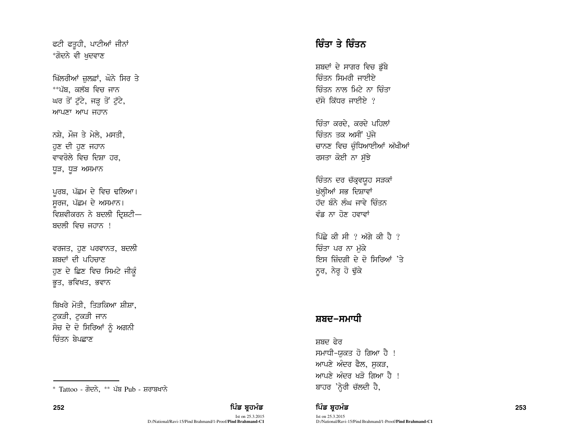ਫਟੀ ਫਤੁਹੀ, ਪਾਟੀਆਂ ਜੀਨਾਂ \*ਗੋਦਨੇ ਵੀ ਖਦਵਾਣ

ਖਿੱਲਰੀਆਂ ਜ਼ਲਫ਼ਾਂ, ਘੋਨੇ ਸਿਰ ਤੇ \*\*ਪੱਬ, ਕਲੱਬ ਵਿਚ ਜਾਨ ਘਰ ਤੋਂ ਟੁੱਟੇ, ਜੜ੍ਹ ਤੋਂ ਟੁੱਟੇ, ਆਪਣਾ ਆਪ ਜਹਾਨ

ਨਸ਼ੇ, ਮੌਜ ਤੇ ਮੇਲੇ, ਮਸਤੀ, ਹੁਣ ਦੀ ਹੁਣ ਜਹਾਨ ਵਾਵਰੋਲੇ ਵਿਚ ਦਿਸ਼ਾ ਹਰ. ਧੁੜ, ਧੁੜ ਅਸਮਾਨ

ਪਰਬ, ਪੱਛਮ ਦੇ ਵਿਚ ਢਲਿਆ। ਸਰਜ, ਪੱਛਮ ਦੇ ਅਸਮਾਨ। ਵਿਸ਼ਵੀਕਰਨ ਨੇ ਬਦਲੀ ਦ੍ਰਿਸ਼ਟੀ— ਬਦਲੀ ਵਿਚ ਜਹਾਨ ।

ਵਰਜਤ, ਹੁਣ ਪਰਵਾਨਤ, ਬਦਲੀ ਸਬਦਾਂ ਦੀ ਪਹਿਚਾਣ ਹੁਣ ਦੇ ਛਿਣ ਵਿਚ ਸਿਮਟੇ ਜੀਕੁੰ ਭੁਤ, ਭਵਿਖਤ, ਭਵਾਨ

ਬਿਖਰੇ ਮੋਤੀ, ਤਿੜਕਿਆ ਸ਼ੀਸ਼ਾ, ਟੁਕੜੀ, ਟੁਕੜੀ ਜਾਨ ਸੋਚ ਦੇ ਦੋ ਸਿਰਿਆਂ ਨੂੰ ਅਗਨੀ ਜ਼ਿੰਤਨ ਬੇਪਛਾਣ

# ਚਿੰਤਾ ਤੇ ਚਿੰਤਨ

ਸ਼ਬਦਾਂ ਦੇ ਸਾਗਰ ਵਿਚ ਡੱਬੇ ਚਿੰਤਨ ਸਿਮਰੀ ਜਾਈਏ <u>ਚਿੰਤਨ ਨਾਲ ਮਿਟੇ ਨਾ ਚਿੰਤਾ</u> ਦੱਸੋ ਕਿੱਧਰ ਜਾਈਏ  $?$ 

ਚਿੰਤਾ ਕਰਦੇ, ਕਰਦੇ ਪਹਿਲਾ<mark>ਂ</mark> ਚਿੰਤਨ ਤਕ ਅਸੀਂ ਪੱਜੇ ਚਾਨਣ ਵਿਚ ਚੁੰਧਿਆਈਆਂ ਅੱਖੀਆਂ ਰਸਤਾ ਕੋਈ ਨਾ ਸੱਝੇ

ਚਿੰਤਨ ਦਰ ਚੱਕ੍ਰਵਯੁਹ ਸੜਕਾਂ ਮੁੱਲ੍ਹੀਆਂ ਸਭ ਦਿਸ਼ਾਵਾਂ ਹੱਦ ਬੰਨੇ ਲੰਘ ਜਾਵੇ ਚਿੰਤਨ ਵੰਡ ਨਾ ਹੋਣ ਹਵਾਵਾਂ

ਪਿੱਛੇ ਕੀ ਸੀ ? ਅੱਗੇ ਕੀ ਹੈ ? ਚਿੰਤਾ ਪਰ ਨਾ ਮੁੱਕੇ <u>ਇਸ ਜ਼ਿੰਦਗੀ ਦੇ ਦੋ ਸਿਰਿਆਂ 'ਤੇ</u> ਨੂਰ, ਨੇਰ੍ਹ ਹੋ ਢੁੱਕੇ

## ਸ਼ਬਦ–ਸਮਾਧੀ

ਸਸ਼ਦ ਫ਼ੇਰ ਸਮਾਧੀ-ਯਕਤ ਹੋ ਗਿਆ ਹੈ ! ਆਪਣੇ ਅੰਦਰ ਫੈਲ, ਸਕੜ, <u>ਆਪਣੇ ਅੰਦਰ ਖਤੋ ਗਿਆ ਹੈ !</u>

## 252 ਵਿੱਚ **ਸੰਸਾਰ ਵਿੱਚ ਸ਼ਹਿਰ ਸ਼ਹਿਰ ਸ਼ਹਿਰ ਦੀ ਸੰਸਾਰ ਵਿੱਚ ਸ਼ਹਿਰ ਸ਼ਹਿਰ ਸ਼ਹਿਰ ਸ਼ਹਿਰ ਸ਼ਹਿਰ ਸ਼ਹਿਰ ਸ਼ਹਿਰ ਸ਼ਹਿਰ ਸ਼ਹਿਰ ਸ਼ਹਿਰ ਸ**

Ist on 25.3.2015

D:/National/Ravi-15/Pind Brahmand/1-Proof/**Pind Brahmand-C1**

<sup>\*</sup> Tattoo - ਗੋਦਨੇ, \*\* ਪੱਬ Pub - ਸ਼ਰਾਬਖਾਨੇ ਕਿਹਾ ਕਿਹਾ ਕਿਹਾ ਕਿਹਾ ਸਿੰਘ ਸ਼ਾਹਰ 'ਨ੍ਹੇਰੀ ਚੱਲਦੀ ਹੈ,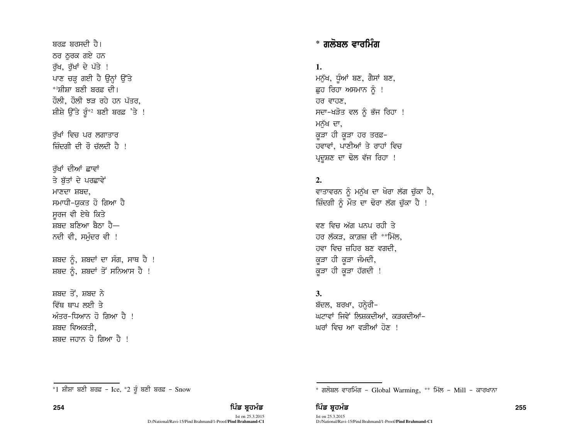ਬਰਫ਼ ਬਰਸਦੀ ਹੈ। ਠਰ ਠਰਕ ਗਏ ਹਨ ਰੱਖ, ਰੱਖਾਂ ਦੇ ਪੱਤੇ ! ਪਾਣ ਚੜ੍ਹ ਗਈ ਹੈ ਉਨ੍ਹਾਂ ਉੱਤੇ \*<sup>1</sup>ਸੀਸਾ ਬਣੀ ਬਰਫ਼ ਦੀ। ਹੌਲੀ, ਹੌਲੀ ਝੜ ਰਹੇ ਹਨ ਪੱਤਰ, ਸ਼ੀਸ਼ੇ ਉੱਤੇ ਰੁੰ\*2 ਬਣੀ ਬਰਫ਼ 'ਤੇ ! ਰੱਖਾਂ ਵਿਚ ਪਰ ਲਗਾਤਾਰ ਜ਼ਿੰਦਗੀ ਦੀ ਰੌ ਚੱਲਦੀ ਹੈ ! ਰੱਖਾਂ ਦੀਆਂ ਛਾਵਾਂ ਤੇ ਬੱਤਾਂ ਦੇ ਪਰਛਾਵੇਂ ਮਾਣਦਾ ਸ਼ਬਦ. ਸਮਾਧੀ-ਯਕਤ ਹੋ ਗਿਆ ਹੈ ਸੁਰਜ ਵੀ ਏਥੇ ਕਿਤੇ .<br>ਸੂਬਦ ਬਣਿਆ ਬੈਨਾ ਹੈ— ਨਦੀ ਵੀ, ਸਮੰਦਰ ਵੀ ! ਸ਼ਬਦ ਨੂੰ, ਸ਼ਬਦਾਂ ਦਾ ਸੰਗ, ਸਾਥ ਹੈ ! ਸ਼ਬਦ ਨੂੰ, ਸ਼ਬਦਾਂ ਤੋਂ ਸਨਿਆਸ ਹੈ ! ਸਬਦ ਤੋਂ ਸਬਦ ਨੇ ਵਿੱਥ ਥਾਪ ਲਈ ਤੇ ਅੰਤਰ-ਧਿਆਨ ਹੋ ਗਿਆ ਹੈ ! ਸ਼ਬਦ ਵਿਅਕਤੀ

ਸ਼ਬਦ ਜਹਾਨ ਹੋ ਗਿਆ ਹੈ !

# \* ਗਲੋਬਲ ਵਾਰਮਿੰਗ

1.

ਮਨੁੱਖ, ਧੁੰਆਂ ਬਣ, ਗੈਸਾਂ ਬਣ, ਛੂਹ ਰਿਹਾ ਅਸਮਾਨ ਨੂੰ ! ਹਰ ਵਾਹਣ, ਸਦਾ-ਖੜੋਤ ਵਲ ਨੂੰ ਭੱਜ ਰਿਹਾ ! ਮਨੱਖ ਦਾ, ਕੁੜਾ ਹੀ ਕੁੜਾ ਹਰ ਤਰਫ਼-ਹਵਾਵਾਂ, ਪਾਣੀਆਂ ਤੇ ਰਾਹਾਂ ਵਿਚ ਪ੍ਰਦੂਸ਼ਣ ਦਾ ਢੋਲ ਵੱਜ ਰਿਹਾ !

## $2.$

ਵਾਤਾਵਰਨ ਨੂੰ ਮਨੁੱਖ ਦਾ ਖੋਰਾ ਲੱਗ ਚੁੱਕਾ ਹੈ, ਜ਼ਿੰਦਗੀ ਨੂੰ ਮੌਤ ਦਾ ਢੋਰਾ ਲੱਗ ਚੁੱਕਾ ਹੈ !

ਵਣ ਵਿਚ ਅੱਗ ਪਨਪ ਰਹੀ ਤੇ ਹਰ ਲੱਕੜ, ਕਾਗ਼ਜ਼ ਦੀ \*\*ਮਿੱਲ, ਹਵਾ ਵਿਚ ਜ਼ਹਿਰ ਬਣ ਵਗਦੀ, ਕੜਾ ਹੀ ਕੜਾ ਜੰਮਦੀ, ਕੁੜਾ ਹੀ ਕੁੜਾ ਹੱਗਦੀ !

### $\mathbf{3}$ .

ਬੱਦਲ, ਬਰਖਾ, ਹਨ੍ਹੇਰੀ-ਘਟਾਵਾਂ ਜਿਵੇਂ ਲਿਸ਼ਕਦੀਆਂ, ਕੜਕਦੀਆਂ-ਘਰਾਂ ਵਿਚ ਆ ਵਤੀਆਂ ਹੋਣ ।

\* ਗਲੋਬਲ ਵਾਰਮਿੰਗ - Global Warming, \*\* ਮਿੱਲ - Mill - ਕਾਰਖਾਨਾ

ਪਿੰਡ ਬ੍ਰਹਮੰਡ

<sup>\*1</sup> ਸ਼ੀਸ਼ਾ ਬਣੀ ਬਰਫ਼ - Ice, \*2 ਰੂੰ ਬਣੀ ਬਰਫ਼ - Snow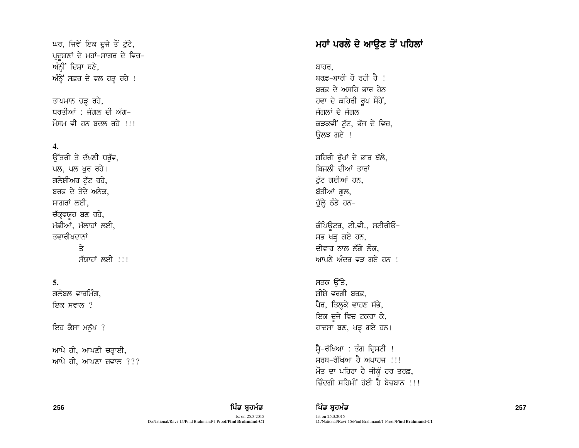ਘਰ, ਜਿਵੇਂ ਇਕ ਦੂਜੇ ਤੋਂ ਟੁੱਟੇ, ਪ੍ਰਦੂਸ਼ਣਾਂ ਦੇ ਮਹਾਂ-ਸਾਗਰ ਦੇ ਵਿਚ-ਅੰਨ੍ਹੀਂ ਦਿਸ਼ਾ ਬਣੇ,  $w_0$  ਅੰਨ੍ਹੇਂ ਸਫ਼ਰ ਦੇ ਵਲ ਹੜ੍ਹ ਰਹੇ!

ਤਾਪਮਾਨ ਚੜ੍ਹ ਰਹੇ, ਧਰਤੀਆਂ · ਜੰਗਲ ਦੀ ਅੱਗ– ਮੌਸਮ ਵੀ ਹਨ ਬਦਲ ਰਹੇ  $11!$ 

### **4.**

ਓੱਤਰੀ ਤੇ ਦੱਖਣੀ ਧਰੱਵ, ਪਲ, ਪਲ ਖਰ ਰਹੇ। ਗਲੇਸ਼ੀਅਰ ਟੱਟ ਰਹੇ, ਬਰਫ ਦੇ ਤੋਦੇ ਅਨੇਕ. ਸਾਗਰਾਂ ਲਈ. ਚੱਕ੍ਰਵਯੁਹ ਬਣ ਰਹੇ,  $H$ ਛੀਆਂ, ਮੱਲਾਹਾਂ ਲਈ, ਤਵਾਰੀਖਦਾਨਾਂ  $\Rightarrow$ ਸੱਯਾਹਾਂ ਲਈ !!!

### **5.**

ਗਲੋਬਲ ਵਾਰਮਿੰਗ. ਇਕ ਸਵਾਲ ?

ਇਹ ਕੈਸਾ ਮਨੱਖ ?

ਆਪੇ ਹੀ, ਆਪਣੀ ਚੜ੍ਹਾਈ, ਆਪੇ ਹੀ, ਆਪਣਾ ਜ਼ਵਾਲ  $?$ ??

#### 256 ਵਿੱਚ **ਸੰਤਰੀ ਦੀ ਸ਼ਹਿਰ ਦੀ ਸ਼ਹਿਰ ਦੀ ਸ਼ਹਿਰ ਦੀ ਸ਼ਹਿਰ ਦੀ ਸ਼ਹਿਰ ਦੀ ਸ਼ਹਿਰ ਦੀ ਸ਼ਹਿਰ ਦੀ ਸ਼ਹਿਰ ਦੀ ਸ਼ਹਿਰ ਦੀ ਸ਼ਹਿਰ ਦੀ ਸ਼ਹਿਰ 257** Ist on 25.3.2015 D:/National/Ravi-15/Pind Brahmand/1-Proof/**Pind Brahmand-C1**

## ਮਹਾਂ ਪਰਲੋ ਦੇ ਆੳਣ ਤੋਂ ਪਹਿਲਾਂ

ਬਾਹਰ.

ਬਰਫ਼–ਬਾਰੀ ਹੋ ਰਹੀ ਹੈ । ਸ਼ਰਫ਼ ਦੇ ਅਸਹਿ ਕਾਰ ਹੇਨ ਹਵਾ ਦੇ ਕਹਿਰੀ ਰੂਪ ਸੌਹੇਂ, ਜੰਗਲਾਂ ਦੇ ਜੰਗਲ ਕੜਕਵੀਂ ਟੱਟ, ਭੱਜ ਦੇ ਵਿਚ, ਓਲਝ ਗਏ !

ਸ਼ਹਿਰੀ ਰੱਖਾਂ ਦੇ ਭਾਰ ਥੱਲੇ. ਬਿਜਲੀ ਦੀਆਂ ਤਾਰਾਂ ਟੁੱਟ ਗਈਆਂ ਹਨ, ਬੱਤੀਆਂ ਗਲ, ਚੁੱਲ੍ਹੇ ਠੰਡੇ ਹਨ–

ਕੰਪਿਊਟਰ, ਟੀ.ਵੀ., ਸਟੀਰੀਓ-ਸਭ ਖੜ੍ਹ ਗਏ ਹਨ, ਦੀਵਾਰ ਨਾਲ ਲੱਗੇ ਲੋਕ, ਆਪਣੇ ਅੰਦਰ ਵਤ ਗਏ ਹਨ !

ਸੜਕ ਉੱਤੇ, ਸੀਸੇ ਵਰਗੀ ਬਰਫ ਪੈਰ, ਤਿਲ੍ਹਕੇ ਵਾਹਣ ਸੱਭੇ, ਇਕ ਦੂਜੇ ਵਿਚ ਟਕਰਾ ਕੇ, ਹਾਦਸਾ ਬਣ, ਖੜ੍ਹ ਗਏ ਹਨ।

ਸ੍ਰੈ–ਰੱਖਿਆ : ਤੰਗ ਦ੍ਰਿਸ਼ਟੀ !  $\overline{r}$ ਜਰਬ–ਰੱਖਿਆ ਹੈ ਅਪਾਹਜ !!! ਮੌਤ ਦਾ ਪਹਿਰਾ ਹੈ ਜੀਕੁੰ ਹਰ ਤਰਫ਼, ਜ਼ਿੰਦਗੀ ਸਹਿਮੀ<sup>:</sup> ਹੋਈ ਹੈ ਬੇਜ਼ਬਾਨ !!!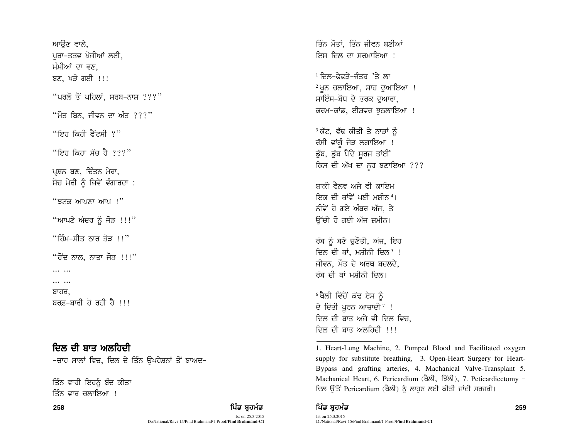ਆੳਣ ਵਾਲੇ. ਪਰਾ-ਤਤਵ ਖੋਜੀਆਂ ਲਈ, ਮੰਮੀਆਂ ਦਾ ਵਣ. ਬਣ, ਖੜੋ ਗਈ !!! "ਪਰਲੋ ਤੋਂ ਪਹਿਲਾਂ, ਸਰਬ-ਨਾਸ਼  $??$ " <sup>"</sup>ਮੌਤ ਬਿਨ, ਜੀਵਨ ਦਾ ਅੰਤ ???" "ਇਹ ਕਿਹੀ ਫੈਂਟਸੀ ?" "ਇਹ ਕਿਹਾ ਸੱਚ ਹੈ ???" ਪਸ਼ਨ ਬਣ, ਚਿੰਤਨ ਮੇਰਾ, ਸੋਚ ਮੇਰੀ ਨੰ ਜਿਵੇਂ ਵੰਗਾਰਦਾ : "  $377$   $^{\prime\prime}$   $^{\prime\prime}$   $^{\prime\prime}$   $^{\prime\prime}$   $^{\prime\prime}$   $^{\prime\prime}$   $^{\prime\prime}$   $^{\prime\prime}$   $^{\prime\prime}$   $^{\prime\prime}$   $^{\prime\prime}$   $^{\prime\prime}$   $^{\prime\prime}$   $^{\prime\prime}$   $^{\prime\prime}$   $^{\prime\prime}$   $^{\prime\prime}$   $^{\prime\prime}$   $^{\prime\prime}$   $^{\prime\prime}$   $^{\prime\prime}$   $^{\prime\prime}$   $^{\prime\prime}$   $^{\prime\prime$ "ਆਪਣੇ ਅੰਦਰ ਨੰ ਜੋੜ !!!" "ਹਿੰਮ–ਸੀਤ ਨਾਰ ਤੋਤ ।।" "ਹੋਂਦ ਨਾਲ, ਨਾਤਾ ਜੋਤ ।।।" ... ...  $\cdots$   $\cdots$ ਬਾਹਰ. ਬਰਫ਼–ਬਾਰੀ ਹੋ ਰਹੀ ਹੈ !!!

ਦਿਲ ਦੀ ਬਾਤ ਅਲਹਿਦੀ -ਚਾਰ ਸਾਲਾਂ ਵਿਚ, ਦਿਲ ਦੇ ਤਿੰਨ ਉਪਰੇਸ਼ਨਾਂ ਤੋਂ ਬਾਅਦ–

ਤਿੰਨ ਵਾਰੀ ਇਹਨੂੰ ਬੰਦ ਕੀਤਾ ਤਿੰਨ ਵਾਰ ਚਲਾਇਆ !

ਪਿੰਡ ਬਹਮੰਡ

ਤਿੰਨ ਮੌਤਾਂ, ਤਿੰਨ ਜੀਵਨ ਬਣੀਆਂ ਇਸ ਦਿਲ ਦਾ ਸਰਮਾਇਆ ।

<sup>1</sup> ਦਿਲ-ਫੇਫਤੇ-ਜੰਤਰ<sup>ਾ</sup>ਤੇ ਲਾ <sup>2</sup> ਖੁਨ ਚਲਾਇਆ, ਸਾਹ ਦੁਆਇਆ ! ਸਾਇੰਸ-ਬੋਧ ਦੇ ਤਰਕ ਦਆਰਾ, ਕਰਮ–ਕਾਂਡ, ਈਸ਼ਵਰ ਝਠਲਾਇਆ !

<sup>3</sup> ਕੱਟ, ਵੱਢ ਕੀਤੀ ਤੇ ਨਾੜਾਂ ਨੰ ਰੱਸੀ ਵਾਂਗੂੰ ਜੋੜ ਲਗਾਇਆ ! ਡੁੱਬ, ਡੁੱਬ ਪੈਂਦੇ ਸੂਰਜ ਤਾਂਈਂ ਕਿਸ ਦੀ ਅੱਖ ਦਾ ਨੂਰ ਬਣਾਇਆ ???

ਸਾਕੀ ਵੈਲਵ ਅਜੇ ਵੀ ਕਾਇਮ ਇਕ ਦੀ ਥਾਂਵੇਂ ਪਈ ਮਸੀਨ ਪ ਨੀਵੇਂ ਹੋ ਗਏ ਅੰਬਰ ਅੱਜ, ਤੇ ਉੱਚੀ ਹੋ ਗਈ ਅੱਜ ਜ਼ਮੀਨ।

ਰੱਬ ਨੂੰ ਬਣੇ ਚੁਣੌਤੀ, ਅੱਜ, ਇਹ ਦਿਲ ਦੀ ਥਾਂ, ਮਸ਼ੀਨੀ ਦਿਲ<sup>5</sup> ! ਜੀਵਨ, ਮੌਤ ਦੇ ਅਰਥ ਬਦਲਦੇ, ਰੱਬ ਦੀ ਥਾਂ ਮਸ਼ੀਨੀ ਦਿਲ।

<sup>6</sup> ਥੈਲੀ ਵਿੱਚੋਂ ਕੱਢ ਏਸ ਨੰ ਦੇ ਦਿੱਤੀ ਪੂਰਨ ਆਜ਼ਾਦੀ<sup>7</sup> ! ਦਿਲ ਦੀ ਬਾਤ ਅਜੇ ਵੀ ਦਿਲ ਵਿਚ. ਦਿਲ ਦੀ ਬਾਤ ਅਲਹਿਦੀ ।।।

## ਪਿੰਡ ਬਹਮੰਡ

258

<sup>1.</sup> Heart-Lung Machine, 2. Pumped Blood and Facilitated oxygen supply for substitute breathing, 3. Open-Heart Surgery for Heart-Bypass and grafting arteries, 4. Machanical Valve-Transplant 5. Machanical Heart, 6. Pericardium (ਥੈਲੀ, ਝਿੱਲੀ), 7. Peticardiectomy -ਦਿਲ ਉੱਤੋਂ Pericardium (ਥੈਲੀ) ਨੂੰ ਲਾਹੁਣ ਲਈ ਕੀਤੀ ਜਾਂਦੀ ਸਰਜਰੀ।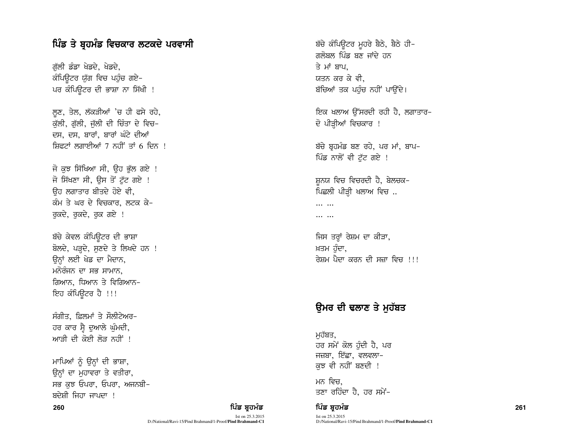## ਪਿੰਡ ਤੇ ਬ੍ਰਹਮੰਡ ਵਿਚਕਾਰ ਲਟਕਦੇ ਪਰਵਾਸੀ

ਗੱਲੀ ਡੰਡਾ ਖੇਡਦੇ, ਖੇਡਦੇ, ਕੰਪਿਊਟਰ ਯੁੱਗ ਵਿਚ ਪਹੁੰਚ ਗਏ-ਪਰ ਕੰਪਿਉਟਰ ਦੀ ਭਾਸ਼ਾ ਨਾ ਸਿੱਖੀ !

ਲੁਣ, ਤੇਲ, ਲੱਕੜੀਆਂ 'ਚ ਹੀ ਫਸੇ ਰਹੇ, ਕੱਲੀ, ਗੱਲੀ, ਜੱਲੀ ਦੀ ਚਿੰਤਾ ਦੇ ਵਿਚ-ਦਸ, ਦਸ, ਬਾਰਾਂ, ਬਾਰਾਂ ਘੰਟੇ ਦੀਆਂ ਸ਼ਿਫਟਾਂ ਲਗਾਈਆਂ 7 ਨਹੀਂ ਤਾਂ 6 ਦਿਨ !

ਜੋ ਕਝ ਸਿੱਖਿਆ ਸੀ, ਉਹ ਭੱਲ ਗਏ ! ਜੋ ਸਿੱਖਣਾ ਸੀ, ਉਸ ਤੋਂ ਟੁੱਟ ਗਏ ! ਉਹ ਲਗਾਤਾਰ ਬੀਤਦੇ ਹੋਏ ਵੀ**.** ਕੰਮ ਤੇ ਘਰ ਦੇ ਵਿਚਕਾਰ, ਲਟਕ ਕੇ-ਰੁਕਦੇ, ਰੁਕਦੇ, ਰੁਕ ਗਏ !

ਬੱਚੇ ਕੇਵਲ ਕੰਪਿਊਟਰ ਦੀ ਭਾਸ਼ਾ ਬੋਲਦੇ, ਪੜ੍ਹਦੇ, ਸੁਣਦੇ ਤੇ ਲਿਖਦੇ ਹਨ ! ਉਨ੍ਹਾਂ ਲਈ ਖੇਡ ਦਾ ਮੈਦਾਨ, ਮਨੋਰੰਜਨ ਦਾ ਸਭ ਸਾਮਾਨ, ਗਿਆਨ, ਧਿਆਨ ਤੇ ਵਿਗਿਆਨ-ਇਹ ਕੰਪਿਉਟਰ ਹੈ !!!

ਸੰਗੀਤ, ਫ਼ਿਲਮਾਂ ਤੇ ਸੌਲੀਟੇਅਰ-ਹਰ ਕਾਰ ਸ੍ਰੈ ਦੁਆਲੇ ਘੁੰਮਦੀ, <u>ਆ</u>ਤੀ ਦੀ ਕੋਈ ਲੋੜ ਨਹੀਂ !

ਮਾਪਿਆਂ ਨੂੰ ਉਨਾਂ ਦੀ ਭਾਸ਼ਾ, ਉਨ੍ਹਾਂ ਦਾ ਮਹਾਵਰਾ ਤੇ ਵਤੀਰਾ, ਸਭ ਕੁਝ ਓਪਰਾ, ਓਪਰਾ, ਅਜਨਬੀ-ਸਦੇਸੀ ਜਿਹਾ ਜਾਪਦਾ ।

Ist on 25.3.2015 D:/National/Ravi-15/Pind Brahmand/1-Proof/**Pind Brahmand-C1** ਬੱਚੇ ਕੰਪਿਊਟਰ ਮੂਹਰੇ ਬੈਠੇ, ਬੈਠੇ ਹੀ-ਗਲੋਬਲ ਪਿੰਡ ਬਣ ਜਾਂਦੇ ਹਨ ਤੇ ਮਾਂ ਬਾਪ, ਯਤਨ ਕਰ ਕੇ ਵੀ, ਬੱਚਿਆਂ ਤਕ ਪਹੰਚ ਨਹੀਂ ਪਾੳਂਦੇ।

fੲਕ ਖਲਾਅ ੳੱਸਰਦੀ ਰਹੀ ਹੈ, ਲਗਾਤਾਰ*-*ਦੋ ਪੀੜੀਆਂ ਵਿਚਕਾਰ !

ਬੱਚੇ ਬਹਮੰਡ ਬਣ ਰਹੇ, ਪਰ ਮਾਂ, ਬਾਪ-ਪਿੰਡ ਨਾਲੋਂ ਵੀ ਟੱਟ ਗਏ !

ਸ਼ਨਯ ਵਿਚ ਵਿਚਰਦੀ ਹੈ, ਬੇਲਚਕ– ਪਿਛਲੀ ਪੀੜੀ ਖਲਾਅ ਵਿਚ ..

 $\cdots$  $\cdots$ 

ਜਿਸ ਤਰ੍ਹਾਂ ਰੇਸ਼ਮ ਦਾ ਕੀੜਾ, ਖ਼ਤਮ ਹੰਦਾ, ਰੇਸਮ ਪੈਦਾ ਕਰਨ ਦੀ ਸਜ਼ਾ ਵਿਚ <del>।।।</del>

## ੳਮਰ ਦੀ ਢਲਾਣ ਤੇ ਮਹੱਬਤ

ਮਹੱਬਤ, ਹਰ ਸਮੇਂ ਕੋਲ ਹੰਦੀ ਹੈ, ਪਰ ਜਜ਼ਬਾ, ਇੱਛਾ, ਵਲਵਲਾ– ਕਝ ਵੀ ਨਹੀਂ ਬਣਦੀ !

ਮਨ ਵਿਚ. ਤਣਾ ਰਹਿੰਦਾ ਹੈ. ਹਰ ਸਮੇਂ-

260 ਫ਼ਿਲ **ਦਾ ਸ਼ਹਿਰ ਸ਼ਹਿਰ ਵਿੱਚ ਬ੍ਰਹਮੰਡ ਦਾ ਸੰਭਾਰਤ ਨਾਲ ਸਿੰਤ ਬ੍ਰਹਮੰਡ ਨਾਲ ਵਿੱਚ ਬ੍ਰਹਮੰਡ ਦਾ ਸੰਭਾਰਤ ਨਾਲ ਵਿੱਚ 1261 ਵਿੱਚ** Ist on 25.3.2015 D:/National/Ravi-15/Pind Brahmand/1-Proof/**Pind Brahmand-C1**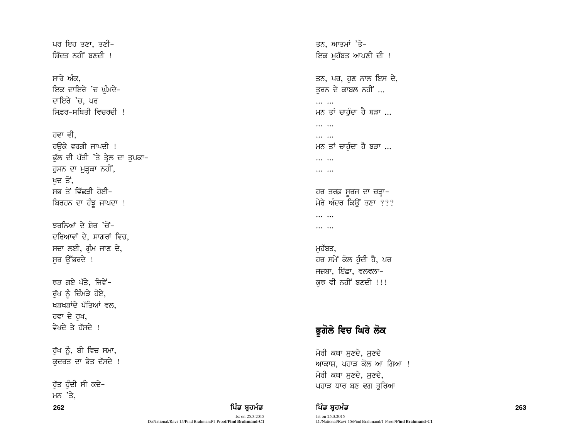ਪਰ ਇਹ ਤਣਾ. ਤਣੀ-ਸਿੱਦਤ ਨਹੀਂ ਬਣਦੀ ।

ਸਾਰੇ ਅੰਕ. ਇਕ ਦਾਇਰੇ 'ਚ ਘੰਮਦੇ-ਦਾਇਰੇ 'ਚ. ਪਰ ਸਿਫਰ–ਸੂਬਿਤੀ ਵਿਚਰਦੀ ।

ਹਵਾ ਵੀ. ਹੳਕੇ ਵਰਗੀ ਜਾਪਦੀ ! ਫੁੱਲ ਦੀ ਪੱਤੀ 'ਤੇ ਤ੍ਰੇਲ ਦਾ ਤੁਪਕਾ-ਹੁਸਨ ਦਾ ਮੁੜਕਾ ਨਹੀਂ, ਖਦ ਤੋਂ, ਸਭ ਤੋਂ ਵਿੱਛੜੀ ਹੋਈ– ਬਿਰਹਨ ਦਾ ਹੰਝੁ ਜਾਪਦਾ !

ਲਰਨਿਆਂ ਦੇ ਸ਼ੋਰ 'ਚੋਂ-ਦਰਿਆਵਾਂ ਦੇ, ਸਾਗਰਾਂ ਵਿਚ, ਸਦਾ ਲਈ, ਗੰਮ ਜਾਣ ਦੇ, ਸਰ ਉੱਭਰਦੇ !

ਝੜ ਗਏ ਪੱਤੇ, ਜਿਵੇਂ-ਰੱਖ ਨੂੰ ਚਿੰਮੜੇ ਹੋਏ, ਖੜਖੜਾਂਦੇ ਪੱਤਿਆਂ ਵਲ. ਹਵਾ ਦੇ ਰਖ, ਵੇਖਦੇ ਤੇ ਹੱਸਦੇ ।

ਰੁੱਖ ਨੂੰ, ਬੀ ਵਿਚ ਸਮਾ, ਕਦਰਤ ਦਾ ਭੇਤ ਦੱਸਦੇ !

ਰੱਤ ਹੰਦੀ ਸੀ ਕਦੇ-ਮਨ<sup>,</sup> 'ਤੇ. 262

ਤਨ, ਆਤਮਾਂ 'ਤੇ-ਇਕ ਮਹੱਬਤ ਆਪਣੀ ਦੀ ! ਤਨ, ਪਰ, ਹਣ ਨਾਲ ਇਸ ਦੇ, ਤਰਨ ਦੇ ਕਾਬਲ ਨਹੀਂ ...  $\cdots$   $\cdots$ ਮਨ ਤਾਂ ਚਾਹੁੰਦਾ ਹੈ ਬੜਾ ...  $\cdots$   $\cdots$  $\cdots$   $\cdots$ ਮਨ ਤਾਂ ਚਾਹੰਦਾ ਹੈ ਬੜਾ ...  $\cdots$   $\cdots$  $\cdots$   $\cdots$ ਹਰ ਤਰਫ਼ ਸੁਰਜ ਦਾ ਚੜ੍ਹਾ-

ਮੇਰੇ ਅੰਦਰ ਕਿਉਂ ਤਣਾ ???

 $\cdots$   $\cdots$ 

 $\cdots$   $\cdots$ 

ਮਹੱਬਤ, ਹਰ ਸਮੇਂ ਕੋਲ ਹੰਦੀ ਹੈ, ਪਰ ਜਜ਼ਬਾ, ਇੱਛਾ, ਵਲਵਲਾ– ਕੁਝ ਵੀ ਨਹੀਂ ਬਣਦੀ !!!

# ਭੂਗੋਲੇ ਵਿਚ ਘਿਰੇ ਲੋਕ

ਮੇਰੀ ਕਥਾ ਸਣਦੇ, ਸਣਦੇ ਆਕਾਸ਼, ਪਹਾੜ ਕੋਲ ਆ ਗਿਆ ! ਮੇਰੀ ਕਥਾ ਸੁਣਦੇ, ਸੁਣਦੇ, ਪਹਾੜ ਧਾਰ ਬਣ ਵਗ ਤਰਿਆ

ਪਿੰਡ ਬਹਮੰਡ

ਪਿੰਡ ਬਹਮੰਡ

D:/National/Ravi-15/Pind Brahmand/1-Proof/Pind Brahmand-C1

Ist on 25.3.2015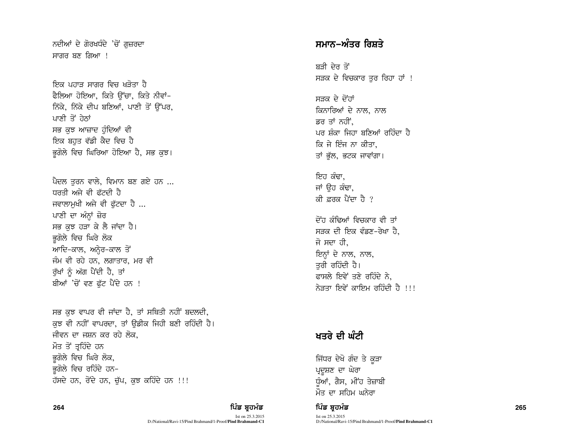ਨਦੀਆਂ ਦੇ ਗੋਰਖਧੰਦੇ 'ਚੋਂ ਗਜ਼ਰਦਾ ਸਾਗਰ ਬਣ ਗਿਆ ।

ਇਕ ਪਹਾਤ ਸਾਗਰ ਵਿਚ ਖਤੋਤਾ ਹ<u>ੈ</u> ਫੈਲਿਆ ਹੋਇਆ, ਕਿਤੇ ਉੱਚਾ, ਕਿਤੇ ਨੀਵਾਂ-ਨਿੱਕੇ, ਨਿੱਕੇ ਦੀਪ ਬਣਿਆਂ, ਪਾਣੀ ਤੋਂ ਉੱਪਰ, ਪਾਣੀ ਤੋਂ ਹੇਨਾਂ ਸਭ ਕਝ ਆਜ਼ਾਦ ਹੰਦਿਆਂ ਵੀ ਇਕ ਬਹਤ ਵੱਡੀ ਕੈਦ ਵਿਚ ਹੈ ਭਗੋਲੇ ਵਿਚ ਘਿਰਿਆ ਹੋਇਆ ਹੈ, ਸਭ ਕਝ।

ਪੈਦਲ ਤਰਨ ਵਾਲੇ, ਵਿਮਾਨ ਬਣ ਗਏ ਹਨ ... ਧਰਤੀ ਅਜੇ ਵੀ ਫੁੱਟਦੀ ਹੈ ਜਵਾਲਾਮਖੀ ਅਜੇ ਵੀ ਫੱਟਦਾ ਹੈ ... ਪਾਣੀ ਦਾ ਅੰਨ੍ਹਾਂ ਜ਼ੋਰ ਸਭ ਕਝ ਹੜਾ ਕੇ ਲੈ ਜਾਂਦਾ ਹੈ। ਭਗੋਲੇ ਵਿਚ ਘਿਰੇ ਲੋਕ ਆਦਿ-ਕਾਲ, ਅਨੇਰ-ਕਾਲ ਤੋਂ ਜੰਮ ਵੀ ਰਹੇ ਹਨ. ਲਗਾਤਾਰ. ਮਰ ਵੀ ਰੱਖਾਂ ਨੂੰ ਅੱਗ ਪੈਂਦੀ ਹੈ, ਤਾਂ ਬੀਆਂ 'ਚੋਂ ਵਣ ਫੱਟ ਪੈਂਦੇ ਹਨ !

ਸਭ ਕਝ ਵਾਪਰ ਵੀ ਜਾਂਦਾ ਹੈ, ਤਾਂ ਸਥਿਤੀ ਨਹੀਂ ਬਦਲਦੀ, ਕਝ ਵੀ ਨਹੀਂ ਵਾਪਰਦਾ, ਤਾਂ ਉਡੀਕ ਜਿਹੀ ਬਣੀ ਰਹਿੰਦੀ ਹੈ। ਜੀਵਨ ਦਾ ਜਸ਼ਨ ਕਰ ਰਹੇ ਲੋਕ. ਮੌਤ ਤੋਂ ਤਹਿੰਦੇ ਹਨ ਭਗੋਲੇ ਵਿਚ ਘਿਰੇ ਲੋਕ, ਭਗੋਲੇ ਵਿਚ ਰਹਿੰਦੇ ਹਨ-ਹੱਸਦੇ ਹਨ, ਰੋਂਦੇ ਹਨ, ਚੱਪ, ਕੁਝ ਕਹਿੰਦੇ ਹਨ !!!

#### 264

## ਪਿੰਡ ਬਹਮੰਡ

Ist on 25.3.2015 D:/National/Ravi-15/Pind Brahmand/1-Proof/Pind Brahmand-C1

## ਸਮਾਨ−ਅੰਤਰ ਰਿਸ਼ਤੇ

ਸਤੀ ਦੇਰ ਤੋਂ ਸੜਕ ਦੇ ਵਿਚਕਾਰ ਤੁਰ ਰਿਹਾ ਹਾਂ !

ਸਤਕ ਦੇ ਦੋਂਹਾਂ ਕਿਨਾਰਿਆਂ ਦੇ ਨਾਲ, ਨਾਲ ਡਰ ਤਾਂ ਨਹੀਂ. ਪਰ ਸੰਕਾ ਜਿਹਾ ਬਣਿਆਂ ਰਹਿੰਦਾ ਹੈ ਕਿ ਜੇ ਇੰਜ ਨਾ ਕੀਤਾ, ਤਾਂ ਭੱਲ, ਭਟਕ ਜਾਵਾਂਗਾ।

ਇਹ ਕੰਢਾ. ਜਾਂ ੳਹ ਕੰਢਾ, ਕੀ ਫਰਕ ਪੈਂਦਾ ਹੈ ?

<u>ਜੋਂਹ ਕੰਢਿਆਂ ਵਿਚਕਾਰ ਵੀ ਤਾਂ</u> ਸੜਕ ਦੀ ਇਕ ਵੰਡਣ-ਰੇਖਾ ਹੈ. ਜੋ ਸਦਾ ਹੀ. ਇਨਾਂ ਦੇ ਨਾਲ, ਨਾਲ, ਤਰੀ ਰਹਿੰਦੀ ਹੈ। ਫਾਸਲੇ ਇਵੇਂ ਤਣੇ ਰਹਿੰਦੇ ਨੇ, ਨੇਤਤਾ ਇਵੇਂ ਕਾਇਮ ਰਹਿੰਦੀ ਹੈ !!!

# ਖਤਰੇ ਦੀ ਘੰਟੀ

ਜਿੱਧਰ ਦੇਖੋ ਗੰਦ ਤੇ ਕੜਾ ਪ੍ਰਦਸ਼ਣ ਦਾ ਘੇਰਾ ਧੰਆਂ, ਗੈਸ, ਮੀਂਹ ਤੇਜ਼ਾਬੀ ਮੌਤ ਦਾ ਸਹਿਮ ਘਨੇਰਾ

ਪਿੰਡ ਬਹਮੰਡ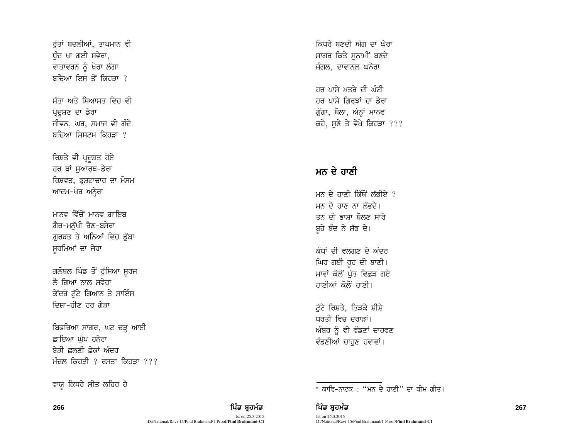ਰੱਤਾਂ ਬਦਲੀਆਂ, ਤਾਪਮਾਨ ਵੀ ਧੰਦ ਖਾ ਗਈ ਸਵੇਰਾ, ਵਾਤਾਵਰਨ ਨੂੰ ਖੋਰਾ ਲੱਗਾ ਬਚਿਆ ਇਸ ਤੋਂ ਕਿਹੜਾ ?

ਸੱਤਾ ਅਤੇ ਸਿਆਸਤ ਵਿਚ ਵੀ ਪ੍ਰਦਸ਼ਣ ਦਾ ਡੇਰਾ ਜੀਵਨ, ਘਰ, ਸਮਾਜ ਵੀ ਗੰਦੇ ਬਚਿਆ ਸਿਸਟਮ ਕਿਹੜਾ ?

ਰਿਸ਼ਤੇ ਵੀ ਪ੍ਰਦੁਸ਼ਤ ਹੋਏ ਹਰ ਥਾਂ ਸਆਰਥ-ਡੇਰਾ ਰਿਸ਼ਵਤ, ਭੁਸ਼ਟਾਚਾਰ ਦਾ ਮੌਸਮ ਆਦਮ-ਖੋਰ ਅਨੇਰਾ

ਮਾਨਵ ਵਿੱਚੋਂ ਮਾਨਵ ਗ਼ਾਇਬ ਗ਼ੈਰ-ਮਨੱਖੀ ਰੈਣ-ਬਸੇਰਾ ਗ਼ਰਬਤ ਤੇ ਅਨਿਆਂ ਵਿਚ ਡੱਬਾ ਸੁਰਮਿਆਂ ਦਾ ਜੇਰਾ

ਗਲੋਬਲ ਪਿੰਡ ਤੋਂ ਰੁੱਸਿਆ ਸੁਰਜ ਲੈ ਗਿਆ ਨਾਲ ਸਵੇਰਾ ਕੇਂਦਰੋ ਟੱਟੇ ਗਿਆਨ ਤੇ ਸਾਇੰਸ ਦਿਸ਼ਾ-ਹੀਣ ਹਰ ਗੇੜਾ

ਬਿਫਰਿਆ ਸਾਗਰ, ਘਟ ਚੜ੍ਹ ਆਈ ਛਾਇਆ ਘੱਪ ਹਨੇਰਾ ਬੇਤੀ ਛਲਣੀ ਛੇਕਾਂ ਅੰਦਰ ਮੰਜ਼ਲ ਕਿਹੜੀ ? ਰਸਤਾ ਕਿਹੜਾ ???

ਵਾਯੂ ਕਿਧਰੇ ਸੀਤ ਲਹਿਰ ਹੈ

266

ਪਿੰਡ ਬਹਮੰਡ Ist on 25.3.2015

D:/National/Ravi-15/Pind Brahmand/1-Proof/Pind Brahmand-C1

ਕਿਧਰੇ ਬਣਦੀ ਅੱਗ ਦਾ ਘੇਰਾ ਸਾਗਰ ਕਿਤੇ ਸਨਾਮੀਂ ਬਣਦੇ ਜੰਗਲ, ਦਾਵਾਨਲ ਘਨੇਰਾ

ਹਰ ਪਾਸੇ ਖਤਰੇ ਦੀ ਘੰਟੀ ਹਰ ਪਾਸੇ ਗਿਰਝਾਂ ਦਾ ਡੇਰਾ ਗੂੰਗਾ, ਬੋਲਾ, ਅੰਨ੍ਹਾਂ ਮਾਨਵ ਕਹੇ, ਸਣੇ ਤੇ ਵੇਖੇ ਕਿਹੜਾ ???

## ਮਨ ਦੇ ਹਾਣੀ

ਮਨ ਦੇ ਹਾਣੀ ਕਿੱਥੋਂ ਲੱਭੀਏ ? ਮਨ ਦੇ ਹਾਣ ਨਾ ਲੱਭਦੇ। ਤਨ ਦੀ ਭਾਸ਼ਾ ਬੋਲਣ ਸਾਰੇ ਬੁਹੇ ਬੰਦ ਨੇ ਸੱਭ ਦੇ।

ਕੰਧਾਂ ਦੀ ਵਲਗਣ ਦੇ ਅੰਦਰ ਘਿਰ ਗਈ ਰੂਹ ਦੀ ਬਾਣੀ। ਮਾਵਾਂ ਕੋਲੋਂ ਪੱਤ ਵਿਛੜ ਗਏ ਹਾਣੀਆਂ ਕੋਲੋਂ ਹਾਣੀ।

ਟੱਟੇ ਰਿਸ਼ਤੇ, ਤਿੜਕੇ ਸ਼ੀਸ਼ੇ ਧਰਤੀ ਵਿਚ ਦਰਾਤਾਂ। ਅੰਬਰ ਨੂੰ ਵੀ ਵੰਡਣਾਂ ਚਾਹਵਣ ਵੰਡਣੀਆਂ ਚਾਹਣ ਹਵਾਵਾਂ।

————————————————————<br>\* ਕਾਵਿ-ਨਾਟਕ · "ਮਨ ਦੇ ਹਾਣੀ" ਦਾ ਥੀਮ ਗੀਤ।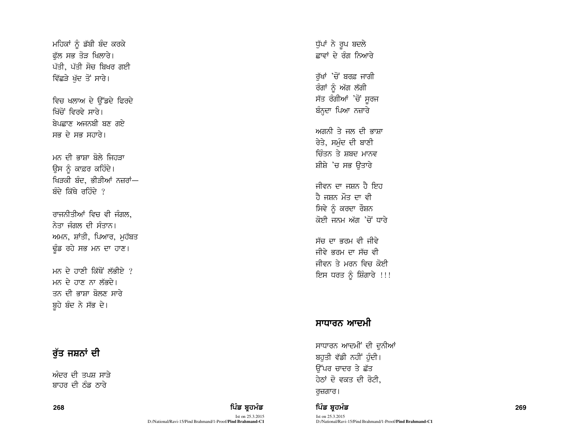ਮਹਿਕਾਂ ਨੂੰ ਡੱਬੀ ਬੰਦ ਕਰਕੇ ਫੱਲ ਸਭ ਤੋੜ ਖਿਲਾਰੇ। ਪੱਤੀ, ਪੱਤੀ ਸੋਚ ਬਿਖਰ ਗਈ ਵਿੱਛੜੇ ਖੱਦ ਤੋਂ ਸਾਰੇ।

ਵਿਚ ਖਲਾਅ ਦੇ ਉੱਡਦੇ ਫਿਰਦੇ ਖਿੱਜੋਂ ਵਿਰਵੇ ਸਾਰੇ। <u>ਸੇਪਛਾਣ ਅਜਨਬੀ ਬਣ ਗਏ</u> ਸਭ ਦੇ ਸਭ ਸਹਾਰੇ।

ਮਨ ਦੀ ਭਾਸ਼ਾ ਬੋਲੇ ਜਿਹਤਾ ਉਸ ਨੂੰ ਕਾਫ਼ਰ ਕਹਿੰਦੇ। ਖਿੜਕੀ ਬੰਦ, ਭੀੜੀਆਂ ਨਜ਼ਰਾਂ—  $\frac{1}{2}$ ਚੰਦੇ ਰਹਿੰਦੇ  $\frac{1}{2}$ 

ਰਾਜਨੀਤੀਆਂ ਵਿਚ ਵੀ ਜੰਗਲ, ਨੇਤਾ ਜੰਗਲ ਦੀ ਸੰਤਾਨ। ਅਮਨ, ਸ਼ਾਂਤੀ, ਪਿਆਰ, ਮੁਹੱਬਤ ਉਂਡ ਰਹੇ ਸਭ ਮਨ ਦਾ ਹਾਣ।

ਮਨ ਦੇ ਹਾਣੀ ਕਿੱਥੋਂ ਲੱਕੀਏ  $\ell$ ਮਨ ਦੇ ਹਾਣ ਨਾ ਲੱਕਦੇ। ਤਨ ਦੀ ਕਾਸਾ ਬੋਲਣ ਸਾਰੇ ਬੁਹੇ ਬੰਦ ਨੇ ਸੱਭ ਦੇ।

## ਰੱਤ ਜਸ਼ਨਾਂ ਦੀ

ਅੰਦਰ ਦੀ ਤਪਸ਼ ਸਾੜੇ ਸਾਹਰ ਦੀ ਨੰਡ ਨਾਰੇ

268 ਵਿੱਚ **ਸੰਤਰੀ ਦੀ ਸ਼ਹਿਰ ਦੀ ਸ਼ਹਿਰ ਦੀ ਸ਼ਹਿਰ ਦੀ ਸ਼ਹਿਰ ਦੀ ਸ਼ਹਿਰ ਦੀ ਸ਼ਹਿਰ ਦੀ ਸ਼ਹਿਰ ਦੀ ਸ਼ਹਿਰ ਦੀ ਸ਼ਹਿਰ ਦੀ ਸ਼ਹਿਰ ਦੀ ਸ਼ਹਿਰ ਦ** 

Ist on 25.3.2015 D:/National/Ravi-15/Pind Brahmand/1-Proof/**Pind Brahmand-C1** ਧੁੱਪਾਂ ਨੇ ਰੂਪ ਬਦਲੇ ਛਾਵਾਂ ਦੇ ਰੰਗ ਨਿਆਰੇ ਰੱਖਾਂ 'ਚੋਂ ਬਰਫ਼ ਜਾਗੀ ਰੰਗਾਂ ਨੂੰ ਅੱਗ ਲੱਗੀ ਸੱਤ ਰੰਗੀਆਂ 'ਚੋਂ ਸੁਰਜ ਬੰਨਦਾ ਪਿਆ ਨਜ਼ਾਰੇ ਅਗਨੀ ਤੇ ਜੂਲ ਦੀ ਕਾਸ਼ਾ ਰੇਤੇ, ਸਮੰਦ ਦੀ ਬਾਣੀ <u>ਚਿੰਤਨ ਤੇ ਸ਼ਬਦ ਮਾਨਵ</u> ਸ਼ੀਸ਼ੇ 'ਚ ਸਭ ਉਤਾਰੇ ਜੀਵਨ ਦਾ ਜਸ਼ਨ ਹੈ ਇਹ ਹੈ ਜਸ਼ਨ ਮੌਤ ਦਾ ਵੀ ਸਿਵੇ ਨੂੰ ਕਰਦਾ ਰੌਸ਼ਨ ਕੋਈ ਜਨਮ ਅੱਗ 'ਚੋਂ ਧਾਰੇ ਸੱਜ ਦਾ ਕਰਮ ਵੀ ਜੀਵੇ ਜੀਵੇ ਭਰਮ ਦਾ ਸੱਚ ਵੀ ਜੀਵਨ ਤੇ ਮਰਨ ਵਿਚ ਕੋਈ

## ਸਾਧਾਰਨ ਆਦਮੀ

ਇਸ ਧਰਤ ਨੂੰ ਸ਼ਿੰਗਾਰੇ !!!

ਸਾਧਾਰਨ ਆਦਮੀਂ ਦੀ ਦੁਨੀਆਂ ਬਹਤੀ ਵੱਡੀ ਨਹੀਂ ਹੰਦੀ। ਓੱਪਰ ਚਾਦਰ ਤੇ ਛੱਤ ਹੇਠਾਂ ਦੋ ਵਕਤ ਦੀ ਰੋਟੀ, ਰਜ਼ਗਾਰ।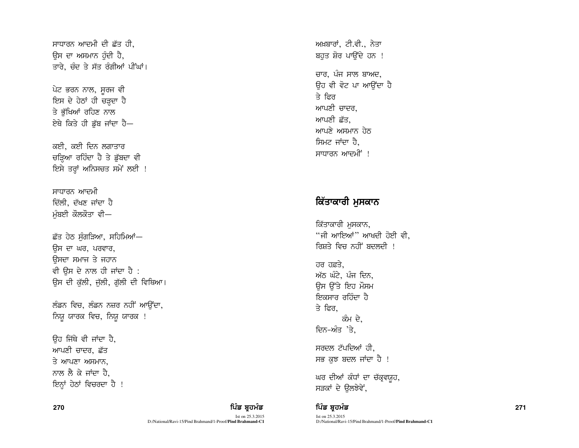ਸਾਧਾਰਨ ਆਦਮੀ ਦੀ ਛੱਤ ਹੀ. ਉਸ ਦਾ ਅਸਮਾਨ ਹੰਦੀ ਹੈ, ਤਾਰੇ, ਚੰਦ ਤੇ ਸੱਤ ਰੰਗੀਆਂ ਪੀਂਘਾਂ।

ਪੇਟ ਭਰਨ ਨਾਲ, ਸੂਰਜ ਵੀ ਇਸ ਦੇ ਹੇਠਾਂ ਹੀ ਚੜ੍ਹਦਾ ਹੈ ਤੇ ਭੱਖਿਆਂ ਰਹਿਣ ਨਾਲ ਏਥੇ ਕਿਤੇ ਹੀ ਡੱਬ ਜਾਂਦਾ ਹੈ-

ਕਈ, ਕਈ ਦਿਨ ਲਗਾਤਾਰ ਚੜਿਆ ਰਹਿੰਦਾ ਹੈ ਤੇ ਡੱਬਦਾ ਵੀ ਇਸੇ ਤਰ੍ਹਾਂ ਅਨਿਸਚਤ ਸਮੇਂ ਲਈ !

ਸਾਧਾਰਨ ਆਦਮੀ ਦਿੱਲੀ, ਦੱਖਣ ਜਾਂਦਾ ਹੈ ਮੰਬਈ ਕੌਲਕੌਤਾ ਵੀ—

ਛੱਤ ਹੇਠ ਸੰਗੜਿਆ, ਸਹਿਮਿਆਂ— ਉਸ ਦਾ ਘਰ, ਪਰਵਾਰ, ਓਸਦਾ ਸਮਾਜ ਤੇ ਜਹਾਨ ਵੀ ਉਸ ਦੇ ਨਾਲ ਹੀ ਜਾਂਦਾ ਹੈ : ਉਸ ਦੀ ਕੁੱਲੀ, ਜੁੱਲੀ, ਗੁੱਲੀ ਦੀ ਵਿਥਿਆ।

ਲੰਡਨ ਵਿਚ, ਲੰਡਨ ਨਜ਼ਰ ਨਹੀਂ ਆਉਂਦਾ, ਨਿਯੁ ਯਾਰਕ ਵਿਚ, ਨਿਯੁ ਯਾਰਕ !

ਉਹ ਜਿੱਥੇ ਵੀ ਜਾਂਦਾ ਹੈ, ਆਪਣੀ ਚਾਦਰ, ਛੱਤ  $\overline{3}$  ਆਪਣਾ ਅਸਮਾਨ. ਨਾਲ ਲੈ ਕੇ ਜਾਂਦਾ ਹੈ. ਇਨ੍ਹਾਂ ਹੇਠਾਂ ਵਿਚਰਦਾ ਹੈ !

## 270 ਵਿੱਚ *ਬਾਅਦ ਵਿੱਚ ਬ੍ਰਹਮੰਡ* ਵਿੱਚ ਬ੍ਰਹਮੰਡ ਵਿੱਚ ਬ੍ਰਹਮੰਡ ਵਿੱਚ ਬ੍ਰਹਮੰਡ ਵਿੱਚ ਬ੍ਰਹਮੰਡ ਵਿੱਚ ਸ਼ਰੀਦ ਵਿੱਚ ਸ਼ਰੀਦ ਵਿੱਚ 1271

Ist on 25.3.2015 D:/National/Ravi-15/Pind Brahmand/1-Proof/**Pind Brahmand-C1** ਅਖ਼ਬਾਰਾਂ, ਟੀ.ਵੀ., ਨੇਤਾ ਬਹਤ ਸ਼ੋਰ ਪਾੳਂਦੇ ਹਨ ! ਚਾਰ, ਪੰਜ ਸਾਲ ਬਾਅਦ, ਓਹ ਵੀ ਵੋਟ ਪਾ ਆਉਂਦਾ ਹ<del>ੈ</del> ਤੇ ਫ਼ਿਰ ਆਪਣੀ ਜਾਦਰ, ਆਪਣੀ ਛੱਤ.  $m\lambda$   $m\lambda$ ਸ਼ਿਮਟ ਜਾਂਦਾ ਹੈ. ਸਾਧਾਰਨ ਆਦਮੀਂ !

# ਕਿੱਤਾਕਾਰੀ ਮਸਕਾਨ

ਕਿੱਤਾਕਾਰੀ ਮਸਕਾਨ.  $\lq$ ਜੀ ਆਇਆਂ $\lq$  ਆਖਦੀ ਹੋਈ ਵੀ, ਗਿਸ਼ਤੇ ਵਿਚ ਨਹੀਂ ਬਦਲਦੀ <u>!</u>

 $\overline{d}$   $\overline{d}$   $\overline{d}$   $\overline{d}$   $\overline{d}$   $\overline{d}$   $\overline{d}$   $\overline{d}$   $\overline{d}$   $\overline{d}$   $\overline{d}$   $\overline{d}$   $\overline{d}$   $\overline{d}$   $\overline{d}$   $\overline{d}$   $\overline{d}$   $\overline{d}$   $\overline{d}$   $\overline{d}$   $\overline{d}$   $\overline{d}$   $\overline{d}$   $\overline{d}$   $\overline{$ ਅੱਠ ਘੰਟੇ, ਪੰਜ ਦਿਨ, ਉਸ ਉੱਤੇ ਇਹ ਮੌਸਮ ਸ਼ਿਕਸਾਰ ਰਹਿੰਦਾ ਹ<u>ੈ</u> ਤੇ ਫਿਰ. ਕੰਮ ਦੇ, ਦਿਨ-ਅੰਤ 'ਤੇ,

ਸਰਦਲ ਟੱਪਦਿਆਂ ਹੀ. ਸਭ ਕੁਝ ਬਦਲ ਜਾਂਦਾ ਹੈ !

ਘਰ ਦੀਆਂ ਕੰਧਾਂ ਦਾ ਚੱਕਵਯਹ, ਸੜਕਾਂ ਦੇ ਉਲਝੇਵੇਂ,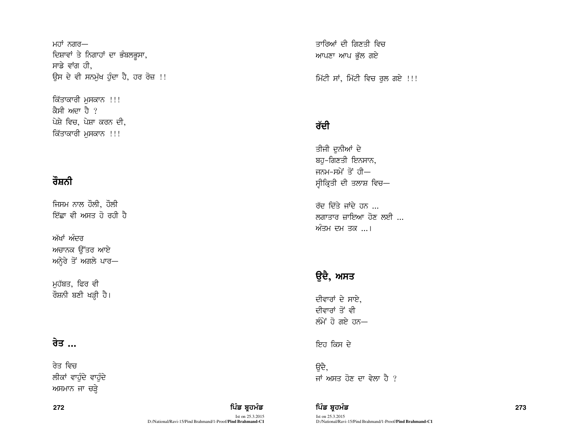ਮਹਾਂ ਨਗਰ— ਦਿਸ਼ਾਵਾਂ ਤੇ ਨਿਗਾਹਾਂ ਦਾ ਭੰਬਲਭੁਸਾ, ਸਾਡੇ ਵਾਂਗ ਹੀ, ਉਸ ਦੇ ਵੀ ਸਨਮੱਖ ਹੰਦਾ ਹੈ, ਹਰ ਰੋਜ਼ !!

ਕਿੱਤਾਕਾਰੀ ਮੁਸਕਾਨ !!! ਕੈਸੀ ਅਦਾ ਹੈ ? ਪੇਸ਼ੇ ਵਿਚ, ਪੇਸ਼ਾ ਕਰਨ ਦੀ, ਕਿੱਤਾਕਾਰੀ ਮਸਕਾਨ !!!

# ਰੌਸ਼ਨੀ

ਜਿਸਮ ਨਾਲ ਹੌਲੀ, ਹੌਲੀ ਇੱਛਾ ਵੀ ਅਸਤ ਹੋ ਰਹੀ ਹ<u>ੈ</u>

ਅੱਖਾਂ ਅੰਦਰ ਅਚਾਨਕ ਉੱਤਰ ਆਏ ਅਨ੍ਹੇਰੇ ਤੋਂ ਅਗਲੇ ਪਾਰ—

ਮਹੱਬਤ, ਫਿਰ ਵੀ ਰੌਸ਼ਨੀ ਬਣੀ ਖੜ੍ਹੀ ਹੈ।

# <u>ਰੇਤ ...</u>

ਰੇਤ ਵਿਚ ਲੀਕਾਂ ਵਾਹੁੰਦੇ ਵਾਹੁੰਦੇ ਅਸਮਾਨ ਜਾ ਚੜ੍ਹੇ

272

ਪਿੰਡ ਬਹਮੰਡ Ist on 25.3.2015 D:/National/Ravi-15/Pind Brahmand/1-Proof/**Pind Brahmand-C1**  ਤਾਰਿਆਂ ਦੀ ਗਿਣਤੀ ਵਿਚ ਆਪਣਾ ਆਪ ਭੱਲ ਗਏ

ਮਿੱਟੀ ਸਾਂ, ਮਿੱਟੀ ਵਿਚ ਰੁਲ ਗਏ !!!

# ਰੱਦੀ

ਤੀਜੀ ਦਨੀਆਂ ਦੇ ਬਹੁ-ਗਿਣਤੀ ਇਨਸਾਨ, ਜਨਮ-ਸਮੇਂ ਤੋਂ ਹੀ— ਸ੍ਰੀਕ੍ਰਿਤੀ ਦੀ ਤਲਾਸ਼ ਵਿਚ—

ਰੱਦ ਦਿੱਤੇ ਜਾਂਦੇ ਹਨ ... ਲਗਾਤਾਰ ਜ਼ਾਇਆ ਹੋਣ ਲਈ ... ਅੰਤਮ ਦਮ ਤਕ ...।

# ਉਦੈ, ਅਸਤ

ਦੀਵਾਰਾਂ ਦੇ ਸਾਏ, ਦੀਵਾਰਾਂ ਤੋਂ ਵੀ ਲੰਮੇਂ ਹੋ ਗਏ ਹਨ—

ਇਹ ਕਿਸ ਦੇ

ੳਦੈ. ਜਾਂ ਅਸਤ ਹੋਣ ਦਾ ਵੇਲਾ ਹੈ ?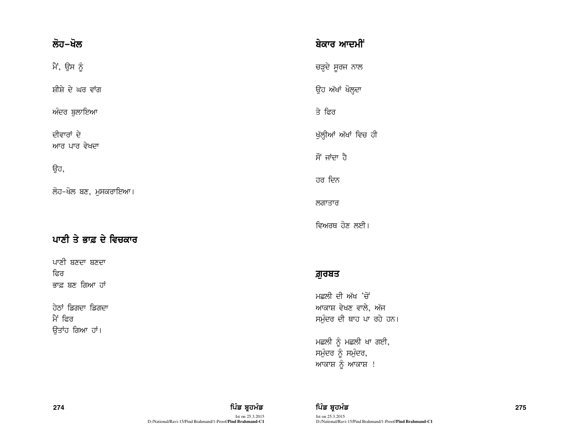| ਲੋਹ–ਖੋਲ                      | ਬੇਕਾਰ ਆਦਮੀਂ                      |
|------------------------------|----------------------------------|
| ਮੈਂ, ਉਸ ਨੂੰ                  | ਚੜ੍ਹਦੇ ਸੂਰਜ ਨਾਲ                  |
| ਸ਼ੀਸ਼ੇ ਦੇ ਘਰ ਵਾਂਗ            | ਉਹ ਅੱਖਾਂ ਖੋਲ੍ਹਦਾ                 |
| ਅੰਦਰ ਬੁਲਾਇਆ                  | ਤੇ ਫਿਰ                           |
| ਦੀਵਾਰਾਂ ਦੇ<br>ਆਰ ਪਾਰ ਵੇਖਦਾ   | ਖੁੱਲ੍ਹੀਆਂ ਅੱਖਾਂ ਵਿਚ              |
|                              | ਸੌਂ ਜਾਂਦਾ ਹੈ                     |
| ਉਹ,                          | ਹਰ ਦਿਨ                           |
| ਲੋਹ-ਖੋਲ ਬਣ, ਮੁਸਕਰਾਇਆ।        | ਲਗਾਤਾਰ                           |
|                              | ਵਿਅਰਥ ਹੋਣ ਲਈ                     |
| ਪਾਣੀ ਤੇ ਭਾਫ਼ ਦੇ ਵਿਚਕਾਰ       |                                  |
| ਪਾਣੀ ਬਣਦਾ ਬਣਦਾ<br>ਫਿਰ        | ਗ਼ੁਰਬਤ                           |
| ਭਾਫ਼ ਬਣ ਗਿਆ ਹਾਂ              | ਮਛਲੀ ਦੀ ਅੱਖ '                    |
| ਹੇਠਾਂ ਡਿਗਦਾ ਡਿਗਦਾ<br>ਮੈਂ ਫਿਰ | ਆਕਾਸ਼ ਵੇਖਣ ਵਾ<br>ਸਮੁੰਦਰ ਦੀ ਥਾਹ ਪ |

ਭਚ ਹੀ

गे ।

,ਚੋ ਲੇ, ਅੱਜ ਸਮੁੰਦਰ ਦੀ ਥਾਹ ਪਾ ਰਹੇ ਹਨ।

ਮਛਲੀ ਨੂੰ ਮਛਲੀ ਖਾ ਗਈ, ਸਮੁੰਦਰ ਨੂੰ ਸਮੁੰਦਰ, ਆਕਾਸ਼ ਨੂੰ ਆਕਾਸ਼ !

ਉਤਾਂਹ ਗਿਆ ਹਾਂ।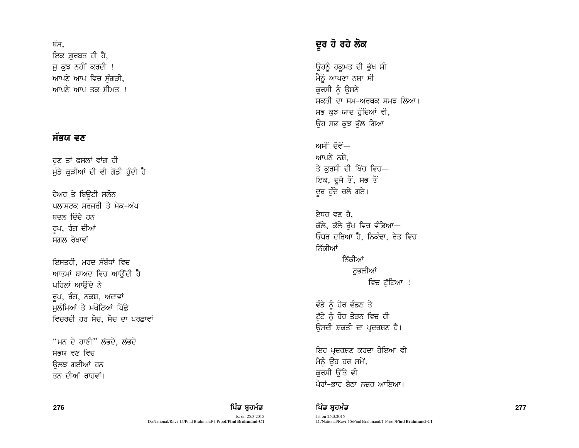### ਬੱਸ.

ਇਕ ਗ਼ਰਬਤ ਹੀ ਹੈ, ਜ ਕਝ ਨਹੀਂ ਕਰਦੀ ! ਆਪਣੇ ਆਪ ਵਿਚ ਸੰਗੜੀ. ਆਪਣੇ ਆਪ ਤਕ ਸੀਮਤ ।

## ਸੱਭਯ $\epsilon$ ਵਣ

ਹਣ ਤਾਂ ਫਸਲਾਂ ਵਾਂਗ ਹੀ ਮੰਡੇ ਕੜੀਆਂ ਦੀ ਵੀ ਗੋਡੀ ਹੰਦੀ ਹੈ

ਹੇਅਰ ਤੇ ਬਿਉਟੀ ਸਲੋਨ ਪਲਾਸਟਕ ਸਰਜਰੀ ਤੇ ਮੇਕ-ਅੱਪ ਬਦਲ ਦਿੰਦੇ ਹਨ ਰੁਪ, ਰੰਗ ਦੀਆਂ ਸਗਲ ਰੇਖਾਵਾਂ

ਇਸਤਰੀ, ਮਰਦ ਸੰਬੰਧਾਂ ਵਿਚ ਆਤਮਾਂ ਬਾਅਦ ਵਿਚ ਆਉਂਦੀ ਹੈ ਪਹਿਲਾਂ ਆਉਂਦੇ ਨੇ ਰੁਪ, ਰੰਗ, ਨਕਸ਼, ਅਦਾਵਾਂ ਮਲੰਮਿਆਂ ਤੇ ਮਖੌਟਿਆਂ ਪਿੱਛੇ ਵਿਚਰਦੀ ਹਰ ਸੋਚ, ਸੋਚ ਦਾ ਪਰਛਾਵਾਂ

"ਮਨ ਦੇ ਹਾਣੀ" ਲੱਭਦੇ, ਲੱਭਦੇ ਸੱਭਯ ਵਣ ਵਿਚ ਓਲਝ ਗਈਆਂ ਹਨ ਤਨ ਦੀਆਂ ਰਾਹਵਾਂ।

# ਦੂਰ ਹੋ ਰਹੇ ਲੋਕ

ਉਹਨੂੰ ਹਕੂਮਤ ਦੀ ਭੁੱਖ ਸੀ ਮੈਨੂੰ ਆਪਣਾ ਨਸ਼ਾ ਸੀ ਕੁਰਸੀ ਨੂੰ ਉਸਨੇ ਸ਼ਕਤੀ ਦਾ ਸਮ–ਅਰਥਕ ਸਮਝ ਲਿਆ। ਸਭ ਕੁਝ ਯਾਦ ਹੁੰਦਿਆਂ ਵੀ, ਓਹ ਸਭ ਕਝ ਭੱਲ ਗਿਆ

ਅਸੀਂ ਦੋਵੇਂ— ਆਪਣੇ ਨਸ਼ੇ, ਤੇ ਕਰਸੀ ਦੀ ਖਿੱਚ ਵਿਚ— ਇਕ, ਦੂਜੇ ਤੋਂ, ਸਭ ਤੋਂ ਦੁਰ ਹੁੰਦੇ ਚਲੇ ਗਏ।

ਏਧਰ ਵਣ ਹੈ, ਕੱਲੇ, ਕੱਲੇ ਰੱਖ ਵਿਚ ਵੰਡਿਆ $-$ ਓਧਰ ਦਰਿਆ ਹੈ, ਨਿਕੰਢਾ, ਰੇਤ ਵਿਚ ਨਿੱਕੀਆਂ ਨਿੱਕੀਆਂ ਟਭਲੀਆਂ ਵਿਚ ਟੁੱਟਿਆ !

ਵੰਡੇ ਨੂੰ ਹੋਰ ਵੰਡਣ ਤੇ ਟੁੱਟੇ ਨੂੰ ਹੋਰ ਤੋੜਨ ਵਿਚ ਹੀ ਉਸਦੀ ਸ਼ਕਤੀ ਦਾ ਪਦਰਸ਼ਣ ਹੈ।

ਇਹ ਪ੍ਰਦਰਸ਼ਣ ਕਰਦਾ ਹੋਇਆ ਵੀ ਮੈਨੰ ਉਹ ਹਰ ਸਮੇਂ, ਕਰਸੀ ਉੱਤੇ ਵੀ ਪੈਰਾਂ-ਭਾਰ ਬੈਠਾ ਨਜ਼ਰ ਆਇਆ।

276 ਵਿੱਚ **ਸੰਸਾਰ ਵਿੱਚ ਬਹੁਤ ਸੰਸਾਰ ਵਿੱਚ ਬਹੁਤ ਸੰਸਾਰ ਵਿੱਚ ਬਹੁਤ ਸੰਸਾਰ ਵਿੱਚ ਬਹੁਤ ਸੰਸਾਰ ਵਿੱਚ ਬਹੁਤ ਸੰਸਾਰ ਵਿੱਚ ਸੰਸਾਰ ਵਿੱਚ**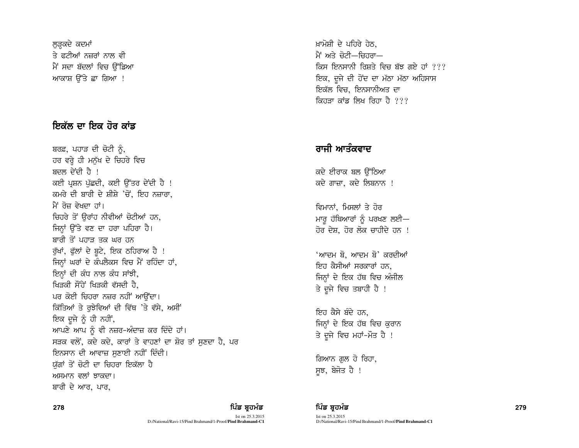ਲੜਕਦੇ ਕਦਮਾਂ ਤੇ ਫਟੀਆਂ ਨਜ਼ਰਾਂ ਨਾਲ ਵੀ ਮੈਂ ਸਦਾ ਬੱਦਲਾਂ ਵਿਚ ੳੱਡਿਆ ਆਕਾਸ਼ ਉੱਤੇ ਛਾ ਗਿਆ !

# ਇਕੱਲ ਦਾ ਇਕ ਹੋਰ ਕਾਂਡ

ਬਰਫ਼, ਪਹਾੜ ਦੀ ਚੋਟੀ ਨੂੰ, ਹਰ ਵਰ੍ਹੇ ਹੀ ਮਨੁੱਖ ਦੇ ਚਿਹਰੇ ਵਿਚ ਸ਼ਦਲ ਦੇਂਦੀ ਹੈ । ਕਈ ਪੁਸ਼ਨ ਪੱਛਦੀ, ਕਈ ਉੱਤਰ ਦੇਂਦੀ ਹੈ ! ਕਮਰੇ ਦੀ ਬਾਰੀ ਦੇ ਸ਼ੀਸ਼ੇ 'ਚੋਂ, ਇਹ ਨਜ਼ਾਰਾ, ਮੈਂ ਰੋਜ ਵੇਖਦਾ ਹਾਂ। ਚਿਹਰੇ ਤੋਂ ਉਰਾਂਹ ਨੀਵੀਆਂ ਚੋਟੀਆਂ ਹਨ. ਜਿਨ੍ਹਾਂ ਉੱਤੇ ਵਣ ਦਾ ਹਰਾ ਪਹਿਰਾ ਹੈ। ਬਾਰੀ ਤੋਂ ਪਹਾਤ ਤਕ ਘਰ ਹਨ ਰੁੱਖਾਂ, ਫੁੱਲਾਂ ਦੇ ਬੂਟੇ, ਇਕ ਠਹਿਰਾਅ ਹੈ ! ਜਿਨ੍ਹਾਂ ਘਰਾਂ ਦੇ ਕੰਪਲੈਕਸ ਵਿਚ ਮੈਂ ਰਹਿੰਦਾ ਹਾਂ, ਇਨ੍ਹਾਂ ਦੀ ਕੰਧ ਨਾਲ ਕੰਧ ਸਾਂਝੀ, ਖਿਤਕੀ ਸੌਂਹੇ ਖਿਤਕੀ ਵੱਸਦੀ ਹੈ. ਪਰ ਕੋਈ ਚਿਹਰਾ ਨਜ਼ਰ ਨਹੀਂ ਆਉਂਦਾ। ਕਿੱਤਿਆਂ ਤੇ ਰਝੇਵਿਆਂ ਦੀ ਵਿੱਥ 'ਤੇ ਵੱਸੇ, ਅਸੀਂ ਇਕ ਦੂਜੇ ਨੂੰ ਹੀ ਨਹੀਂ, ਆਪਣੇ ਆਪ ਨੂੰ ਵੀ ਨਜ਼ਰ-ਅੰਦਾਜ਼ ਕਰ ਦਿੰਦੇ ਹਾਂ। ਸੜਕ ਵਲੋਂ, ਕਦੇ ਕਦੇ, ਕਾਰਾਂ ਤੇ ਵਾਹਣਾਂ ਦਾ ਸ਼ੋਰ ਤਾਂ ਸਣਦਾ ਹੈ, ਪਰ ਇਨਸਾਨ ਦੀ ਆਵਾਜ਼ ਸਣਾਈ ਨਹੀਂ ਦਿੰਦੀ। ਯੱਗਾਂ ਤੋਂ ਚੋਟੀ ਦਾ ਚਿਹਰਾ ਇਕੱਲਾ ਹੈ ਅਸਮਾਨ ਵਲਾਂ ਝਾਕਦਾ। ਬਾਰੀ ਦੇ ਆਰ, ਪਾਰ,

ਖ਼ਾਮੋਸ਼ੀ ਦੇ ਪਹਿਰੇ ਹੇਠ. <u>ਮੈਂ ਅਤੇ ਚੋਟੀ—ਜਿਹਰਾ—</u> ਕਿਸ ਇਨਸਾਨੀ ਰਿਸ਼ਤੇ ਵਿਚ ਬੱਝ ਗਏ ਹਾਂ ??? ਇਕ, ਦਜੇ ਦੀ ਹੋਂਦ ਦਾ ਮੱਠਾ ਮੱਠਾ ਅਹਿਸਾਸ ਇਕੱਲ ਵਿਚ, ਇਨਸਾਨੀਅਤ ਦਾ ਕਿਹਤਾ ਕਾਂਡ ਲਿਖ ਰਿਹਾ ਹੈ  $22$ 

# ਰਾਜੀ ਆਤੰਕਵਾਦ

ਕਦੇ ਈਰਾਕ ਬਲ ਉੱਠਿਆ ਕਦੇ ਗਾਜ਼ਾ, ਕਦੇ ਲਿਬਨਾਨ !

ਵਿਮਾਨਾਂ, ਮਿਸਲਾਂ ਤੇ ਹੋਰ ਮਾਰ ਹੱਥਿਆਰਾਂ ਨੂੰ ਪਰਖਣ ਲਈ $-$ ਹੋਰ ਦੇਸ਼. ਹੋਰ ਲੋਕ ਚਾਹੀਦੇ ਹਨ !

'ਆਦਮ ਬੋ, ਆਦਮ ਬੋ' ਕਰਦੀਆਂ ਇਹ ਕੈਸੀਆਂ ਸਰਕਾਰਾਂ ਹਨ. ਜਿਨ੍ਹਾਂ ਦੇ ਇਕ ਹੱਥ ਵਿਚ ਅੰਜੀਲ ਤੇ ਦੂਜੇ ਵਿਚ ਤਬਾਹੀ ਹੈ !

ਇਹ ਕੈਸੇ ਬੰਦੇ ਹਨ. ਜਿਨ੍ਹਾਂ ਦੇ ਇਕ ਹੱਥ ਵਿਚ ਕੁਰਾਨ ਤੇ ਦੂਜੇ ਵਿਚ ਮਹਾਂ-ਮੌਤ ਹੈ !

ਗਿਆਨ ਗ਼ੁਲ ਹੋ ਰਿਹਾ, ਸੂਝ, ਬੇਜੋਤ ਹੈ !

### 278 ਵਿੱਚ *ਬਾਅਦ ਵਿੱਚ ਬ੍ਰਹਮੰ*ਡ ਦਾ ਸਾਹਿਬ ਸ਼ਹਿਰ ਵਿੱਚ ਬ੍ਰਹਮੰਡ ਵਿੱਚ ਬ੍ਰਹਮੰਡ ਵਿੱਚ ਬ੍ਰਹਮੰਡ ਵਿੱਚ ਸ਼ਹਿਰ ਵਿੱਚ 1279 ਵਿੱਚ 1279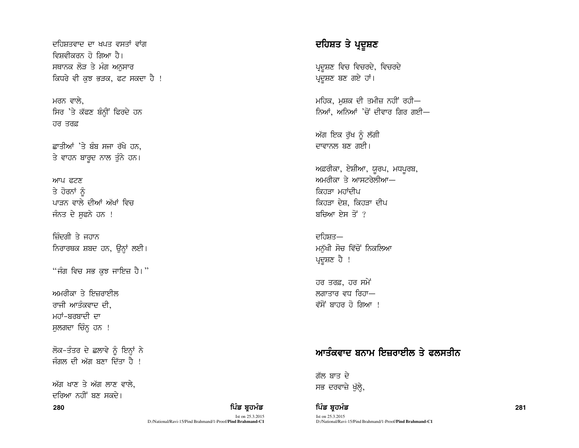ਦਹਿਸ਼ਤਵਾਦ ਦਾ ਖਪਤ ਵਸਤਾਂ ਵਾਂਗ ਵਿਸ਼ਵੀਕਰਨ ਹੋ ਗਿਆ ਹੈ। ਸਥਾਨਕ ਲੋੜ ਤੇ ਮੰਗ ਅਨਸਾਰ ਕਿਧਰੇ ਵੀ ਕੁਝ ਭੜਕ, ਫਟ ਸਕਦਾ ਹੈ !

ਮਰਨ ਵਾਲੇ. ਸਿਰ 'ਤੇ ਕੱਫਣ ਬੰਨ੍ਹੀਂ ਫਿਰਦੇ ਹਨ  $\overline{d}$   $\overline{d}$   $\overline{d}$   $\overline{d}$   $\overline{d}$ 

ਛਾਤੀਆਂ 'ਤੇ ਬੰਬ ਸਜਾ ਰੱਖੇ ਹਨ. ਤੇ ਵਾਹਨ ਬਾਰਦ ਨਾਲ ਤੁੰਨੇ ਹਨ।

ਆਪ ਫਟਣ ਤੇ ਹੋਰਨਾਂ ਨੂੰ ਪਾਤਨ ਵਾਲੇ ਦੀਆਂ ਅੱਖਾਂ ਵਿਚ ਜੰਨਤ ਦੇ ਸਫਨੇ ਹਨ !

ਜ਼ਿੰਦਗੀ ਤੇ ਜਹਾਨ ਨਿਰਾਰਥਕ ਸ਼ਬਦ ਹਨ, ਉਨ੍ਹਾਂ ਲਈ।

"ਜੰਗ ਵਿਚ ਸਭ ਕਝ ਜਾਇਜ਼ ਹੈ।"

ਅਮਰੀਕਾ ਤੇ ਇਜ਼ਰਾਈਲ ਰਾਜੀ ਆਤੰਕਵਾਦ ਦੀ. ਮਹਾਂ-ਬਰਬਾਦੀ ਦਾ ਸੁਲਗਦਾ ਚਿੰਨ੍ਹ ਹਨ !

ਲੋਕ-ਤੰਤਰ ਦੇ ਛਲਾਵੇ ਨੂੰ ਇਨ੍ਹਾਂ ਨੇ ਜੰਗਲ ਦੀ ਅੱਗ ਬਣਾ ਦਿੱਤਾ ਹੈ ।

ਅੱਗ ਖਾਣ ਤੇ ਅੱਗ ਲਾਣ ਵਾਲੇ. ਦਰਿਆ ਨਹੀਂ ਸਨ ਸਕਦੇ। 280

### ਪਿੰਡ ਬਹਮੰਡ

Ist on 25.3.2015 D:/National/Ravi-15/Pind Brahmand/1-Proof/Pind Brahmand-C1

# ਦਹਿਸ਼ਤ ਤੇ ਪ੍ਰਦੂਸ਼ਣ

ਪ੍ਰਦੂਸ਼ਣ ਵਿਚ ਵਿਚਰਦੇ, ਵਿਚਰਦੇ ਪ੍ਰਦੂਸ਼ਣ ਬਣ ਗਏ ਹਾਂ।

ਮਹਿਕ, ਮਸ਼ਕ ਦੀ ਤਮੀਜ਼ ਨਹੀਂ ਰਹੀ— ਨਿਆਂ, ਅਨਿਆਂ 'ਚੋਂ ਦੀਵਾਰ ਗਿਰ ਗਈ—

ਅੱਗ ਇਕ ਰੁੱਖ ਨੂੰ ਲੱਗੀ ਦਾਵਾਨਲ ਬਣ ਗਈ।

ਅਫ਼ਰੀਕਾ, ਏਸ਼ੀਆ, ਯੂਰਪ, ਮਧਪੁਰਬ, ਅਮਰੀਕਾ ਤੇ ਆਸਟਰੇਲੀਆ— ਕਿਹਤਾ ਮਹਾਂਦੀਪ ਕਿਹੜਾ ਦੇਸ਼, ਕਿਹੜਾ ਦੀਪ ਬਚਿਆ ਏਸ ਤੋਂ ?

ਦਹਿਸਤ— ਮਨੁੱਖੀ ਸੋਚ ਵਿੱਚੋਂ ਨਿਕਲਿਆ ਪ੍ਰਦੂਸ਼ਣ ਹੈ !

ਹਰ ਤਰਫ਼, ਹਰ ਸਮੇਂ ਲਗਾਤਾਰ ਵਧ ਰਿਹਾ— ਵੱਸੋਂ ਬਾਹਰ ਹੋ ਗਿਆ !

# ਆਤੰਕਵਾਦ ਬਨਾਮ ਇਜ਼ਰਾਈਲ ਤੇ ਫ਼ਲਸਤੀਨ

ਗੱਲ ਬਾਤ ਦੇ ਸਭ ਦਰਵਾਜ਼ੇ ਖੁੱਲ੍ਹੇ,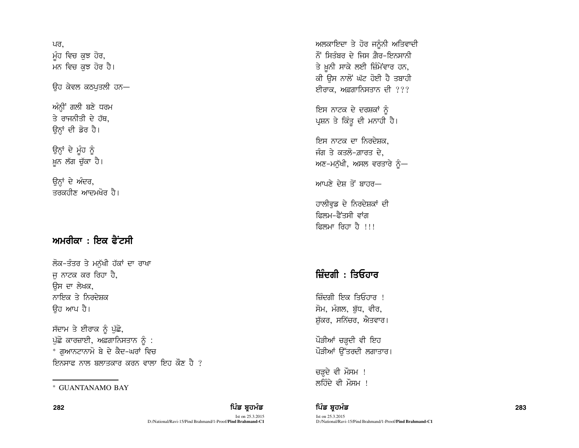ਪਰ. ਮੂੰਹ ਵਿਚ ਕੁਝ ਹੋਰ, ਮਨ ਵਿਚ ਕਝ ਹੋਰ ਹੈ।

ਓਹ ਕੇਵਲ ਕਠਪਤਲੀ ਹਨ—

ਅੰਨੀ<sup>:</sup> ਗਲੀ ਬਣੇ ਧਰਮ ਤੇ ਰਾਜਨੀਤੀ ਦੇ ਹੱਥ. ਉਨ੍ਹਾਂ ਦੀ ਡੋਰ ਹੈ।

ਉਨ੍ਹਾਂ ਦੇ ਮੂੰਹ ਨੂੰ ਖ਼ੁਨ ਲੱਗ ਚੁੱਕਾ ਹੈ।

ਉਨ੍ਹਾਂ ਦੇ ਅੰਦਰ, ਤਰਕਹੀਣ ਆਦਮਖ਼ੋਰ ਹੈ।

# ਅਮਰੀਕਾ $:$  ਇਕ ਫੈਂਟਸੀ

ਲੋਕ-ਤੰਤਰ ਤੇ ਮਨੁੱਖੀ ਹੱਕਾਂ ਦਾ ਰਾਖਾ ਜ ਨਾਟਕ ਕਰ ਰਿਹਾ ਹੈ, ਓਸ ਦਾ ਲੇਖਕ. ਨਾਇਕ ਤੇ ਨਿਰਦੇਸ਼ਕ ੳਹ ਆਪ ਹੈ।

ਸੱਦਾਮ ਤੇ ਈਰਾਕ ਨੂੰ ਪੁੱਛੋ, ਪੁੱਛੋ ਕਾਰਜ਼ਾਈ, ਅਫ਼ਗਾਨਿਸਤਾਨ ਨੂੰ : \* ਗਆਨਟਾਨਾਮੋ ਬੇ ਦੇ ਕੈਦ-ਘਰਾਂ ਵਿਚ <u>ਇਨਸਾਫ਼ ਨਾਲ ਬਲਾਤਕਾਰ ਕਰਨ ਵਾਲਾ ਇਹ ਕੌਣ ਹੈ ?</u>

Ist on 25.3.2015 D:/National/Ravi-15/Pind Brahmand/1-Proof/**Pind Brahmand-C1** ਅਲਕਾਇਦਾ ਤੇ ਹੋਰ ਜਨੰਨੀ ਅਤਿਵਾਦੀ  $\ddot{\delta}$  ਸਿਤੰਬਰ ਦੇ ਜਿਸ ਗ਼ੈਰ–ਇਨਸਾਨੀ ਤੇ ਖ਼ਨੀ ਸਾਕੇ ਲਈ ਜ਼ਿੰਮੇਂਵਾਰ ਹਨ, ਕੀ ਉਸ ਨਾਲੋਂ ਘੱਟ ਹੋਈ ਹੈ ਤਬਾਹੀ ਈਰਾਕ, ਅਫ਼ਗਾਨਿਸਤਾਨ ਦੀ  $22$ 

ਇਸ ਨਾਟਕ ਦੇ ਦਰਸ਼ਕਾਂ ਨੂੰ ਪ੍ਰਸ਼ਨ ਤੇ ਕਿੰਤੂ ਦੀ ਮਨਾਹੀ ਹੈ।

ਇਸ ਨਾਟਕ ਦਾ ਨਿਰਦੇਸ਼ਕ. ਜੰਗ ਤੇ ਕਤਲੋ–ਗ਼ਾਰਤ ਦੇ, ਅਣ-ਮਨੁੱਖੀ, ਅਸਲ ਵਰਤਾਰੇ ਨੂੰ $-$ 

ਆਪਣੇ ਦੇਸ਼ ਤੋਂ ਸਾਹਰ—

ਹਾਲੀਵਡ ਦੇ ਨਿਰਦੇਸ਼ਕਾਂ ਦੀ ਫਿਲਮ-ਫੈਂਤਸੀ ਵਾਂਗ ਫ਼ਿਲਮਾ ਜਿਹਾ ਹੈ ।।।

# ਜ਼ਿੰਦਗੀ $\cdot$  ਤਿਓਹਾਰ

ਜ਼ਿੰਦਗੀ ਇਕ ਤਿਓਹਾਰ ! ਸੋਮ, ਮੰਗਲ, ਬੱਧ, ਵੀਰ, ਸ਼ੱਕਰ, ਸਨਿੱਚਰ, ਐਤਵਾਰ।

ਪੌੜੀਆਂ ਚੜ੍ਹਦੀ ਵੀ ਇਹ ਪੌੜੀਆਂ ਉੱਤਰਦੀ ਲਗਾਤਾਰ।

ਚੜ੍ਹਦੇ ਵੀ ਮੌਸਮ !  $\overline{\text{GUANTANAMO BAY}}$  \* GUANTANAMO BAY

**<sup>282</sup>** fgzv pqjwzv fgzv pqjwzv **<sup>283</sup>** Ist on 25.3.2015 D:/National/Ravi-15/Pind Brahmand/1-Proof/**Pind Brahmand-C1**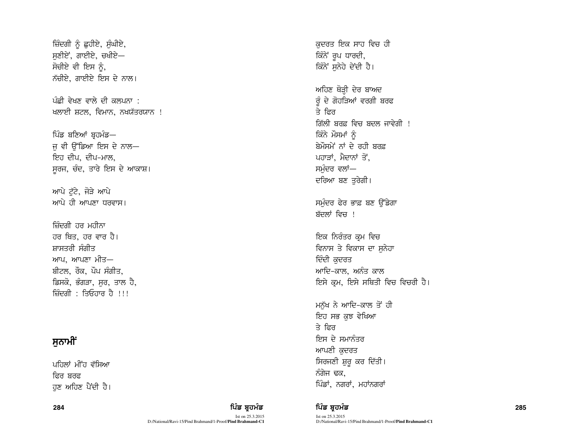ਜ਼ਿੰਦਗੀ ਨੂੰ ਛਹੀਏ, ਸੰਘੀਏ,  $n$ ਸੁਣੀਏਂ, ਗਾਈਏ, ਚਖੀਏ $-$ ਸੋਚੀਏ ਵੀ ਇਸ ਨੂੰ, ਨੱਚੀਏ, ਗਾਈਏ ਇਸ ਦੇ ਨਾਲ।

ਪੰਛੀ ਵੇਖਣ ਵਾਲੇ ਦੀ ਕਲਪਨਾ : ਖਲਾਈ ਸ਼ਟਲ, ਵਿਮਾਨ, ਨਖਯੱਤਰਯਾਨ !

ਪਿੰਡ ਬਣਿਆਂ ਬੁਹਮੰਡ— ਜ ਵੀ ਉੱਡਿਆ ਇਸ ਦੇ ਨਾਲ— ਇਹ ਦੀਪ, ਦੀਪ-ਮਾਲ, ਸੁਰਜ, ਚੰਦ, ਤਾਰੇ ਇਸ ਦੇ ਆਕਾਸ਼।

ਆਪੇ ਟੱਟੇ. ਜੋੜੇ ਆਪੇ ਆਪੇ ਹੀ ਆਪਣਾ ਧਰਵਾਸ।

ਜ਼ਿੰਦਗੀ ਹਰ ਮਹੀਨਾ ਹਰ ਥਿਤ, ਹਰ ਵਾਰ ਹੈ। ਸਾਸਤਰੀ ਸੰਗੀਤ ਆਪ, ਆਪਣਾ ਮੀਤ— ਬੀਟਲ, ਰੌਕ, ਪੌਪ ਸੰਗੀਤ, ਡਿਸਕੋ, ਭੰਗੜਾ, ਸਰ, ਤਾਲ ਹੈ, ਜ਼ਿੰਦਗੀ $\cdot$  ਤਿਓਹਾਰ ਹੈ ।।।

## ਸਨਾਮੀਂ

ਪਹਿਲਾਂ ਮੀਂਹ ਵੱਸਿਆ ਫ਼ਿਰ ਸਰਫ਼ ਹਣ ਅਹਿਣ ਪੈਂਦੀ ਹੈ।

Ist on 25.3.2015 D:/National/Ravi-15/Pind Brahmand/1-Proof/**Pind Brahmand-C1** ਕਦਰਤ ਇਕ ਸਾਹ ਵਿਚ ਹੀ ਕਿੰਨੇ ਰੂਪ ਧਾਰਦੀ, ਕਿੰਨੇ ਸਨੇਹੇ ਦੇਂਦੀ ਹੈ।

ਅਹਿਣ ਥੋੜ੍ਹੀ ਦੇਰ ਬਾਅਦ  $\hat{g}$  ਦੇ ਗੋਹੜਿਆਂ ਵਰਗੀ ਬਰਫ  $\overline{z}$  ਫ਼ਿਰ <u>ਗਿੱਲੀ ਬਰਫ ਵਿਚ ਬਦਲ ਜਾਵੇਗੀ ।</u> ਕਿੰਨੇ ਮੌਸਮਾਂ ਨੰ ਬੇਮੌਸਮੇਂ ਨਾਂ ਦੇ ਰਹੀ ਬਰਫ਼ ਪਹਾੜਾਂ, ਮੈਦਾਨਾਂ ਤੋਂ, ਸਮੁੰਦਰ ਵਲਾਂ— ਦਰਿਆ ਬਣ ਤਰੇਗੀ।

ਸਮੰਦਰ ਫੇਰ ਭਾਫ਼ ਬਣ ਉੱਡੇਗਾ ਬੱਦਲਾਂ ਵਿਚ !

ਇਕ ਨਿਰੰਤਰ ਕੁਮ ਵਿਚ ਵਿਨਾਸ ਤੇ ਵਿਕਾਸ ਦਾ ਸਨੇਹਾ ਦਿੰਦੀ ਕਦਰਤ ਆਦਿ-ਕਾਲ, ਅਨੰਤ ਕਾਲ ਇਸੇ ਕੁਮ, ਇਸੇ ਸਥਿਤੀ ਵਿਚ ਵਿਚਰੀ ਹੈ।

ਮਨੱਖ ਨੇ ਆਦਿ-ਕਾਲ ਤੋਂ ਹੀ ਇਹ ਸਭ ਕਝ ਵੇਖਿਆ ਤੇ ਫ਼ਿਰ ਇਸ ਦੇ ਸਮਾਨੰਤਰ ਆਪਣੀ ਕਦਰਤ ਸਿਰਜਣੀ ਸ਼ੁਰੂ ਕਰ ਦਿੱਤੀ। ਨੰਗੇਜ ਢਕ, ਪਿੰਡਾਂ, ਨਗਰਾਂ, ਮਹਾਂਨਗਰਾਂ

284 ਵਿੱਚ **ਸੰਸਾਰ ਵਿੱਚ ਬਹੁਤ ਸੰਸਾਰ ਵਿੱਚ ਬਹੁਤ ਸੰਸਾਰ ਵਿੱਚ ਬਹੁਤ ਸੰਸਾਰ ਵਿੱਚ ਬਹੁਤ ਸੰਸਾਰ ਵਿੱਚ ਬਹੁਤ ਸੰਸਾਰ ਵਿੱਚ ਸੰਸਾਰ ਵਿੱਚ**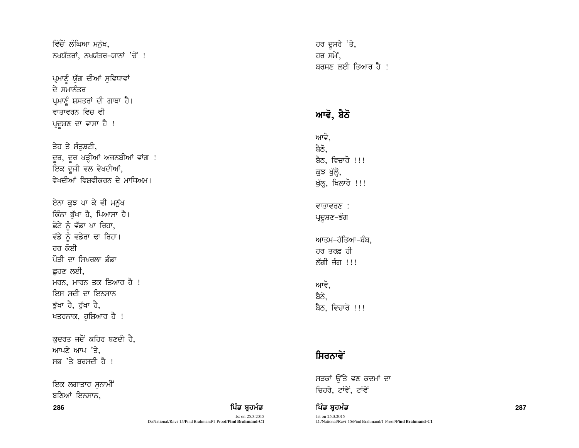ਵਿੱਚੋਂ ਲੰਘਿਆ ਮਨੱਖ, ਨਖਯੱਤਰਾਂ, ਨਖਯੱਤਰ-ਯਾਨਾਂ 'ਚੋਂ !

ਪ੍ਰਮਾਣੂੰ ਯੁੱਗ ਦੀਆਂ ਸੁਵਿਧਾਵਾਂ ਦੇ ਸਮਾਨੰਤਰ ਪ੍ਰਮਾਣੂੰ ਸ਼ਸਤਰਾਂ ਦੀ ਗਾਥਾ ਹੈ। ਵਾਤਾਵਰਨ ਵਿਚ ਵੀ ਪਦਸ਼ਣ ਦਾ ਵਾਸਾ ਹੈ !

ਤੇਹ ਤੇ ਸੰਤਸ਼ਟੀ, ਦੂਰ, ਦੂਰ ਖੜ੍ਹੀਆਂ ਅਜਨਬੀਆਂ ਵਾਂਗ ! ਇਕ ਦੂਜੀ ਵਲ ਵੇਖਦੀਆਂ, ਵੇਖਦੀਆਂ ਵਿਸ਼ਵੀਕਰਨ ਦੇ ਮਾਧਿਅਮ।

ਏਨਾ ਕੁਝ ਪਾ ਕੇ ਵੀ ਮਨੁੱਖ ਕਿੰਨਾ ਭੱਖਾ ਹੈ, ਪਿਆਸਾ ਹੈ। ਛੋਟੇ ਨੂੰ ਵੱਡਾ ਖਾ ਰਿਹਾ, ਵੱਡੇ ਨੂੰ ਵਡੇਰਾ ਢਾ ਰਿਹਾ। ਹਰ ਕੋਈ ਪੌਤੀ ਦਾ ਸਿਖਰਲਾ ਡੰਡਾ ਛਹਣ ਲਈ. ਮਰਨ, ਮਾਰਨ ਤਕ ਤਿਆਰ ਹੈ ! ਇਸ ਸਦੀ ਦਾ ਇਨਸਾਨ ਭੱਖਾ ਹੈ, ਰੱਖਾ ਹੈ, ਖਤਰਨਾਕ, ਹੁਸ਼ਿਆਰ ਹੈ !

ਕਦਰਤ ਜਦੋਂ ਕਹਿਰ ਬਣਦੀ ਹੈ, ਆਪਣੇ ਆਪ 'ਤੇ. ਸਭ 'ਤੇ ਬਰਸਦੀ ਹੈ !

ਇਕ ਲਗਾਤਾਰ ਸਨਾਮੀਂ ਬਣਿਆਂ ਇਨਸਾਨ.

286

ਹਰ ਦੂਸਰੇ 'ਤੇ, ਹਰ ਸਮੇਂ. ਬਰਸਣ ਲਈ ਤਿਆਰ ਹੈ !

# ਆਵੋ, ਬੈਠੋ

ਆਵੋ, ਬੈਠੋ. ਬੈਠ, ਵਿਚਾਰੋ !!! ਕੁਝ ਖੁੱਲ੍ਹੇ, ਖੁੱਲ੍ਹ, ਖਿਲਾਰੋ !!!

### ਵਾਤਾਵਰਣ : ਪ੍ਰਦੂਸ਼ਣ–ਭੰਗ

ਆਤਮ–ਹੱਤਿਆ–ਬੰਬ. ਹਰ ਤਰਫ਼ ਹੀ ਲੱਗੀ ਜੰਗ !!!

ਆਵੋ. ਬੈਠੋ. ਬੈਠ, ਵਿਚਾਰੋ !!!

# ਸਿਰਨਾਵੇਂ

ਪਿੰਡ ਬਹਮੰਡ

D:/National/Ravi-15/Pind Brahmand/1-Proof/Pind Brahmand-C1

Ist on 25.3.2015

ਸੜਕਾਂ ਉੱਤੇ ਵਣ ਕਦਮਾਂ ਦਾ ਚਿਹਰੇ, ਟਾਂਵੇਂ, ਟਾਂਵੇਂ

ਪਿੰਡ ਬ੍ਰਹਮੰਡ Ist on 25.3.2015 D:/National/Ravi-15/Pind Brahmand/1-Proof/**Pind Brahmand-C1**